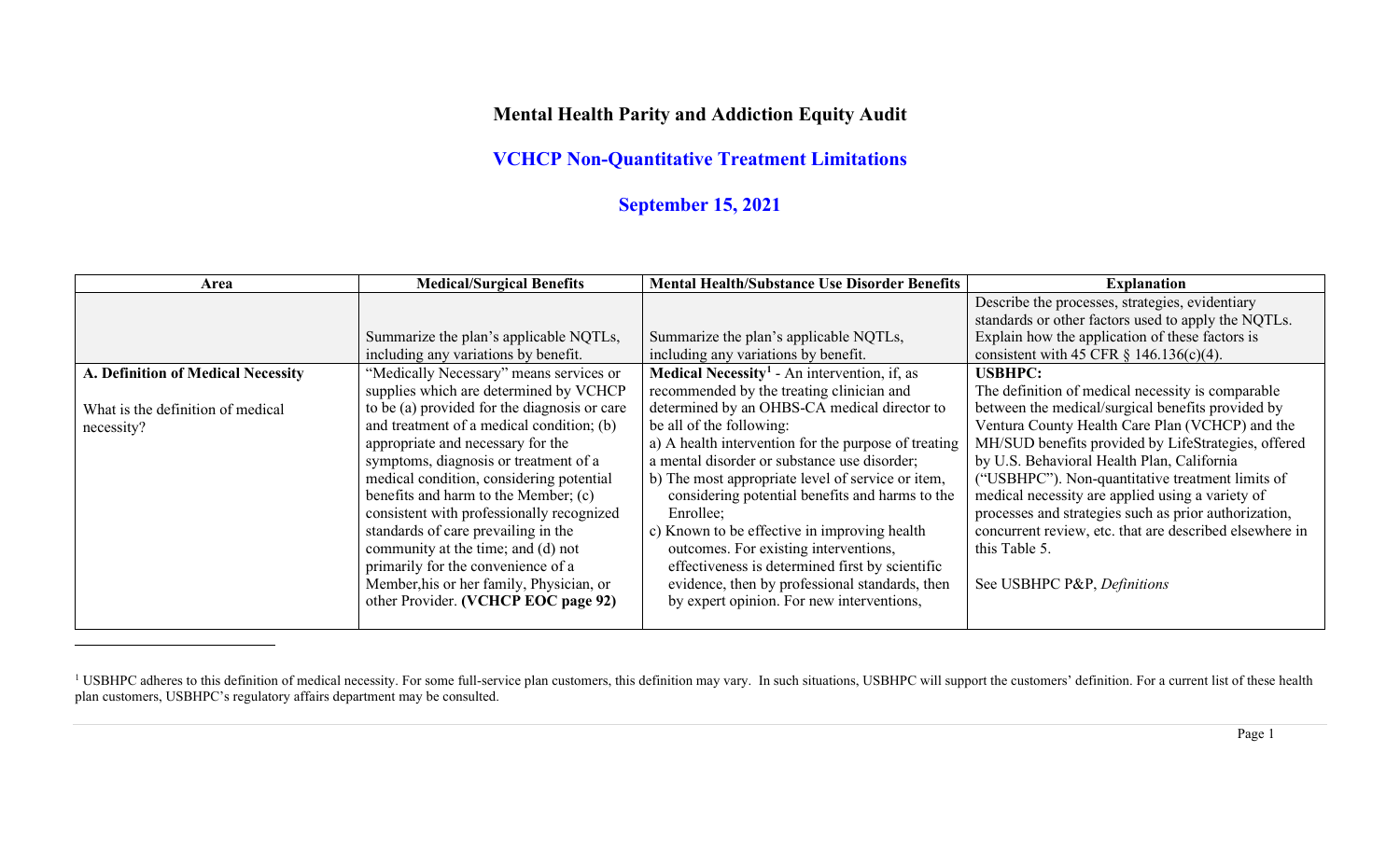## <span id="page-0-0"></span>**Mental Health Parity and Addiction Equity Audit**

## **VCHCP Non-Quantitative Treatment Limitations**

## **September 15, 2021**

| Area                               | <b>Medical/Surgical Benefits</b>             | <b>Mental Health/Substance Use Disorder Benefits</b>           | <b>Explanation</b>                                      |
|------------------------------------|----------------------------------------------|----------------------------------------------------------------|---------------------------------------------------------|
|                                    |                                              |                                                                | Describe the processes, strategies, evidentiary         |
|                                    |                                              |                                                                | standards or other factors used to apply the NQTLs.     |
|                                    | Summarize the plan's applicable NQTLs,       | Summarize the plan's applicable NQTLs,                         | Explain how the application of these factors is         |
|                                    | including any variations by benefit.         | including any variations by benefit.                           | consistent with 45 CFR $\S$ 146.136(c)(4).              |
| A. Definition of Medical Necessity | "Medically Necessary" means services or      | <b>Medical Necessity<sup>1</sup></b> - An intervention, if, as | <b>USBHPC:</b>                                          |
|                                    | supplies which are determined by VCHCP       | recommended by the treating clinician and                      | The definition of medical necessity is comparable       |
| What is the definition of medical  | to be (a) provided for the diagnosis or care | determined by an OHBS-CA medical director to                   | between the medical/surgical benefits provided by       |
| necessity?                         | and treatment of a medical condition; (b)    | be all of the following:                                       | Ventura County Health Care Plan (VCHCP) and the         |
|                                    | appropriate and necessary for the            | a) A health intervention for the purpose of treating           | MH/SUD benefits provided by LifeStrategies, offered     |
|                                    | symptoms, diagnosis or treatment of a        | a mental disorder or substance use disorder;                   | by U.S. Behavioral Health Plan, California              |
|                                    | medical condition, considering potential     | b) The most appropriate level of service or item,              | ("USBHPC"). Non-quantitative treatment limits of        |
|                                    | benefits and harm to the Member; (c)         | considering potential benefits and harms to the                | medical necessity are applied using a variety of        |
|                                    | consistent with professionally recognized    | Enrollee:                                                      | processes and strategies such as prior authorization,   |
|                                    | standards of care prevailing in the          | c) Known to be effective in improving health                   | concurrent review, etc. that are described elsewhere in |
|                                    | community at the time; and (d) not           | outcomes. For existing interventions,                          | this Table 5.                                           |
|                                    | primarily for the convenience of a           | effectiveness is determined first by scientific                |                                                         |
|                                    | Member, his or her family, Physician, or     | evidence, then by professional standards, then                 | See USBHPC P&P, Definitions                             |
|                                    | other Provider. (VCHCP EOC page 92)          | by expert opinion. For new interventions,                      |                                                         |
|                                    |                                              |                                                                |                                                         |

<sup>&</sup>lt;sup>1</sup> USBHPC adheres to this definition of medical necessity. For some full-service plan customers, this definition may vary. In such situations, USBHPC will support the customers' definition. For a current list of these hea plan customers, USBHPC's regulatory affairs department may be consulted.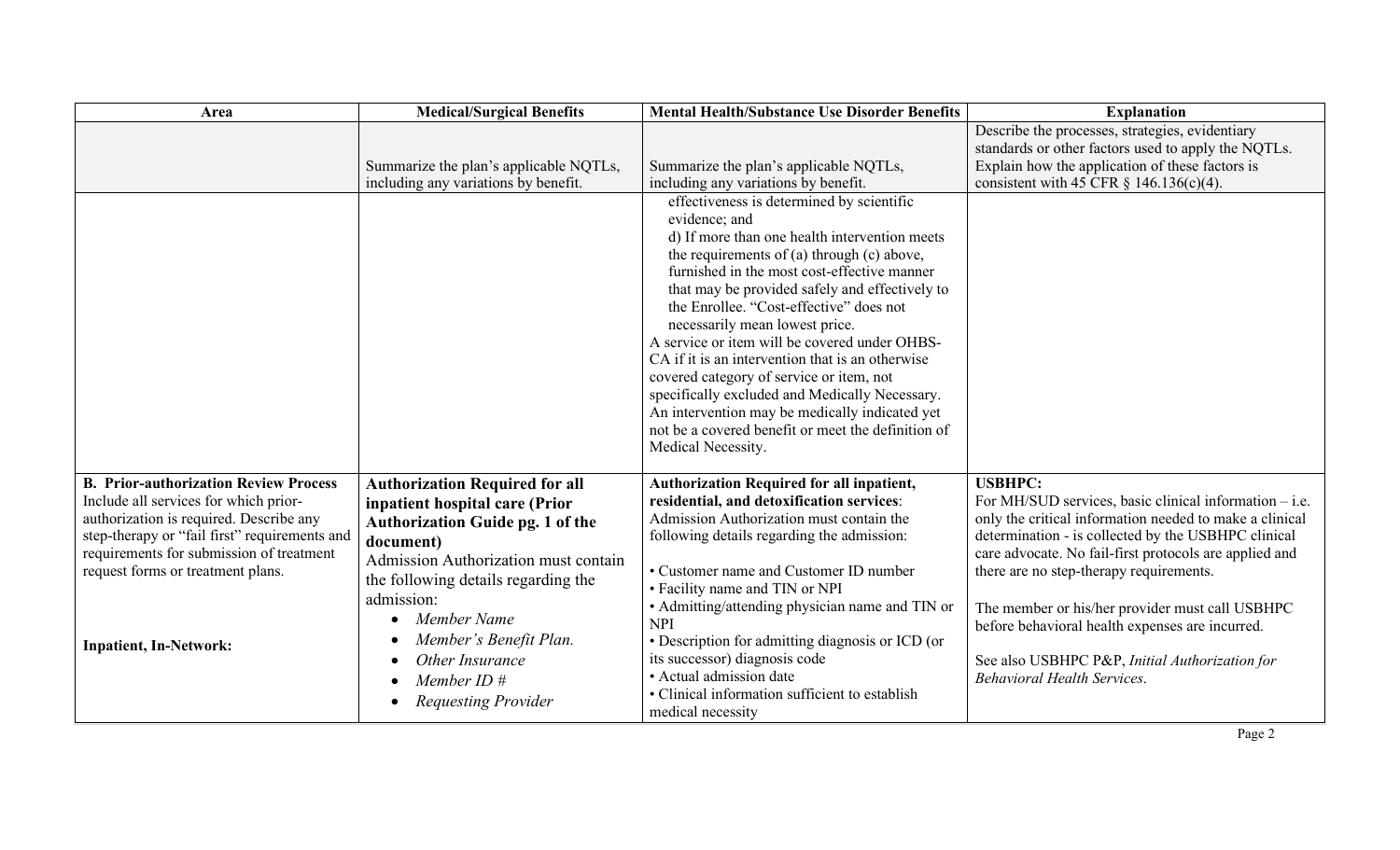| Area                                                                                                                                                                                                                                                                                                | <b>Medical/Surgical Benefits</b>                                                                                                                                                                                                                                                         | <b>Mental Health/Substance Use Disorder Benefits</b>                                                                                                                                                                                                                                                                                                                                                                                                                                                                                                                                                                                                                     | <b>Explanation</b>                                                                                                                                                                                                                                                                                                                                                                                                                                        |
|-----------------------------------------------------------------------------------------------------------------------------------------------------------------------------------------------------------------------------------------------------------------------------------------------------|------------------------------------------------------------------------------------------------------------------------------------------------------------------------------------------------------------------------------------------------------------------------------------------|--------------------------------------------------------------------------------------------------------------------------------------------------------------------------------------------------------------------------------------------------------------------------------------------------------------------------------------------------------------------------------------------------------------------------------------------------------------------------------------------------------------------------------------------------------------------------------------------------------------------------------------------------------------------------|-----------------------------------------------------------------------------------------------------------------------------------------------------------------------------------------------------------------------------------------------------------------------------------------------------------------------------------------------------------------------------------------------------------------------------------------------------------|
|                                                                                                                                                                                                                                                                                                     | Summarize the plan's applicable NQTLs,<br>including any variations by benefit.                                                                                                                                                                                                           | Summarize the plan's applicable NQTLs,<br>including any variations by benefit.                                                                                                                                                                                                                                                                                                                                                                                                                                                                                                                                                                                           | Describe the processes, strategies, evidentiary<br>standards or other factors used to apply the NQTLs.<br>Explain how the application of these factors is<br>consistent with 45 CFR $\S$ 146.136(c)(4).                                                                                                                                                                                                                                                   |
|                                                                                                                                                                                                                                                                                                     |                                                                                                                                                                                                                                                                                          | effectiveness is determined by scientific<br>evidence; and<br>d) If more than one health intervention meets<br>the requirements of (a) through (c) above,<br>furnished in the most cost-effective manner<br>that may be provided safely and effectively to<br>the Enrollee. "Cost-effective" does not<br>necessarily mean lowest price.<br>A service or item will be covered under OHBS-<br>CA if it is an intervention that is an otherwise<br>covered category of service or item, not<br>specifically excluded and Medically Necessary.<br>An intervention may be medically indicated yet<br>not be a covered benefit or meet the definition of<br>Medical Necessity. |                                                                                                                                                                                                                                                                                                                                                                                                                                                           |
| <b>B. Prior-authorization Review Process</b><br>Include all services for which prior-<br>authorization is required. Describe any<br>step-therapy or "fail first" requirements and<br>requirements for submission of treatment<br>request forms or treatment plans.<br><b>Inpatient, In-Network:</b> | <b>Authorization Required for all</b><br>inpatient hospital care (Prior<br><b>Authorization Guide pg. 1 of the</b><br>document)<br>Admission Authorization must contain<br>the following details regarding the<br>admission:<br>Member Name<br>Member's Benefit Plan.<br>Other Insurance | <b>Authorization Required for all inpatient,</b><br>residential, and detoxification services:<br>Admission Authorization must contain the<br>following details regarding the admission:<br>• Customer name and Customer ID number<br>• Facility name and TIN or NPI<br>• Admitting/attending physician name and TIN or<br><b>NPI</b><br>• Description for admitting diagnosis or ICD (or<br>its successor) diagnosis code                                                                                                                                                                                                                                                | <b>USBHPC:</b><br>For MH/SUD services, basic clinical information $-$ i.e.<br>only the critical information needed to make a clinical<br>determination - is collected by the USBHPC clinical<br>care advocate. No fail-first protocols are applied and<br>there are no step-therapy requirements.<br>The member or his/her provider must call USBHPC<br>before behavioral health expenses are incurred.<br>See also USBHPC P&P, Initial Authorization for |
|                                                                                                                                                                                                                                                                                                     | Member ID $#$<br>$\bullet$<br><b>Requesting Provider</b>                                                                                                                                                                                                                                 | • Actual admission date<br>• Clinical information sufficient to establish<br>medical necessity                                                                                                                                                                                                                                                                                                                                                                                                                                                                                                                                                                           | <b>Behavioral Health Services.</b>                                                                                                                                                                                                                                                                                                                                                                                                                        |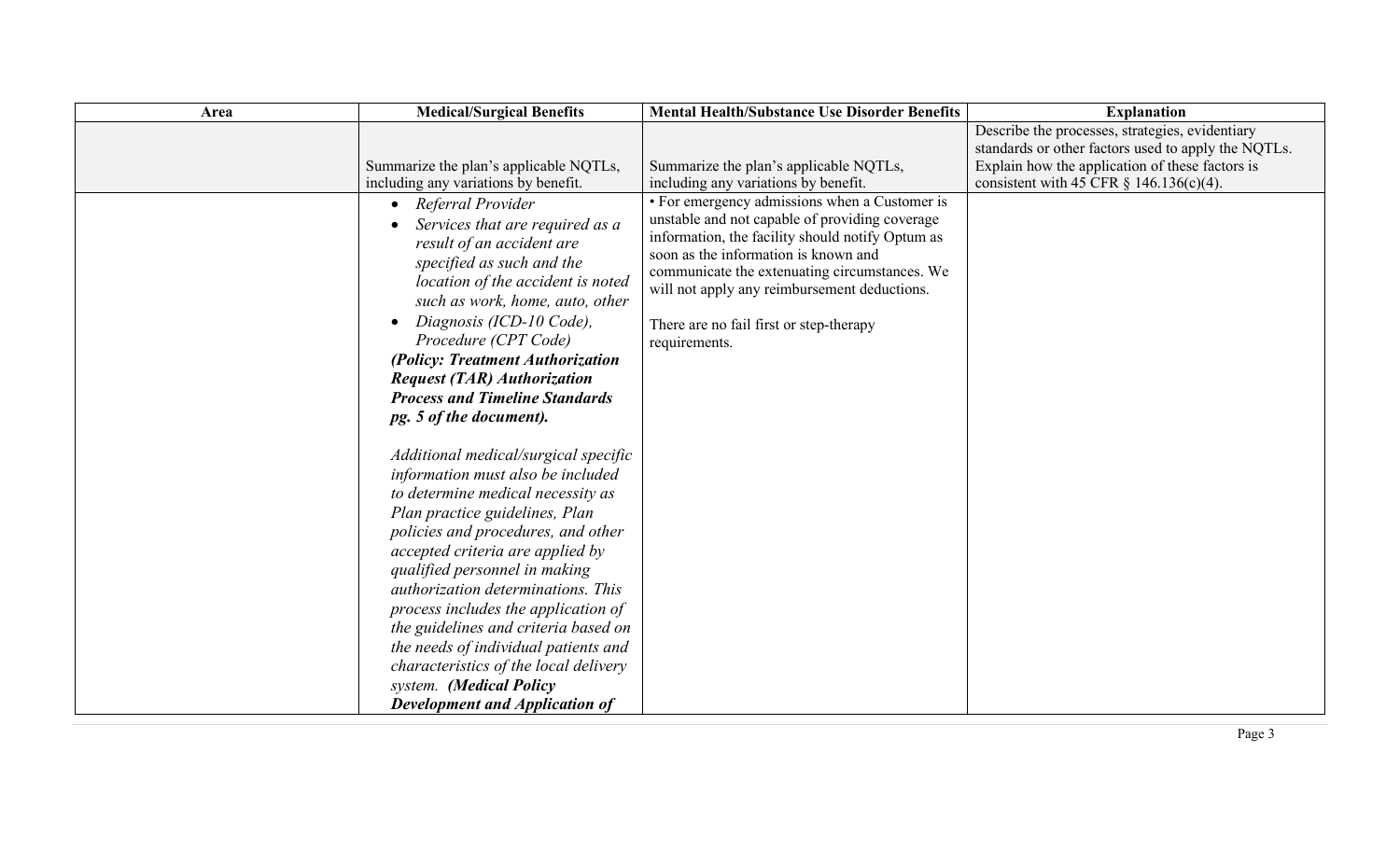| Area | <b>Medical/Surgical Benefits</b>                                                                                                                                                                                                                                                                                                                                                                                                                                                                                                                                                                                                                                                                                                                                                                                                                                                 | <b>Mental Health/Substance Use Disorder Benefits</b>                                                                                                                                                                                                                                                                                                     | <b>Explanation</b>                                                                                                                                        |
|------|----------------------------------------------------------------------------------------------------------------------------------------------------------------------------------------------------------------------------------------------------------------------------------------------------------------------------------------------------------------------------------------------------------------------------------------------------------------------------------------------------------------------------------------------------------------------------------------------------------------------------------------------------------------------------------------------------------------------------------------------------------------------------------------------------------------------------------------------------------------------------------|----------------------------------------------------------------------------------------------------------------------------------------------------------------------------------------------------------------------------------------------------------------------------------------------------------------------------------------------------------|-----------------------------------------------------------------------------------------------------------------------------------------------------------|
|      | Summarize the plan's applicable NQTLs,                                                                                                                                                                                                                                                                                                                                                                                                                                                                                                                                                                                                                                                                                                                                                                                                                                           | Summarize the plan's applicable NQTLs,<br>including any variations by benefit.                                                                                                                                                                                                                                                                           | Describe the processes, strategies, evidentiary<br>standards or other factors used to apply the NQTLs.<br>Explain how the application of these factors is |
|      | including any variations by benefit.<br>Referral Provider<br>$\bullet$<br>Services that are required as a<br>result of an accident are<br>specified as such and the<br>location of the accident is noted<br>such as work, home, auto, other<br>Diagnosis (ICD-10 Code),<br>Procedure (CPT Code)<br>(Policy: Treatment Authorization<br><b>Request (TAR) Authorization</b><br><b>Process and Timeline Standards</b><br>pg. 5 of the document).<br>Additional medical/surgical specific<br>information must also be included<br>to determine medical necessity as<br>Plan practice guidelines, Plan<br>policies and procedures, and other<br>accepted criteria are applied by<br>qualified personnel in making<br><i>authorization determinations. This</i><br>process includes the application of<br>the guidelines and criteria based on<br>the needs of individual patients and | • For emergency admissions when a Customer is<br>unstable and not capable of providing coverage<br>information, the facility should notify Optum as<br>soon as the information is known and<br>communicate the extenuating circumstances. We<br>will not apply any reimbursement deductions.<br>There are no fail first or step-therapy<br>requirements. | consistent with 45 CFR $\S$ 146.136(c)(4).                                                                                                                |
|      | characteristics of the local delivery                                                                                                                                                                                                                                                                                                                                                                                                                                                                                                                                                                                                                                                                                                                                                                                                                                            |                                                                                                                                                                                                                                                                                                                                                          |                                                                                                                                                           |
|      | system. (Medical Policy<br><b>Development and Application of</b>                                                                                                                                                                                                                                                                                                                                                                                                                                                                                                                                                                                                                                                                                                                                                                                                                 |                                                                                                                                                                                                                                                                                                                                                          |                                                                                                                                                           |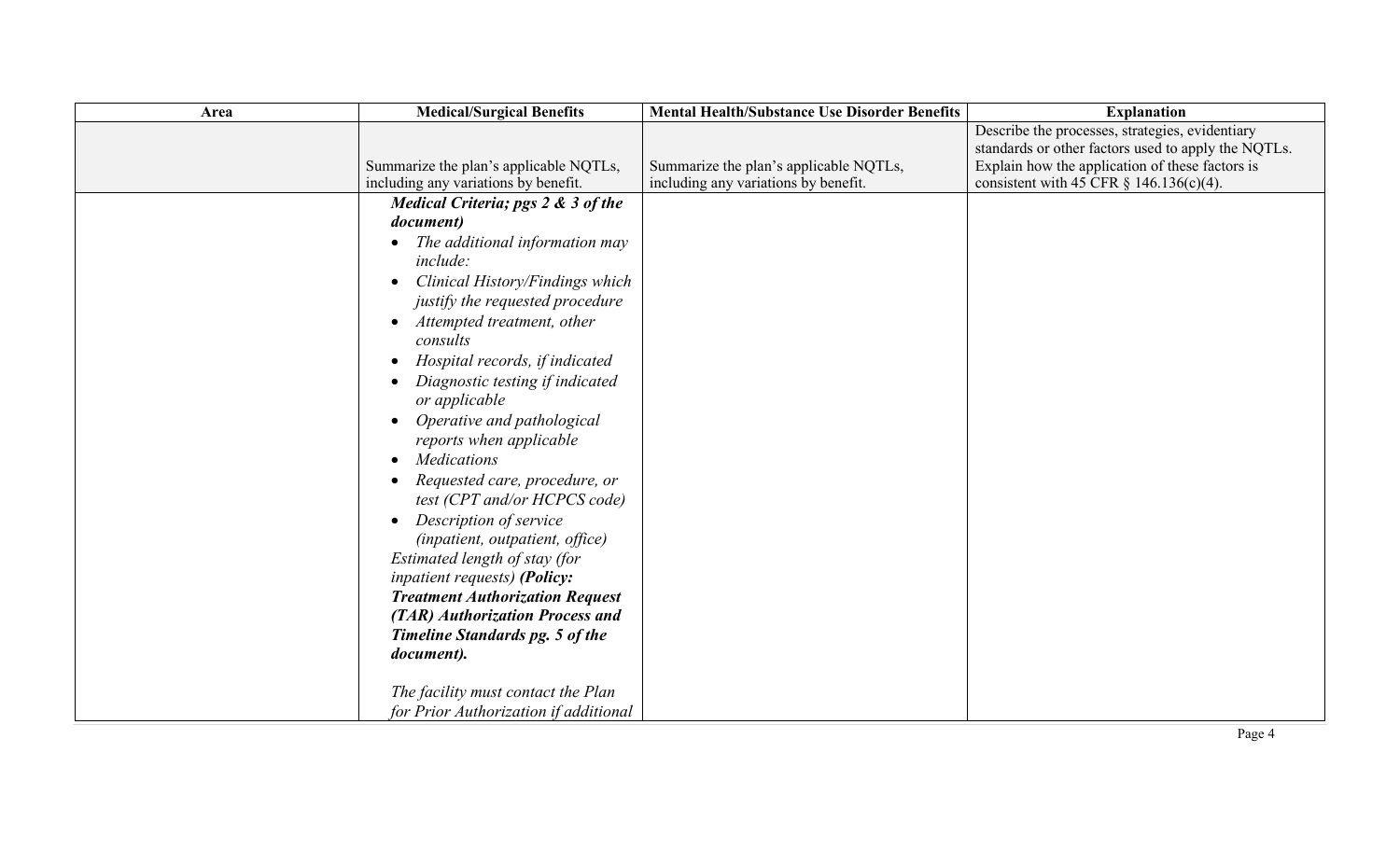| Area | <b>Medical/Surgical Benefits</b>           | <b>Mental Health/Substance Use Disorder Benefits</b> | <b>Explanation</b>                                  |
|------|--------------------------------------------|------------------------------------------------------|-----------------------------------------------------|
|      |                                            |                                                      | Describe the processes, strategies, evidentiary     |
|      |                                            |                                                      | standards or other factors used to apply the NQTLs. |
|      | Summarize the plan's applicable NQTLs,     | Summarize the plan's applicable NQTLs,               | Explain how the application of these factors is     |
|      | including any variations by benefit.       | including any variations by benefit.                 | consistent with 45 CFR $\S$ 146.136(c)(4).          |
|      | Medical Criteria; pgs 2 & 3 of the         |                                                      |                                                     |
|      | document)                                  |                                                      |                                                     |
|      | The additional information may             |                                                      |                                                     |
|      | <i>include:</i>                            |                                                      |                                                     |
|      | Clinical History/Findings which            |                                                      |                                                     |
|      | justify the requested procedure            |                                                      |                                                     |
|      | Attempted treatment, other<br>$\bullet$    |                                                      |                                                     |
|      | consults                                   |                                                      |                                                     |
|      | Hospital records, if indicated             |                                                      |                                                     |
|      |                                            |                                                      |                                                     |
|      | Diagnostic testing if indicated            |                                                      |                                                     |
|      | or applicable                              |                                                      |                                                     |
|      | Operative and pathological                 |                                                      |                                                     |
|      | reports when applicable                    |                                                      |                                                     |
|      | <b>Medications</b>                         |                                                      |                                                     |
|      | Requested care, procedure, or<br>$\bullet$ |                                                      |                                                     |
|      | test (CPT and/or HCPCS code)               |                                                      |                                                     |
|      | Description of service<br>$\bullet$        |                                                      |                                                     |
|      | (inpatient, outpatient, office)            |                                                      |                                                     |
|      | Estimated length of stay (for              |                                                      |                                                     |
|      | <i>inpatient requests)</i> (Policy:        |                                                      |                                                     |
|      | <b>Treatment Authorization Request</b>     |                                                      |                                                     |
|      | (TAR) Authorization Process and            |                                                      |                                                     |
|      | <b>Timeline Standards pg. 5 of the</b>     |                                                      |                                                     |
|      |                                            |                                                      |                                                     |
|      | document).                                 |                                                      |                                                     |
|      |                                            |                                                      |                                                     |
|      | The facility must contact the Plan         |                                                      |                                                     |
|      | for Prior Authorization if additional      |                                                      |                                                     |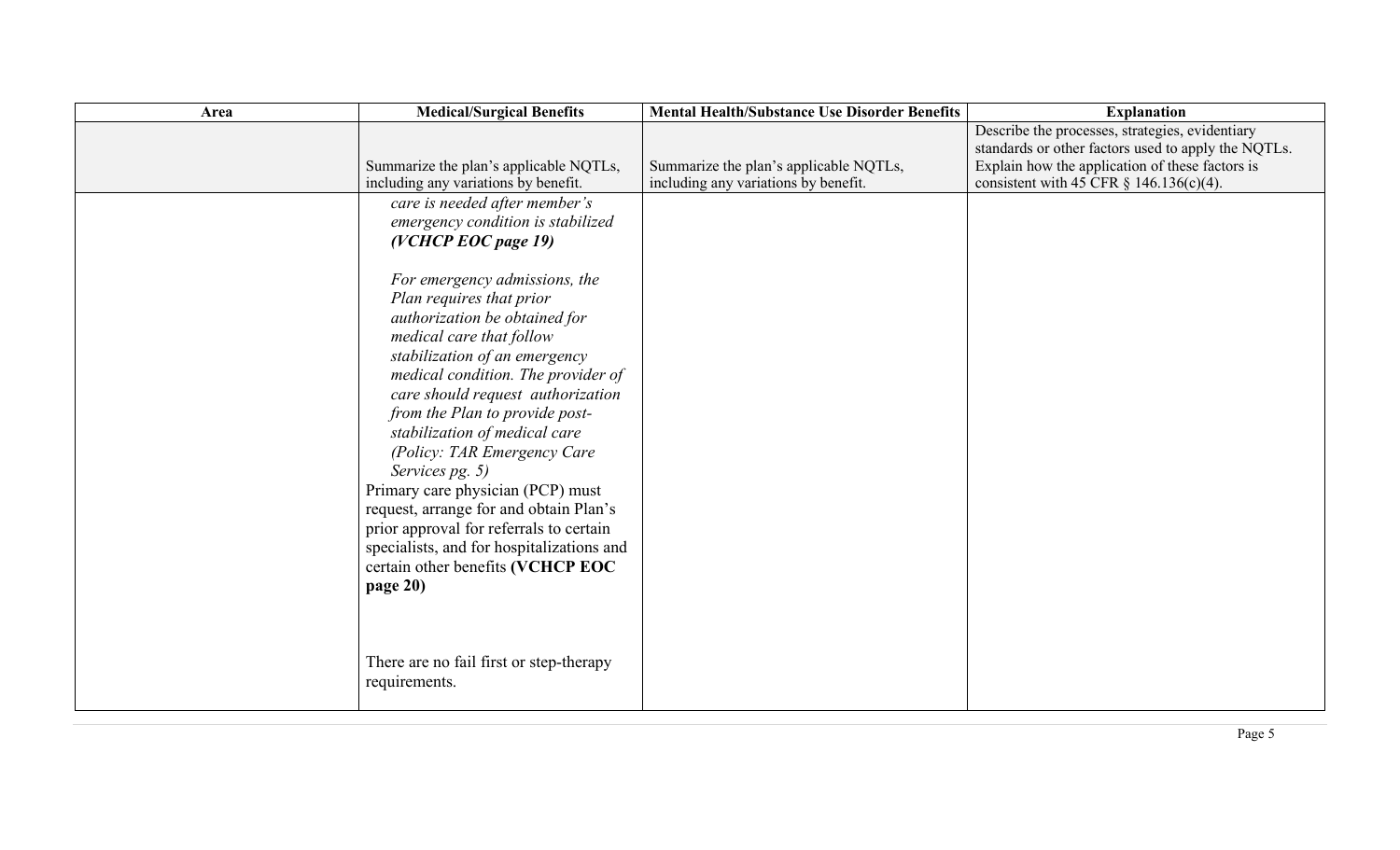| Area | <b>Medical/Surgical Benefits</b>                                                                                                                                                                                                                                                                                                                                                                                                                                                                                                                                                                                                                                                                                     | <b>Mental Health/Substance Use Disorder Benefits</b> | <b>Explanation</b>                                                                                                                                        |
|------|----------------------------------------------------------------------------------------------------------------------------------------------------------------------------------------------------------------------------------------------------------------------------------------------------------------------------------------------------------------------------------------------------------------------------------------------------------------------------------------------------------------------------------------------------------------------------------------------------------------------------------------------------------------------------------------------------------------------|------------------------------------------------------|-----------------------------------------------------------------------------------------------------------------------------------------------------------|
|      | Summarize the plan's applicable NQTLs,                                                                                                                                                                                                                                                                                                                                                                                                                                                                                                                                                                                                                                                                               | Summarize the plan's applicable NQTLs,               | Describe the processes, strategies, evidentiary<br>standards or other factors used to apply the NQTLs.<br>Explain how the application of these factors is |
|      | including any variations by benefit.<br>care is needed after member's<br>emergency condition is stabilized<br>(VCHCP EOC page 19)<br>For emergency admissions, the<br>Plan requires that prior<br>authorization be obtained for<br>medical care that follow<br>stabilization of an emergency<br>medical condition. The provider of<br>care should request authorization<br>from the Plan to provide post-<br>stabilization of medical care<br>(Policy: TAR Emergency Care<br>Services pg. 5)<br>Primary care physician (PCP) must<br>request, arrange for and obtain Plan's<br>prior approval for referrals to certain<br>specialists, and for hospitalizations and<br>certain other benefits (VCHCP EOC<br>page 20) | including any variations by benefit.                 | consistent with 45 CFR $\S$ 146.136(c)(4).                                                                                                                |
|      | There are no fail first or step-therapy<br>requirements.                                                                                                                                                                                                                                                                                                                                                                                                                                                                                                                                                                                                                                                             |                                                      |                                                                                                                                                           |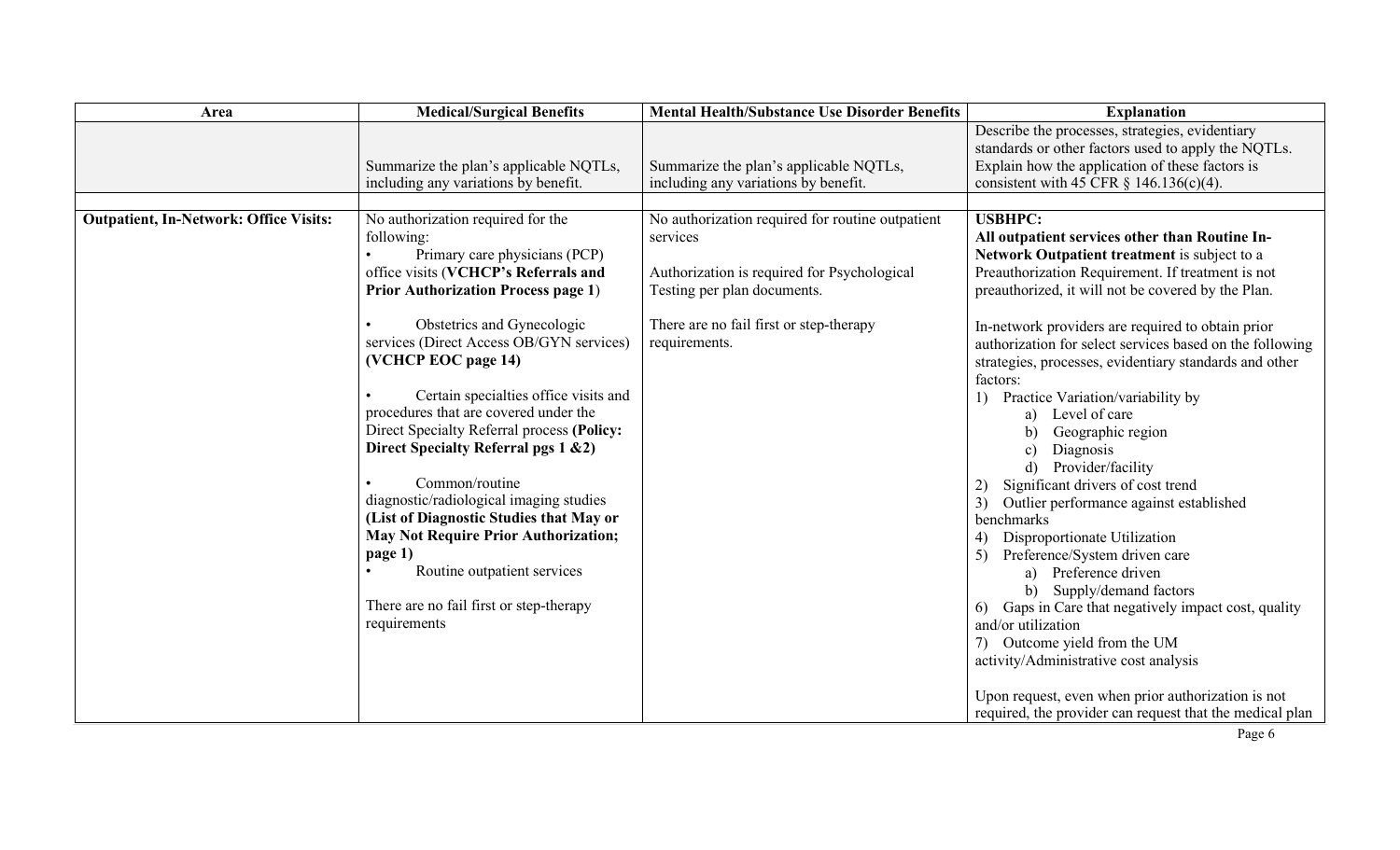| Area                                          | <b>Medical/Surgical Benefits</b>                                                                                                                                                                                                                                                                                                                                                                                                                                                                                                                                                                                                                                                                                         | <b>Mental Health/Substance Use Disorder Benefits</b>                                                                                                                                                   | <b>Explanation</b>                                                                                                                                                                                                                                                                                                                                                                                                                                                                                                                                                                                                                                                                                                                                                                                                                                                                                                                       |
|-----------------------------------------------|--------------------------------------------------------------------------------------------------------------------------------------------------------------------------------------------------------------------------------------------------------------------------------------------------------------------------------------------------------------------------------------------------------------------------------------------------------------------------------------------------------------------------------------------------------------------------------------------------------------------------------------------------------------------------------------------------------------------------|--------------------------------------------------------------------------------------------------------------------------------------------------------------------------------------------------------|------------------------------------------------------------------------------------------------------------------------------------------------------------------------------------------------------------------------------------------------------------------------------------------------------------------------------------------------------------------------------------------------------------------------------------------------------------------------------------------------------------------------------------------------------------------------------------------------------------------------------------------------------------------------------------------------------------------------------------------------------------------------------------------------------------------------------------------------------------------------------------------------------------------------------------------|
|                                               | Summarize the plan's applicable NQTLs,<br>including any variations by benefit.                                                                                                                                                                                                                                                                                                                                                                                                                                                                                                                                                                                                                                           | Summarize the plan's applicable NQTLs,<br>including any variations by benefit.                                                                                                                         | Describe the processes, strategies, evidentiary<br>standards or other factors used to apply the NQTLs.<br>Explain how the application of these factors is<br>consistent with 45 CFR $\S$ 146.136(c)(4).                                                                                                                                                                                                                                                                                                                                                                                                                                                                                                                                                                                                                                                                                                                                  |
|                                               |                                                                                                                                                                                                                                                                                                                                                                                                                                                                                                                                                                                                                                                                                                                          |                                                                                                                                                                                                        |                                                                                                                                                                                                                                                                                                                                                                                                                                                                                                                                                                                                                                                                                                                                                                                                                                                                                                                                          |
| <b>Outpatient, In-Network: Office Visits:</b> | No authorization required for the<br>following:<br>Primary care physicians (PCP)<br>office visits (VCHCP's Referrals and<br><b>Prior Authorization Process page 1)</b><br>Obstetrics and Gynecologic<br>services (Direct Access OB/GYN services)<br>(VCHCP EOC page 14)<br>Certain specialties office visits and<br>$\bullet$<br>procedures that are covered under the<br>Direct Specialty Referral process (Policy:<br>Direct Specialty Referral pgs 1 & 2)<br>Common/routine<br>diagnostic/radiological imaging studies<br>(List of Diagnostic Studies that May or<br><b>May Not Require Prior Authorization;</b><br>page 1)<br>Routine outpatient services<br>There are no fail first or step-therapy<br>requirements | No authorization required for routine outpatient<br>services<br>Authorization is required for Psychological<br>Testing per plan documents.<br>There are no fail first or step-therapy<br>requirements. | <b>USBHPC:</b><br>All outpatient services other than Routine In-<br>Network Outpatient treatment is subject to a<br>Preauthorization Requirement. If treatment is not<br>preauthorized, it will not be covered by the Plan.<br>In-network providers are required to obtain prior<br>authorization for select services based on the following<br>strategies, processes, evidentiary standards and other<br>factors:<br>Practice Variation/variability by<br>1)<br>a) Level of care<br>b)<br>Geographic region<br>Diagnosis<br>c)<br>$\mathbf{d}$<br>Provider/facility<br>Significant drivers of cost trend<br>2)<br>3)<br>Outlier performance against established<br>benchmarks<br>Disproportionate Utilization<br>4)<br>5) Preference/System driven care<br>a) Preference driven<br>b) Supply/demand factors<br>Gaps in Care that negatively impact cost, quality<br><sup>6)</sup><br>and/or utilization<br>7) Outcome yield from the UM |
|                                               |                                                                                                                                                                                                                                                                                                                                                                                                                                                                                                                                                                                                                                                                                                                          |                                                                                                                                                                                                        | activity/Administrative cost analysis<br>Upon request, even when prior authorization is not<br>required, the provider can request that the medical plan                                                                                                                                                                                                                                                                                                                                                                                                                                                                                                                                                                                                                                                                                                                                                                                  |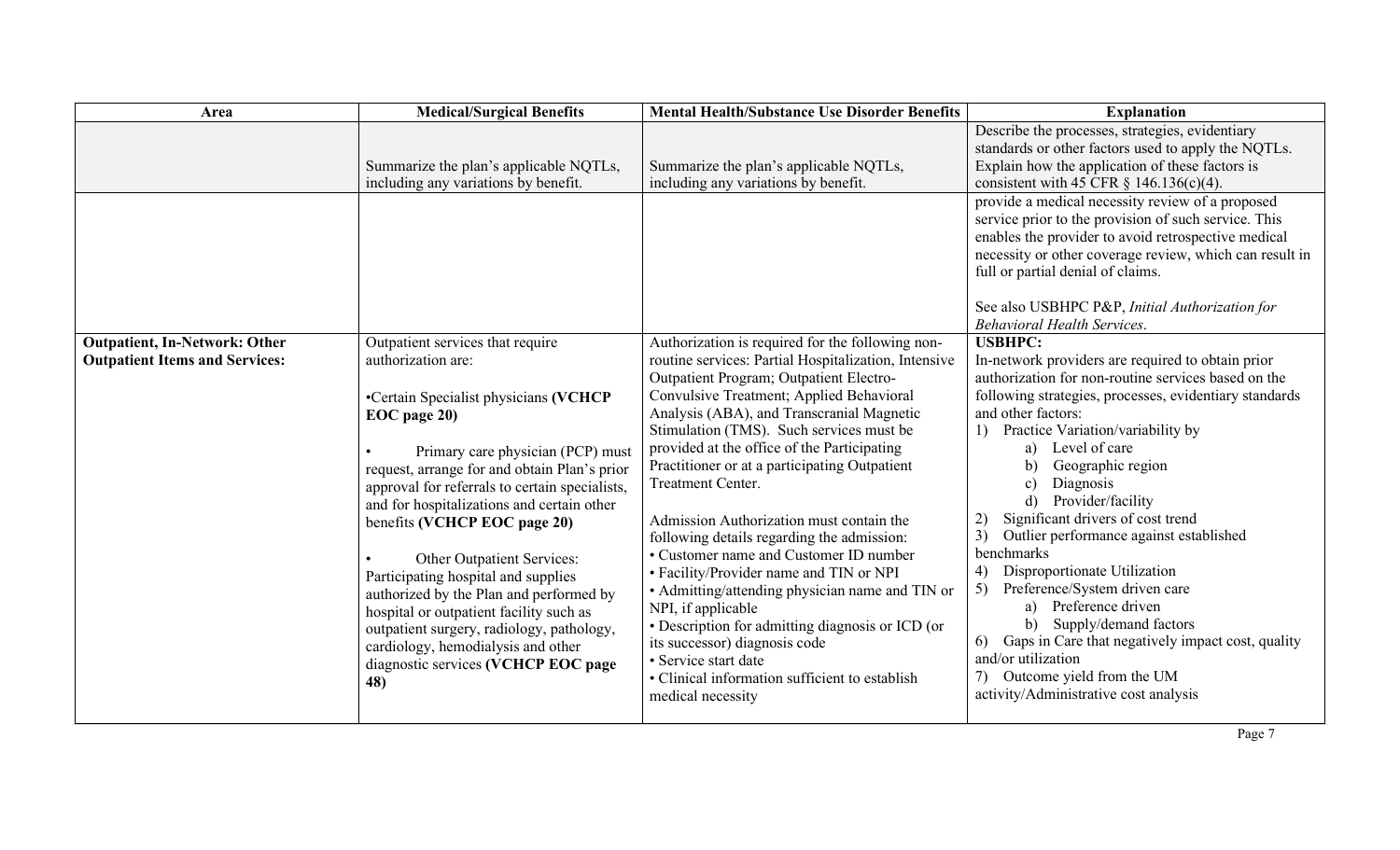| Area                                                                          | <b>Medical/Surgical Benefits</b>                                                                                                                                                                                                                                                                                                                                                                                                                                                                                                                                                                                                 | <b>Mental Health/Substance Use Disorder Benefits</b>                                                                                                                                                                                                                                                                                                                                                                                                                                                                                                                                                                                                                                                                                                                                                                                                      | <b>Explanation</b>                                                                                                                                                                                                                                                                                                                                                                                                                                                                                                                                                                                                                                                                                                                                                   |
|-------------------------------------------------------------------------------|----------------------------------------------------------------------------------------------------------------------------------------------------------------------------------------------------------------------------------------------------------------------------------------------------------------------------------------------------------------------------------------------------------------------------------------------------------------------------------------------------------------------------------------------------------------------------------------------------------------------------------|-----------------------------------------------------------------------------------------------------------------------------------------------------------------------------------------------------------------------------------------------------------------------------------------------------------------------------------------------------------------------------------------------------------------------------------------------------------------------------------------------------------------------------------------------------------------------------------------------------------------------------------------------------------------------------------------------------------------------------------------------------------------------------------------------------------------------------------------------------------|----------------------------------------------------------------------------------------------------------------------------------------------------------------------------------------------------------------------------------------------------------------------------------------------------------------------------------------------------------------------------------------------------------------------------------------------------------------------------------------------------------------------------------------------------------------------------------------------------------------------------------------------------------------------------------------------------------------------------------------------------------------------|
|                                                                               | Summarize the plan's applicable NQTLs,<br>including any variations by benefit.                                                                                                                                                                                                                                                                                                                                                                                                                                                                                                                                                   | Summarize the plan's applicable NQTLs,<br>including any variations by benefit.                                                                                                                                                                                                                                                                                                                                                                                                                                                                                                                                                                                                                                                                                                                                                                            | Describe the processes, strategies, evidentiary<br>standards or other factors used to apply the NQTLs.<br>Explain how the application of these factors is<br>consistent with 45 CFR $\S$ 146.136(c)(4).                                                                                                                                                                                                                                                                                                                                                                                                                                                                                                                                                              |
|                                                                               |                                                                                                                                                                                                                                                                                                                                                                                                                                                                                                                                                                                                                                  |                                                                                                                                                                                                                                                                                                                                                                                                                                                                                                                                                                                                                                                                                                                                                                                                                                                           | provide a medical necessity review of a proposed<br>service prior to the provision of such service. This<br>enables the provider to avoid retrospective medical<br>necessity or other coverage review, which can result in<br>full or partial denial of claims.<br>See also USBHPC P&P, Initial Authorization for<br><b>Behavioral Health Services.</b>                                                                                                                                                                                                                                                                                                                                                                                                              |
| <b>Outpatient, In-Network: Other</b><br><b>Outpatient Items and Services:</b> | Outpatient services that require<br>authorization are:<br>•Certain Specialist physicians (VCHCP<br>EOC page 20)<br>Primary care physician (PCP) must<br>request, arrange for and obtain Plan's prior<br>approval for referrals to certain specialists,<br>and for hospitalizations and certain other<br>benefits (VCHCP EOC page 20)<br>Other Outpatient Services:<br>Participating hospital and supplies<br>authorized by the Plan and performed by<br>hospital or outpatient facility such as<br>outpatient surgery, radiology, pathology,<br>cardiology, hemodialysis and other<br>diagnostic services (VCHCP EOC page<br>48) | Authorization is required for the following non-<br>routine services: Partial Hospitalization, Intensive<br>Outpatient Program; Outpatient Electro-<br>Convulsive Treatment; Applied Behavioral<br>Analysis (ABA), and Transcranial Magnetic<br>Stimulation (TMS). Such services must be<br>provided at the office of the Participating<br>Practitioner or at a participating Outpatient<br>Treatment Center.<br>Admission Authorization must contain the<br>following details regarding the admission:<br>• Customer name and Customer ID number<br>· Facility/Provider name and TIN or NPI<br>• Admitting/attending physician name and TIN or<br>NPI, if applicable<br>• Description for admitting diagnosis or ICD (or<br>its successor) diagnosis code<br>· Service start date<br>• Clinical information sufficient to establish<br>medical necessity | <b>USBHPC:</b><br>In-network providers are required to obtain prior<br>authorization for non-routine services based on the<br>following strategies, processes, evidentiary standards<br>and other factors:<br>Practice Variation/variability by<br>1)<br>Level of care<br>a)<br>Geographic region<br>b)<br>Diagnosis<br>c)<br>$\mathbf{d}$<br>Provider/facility<br>Significant drivers of cost trend<br>2)<br>3)<br>Outlier performance against established<br>benchmarks<br>Disproportionate Utilization<br>4)<br>Preference/System driven care<br>5)<br>a) Preference driven<br>b) Supply/demand factors<br>Gaps in Care that negatively impact cost, quality<br>6)<br>and/or utilization<br>7) Outcome yield from the UM<br>activity/Administrative cost analysis |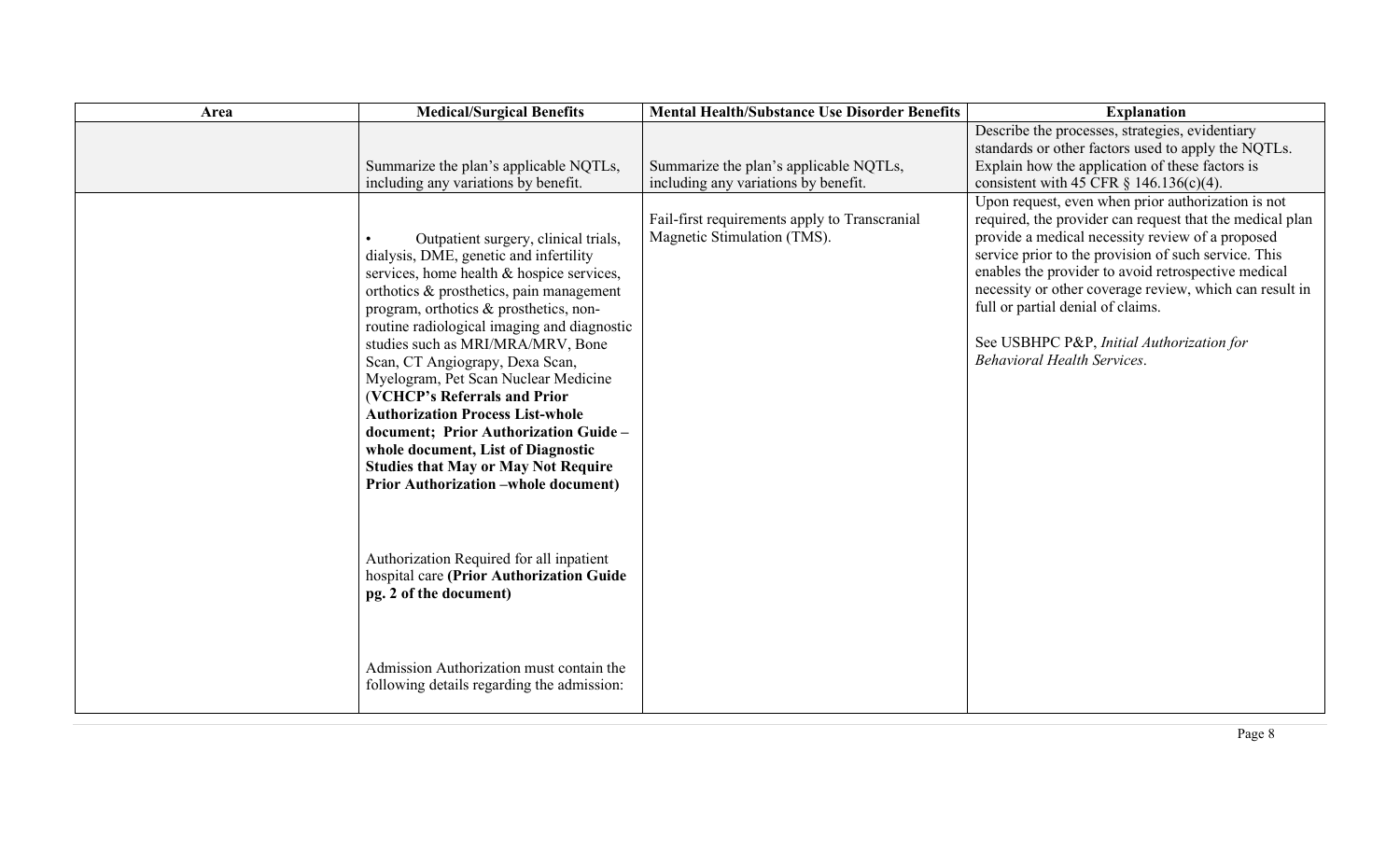| Area | <b>Medical/Surgical Benefits</b>                                                                                                                                                                                                                                                                                                                                                                                                                                                                                                                                                                                                       | <b>Mental Health/Substance Use Disorder Benefits</b>                           | <b>Explanation</b>                                                                                                                                                                                                                                                                                                                                                                                                                                                   |
|------|----------------------------------------------------------------------------------------------------------------------------------------------------------------------------------------------------------------------------------------------------------------------------------------------------------------------------------------------------------------------------------------------------------------------------------------------------------------------------------------------------------------------------------------------------------------------------------------------------------------------------------------|--------------------------------------------------------------------------------|----------------------------------------------------------------------------------------------------------------------------------------------------------------------------------------------------------------------------------------------------------------------------------------------------------------------------------------------------------------------------------------------------------------------------------------------------------------------|
|      | Summarize the plan's applicable NQTLs,<br>including any variations by benefit.                                                                                                                                                                                                                                                                                                                                                                                                                                                                                                                                                         | Summarize the plan's applicable NQTLs,<br>including any variations by benefit. | Describe the processes, strategies, evidentiary<br>standards or other factors used to apply the NQTLs.<br>Explain how the application of these factors is<br>consistent with 45 CFR $\S$ 146.136(c)(4).                                                                                                                                                                                                                                                              |
|      | Outpatient surgery, clinical trials,<br>dialysis, DME, genetic and infertility<br>services, home health & hospice services,<br>orthotics & prosthetics, pain management<br>program, orthotics & prosthetics, non-<br>routine radiological imaging and diagnostic<br>studies such as MRI/MRA/MRV, Bone<br>Scan, CT Angiograpy, Dexa Scan,<br>Myelogram, Pet Scan Nuclear Medicine<br>(VCHCP's Referrals and Prior<br><b>Authorization Process List-whole</b><br>document; Prior Authorization Guide-<br>whole document, List of Diagnostic<br><b>Studies that May or May Not Require</b><br><b>Prior Authorization –whole document)</b> | Fail-first requirements apply to Transcranial<br>Magnetic Stimulation (TMS).   | Upon request, even when prior authorization is not<br>required, the provider can request that the medical plan<br>provide a medical necessity review of a proposed<br>service prior to the provision of such service. This<br>enables the provider to avoid retrospective medical<br>necessity or other coverage review, which can result in<br>full or partial denial of claims.<br>See USBHPC P&P, Initial Authorization for<br><b>Behavioral Health Services.</b> |
|      | Authorization Required for all inpatient<br>hospital care (Prior Authorization Guide<br>pg. 2 of the document)                                                                                                                                                                                                                                                                                                                                                                                                                                                                                                                         |                                                                                |                                                                                                                                                                                                                                                                                                                                                                                                                                                                      |
|      | Admission Authorization must contain the<br>following details regarding the admission:                                                                                                                                                                                                                                                                                                                                                                                                                                                                                                                                                 |                                                                                |                                                                                                                                                                                                                                                                                                                                                                                                                                                                      |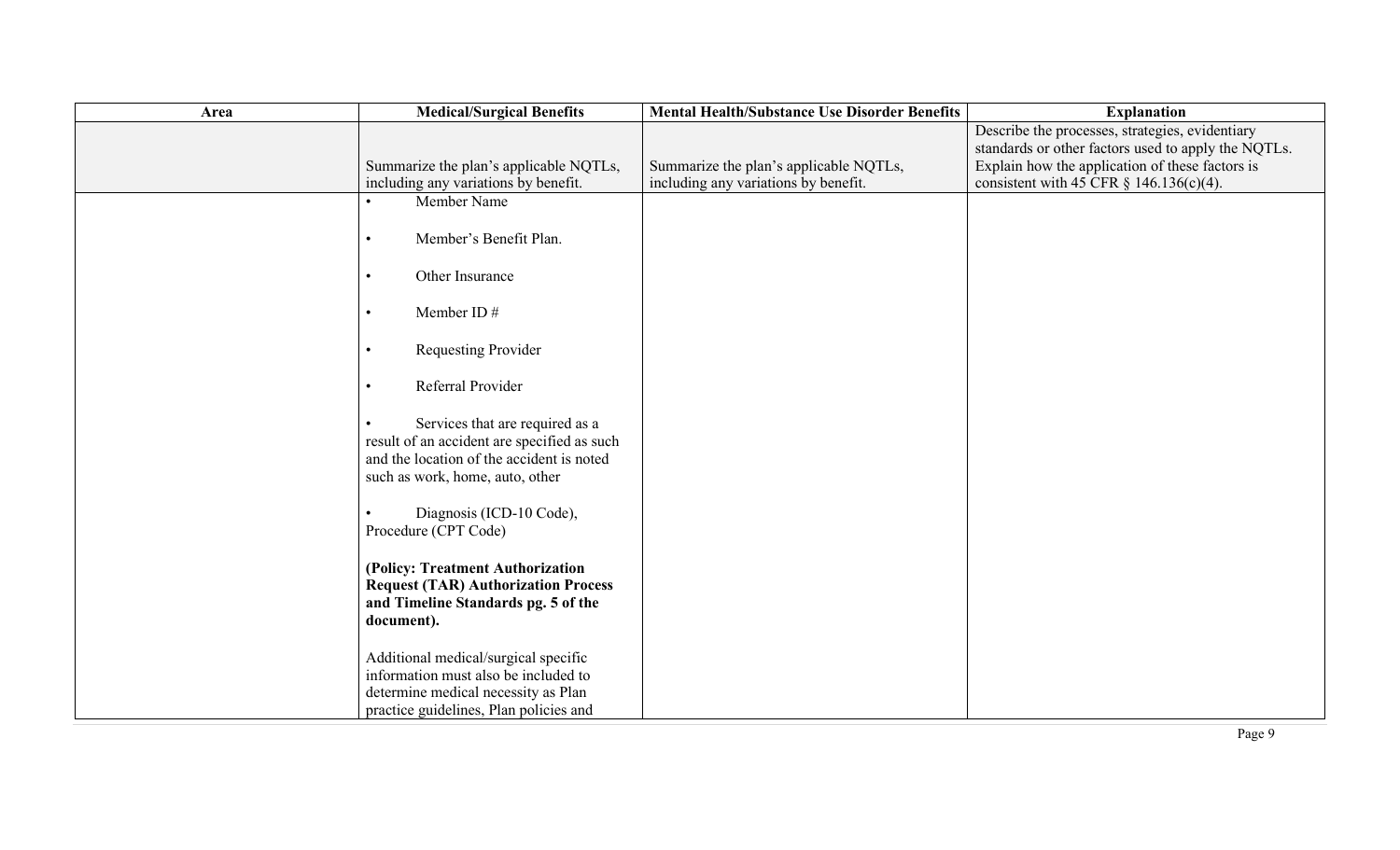| Area | <b>Medical/Surgical Benefits</b>                                                                                                                               | <b>Mental Health/Substance Use Disorder Benefits</b> | <b>Explanation</b>                                                                                                                                        |
|------|----------------------------------------------------------------------------------------------------------------------------------------------------------------|------------------------------------------------------|-----------------------------------------------------------------------------------------------------------------------------------------------------------|
|      | Summarize the plan's applicable NQTLs,                                                                                                                         | Summarize the plan's applicable NQTLs,               | Describe the processes, strategies, evidentiary<br>standards or other factors used to apply the NQTLs.<br>Explain how the application of these factors is |
|      | including any variations by benefit.                                                                                                                           | including any variations by benefit.                 | consistent with 45 CFR $\S$ 146.136(c)(4).                                                                                                                |
|      | Member Name<br>Member's Benefit Plan.<br>$\bullet$<br>Other Insurance<br>$\bullet$                                                                             |                                                      |                                                                                                                                                           |
|      | Member ID#<br>$\bullet$                                                                                                                                        |                                                      |                                                                                                                                                           |
|      | Requesting Provider                                                                                                                                            |                                                      |                                                                                                                                                           |
|      | Referral Provider<br>$\bullet$                                                                                                                                 |                                                      |                                                                                                                                                           |
|      | Services that are required as a<br>result of an accident are specified as such<br>and the location of the accident is noted<br>such as work, home, auto, other |                                                      |                                                                                                                                                           |
|      | Diagnosis (ICD-10 Code),<br>Procedure (CPT Code)                                                                                                               |                                                      |                                                                                                                                                           |
|      | (Policy: Treatment Authorization<br><b>Request (TAR) Authorization Process</b><br>and Timeline Standards pg. 5 of the<br>document).                            |                                                      |                                                                                                                                                           |
|      | Additional medical/surgical specific<br>information must also be included to<br>determine medical necessity as Plan<br>practice guidelines, Plan policies and  |                                                      |                                                                                                                                                           |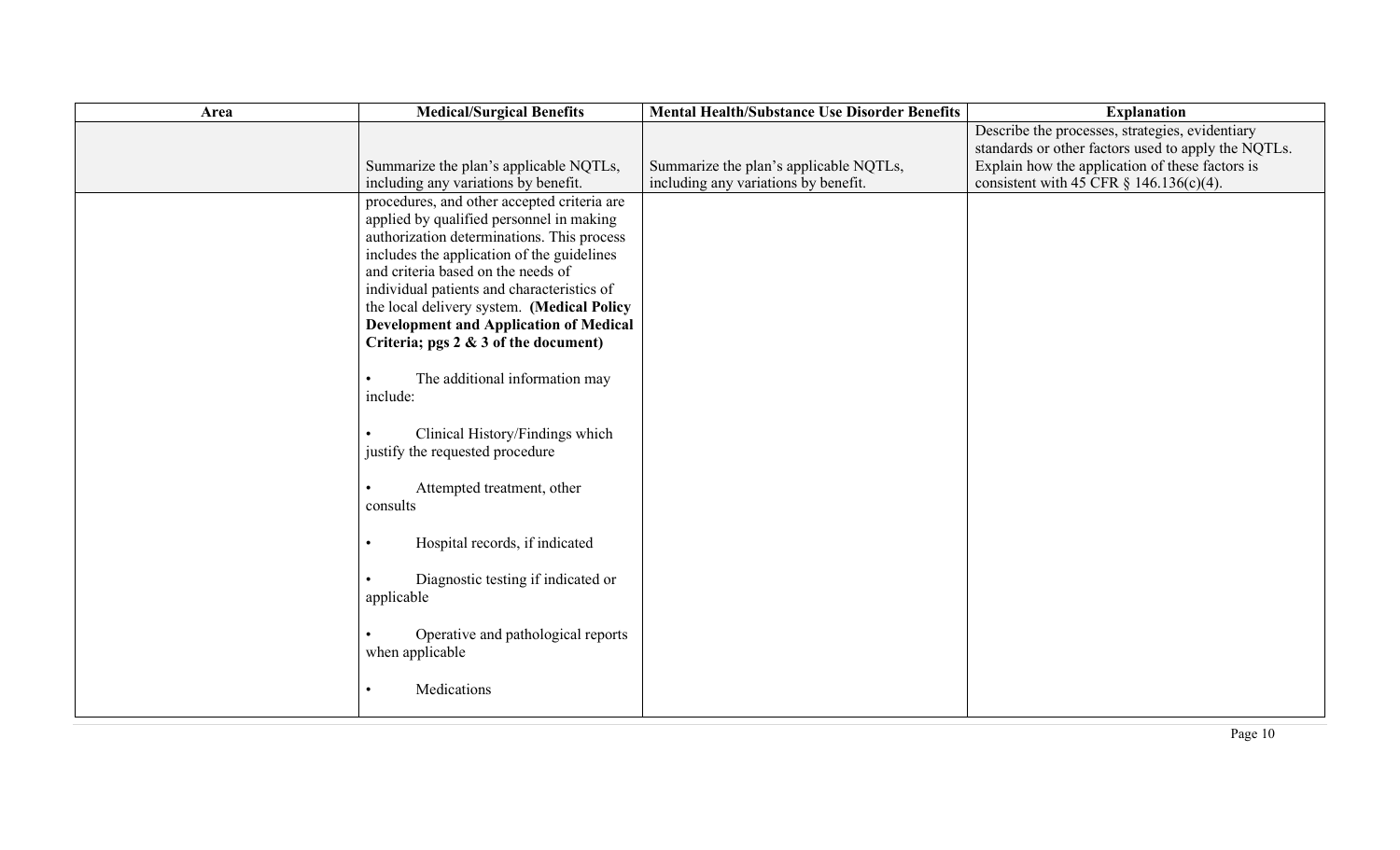| Area | <b>Medical/Surgical Benefits</b>                                                                                                                                                                                                                                                                                                                                                                               | <b>Mental Health/Substance Use Disorder Benefits</b> | <b>Explanation</b>                                                                                     |
|------|----------------------------------------------------------------------------------------------------------------------------------------------------------------------------------------------------------------------------------------------------------------------------------------------------------------------------------------------------------------------------------------------------------------|------------------------------------------------------|--------------------------------------------------------------------------------------------------------|
|      |                                                                                                                                                                                                                                                                                                                                                                                                                |                                                      | Describe the processes, strategies, evidentiary<br>standards or other factors used to apply the NQTLs. |
|      | Summarize the plan's applicable NQTLs,                                                                                                                                                                                                                                                                                                                                                                         | Summarize the plan's applicable NQTLs,               | Explain how the application of these factors is                                                        |
|      | including any variations by benefit.                                                                                                                                                                                                                                                                                                                                                                           | including any variations by benefit.                 | consistent with 45 CFR $\S$ 146.136(c)(4).                                                             |
|      | procedures, and other accepted criteria are<br>applied by qualified personnel in making<br>authorization determinations. This process<br>includes the application of the guidelines<br>and criteria based on the needs of<br>individual patients and characteristics of<br>the local delivery system. (Medical Policy<br><b>Development and Application of Medical</b><br>Criteria; pgs 2 & 3 of the document) |                                                      |                                                                                                        |
|      | The additional information may<br>include:                                                                                                                                                                                                                                                                                                                                                                     |                                                      |                                                                                                        |
|      | Clinical History/Findings which<br>justify the requested procedure                                                                                                                                                                                                                                                                                                                                             |                                                      |                                                                                                        |
|      | Attempted treatment, other<br>consults                                                                                                                                                                                                                                                                                                                                                                         |                                                      |                                                                                                        |
|      | Hospital records, if indicated<br>$\bullet$                                                                                                                                                                                                                                                                                                                                                                    |                                                      |                                                                                                        |
|      | Diagnostic testing if indicated or<br>applicable                                                                                                                                                                                                                                                                                                                                                               |                                                      |                                                                                                        |
|      | Operative and pathological reports<br>when applicable                                                                                                                                                                                                                                                                                                                                                          |                                                      |                                                                                                        |
|      | Medications<br>$\bullet$                                                                                                                                                                                                                                                                                                                                                                                       |                                                      |                                                                                                        |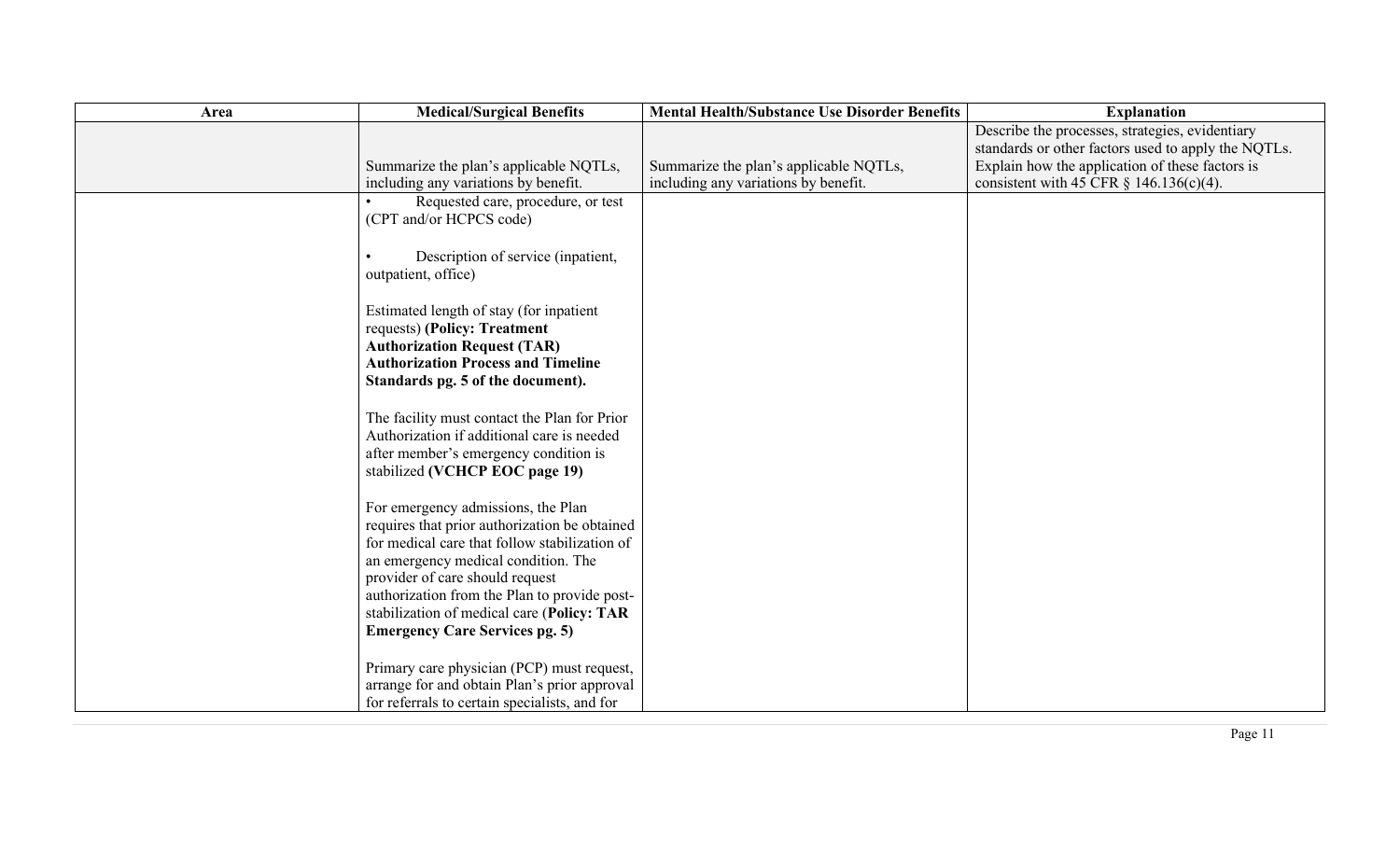| Area | <b>Medical/Surgical Benefits</b>                                                                                                                                                                                                                                                                                                                      | <b>Mental Health/Substance Use Disorder Benefits</b> | <b>Explanation</b>                                                                                                                                        |
|------|-------------------------------------------------------------------------------------------------------------------------------------------------------------------------------------------------------------------------------------------------------------------------------------------------------------------------------------------------------|------------------------------------------------------|-----------------------------------------------------------------------------------------------------------------------------------------------------------|
|      | Summarize the plan's applicable NQTLs,                                                                                                                                                                                                                                                                                                                | Summarize the plan's applicable NQTLs,               | Describe the processes, strategies, evidentiary<br>standards or other factors used to apply the NQTLs.<br>Explain how the application of these factors is |
|      | including any variations by benefit.                                                                                                                                                                                                                                                                                                                  | including any variations by benefit.                 | consistent with 45 CFR $\S$ 146.136(c)(4).                                                                                                                |
|      | Requested care, procedure, or test<br>(CPT and/or HCPCS code)                                                                                                                                                                                                                                                                                         |                                                      |                                                                                                                                                           |
|      | Description of service (inpatient,<br>outpatient, office)                                                                                                                                                                                                                                                                                             |                                                      |                                                                                                                                                           |
|      | Estimated length of stay (for inpatient<br>requests) (Policy: Treatment<br><b>Authorization Request (TAR)</b><br><b>Authorization Process and Timeline</b>                                                                                                                                                                                            |                                                      |                                                                                                                                                           |
|      | Standards pg. 5 of the document).                                                                                                                                                                                                                                                                                                                     |                                                      |                                                                                                                                                           |
|      | The facility must contact the Plan for Prior<br>Authorization if additional care is needed<br>after member's emergency condition is<br>stabilized (VCHCP EOC page 19)                                                                                                                                                                                 |                                                      |                                                                                                                                                           |
|      | For emergency admissions, the Plan<br>requires that prior authorization be obtained<br>for medical care that follow stabilization of<br>an emergency medical condition. The<br>provider of care should request<br>authorization from the Plan to provide post-<br>stabilization of medical care (Policy: TAR<br><b>Emergency Care Services pg. 5)</b> |                                                      |                                                                                                                                                           |
|      | Primary care physician (PCP) must request,<br>arrange for and obtain Plan's prior approval<br>for referrals to certain specialists, and for                                                                                                                                                                                                           |                                                      |                                                                                                                                                           |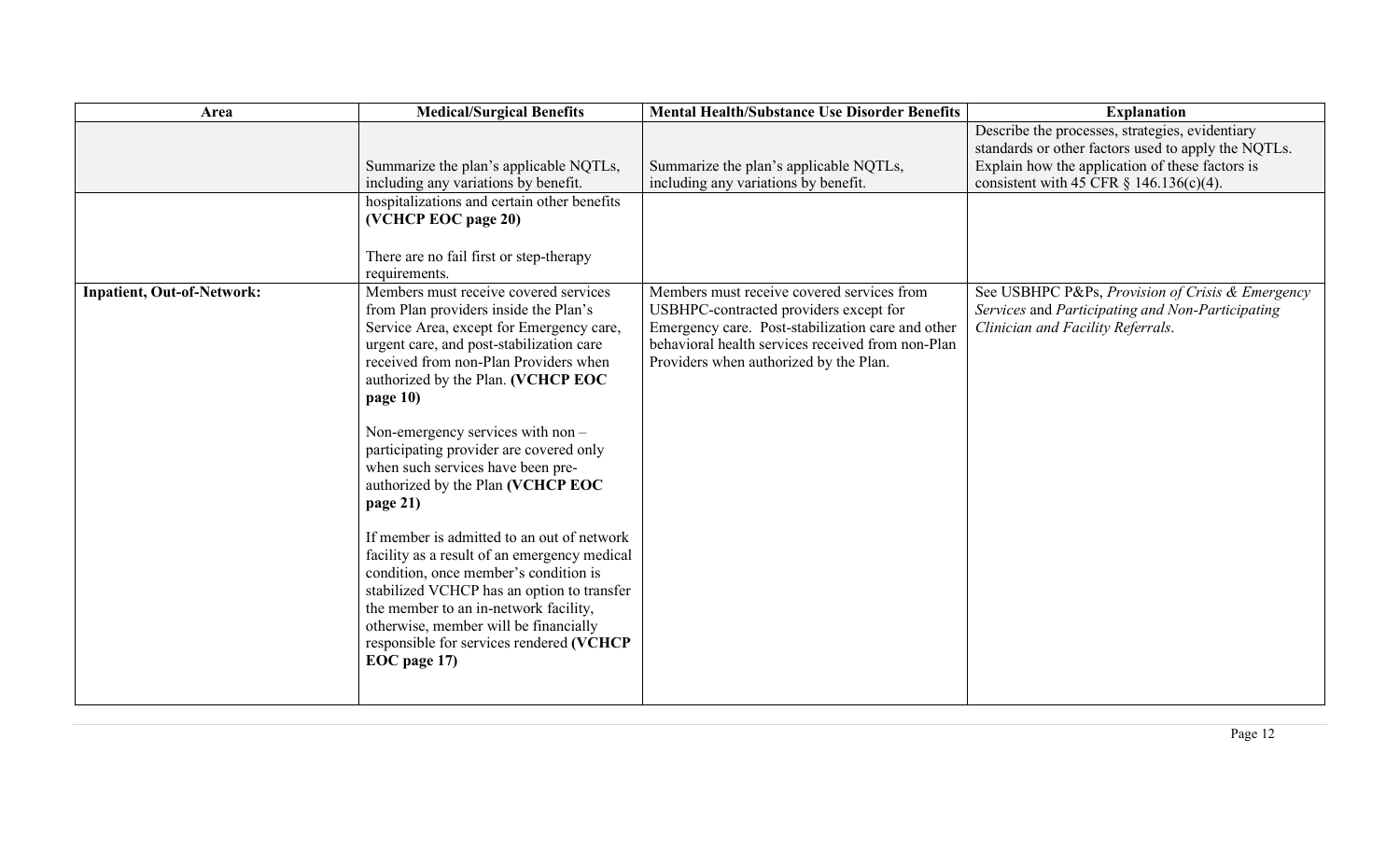| Area                              | <b>Medical/Surgical Benefits</b>                                                                                                                                                                                                                                                                                                                                                                                                                                                                                                                                                                                                                                                                                                                                           | <b>Mental Health/Substance Use Disorder Benefits</b>                                                                                                                                                                                     | <b>Explanation</b>                                                                                                                                                                                      |
|-----------------------------------|----------------------------------------------------------------------------------------------------------------------------------------------------------------------------------------------------------------------------------------------------------------------------------------------------------------------------------------------------------------------------------------------------------------------------------------------------------------------------------------------------------------------------------------------------------------------------------------------------------------------------------------------------------------------------------------------------------------------------------------------------------------------------|------------------------------------------------------------------------------------------------------------------------------------------------------------------------------------------------------------------------------------------|---------------------------------------------------------------------------------------------------------------------------------------------------------------------------------------------------------|
|                                   | Summarize the plan's applicable NQTLs,<br>including any variations by benefit.                                                                                                                                                                                                                                                                                                                                                                                                                                                                                                                                                                                                                                                                                             | Summarize the plan's applicable NQTLs,<br>including any variations by benefit.                                                                                                                                                           | Describe the processes, strategies, evidentiary<br>standards or other factors used to apply the NQTLs.<br>Explain how the application of these factors is<br>consistent with 45 CFR $\S$ 146.136(c)(4). |
|                                   | hospitalizations and certain other benefits<br>(VCHCP EOC page 20)<br>There are no fail first or step-therapy<br>requirements.                                                                                                                                                                                                                                                                                                                                                                                                                                                                                                                                                                                                                                             |                                                                                                                                                                                                                                          |                                                                                                                                                                                                         |
| <b>Inpatient, Out-of-Network:</b> | Members must receive covered services<br>from Plan providers inside the Plan's<br>Service Area, except for Emergency care,<br>urgent care, and post-stabilization care<br>received from non-Plan Providers when<br>authorized by the Plan. (VCHCP EOC<br>page 10)<br>Non-emergency services with non -<br>participating provider are covered only<br>when such services have been pre-<br>authorized by the Plan (VCHCP EOC<br>page 21)<br>If member is admitted to an out of network<br>facility as a result of an emergency medical<br>condition, once member's condition is<br>stabilized VCHCP has an option to transfer<br>the member to an in-network facility,<br>otherwise, member will be financially<br>responsible for services rendered (VCHCP<br>EOC page 17) | Members must receive covered services from<br>USBHPC-contracted providers except for<br>Emergency care. Post-stabilization care and other<br>behavioral health services received from non-Plan<br>Providers when authorized by the Plan. | See USBHPC P&Ps, Provision of Crisis & Emergency<br>Services and Participating and Non-Participating<br>Clinician and Facility Referrals.                                                               |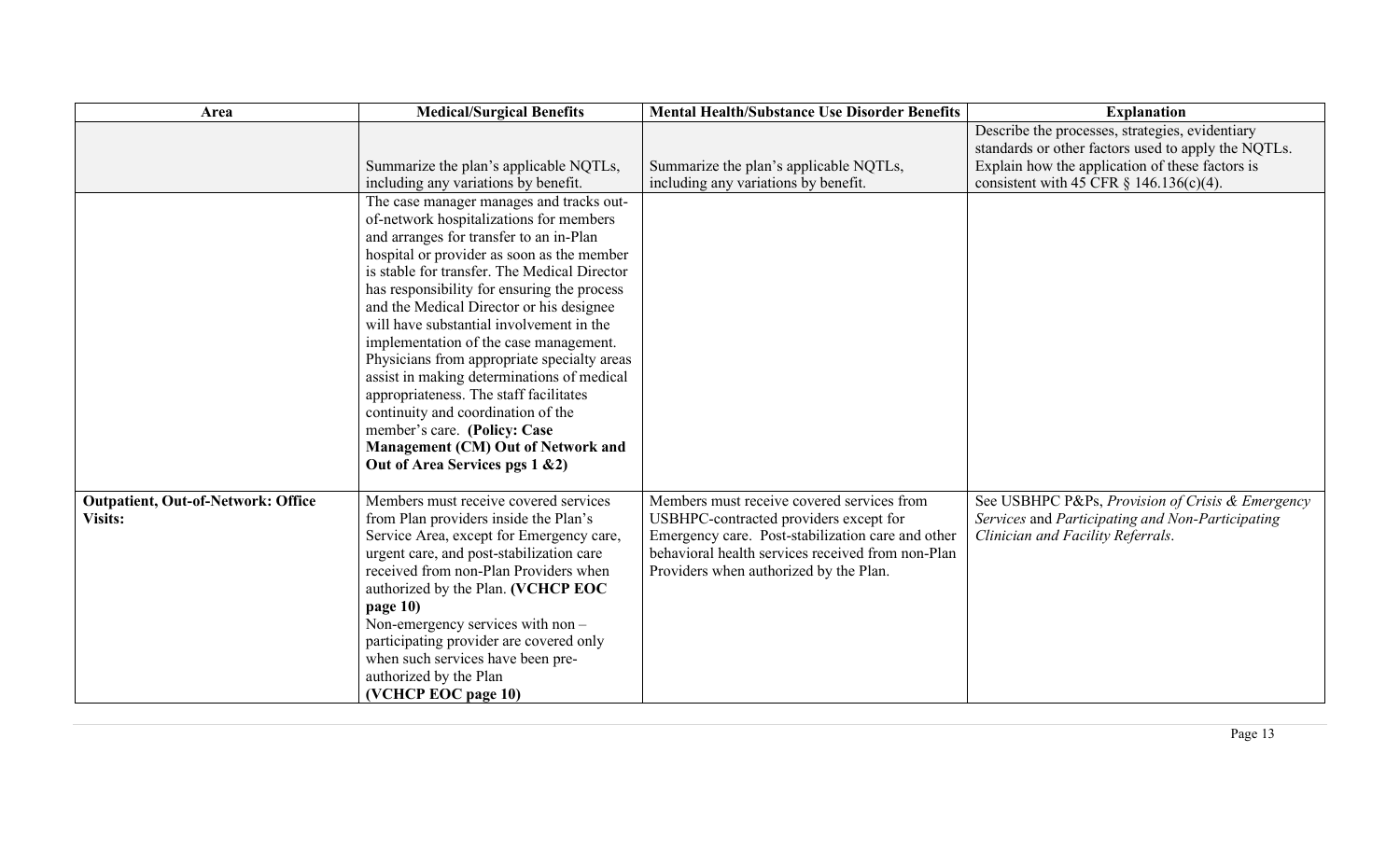| Area                                                 | <b>Medical/Surgical Benefits</b>                                                     | <b>Mental Health/Substance Use Disorder Benefits</b> | <b>Explanation</b>                                                                                     |
|------------------------------------------------------|--------------------------------------------------------------------------------------|------------------------------------------------------|--------------------------------------------------------------------------------------------------------|
|                                                      |                                                                                      |                                                      | Describe the processes, strategies, evidentiary<br>standards or other factors used to apply the NQTLs. |
|                                                      | Summarize the plan's applicable NQTLs,                                               | Summarize the plan's applicable NQTLs,               | Explain how the application of these factors is                                                        |
|                                                      | including any variations by benefit.                                                 | including any variations by benefit.                 | consistent with 45 CFR $\S$ 146.136(c)(4).                                                             |
|                                                      | The case manager manages and tracks out-<br>of-network hospitalizations for members  |                                                      |                                                                                                        |
|                                                      | and arranges for transfer to an in-Plan                                              |                                                      |                                                                                                        |
|                                                      | hospital or provider as soon as the member                                           |                                                      |                                                                                                        |
|                                                      | is stable for transfer. The Medical Director                                         |                                                      |                                                                                                        |
|                                                      | has responsibility for ensuring the process                                          |                                                      |                                                                                                        |
|                                                      | and the Medical Director or his designee<br>will have substantial involvement in the |                                                      |                                                                                                        |
|                                                      | implementation of the case management.                                               |                                                      |                                                                                                        |
|                                                      | Physicians from appropriate specialty areas                                          |                                                      |                                                                                                        |
|                                                      | assist in making determinations of medical                                           |                                                      |                                                                                                        |
|                                                      | appropriateness. The staff facilitates                                               |                                                      |                                                                                                        |
|                                                      | continuity and coordination of the                                                   |                                                      |                                                                                                        |
|                                                      | member's care. (Policy: Case                                                         |                                                      |                                                                                                        |
|                                                      | Management (CM) Out of Network and                                                   |                                                      |                                                                                                        |
|                                                      | Out of Area Services pgs 1 & 2)                                                      |                                                      |                                                                                                        |
|                                                      | Members must receive covered services                                                | Members must receive covered services from           |                                                                                                        |
| <b>Outpatient, Out-of-Network: Office</b><br>Visits: | from Plan providers inside the Plan's                                                | USBHPC-contracted providers except for               | See USBHPC P&Ps, Provision of Crisis & Emergency<br>Services and Participating and Non-Participating   |
|                                                      | Service Area, except for Emergency care,                                             | Emergency care. Post-stabilization care and other    | Clinician and Facility Referrals.                                                                      |
|                                                      | urgent care, and post-stabilization care                                             | behavioral health services received from non-Plan    |                                                                                                        |
|                                                      | received from non-Plan Providers when                                                | Providers when authorized by the Plan.               |                                                                                                        |
|                                                      | authorized by the Plan. (VCHCP EOC                                                   |                                                      |                                                                                                        |
|                                                      | page 10)                                                                             |                                                      |                                                                                                        |
|                                                      | Non-emergency services with non-                                                     |                                                      |                                                                                                        |
|                                                      | participating provider are covered only                                              |                                                      |                                                                                                        |
|                                                      | when such services have been pre-                                                    |                                                      |                                                                                                        |
|                                                      | authorized by the Plan                                                               |                                                      |                                                                                                        |
|                                                      | (VCHCP EOC page 10)                                                                  |                                                      |                                                                                                        |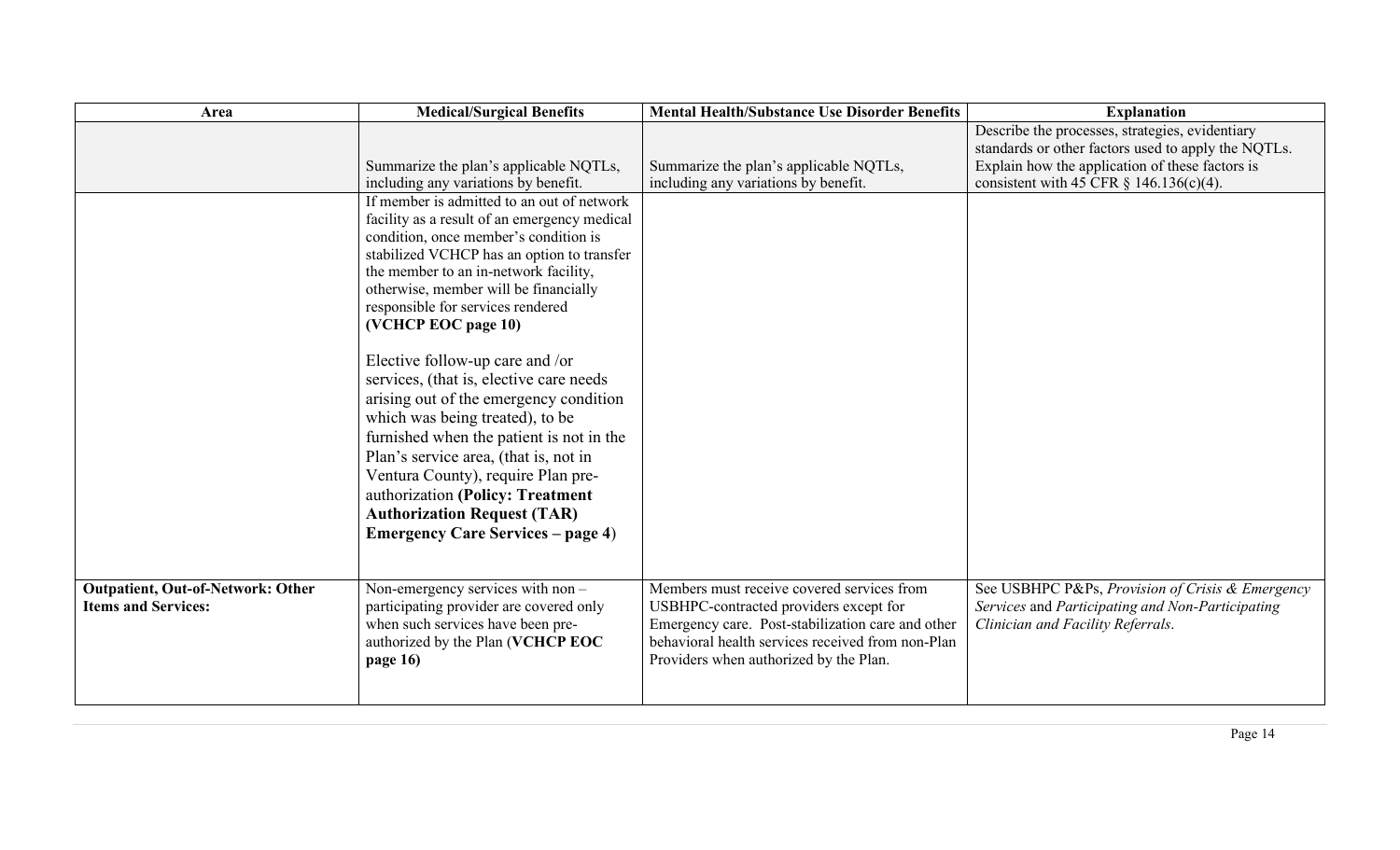| Area                                                                   | <b>Medical/Surgical Benefits</b>                                                                                                                                                                                                                                                                                                                                                                          | <b>Mental Health/Substance Use Disorder Benefits</b>                                                                                                                                                                                     | <b>Explanation</b>                                                                                                                                                                                      |
|------------------------------------------------------------------------|-----------------------------------------------------------------------------------------------------------------------------------------------------------------------------------------------------------------------------------------------------------------------------------------------------------------------------------------------------------------------------------------------------------|------------------------------------------------------------------------------------------------------------------------------------------------------------------------------------------------------------------------------------------|---------------------------------------------------------------------------------------------------------------------------------------------------------------------------------------------------------|
|                                                                        | Summarize the plan's applicable NQTLs,<br>including any variations by benefit.                                                                                                                                                                                                                                                                                                                            | Summarize the plan's applicable NQTLs,<br>including any variations by benefit.                                                                                                                                                           | Describe the processes, strategies, evidentiary<br>standards or other factors used to apply the NQTLs.<br>Explain how the application of these factors is<br>consistent with 45 CFR $\S$ 146.136(c)(4). |
|                                                                        | If member is admitted to an out of network<br>facility as a result of an emergency medical<br>condition, once member's condition is<br>stabilized VCHCP has an option to transfer<br>the member to an in-network facility,<br>otherwise, member will be financially<br>responsible for services rendered<br>(VCHCP EOC page 10)                                                                           |                                                                                                                                                                                                                                          |                                                                                                                                                                                                         |
|                                                                        | Elective follow-up care and /or<br>services, (that is, elective care needs)<br>arising out of the emergency condition<br>which was being treated), to be<br>furnished when the patient is not in the<br>Plan's service area, (that is, not in<br>Ventura County), require Plan pre-<br>authorization (Policy: Treatment<br><b>Authorization Request (TAR)</b><br><b>Emergency Care Services – page 4)</b> |                                                                                                                                                                                                                                          |                                                                                                                                                                                                         |
| <b>Outpatient, Out-of-Network: Other</b><br><b>Items and Services:</b> | Non-emergency services with non -<br>participating provider are covered only<br>when such services have been pre-<br>authorized by the Plan (VCHCP EOC<br>page 16)                                                                                                                                                                                                                                        | Members must receive covered services from<br>USBHPC-contracted providers except for<br>Emergency care. Post-stabilization care and other<br>behavioral health services received from non-Plan<br>Providers when authorized by the Plan. | See USBHPC P&Ps, Provision of Crisis & Emergency<br>Services and Participating and Non-Participating<br>Clinician and Facility Referrals.                                                               |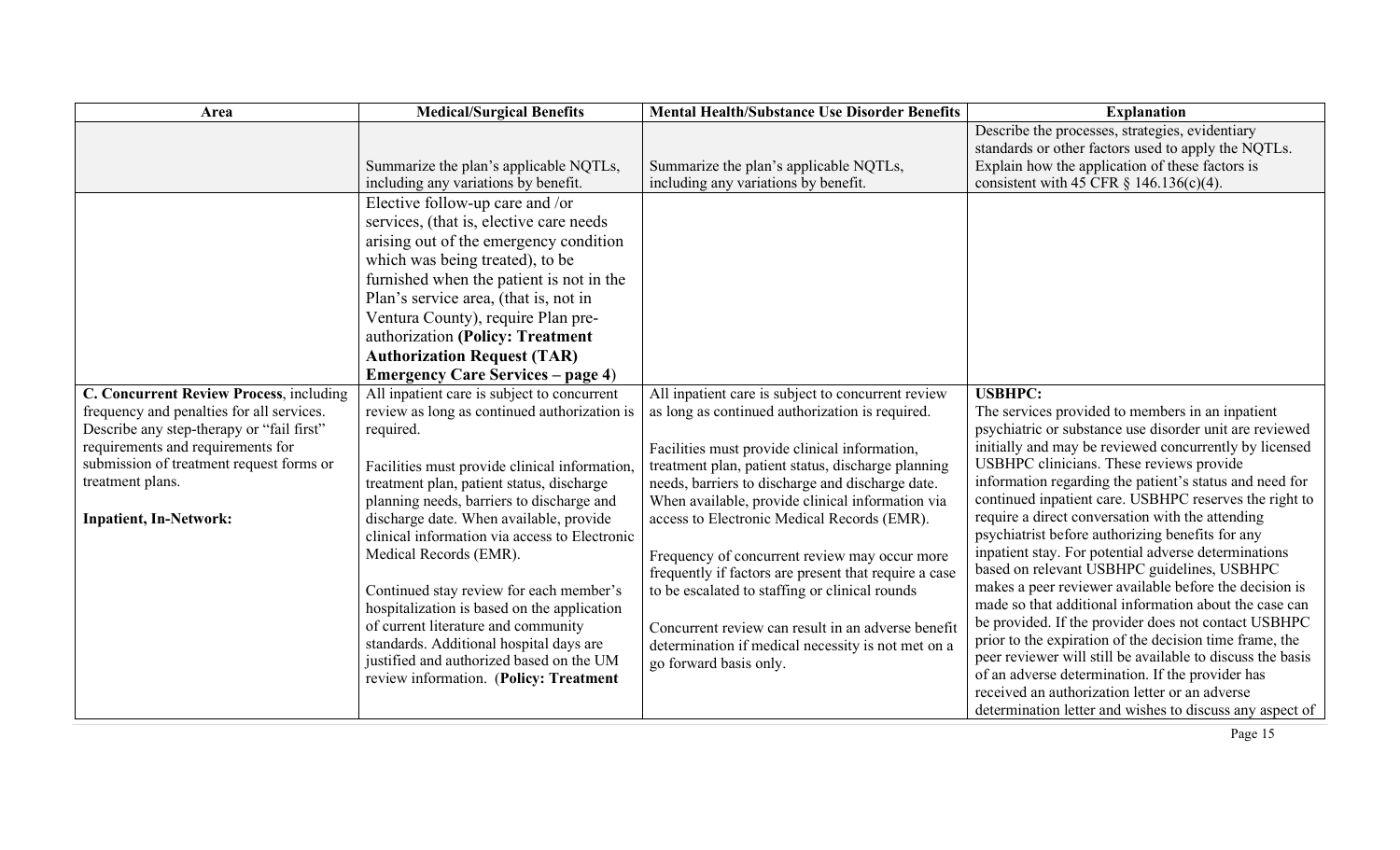| Area                                                                                                                                                                                                                                                                    | <b>Medical/Surgical Benefits</b>                                                                                                                                                                                                                                                                                                                                                                                                                                                                                                                                                                                                                                                                                                                                                                                                                                                                                         | <b>Mental Health/Substance Use Disorder Benefits</b>                                                                                                                                                                                                                                                                                                                                                                                                                                                                                                                    | <b>Explanation</b>                                                                                                                                                                                                                                                                                                                                                                                                                                                                                                                                                                                                                                                                                                                        |
|-------------------------------------------------------------------------------------------------------------------------------------------------------------------------------------------------------------------------------------------------------------------------|--------------------------------------------------------------------------------------------------------------------------------------------------------------------------------------------------------------------------------------------------------------------------------------------------------------------------------------------------------------------------------------------------------------------------------------------------------------------------------------------------------------------------------------------------------------------------------------------------------------------------------------------------------------------------------------------------------------------------------------------------------------------------------------------------------------------------------------------------------------------------------------------------------------------------|-------------------------------------------------------------------------------------------------------------------------------------------------------------------------------------------------------------------------------------------------------------------------------------------------------------------------------------------------------------------------------------------------------------------------------------------------------------------------------------------------------------------------------------------------------------------------|-------------------------------------------------------------------------------------------------------------------------------------------------------------------------------------------------------------------------------------------------------------------------------------------------------------------------------------------------------------------------------------------------------------------------------------------------------------------------------------------------------------------------------------------------------------------------------------------------------------------------------------------------------------------------------------------------------------------------------------------|
|                                                                                                                                                                                                                                                                         | Summarize the plan's applicable NQTLs,                                                                                                                                                                                                                                                                                                                                                                                                                                                                                                                                                                                                                                                                                                                                                                                                                                                                                   | Summarize the plan's applicable NQTLs,                                                                                                                                                                                                                                                                                                                                                                                                                                                                                                                                  | Describe the processes, strategies, evidentiary<br>standards or other factors used to apply the NQTLs.<br>Explain how the application of these factors is                                                                                                                                                                                                                                                                                                                                                                                                                                                                                                                                                                                 |
| C. Concurrent Review Process, including<br>frequency and penalties for all services.<br>Describe any step-therapy or "fail first"<br>requirements and requirements for<br>submission of treatment request forms or<br>treatment plans.<br><b>Inpatient, In-Network:</b> | including any variations by benefit.<br>Elective follow-up care and /or<br>services, (that is, elective care needs)<br>arising out of the emergency condition<br>which was being treated), to be<br>furnished when the patient is not in the<br>Plan's service area, (that is, not in<br>Ventura County), require Plan pre-<br>authorization (Policy: Treatment<br><b>Authorization Request (TAR)</b><br><b>Emergency Care Services – page 4)</b><br>All inpatient care is subject to concurrent<br>review as long as continued authorization is<br>required.<br>Facilities must provide clinical information,<br>treatment plan, patient status, discharge<br>planning needs, barriers to discharge and<br>discharge date. When available, provide<br>clinical information via access to Electronic<br>Medical Records (EMR).<br>Continued stay review for each member's<br>hospitalization is based on the application | including any variations by benefit.<br>All inpatient care is subject to concurrent review<br>as long as continued authorization is required.<br>Facilities must provide clinical information,<br>treatment plan, patient status, discharge planning<br>needs, barriers to discharge and discharge date.<br>When available, provide clinical information via<br>access to Electronic Medical Records (EMR).<br>Frequency of concurrent review may occur more<br>frequently if factors are present that require a case<br>to be escalated to staffing or clinical rounds | consistent with 45 CFR $\S$ 146.136(c)(4).<br><b>USBHPC:</b><br>The services provided to members in an inpatient<br>psychiatric or substance use disorder unit are reviewed<br>initially and may be reviewed concurrently by licensed<br>USBHPC clinicians. These reviews provide<br>information regarding the patient's status and need for<br>continued inpatient care. USBHPC reserves the right to<br>require a direct conversation with the attending<br>psychiatrist before authorizing benefits for any<br>inpatient stay. For potential adverse determinations<br>based on relevant USBHPC guidelines, USBHPC<br>makes a peer reviewer available before the decision is<br>made so that additional information about the case can |
|                                                                                                                                                                                                                                                                         | of current literature and community<br>standards. Additional hospital days are<br>justified and authorized based on the UM<br>review information. (Policy: Treatment                                                                                                                                                                                                                                                                                                                                                                                                                                                                                                                                                                                                                                                                                                                                                     | Concurrent review can result in an adverse benefit<br>determination if medical necessity is not met on a<br>go forward basis only.                                                                                                                                                                                                                                                                                                                                                                                                                                      | be provided. If the provider does not contact USBHPC<br>prior to the expiration of the decision time frame, the<br>peer reviewer will still be available to discuss the basis<br>of an adverse determination. If the provider has<br>received an authorization letter or an adverse<br>determination letter and wishes to discuss any aspect of                                                                                                                                                                                                                                                                                                                                                                                           |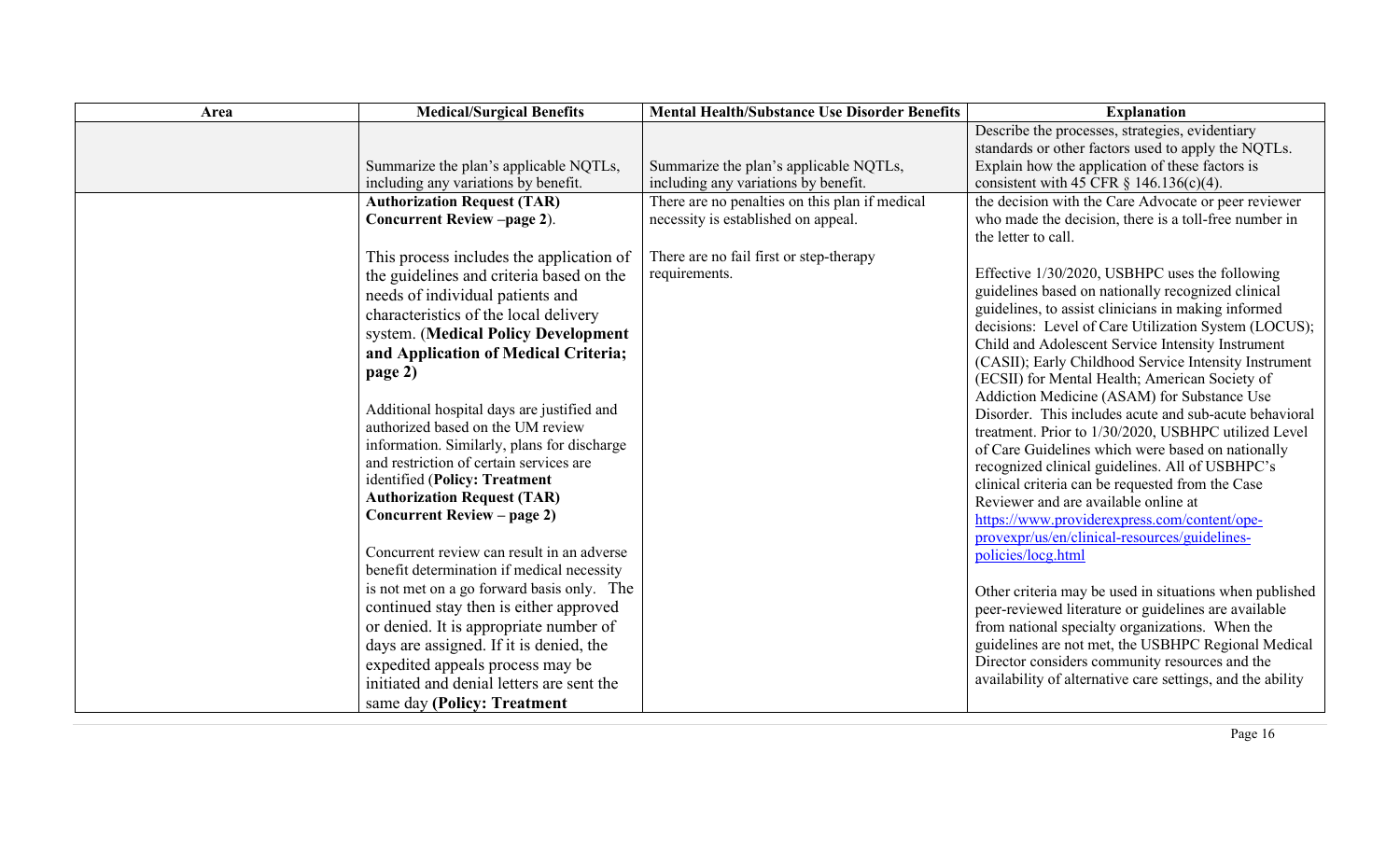| Area | <b>Medical/Surgical Benefits</b>                                         | <b>Mental Health/Substance Use Disorder Benefits</b> | <b>Explanation</b>                                                                                        |
|------|--------------------------------------------------------------------------|------------------------------------------------------|-----------------------------------------------------------------------------------------------------------|
|      |                                                                          |                                                      | Describe the processes, strategies, evidentiary<br>standards or other factors used to apply the NQTLs.    |
|      | Summarize the plan's applicable NQTLs,                                   | Summarize the plan's applicable NQTLs,               | Explain how the application of these factors is                                                           |
|      | including any variations by benefit.                                     | including any variations by benefit.                 | consistent with 45 CFR $\S$ 146.136(c)(4).                                                                |
|      | <b>Authorization Request (TAR)</b>                                       | There are no penalties on this plan if medical       | the decision with the Care Advocate or peer reviewer                                                      |
|      | Concurrent Review -page 2).                                              | necessity is established on appeal.                  | who made the decision, there is a toll-free number in                                                     |
|      |                                                                          |                                                      | the letter to call.                                                                                       |
|      | This process includes the application of                                 | There are no fail first or step-therapy              |                                                                                                           |
|      | the guidelines and criteria based on the                                 | requirements.                                        | Effective 1/30/2020, USBHPC uses the following                                                            |
|      | needs of individual patients and                                         |                                                      | guidelines based on nationally recognized clinical                                                        |
|      | characteristics of the local delivery                                    |                                                      | guidelines, to assist clinicians in making informed                                                       |
|      | system. (Medical Policy Development                                      |                                                      | decisions: Level of Care Utilization System (LOCUS);<br>Child and Adolescent Service Intensity Instrument |
|      | and Application of Medical Criteria;                                     |                                                      | (CASII); Early Childhood Service Intensity Instrument                                                     |
|      | page 2)                                                                  |                                                      | (ECSII) for Mental Health; American Society of                                                            |
|      |                                                                          |                                                      | Addiction Medicine (ASAM) for Substance Use                                                               |
|      | Additional hospital days are justified and                               |                                                      | Disorder. This includes acute and sub-acute behavioral                                                    |
|      | authorized based on the UM review                                        |                                                      | treatment. Prior to 1/30/2020, USBHPC utilized Level                                                      |
|      | information. Similarly, plans for discharge                              |                                                      | of Care Guidelines which were based on nationally                                                         |
|      | and restriction of certain services are                                  |                                                      | recognized clinical guidelines. All of USBHPC's                                                           |
|      | identified (Policy: Treatment                                            |                                                      | clinical criteria can be requested from the Case                                                          |
|      | <b>Authorization Request (TAR)</b><br><b>Concurrent Review – page 2)</b> |                                                      | Reviewer and are available online at                                                                      |
|      |                                                                          |                                                      | https://www.providerexpress.com/content/ope-                                                              |
|      | Concurrent review can result in an adverse                               |                                                      | provexpr/us/en/clinical-resources/guidelines-<br>policies/locg.html                                       |
|      | benefit determination if medical necessity                               |                                                      |                                                                                                           |
|      | is not met on a go forward basis only. The                               |                                                      | Other criteria may be used in situations when published                                                   |
|      | continued stay then is either approved                                   |                                                      | peer-reviewed literature or guidelines are available                                                      |
|      | or denied. It is appropriate number of                                   |                                                      | from national specialty organizations. When the                                                           |
|      | days are assigned. If it is denied, the                                  |                                                      | guidelines are not met, the USBHPC Regional Medical                                                       |
|      | expedited appeals process may be                                         |                                                      | Director considers community resources and the                                                            |
|      | initiated and denial letters are sent the                                |                                                      | availability of alternative care settings, and the ability                                                |
|      | same day (Policy: Treatment                                              |                                                      |                                                                                                           |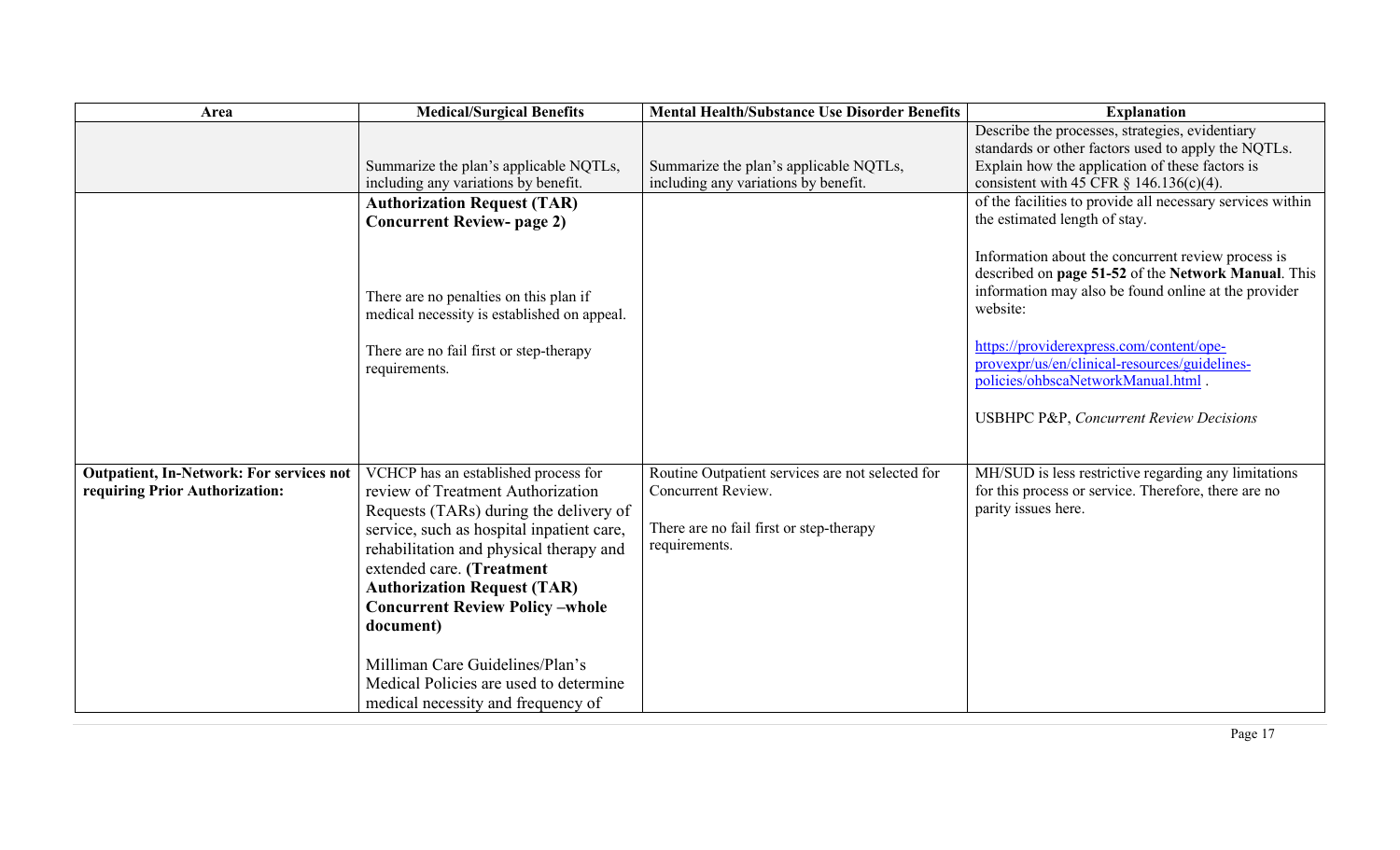| Area                                                                              | <b>Medical/Surgical Benefits</b>                                                                                                                                                                                                                                                                                                                                                                                                                        | <b>Mental Health/Substance Use Disorder Benefits</b>                                                                               | <b>Explanation</b>                                                                                                                                                                                                                                                                                                                                                                                                                                                     |
|-----------------------------------------------------------------------------------|---------------------------------------------------------------------------------------------------------------------------------------------------------------------------------------------------------------------------------------------------------------------------------------------------------------------------------------------------------------------------------------------------------------------------------------------------------|------------------------------------------------------------------------------------------------------------------------------------|------------------------------------------------------------------------------------------------------------------------------------------------------------------------------------------------------------------------------------------------------------------------------------------------------------------------------------------------------------------------------------------------------------------------------------------------------------------------|
|                                                                                   | Summarize the plan's applicable NQTLs,<br>including any variations by benefit.                                                                                                                                                                                                                                                                                                                                                                          | Summarize the plan's applicable NQTLs,<br>including any variations by benefit.                                                     | Describe the processes, strategies, evidentiary<br>standards or other factors used to apply the NQTLs.<br>Explain how the application of these factors is<br>consistent with 45 CFR $\S$ 146.136(c)(4).                                                                                                                                                                                                                                                                |
|                                                                                   | <b>Authorization Request (TAR)</b><br><b>Concurrent Review- page 2)</b><br>There are no penalties on this plan if<br>medical necessity is established on appeal.<br>There are no fail first or step-therapy<br>requirements.                                                                                                                                                                                                                            |                                                                                                                                    | of the facilities to provide all necessary services within<br>the estimated length of stay.<br>Information about the concurrent review process is<br>described on page 51-52 of the Network Manual. This<br>information may also be found online at the provider<br>website:<br>https://providerexpress.com/content/ope-<br>provexpr/us/en/clinical-resources/guidelines-<br>policies/ohbscaNetworkManual.html .<br><b>USBHPC P&amp;P, Concurrent Review Decisions</b> |
| <b>Outpatient, In-Network: For services not</b><br>requiring Prior Authorization: | VCHCP has an established process for<br>review of Treatment Authorization<br>Requests (TARs) during the delivery of<br>service, such as hospital inpatient care,<br>rehabilitation and physical therapy and<br>extended care. (Treatment<br><b>Authorization Request (TAR)</b><br><b>Concurrent Review Policy-whole</b><br>document)<br>Milliman Care Guidelines/Plan's<br>Medical Policies are used to determine<br>medical necessity and frequency of | Routine Outpatient services are not selected for<br>Concurrent Review.<br>There are no fail first or step-therapy<br>requirements. | MH/SUD is less restrictive regarding any limitations<br>for this process or service. Therefore, there are no<br>parity issues here.                                                                                                                                                                                                                                                                                                                                    |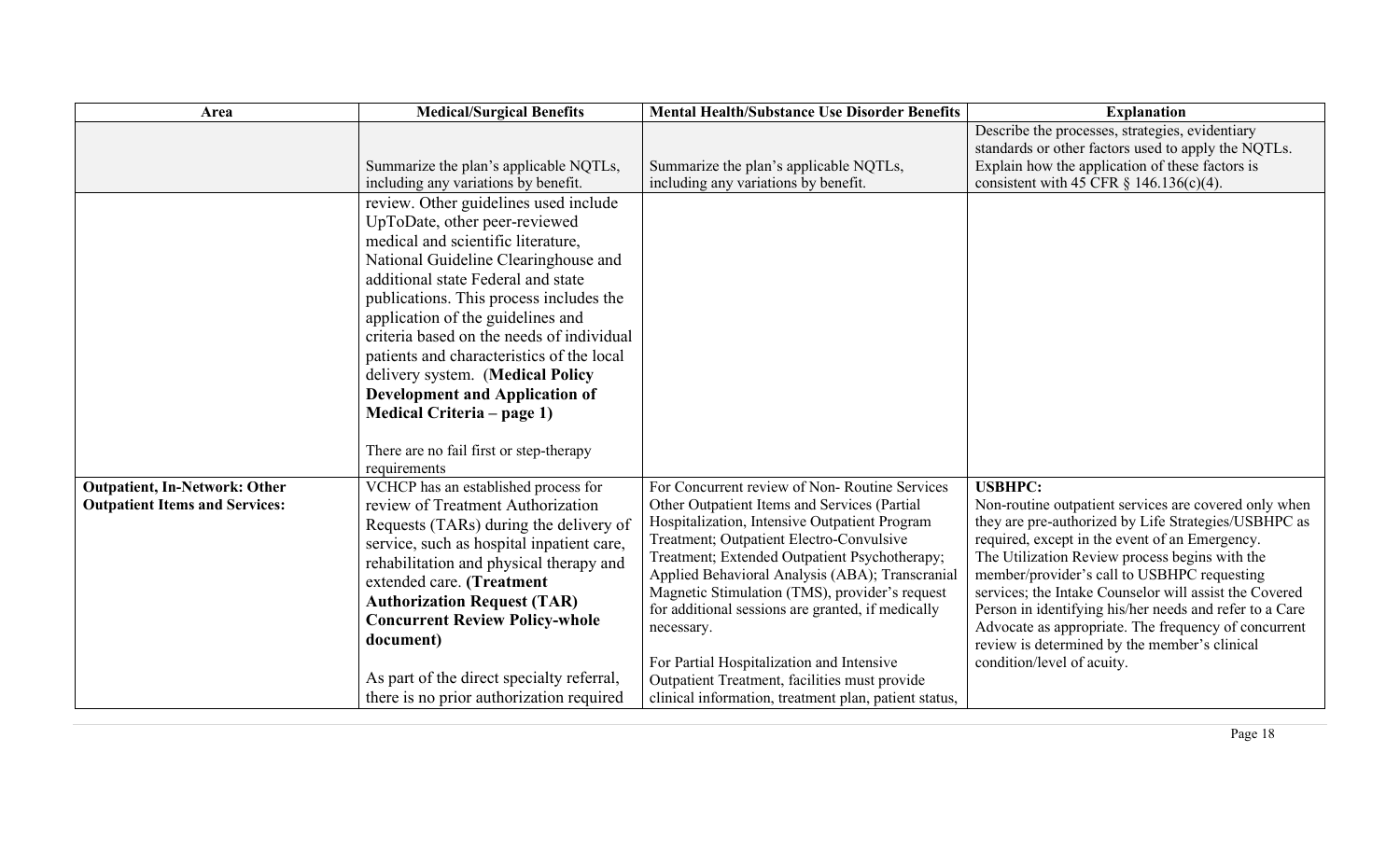| Area                                                                          | <b>Medical/Surgical Benefits</b>                                                                                                                                                                                                                                                                                                                                                                                                                                                                                                                  | <b>Mental Health/Substance Use Disorder Benefits</b>                                                                                                                                                                                                                                                                                                                                                                                                                                                                                                                       | <b>Explanation</b>                                                                                                                                                                                                                                                                                                                                                                                                                                                                                                                             |
|-------------------------------------------------------------------------------|---------------------------------------------------------------------------------------------------------------------------------------------------------------------------------------------------------------------------------------------------------------------------------------------------------------------------------------------------------------------------------------------------------------------------------------------------------------------------------------------------------------------------------------------------|----------------------------------------------------------------------------------------------------------------------------------------------------------------------------------------------------------------------------------------------------------------------------------------------------------------------------------------------------------------------------------------------------------------------------------------------------------------------------------------------------------------------------------------------------------------------------|------------------------------------------------------------------------------------------------------------------------------------------------------------------------------------------------------------------------------------------------------------------------------------------------------------------------------------------------------------------------------------------------------------------------------------------------------------------------------------------------------------------------------------------------|
|                                                                               | Summarize the plan's applicable NQTLs,<br>including any variations by benefit.                                                                                                                                                                                                                                                                                                                                                                                                                                                                    | Summarize the plan's applicable NQTLs,<br>including any variations by benefit.                                                                                                                                                                                                                                                                                                                                                                                                                                                                                             | Describe the processes, strategies, evidentiary<br>standards or other factors used to apply the NQTLs.<br>Explain how the application of these factors is<br>consistent with 45 CFR $\S$ 146.136(c)(4).                                                                                                                                                                                                                                                                                                                                        |
|                                                                               | review. Other guidelines used include<br>UpToDate, other peer-reviewed<br>medical and scientific literature,<br>National Guideline Clearinghouse and<br>additional state Federal and state<br>publications. This process includes the<br>application of the guidelines and<br>criteria based on the needs of individual<br>patients and characteristics of the local<br>delivery system. (Medical Policy<br><b>Development and Application of</b><br><b>Medical Criteria – page 1)</b><br>There are no fail first or step-therapy<br>requirements |                                                                                                                                                                                                                                                                                                                                                                                                                                                                                                                                                                            |                                                                                                                                                                                                                                                                                                                                                                                                                                                                                                                                                |
| <b>Outpatient, In-Network: Other</b><br><b>Outpatient Items and Services:</b> | VCHCP has an established process for<br>review of Treatment Authorization<br>Requests (TARs) during the delivery of<br>service, such as hospital inpatient care,<br>rehabilitation and physical therapy and<br>extended care. (Treatment<br><b>Authorization Request (TAR)</b><br><b>Concurrent Review Policy-whole</b><br>document)<br>As part of the direct specialty referral,<br>there is no prior authorization required                                                                                                                     | For Concurrent review of Non-Routine Services<br>Other Outpatient Items and Services (Partial<br>Hospitalization, Intensive Outpatient Program<br>Treatment; Outpatient Electro-Convulsive<br>Treatment; Extended Outpatient Psychotherapy;<br>Applied Behavioral Analysis (ABA); Transcranial<br>Magnetic Stimulation (TMS), provider's request<br>for additional sessions are granted, if medically<br>necessary.<br>For Partial Hospitalization and Intensive<br>Outpatient Treatment, facilities must provide<br>clinical information, treatment plan, patient status, | <b>USBHPC:</b><br>Non-routine outpatient services are covered only when<br>they are pre-authorized by Life Strategies/USBHPC as<br>required, except in the event of an Emergency.<br>The Utilization Review process begins with the<br>member/provider's call to USBHPC requesting<br>services; the Intake Counselor will assist the Covered<br>Person in identifying his/her needs and refer to a Care<br>Advocate as appropriate. The frequency of concurrent<br>review is determined by the member's clinical<br>condition/level of acuity. |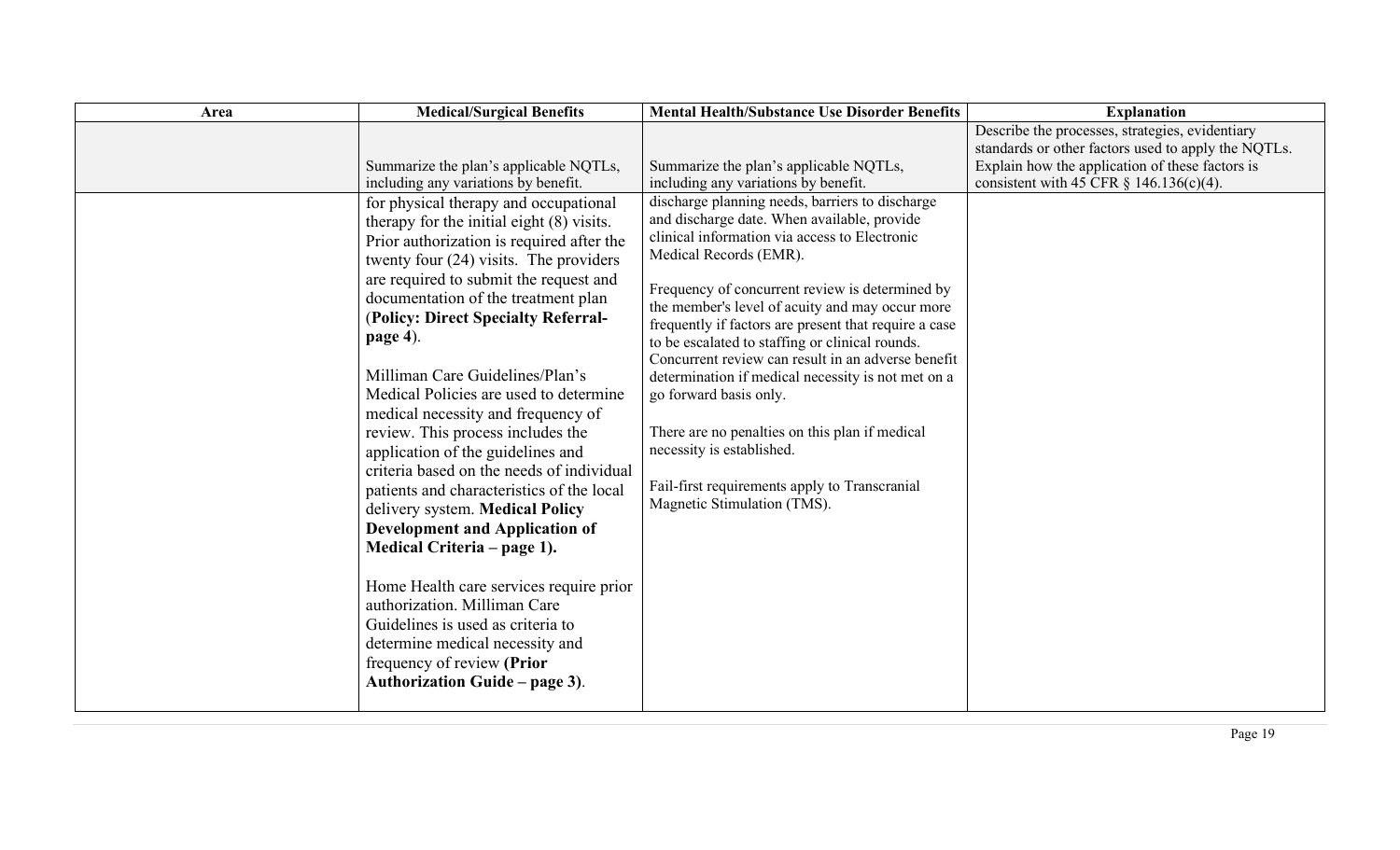| Area | <b>Medical/Surgical Benefits</b>                                                                                                                                                                                                                                                                                                                                                                                                                                                                                                                                                                                                                                                                                                                                                                                                                                                                                                     | <b>Mental Health/Substance Use Disorder Benefits</b>                                                                                                                                                                                                                                                                                                                                                                                                                                                                                                                                                                                                                                             | <b>Explanation</b>                                                                                                                                                                                      |
|------|--------------------------------------------------------------------------------------------------------------------------------------------------------------------------------------------------------------------------------------------------------------------------------------------------------------------------------------------------------------------------------------------------------------------------------------------------------------------------------------------------------------------------------------------------------------------------------------------------------------------------------------------------------------------------------------------------------------------------------------------------------------------------------------------------------------------------------------------------------------------------------------------------------------------------------------|--------------------------------------------------------------------------------------------------------------------------------------------------------------------------------------------------------------------------------------------------------------------------------------------------------------------------------------------------------------------------------------------------------------------------------------------------------------------------------------------------------------------------------------------------------------------------------------------------------------------------------------------------------------------------------------------------|---------------------------------------------------------------------------------------------------------------------------------------------------------------------------------------------------------|
|      | Summarize the plan's applicable NQTLs,<br>including any variations by benefit.                                                                                                                                                                                                                                                                                                                                                                                                                                                                                                                                                                                                                                                                                                                                                                                                                                                       | Summarize the plan's applicable NQTLs,<br>including any variations by benefit.                                                                                                                                                                                                                                                                                                                                                                                                                                                                                                                                                                                                                   | Describe the processes, strategies, evidentiary<br>standards or other factors used to apply the NQTLs.<br>Explain how the application of these factors is<br>consistent with 45 CFR $\S$ 146.136(c)(4). |
|      | for physical therapy and occupational<br>therapy for the initial eight (8) visits.<br>Prior authorization is required after the<br>twenty four $(24)$ visits. The providers<br>are required to submit the request and<br>documentation of the treatment plan<br>(Policy: Direct Specialty Referral-<br>page 4).<br>Milliman Care Guidelines/Plan's<br>Medical Policies are used to determine<br>medical necessity and frequency of<br>review. This process includes the<br>application of the guidelines and<br>criteria based on the needs of individual<br>patients and characteristics of the local<br>delivery system. Medical Policy<br><b>Development and Application of</b><br>Medical Criteria – page 1).<br>Home Health care services require prior<br>authorization. Milliman Care<br>Guidelines is used as criteria to<br>determine medical necessity and<br>frequency of review (Prior<br>Authorization Guide - page 3). | discharge planning needs, barriers to discharge<br>and discharge date. When available, provide<br>clinical information via access to Electronic<br>Medical Records (EMR).<br>Frequency of concurrent review is determined by<br>the member's level of acuity and may occur more<br>frequently if factors are present that require a case<br>to be escalated to staffing or clinical rounds.<br>Concurrent review can result in an adverse benefit<br>determination if medical necessity is not met on a<br>go forward basis only.<br>There are no penalties on this plan if medical<br>necessity is established.<br>Fail-first requirements apply to Transcranial<br>Magnetic Stimulation (TMS). |                                                                                                                                                                                                         |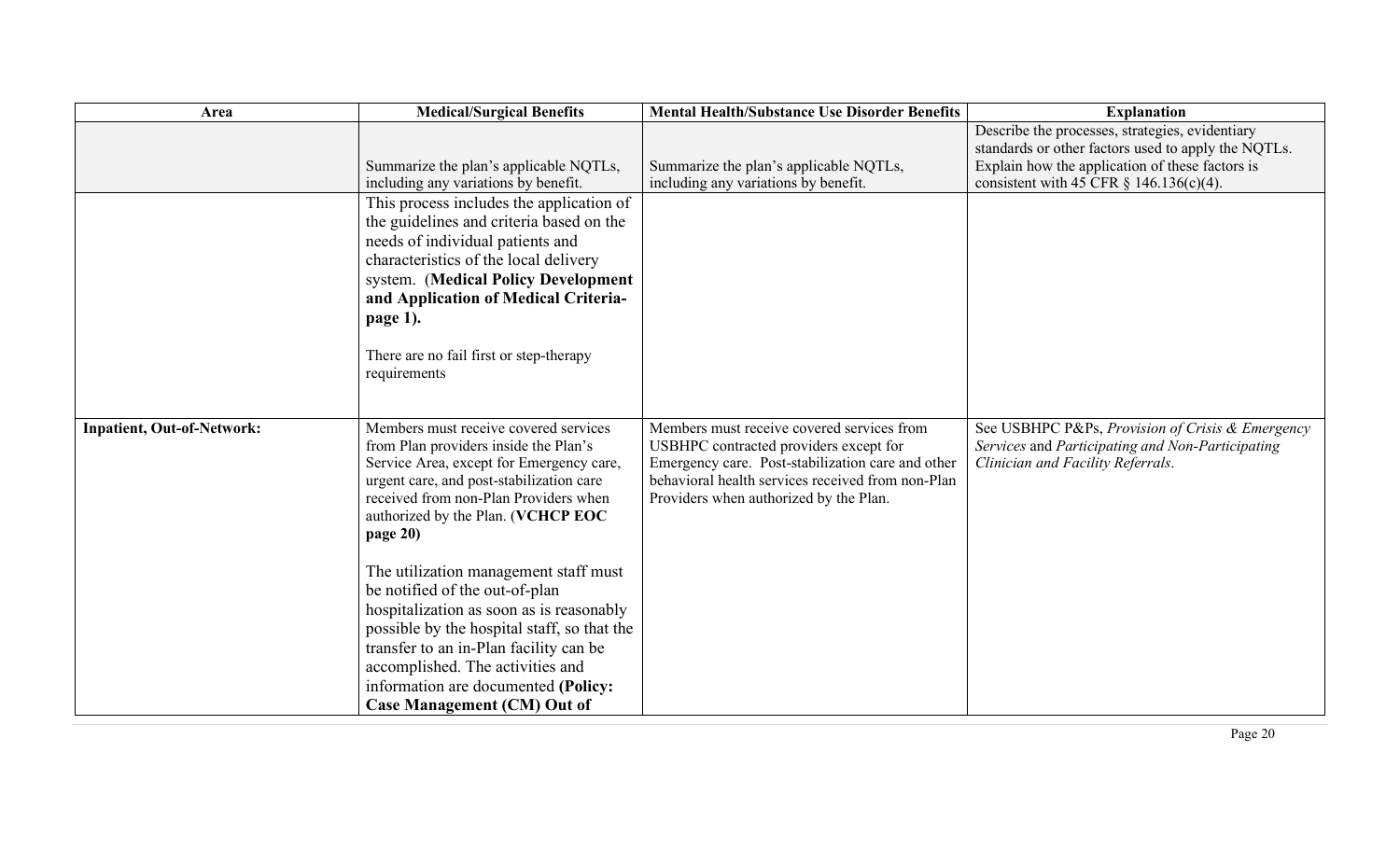| Area                              | <b>Medical/Surgical Benefits</b>                                                                                                                                                                                                                                                                                                                                                                                                                                                                                                                                                                   | <b>Mental Health/Substance Use Disorder Benefits</b>                                                                                                                                                                                     | <b>Explanation</b>                                                                                                                                                                                      |
|-----------------------------------|----------------------------------------------------------------------------------------------------------------------------------------------------------------------------------------------------------------------------------------------------------------------------------------------------------------------------------------------------------------------------------------------------------------------------------------------------------------------------------------------------------------------------------------------------------------------------------------------------|------------------------------------------------------------------------------------------------------------------------------------------------------------------------------------------------------------------------------------------|---------------------------------------------------------------------------------------------------------------------------------------------------------------------------------------------------------|
|                                   | Summarize the plan's applicable NQTLs,<br>including any variations by benefit.                                                                                                                                                                                                                                                                                                                                                                                                                                                                                                                     | Summarize the plan's applicable NQTLs,<br>including any variations by benefit.                                                                                                                                                           | Describe the processes, strategies, evidentiary<br>standards or other factors used to apply the NQTLs.<br>Explain how the application of these factors is<br>consistent with 45 CFR $\S$ 146.136(c)(4). |
|                                   | This process includes the application of<br>the guidelines and criteria based on the<br>needs of individual patients and<br>characteristics of the local delivery<br>system. (Medical Policy Development<br>and Application of Medical Criteria-<br>page 1).<br>There are no fail first or step-therapy<br>requirements                                                                                                                                                                                                                                                                            |                                                                                                                                                                                                                                          |                                                                                                                                                                                                         |
| <b>Inpatient, Out-of-Network:</b> | Members must receive covered services<br>from Plan providers inside the Plan's<br>Service Area, except for Emergency care,<br>urgent care, and post-stabilization care<br>received from non-Plan Providers when<br>authorized by the Plan. (VCHCP EOC<br>page 20)<br>The utilization management staff must<br>be notified of the out-of-plan<br>hospitalization as soon as is reasonably<br>possible by the hospital staff, so that the<br>transfer to an in-Plan facility can be<br>accomplished. The activities and<br>information are documented (Policy:<br><b>Case Management (CM) Out of</b> | Members must receive covered services from<br>USBHPC contracted providers except for<br>Emergency care. Post-stabilization care and other<br>behavioral health services received from non-Plan<br>Providers when authorized by the Plan. | See USBHPC P&Ps, Provision of Crisis & Emergency<br>Services and Participating and Non-Participating<br>Clinician and Facility Referrals.                                                               |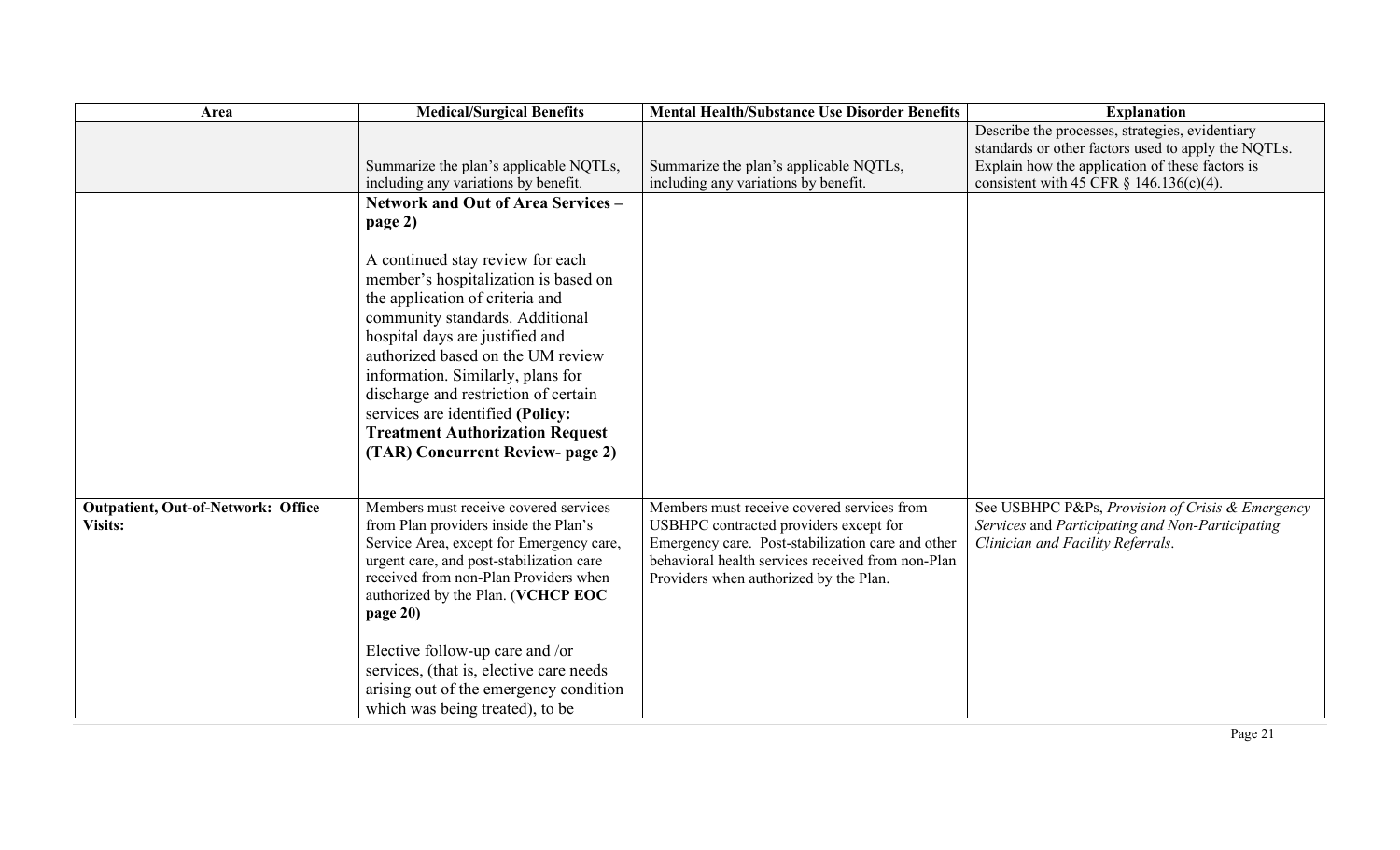| Area                                                        | <b>Medical/Surgical Benefits</b>                                                                                                                                                                                                                                                                                                                                                                                                                                              | <b>Mental Health/Substance Use Disorder Benefits</b>                                                                                                                                                                                     | <b>Explanation</b>                                                                                                                                                                                      |
|-------------------------------------------------------------|-------------------------------------------------------------------------------------------------------------------------------------------------------------------------------------------------------------------------------------------------------------------------------------------------------------------------------------------------------------------------------------------------------------------------------------------------------------------------------|------------------------------------------------------------------------------------------------------------------------------------------------------------------------------------------------------------------------------------------|---------------------------------------------------------------------------------------------------------------------------------------------------------------------------------------------------------|
|                                                             | Summarize the plan's applicable NQTLs,<br>including any variations by benefit.                                                                                                                                                                                                                                                                                                                                                                                                | Summarize the plan's applicable NQTLs,<br>including any variations by benefit.                                                                                                                                                           | Describe the processes, strategies, evidentiary<br>standards or other factors used to apply the NQTLs.<br>Explain how the application of these factors is<br>consistent with 45 CFR $\S$ 146.136(c)(4). |
|                                                             | <b>Network and Out of Area Services -</b><br>page 2)<br>A continued stay review for each<br>member's hospitalization is based on<br>the application of criteria and<br>community standards. Additional<br>hospital days are justified and<br>authorized based on the UM review<br>information. Similarly, plans for<br>discharge and restriction of certain<br>services are identified (Policy:<br><b>Treatment Authorization Request</b><br>(TAR) Concurrent Review- page 2) |                                                                                                                                                                                                                                          |                                                                                                                                                                                                         |
| <b>Outpatient, Out-of-Network: Office</b><br><b>Visits:</b> | Members must receive covered services<br>from Plan providers inside the Plan's<br>Service Area, except for Emergency care,<br>urgent care, and post-stabilization care<br>received from non-Plan Providers when<br>authorized by the Plan. (VCHCP EOC<br>page 20)<br>Elective follow-up care and /or<br>services, (that is, elective care needs<br>arising out of the emergency condition<br>which was being treated), to be                                                  | Members must receive covered services from<br>USBHPC contracted providers except for<br>Emergency care. Post-stabilization care and other<br>behavioral health services received from non-Plan<br>Providers when authorized by the Plan. | See USBHPC P&Ps, Provision of Crisis & Emergency<br>Services and Participating and Non-Participating<br>Clinician and Facility Referrals.                                                               |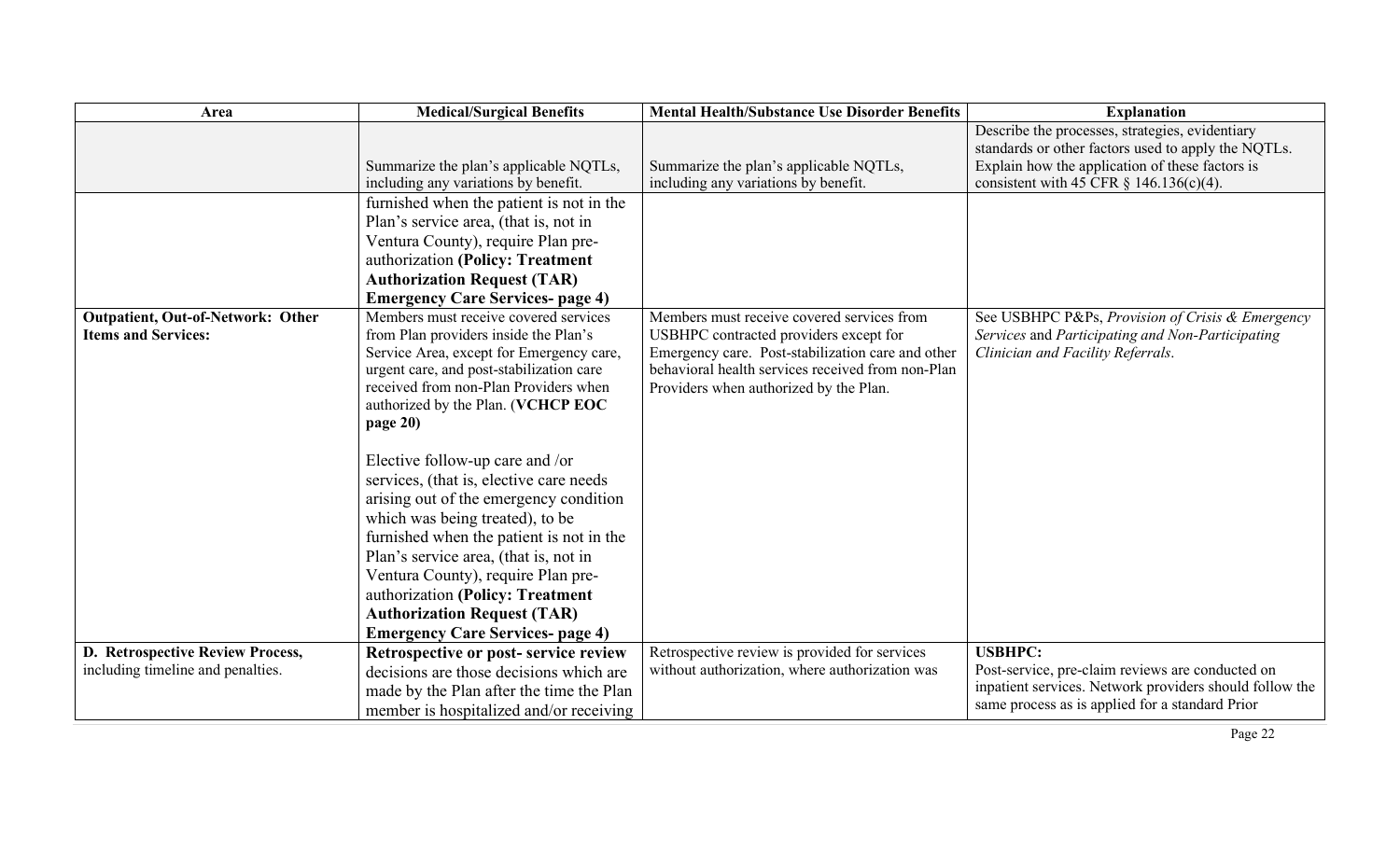| Area                                     | <b>Medical/Surgical Benefits</b>                                                                                                                                                                                                                            | <b>Mental Health/Substance Use Disorder Benefits</b>                                                                                                                                       | <b>Explanation</b>                                                                                     |
|------------------------------------------|-------------------------------------------------------------------------------------------------------------------------------------------------------------------------------------------------------------------------------------------------------------|--------------------------------------------------------------------------------------------------------------------------------------------------------------------------------------------|--------------------------------------------------------------------------------------------------------|
|                                          |                                                                                                                                                                                                                                                             |                                                                                                                                                                                            | Describe the processes, strategies, evidentiary<br>standards or other factors used to apply the NQTLs. |
|                                          | Summarize the plan's applicable NQTLs,                                                                                                                                                                                                                      | Summarize the plan's applicable NQTLs,                                                                                                                                                     | Explain how the application of these factors is                                                        |
|                                          | including any variations by benefit.                                                                                                                                                                                                                        | including any variations by benefit.                                                                                                                                                       | consistent with 45 CFR $\S$ 146.136(c)(4).                                                             |
|                                          | furnished when the patient is not in the<br>Plan's service area, (that is, not in                                                                                                                                                                           |                                                                                                                                                                                            |                                                                                                        |
|                                          |                                                                                                                                                                                                                                                             |                                                                                                                                                                                            |                                                                                                        |
|                                          | Ventura County), require Plan pre-                                                                                                                                                                                                                          |                                                                                                                                                                                            |                                                                                                        |
|                                          | authorization (Policy: Treatment<br><b>Authorization Request (TAR)</b>                                                                                                                                                                                      |                                                                                                                                                                                            |                                                                                                        |
|                                          | <b>Emergency Care Services- page 4)</b>                                                                                                                                                                                                                     |                                                                                                                                                                                            |                                                                                                        |
| <b>Outpatient, Out-of-Network: Other</b> | Members must receive covered services                                                                                                                                                                                                                       | Members must receive covered services from                                                                                                                                                 | See USBHPC P&Ps, Provision of Crisis & Emergency                                                       |
| <b>Items and Services:</b>               | from Plan providers inside the Plan's<br>Service Area, except for Emergency care,<br>urgent care, and post-stabilization care<br>received from non-Plan Providers when<br>authorized by the Plan. (VCHCP EOC<br>page 20)<br>Elective follow-up care and /or | USBHPC contracted providers except for<br>Emergency care. Post-stabilization care and other<br>behavioral health services received from non-Plan<br>Providers when authorized by the Plan. | Services and Participating and Non-Participating<br>Clinician and Facility Referrals.                  |
|                                          | services, (that is, elective care needs)                                                                                                                                                                                                                    |                                                                                                                                                                                            |                                                                                                        |
|                                          | arising out of the emergency condition                                                                                                                                                                                                                      |                                                                                                                                                                                            |                                                                                                        |
|                                          | which was being treated), to be                                                                                                                                                                                                                             |                                                                                                                                                                                            |                                                                                                        |
|                                          | furnished when the patient is not in the                                                                                                                                                                                                                    |                                                                                                                                                                                            |                                                                                                        |
|                                          | Plan's service area, (that is, not in                                                                                                                                                                                                                       |                                                                                                                                                                                            |                                                                                                        |
|                                          | Ventura County), require Plan pre-                                                                                                                                                                                                                          |                                                                                                                                                                                            |                                                                                                        |
|                                          | authorization (Policy: Treatment<br><b>Authorization Request (TAR)</b>                                                                                                                                                                                      |                                                                                                                                                                                            |                                                                                                        |
|                                          | <b>Emergency Care Services- page 4)</b>                                                                                                                                                                                                                     |                                                                                                                                                                                            |                                                                                                        |
| D. Retrospective Review Process,         | Retrospective or post-service review                                                                                                                                                                                                                        | Retrospective review is provided for services                                                                                                                                              | <b>USBHPC:</b>                                                                                         |
| including timeline and penalties.        | decisions are those decisions which are                                                                                                                                                                                                                     | without authorization, where authorization was                                                                                                                                             | Post-service, pre-claim reviews are conducted on                                                       |
|                                          | made by the Plan after the time the Plan                                                                                                                                                                                                                    |                                                                                                                                                                                            | inpatient services. Network providers should follow the                                                |
|                                          | member is hospitalized and/or receiving                                                                                                                                                                                                                     |                                                                                                                                                                                            | same process as is applied for a standard Prior                                                        |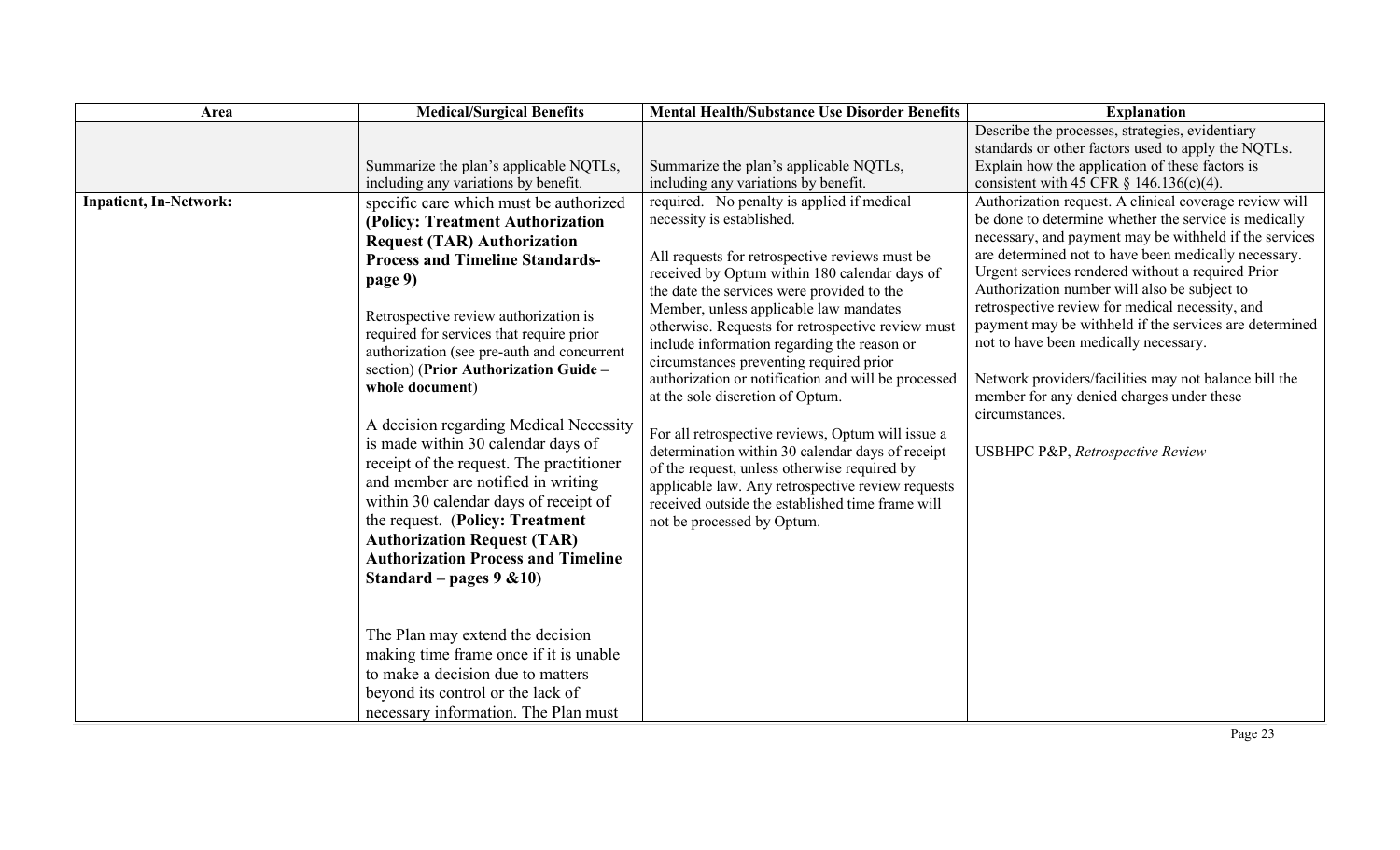| Area                          | <b>Medical/Surgical Benefits</b>                                                                                                                                                                                                                                                                                                                                                                                                                                                                                                                                                                                                                                                                      | <b>Mental Health/Substance Use Disorder Benefits</b>                                                                                                                                                                                                                                                                                                                                                                                                                                                                                                                                                                                                                                                                                                                                                         | <b>Explanation</b>                                                                                                                                                                                                                                                                                                                                                                                                                                                                                                                                                                                                                                                  |
|-------------------------------|-------------------------------------------------------------------------------------------------------------------------------------------------------------------------------------------------------------------------------------------------------------------------------------------------------------------------------------------------------------------------------------------------------------------------------------------------------------------------------------------------------------------------------------------------------------------------------------------------------------------------------------------------------------------------------------------------------|--------------------------------------------------------------------------------------------------------------------------------------------------------------------------------------------------------------------------------------------------------------------------------------------------------------------------------------------------------------------------------------------------------------------------------------------------------------------------------------------------------------------------------------------------------------------------------------------------------------------------------------------------------------------------------------------------------------------------------------------------------------------------------------------------------------|---------------------------------------------------------------------------------------------------------------------------------------------------------------------------------------------------------------------------------------------------------------------------------------------------------------------------------------------------------------------------------------------------------------------------------------------------------------------------------------------------------------------------------------------------------------------------------------------------------------------------------------------------------------------|
|                               |                                                                                                                                                                                                                                                                                                                                                                                                                                                                                                                                                                                                                                                                                                       |                                                                                                                                                                                                                                                                                                                                                                                                                                                                                                                                                                                                                                                                                                                                                                                                              | Describe the processes, strategies, evidentiary<br>standards or other factors used to apply the NQTLs.                                                                                                                                                                                                                                                                                                                                                                                                                                                                                                                                                              |
|                               | Summarize the plan's applicable NQTLs,                                                                                                                                                                                                                                                                                                                                                                                                                                                                                                                                                                                                                                                                | Summarize the plan's applicable NQTLs,                                                                                                                                                                                                                                                                                                                                                                                                                                                                                                                                                                                                                                                                                                                                                                       | Explain how the application of these factors is                                                                                                                                                                                                                                                                                                                                                                                                                                                                                                                                                                                                                     |
|                               | including any variations by benefit.                                                                                                                                                                                                                                                                                                                                                                                                                                                                                                                                                                                                                                                                  | including any variations by benefit.                                                                                                                                                                                                                                                                                                                                                                                                                                                                                                                                                                                                                                                                                                                                                                         | consistent with 45 CFR $\S$ 146.136(c)(4).                                                                                                                                                                                                                                                                                                                                                                                                                                                                                                                                                                                                                          |
| <b>Inpatient, In-Network:</b> | specific care which must be authorized<br>(Policy: Treatment Authorization<br><b>Request (TAR) Authorization</b><br><b>Process and Timeline Standards-</b><br>page 9)<br>Retrospective review authorization is<br>required for services that require prior<br>authorization (see pre-auth and concurrent<br>section) (Prior Authorization Guide -<br>whole document)<br>A decision regarding Medical Necessity<br>is made within 30 calendar days of<br>receipt of the request. The practitioner<br>and member are notified in writing<br>within 30 calendar days of receipt of<br>the request. (Policy: Treatment<br><b>Authorization Request (TAR)</b><br><b>Authorization Process and Timeline</b> | required. No penalty is applied if medical<br>necessity is established.<br>All requests for retrospective reviews must be<br>received by Optum within 180 calendar days of<br>the date the services were provided to the<br>Member, unless applicable law mandates<br>otherwise. Requests for retrospective review must<br>include information regarding the reason or<br>circumstances preventing required prior<br>authorization or notification and will be processed<br>at the sole discretion of Optum.<br>For all retrospective reviews, Optum will issue a<br>determination within 30 calendar days of receipt<br>of the request, unless otherwise required by<br>applicable law. Any retrospective review requests<br>received outside the established time frame will<br>not be processed by Optum. | Authorization request. A clinical coverage review will<br>be done to determine whether the service is medically<br>necessary, and payment may be withheld if the services<br>are determined not to have been medically necessary.<br>Urgent services rendered without a required Prior<br>Authorization number will also be subject to<br>retrospective review for medical necessity, and<br>payment may be withheld if the services are determined<br>not to have been medically necessary.<br>Network providers/facilities may not balance bill the<br>member for any denied charges under these<br>circumstances.<br><b>USBHPC P&amp;P, Retrospective Review</b> |
|                               | Standard – pages $9 \& 10$<br>The Plan may extend the decision<br>making time frame once if it is unable<br>to make a decision due to matters<br>beyond its control or the lack of<br>necessary information. The Plan must                                                                                                                                                                                                                                                                                                                                                                                                                                                                            |                                                                                                                                                                                                                                                                                                                                                                                                                                                                                                                                                                                                                                                                                                                                                                                                              |                                                                                                                                                                                                                                                                                                                                                                                                                                                                                                                                                                                                                                                                     |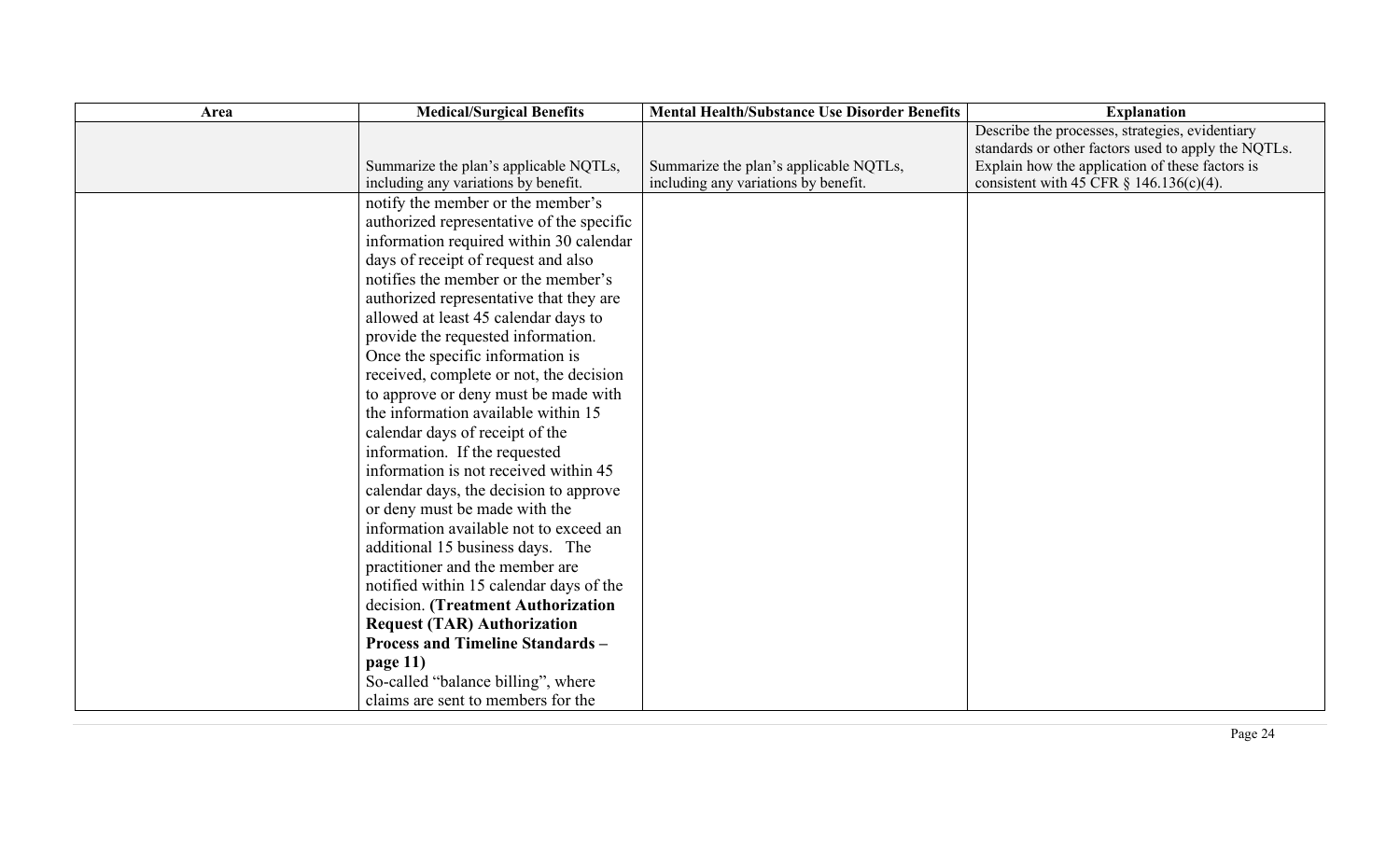| Area | <b>Medical/Surgical Benefits</b>          | <b>Mental Health/Substance Use Disorder Benefits</b> | <b>Explanation</b>                                  |
|------|-------------------------------------------|------------------------------------------------------|-----------------------------------------------------|
|      |                                           |                                                      | Describe the processes, strategies, evidentiary     |
|      |                                           |                                                      | standards or other factors used to apply the NQTLs. |
|      | Summarize the plan's applicable NQTLs,    | Summarize the plan's applicable NQTLs,               | Explain how the application of these factors is     |
|      | including any variations by benefit.      | including any variations by benefit.                 | consistent with 45 CFR $\S$ 146.136(c)(4).          |
|      | notify the member or the member's         |                                                      |                                                     |
|      | authorized representative of the specific |                                                      |                                                     |
|      | information required within 30 calendar   |                                                      |                                                     |
|      | days of receipt of request and also       |                                                      |                                                     |
|      | notifies the member or the member's       |                                                      |                                                     |
|      | authorized representative that they are   |                                                      |                                                     |
|      | allowed at least 45 calendar days to      |                                                      |                                                     |
|      | provide the requested information.        |                                                      |                                                     |
|      | Once the specific information is          |                                                      |                                                     |
|      | received, complete or not, the decision   |                                                      |                                                     |
|      | to approve or deny must be made with      |                                                      |                                                     |
|      | the information available within 15       |                                                      |                                                     |
|      | calendar days of receipt of the           |                                                      |                                                     |
|      | information. If the requested             |                                                      |                                                     |
|      | information is not received within 45     |                                                      |                                                     |
|      | calendar days, the decision to approve    |                                                      |                                                     |
|      | or deny must be made with the             |                                                      |                                                     |
|      | information available not to exceed an    |                                                      |                                                     |
|      | additional 15 business days. The          |                                                      |                                                     |
|      | practitioner and the member are           |                                                      |                                                     |
|      | notified within 15 calendar days of the   |                                                      |                                                     |
|      | decision. (Treatment Authorization        |                                                      |                                                     |
|      | <b>Request (TAR) Authorization</b>        |                                                      |                                                     |
|      | <b>Process and Timeline Standards -</b>   |                                                      |                                                     |
|      | page 11)                                  |                                                      |                                                     |
|      | So-called "balance billing", where        |                                                      |                                                     |
|      | claims are sent to members for the        |                                                      |                                                     |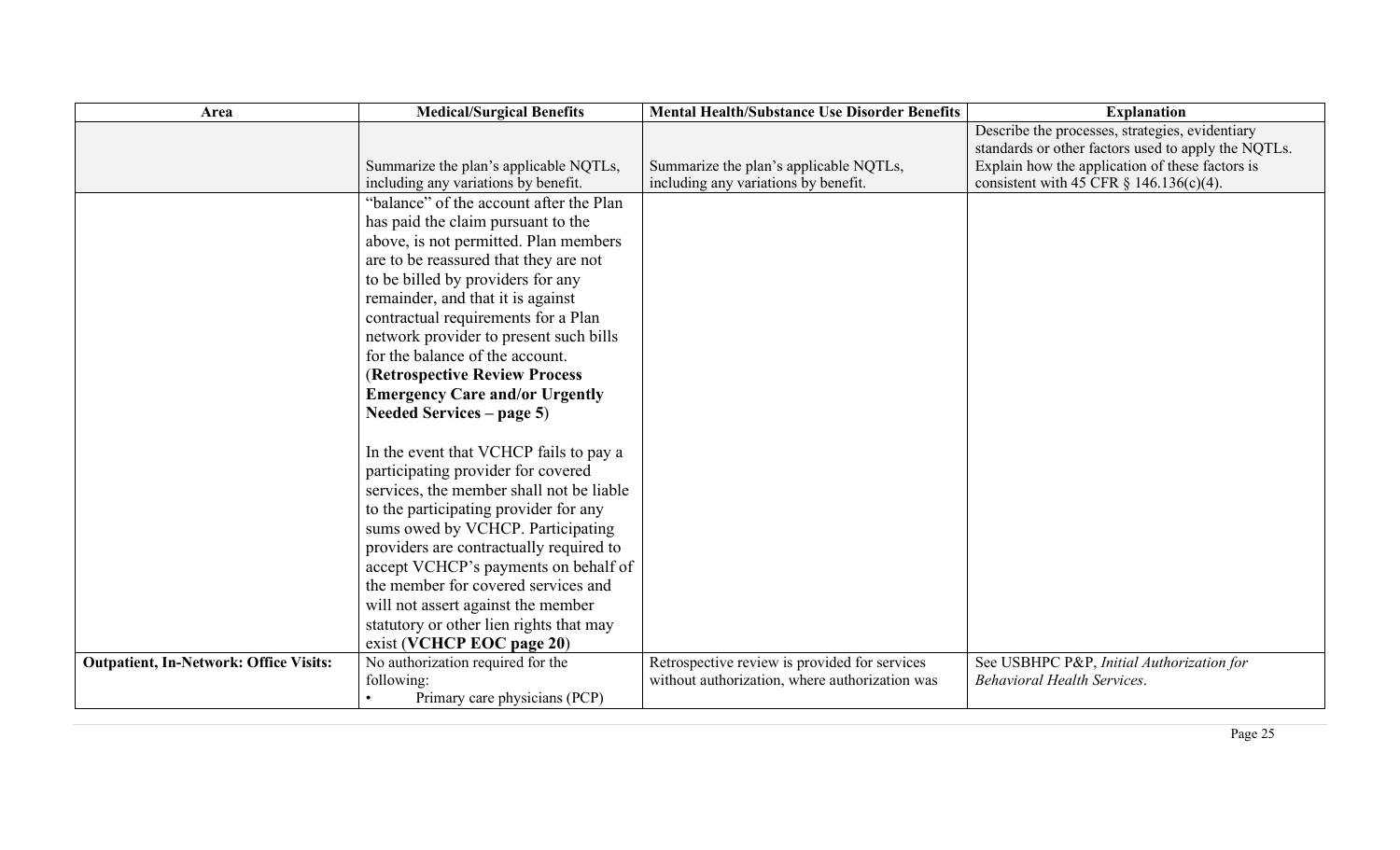| Area                                          | <b>Medical/Surgical Benefits</b>            | <b>Mental Health/Substance Use Disorder Benefits</b>                                            | <b>Explanation</b>                                                              |
|-----------------------------------------------|---------------------------------------------|-------------------------------------------------------------------------------------------------|---------------------------------------------------------------------------------|
|                                               |                                             |                                                                                                 | Describe the processes, strategies, evidentiary                                 |
|                                               |                                             |                                                                                                 | standards or other factors used to apply the NQTLs.                             |
|                                               | Summarize the plan's applicable NQTLs,      | Summarize the plan's applicable NQTLs,                                                          | Explain how the application of these factors is                                 |
|                                               | including any variations by benefit.        | including any variations by benefit.                                                            | consistent with 45 CFR $\S$ 146.136(c)(4).                                      |
|                                               | "balance" of the account after the Plan     |                                                                                                 |                                                                                 |
|                                               | has paid the claim pursuant to the          |                                                                                                 |                                                                                 |
|                                               | above, is not permitted. Plan members       |                                                                                                 |                                                                                 |
|                                               | are to be reassured that they are not       |                                                                                                 |                                                                                 |
|                                               | to be billed by providers for any           |                                                                                                 |                                                                                 |
|                                               | remainder, and that it is against           |                                                                                                 |                                                                                 |
|                                               | contractual requirements for a Plan         |                                                                                                 |                                                                                 |
|                                               | network provider to present such bills      |                                                                                                 |                                                                                 |
|                                               | for the balance of the account.             |                                                                                                 |                                                                                 |
|                                               | (Retrospective Review Process               |                                                                                                 |                                                                                 |
|                                               | <b>Emergency Care and/or Urgently</b>       |                                                                                                 |                                                                                 |
|                                               | Needed Services $-$ page 5)                 |                                                                                                 |                                                                                 |
|                                               |                                             |                                                                                                 |                                                                                 |
|                                               | In the event that VCHCP fails to pay a      |                                                                                                 |                                                                                 |
|                                               | participating provider for covered          |                                                                                                 |                                                                                 |
|                                               | services, the member shall not be liable    |                                                                                                 |                                                                                 |
|                                               | to the participating provider for any       |                                                                                                 |                                                                                 |
|                                               | sums owed by VCHCP. Participating           |                                                                                                 |                                                                                 |
|                                               | providers are contractually required to     |                                                                                                 |                                                                                 |
|                                               | accept VCHCP's payments on behalf of        |                                                                                                 |                                                                                 |
|                                               | the member for covered services and         |                                                                                                 |                                                                                 |
|                                               |                                             |                                                                                                 |                                                                                 |
|                                               | will not assert against the member          |                                                                                                 |                                                                                 |
|                                               | statutory or other lien rights that may     |                                                                                                 |                                                                                 |
|                                               | exist (VCHCP EOC page 20)                   |                                                                                                 |                                                                                 |
| <b>Outpatient, In-Network: Office Visits:</b> | No authorization required for the           | Retrospective review is provided for services<br>without authorization, where authorization was | See USBHPC P&P, Initial Authorization for<br><b>Behavioral Health Services.</b> |
|                                               | following:<br>Primary care physicians (PCP) |                                                                                                 |                                                                                 |
|                                               |                                             |                                                                                                 |                                                                                 |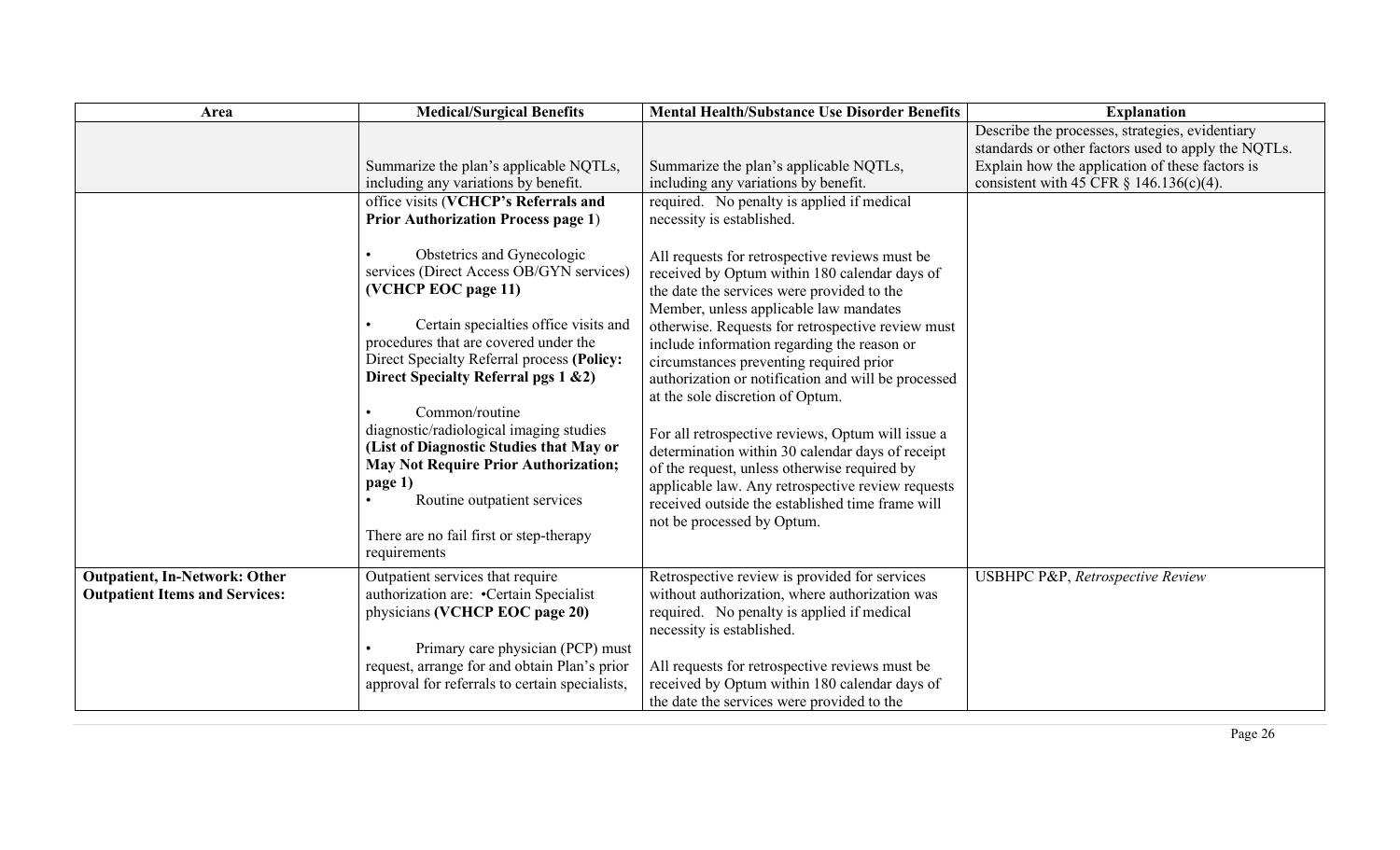| Area                                                                          | <b>Medical/Surgical Benefits</b>                                                                                                                                                                                                                                                                                                                                                                                                                                                                                                  | <b>Mental Health/Substance Use Disorder Benefits</b>                                                                                                                                                                                                                                                                                                                                                                                                                                                                                                                                                                                                                                                                              | <b>Explanation</b>                                                                                                                                                                                      |
|-------------------------------------------------------------------------------|-----------------------------------------------------------------------------------------------------------------------------------------------------------------------------------------------------------------------------------------------------------------------------------------------------------------------------------------------------------------------------------------------------------------------------------------------------------------------------------------------------------------------------------|-----------------------------------------------------------------------------------------------------------------------------------------------------------------------------------------------------------------------------------------------------------------------------------------------------------------------------------------------------------------------------------------------------------------------------------------------------------------------------------------------------------------------------------------------------------------------------------------------------------------------------------------------------------------------------------------------------------------------------------|---------------------------------------------------------------------------------------------------------------------------------------------------------------------------------------------------------|
|                                                                               | Summarize the plan's applicable NQTLs,<br>including any variations by benefit.                                                                                                                                                                                                                                                                                                                                                                                                                                                    | Summarize the plan's applicable NQTLs,<br>including any variations by benefit.                                                                                                                                                                                                                                                                                                                                                                                                                                                                                                                                                                                                                                                    | Describe the processes, strategies, evidentiary<br>standards or other factors used to apply the NQTLs.<br>Explain how the application of these factors is<br>consistent with 45 CFR $\S$ 146.136(c)(4). |
|                                                                               | office visits (VCHCP's Referrals and<br><b>Prior Authorization Process page 1)</b>                                                                                                                                                                                                                                                                                                                                                                                                                                                | required. No penalty is applied if medical<br>necessity is established.                                                                                                                                                                                                                                                                                                                                                                                                                                                                                                                                                                                                                                                           |                                                                                                                                                                                                         |
|                                                                               | Obstetrics and Gynecologic<br>services (Direct Access OB/GYN services)<br>(VCHCP EOC page 11)<br>Certain specialties office visits and<br>procedures that are covered under the<br>Direct Specialty Referral process (Policy:<br>Direct Specialty Referral pgs 1 & 2)<br>Common/routine<br>diagnostic/radiological imaging studies<br>(List of Diagnostic Studies that May or<br><b>May Not Require Prior Authorization;</b><br>page 1)<br>Routine outpatient services<br>There are no fail first or step-therapy<br>requirements | All requests for retrospective reviews must be<br>received by Optum within 180 calendar days of<br>the date the services were provided to the<br>Member, unless applicable law mandates<br>otherwise. Requests for retrospective review must<br>include information regarding the reason or<br>circumstances preventing required prior<br>authorization or notification and will be processed<br>at the sole discretion of Optum.<br>For all retrospective reviews, Optum will issue a<br>determination within 30 calendar days of receipt<br>of the request, unless otherwise required by<br>applicable law. Any retrospective review requests<br>received outside the established time frame will<br>not be processed by Optum. |                                                                                                                                                                                                         |
| <b>Outpatient, In-Network: Other</b><br><b>Outpatient Items and Services:</b> | Outpatient services that require<br>authorization are: • Certain Specialist<br>physicians (VCHCP EOC page 20)                                                                                                                                                                                                                                                                                                                                                                                                                     | Retrospective review is provided for services<br>without authorization, where authorization was<br>required. No penalty is applied if medical<br>necessity is established.                                                                                                                                                                                                                                                                                                                                                                                                                                                                                                                                                        | USBHPC P&P, Retrospective Review                                                                                                                                                                        |
|                                                                               | Primary care physician (PCP) must<br>request, arrange for and obtain Plan's prior<br>approval for referrals to certain specialists,                                                                                                                                                                                                                                                                                                                                                                                               | All requests for retrospective reviews must be<br>received by Optum within 180 calendar days of<br>the date the services were provided to the                                                                                                                                                                                                                                                                                                                                                                                                                                                                                                                                                                                     |                                                                                                                                                                                                         |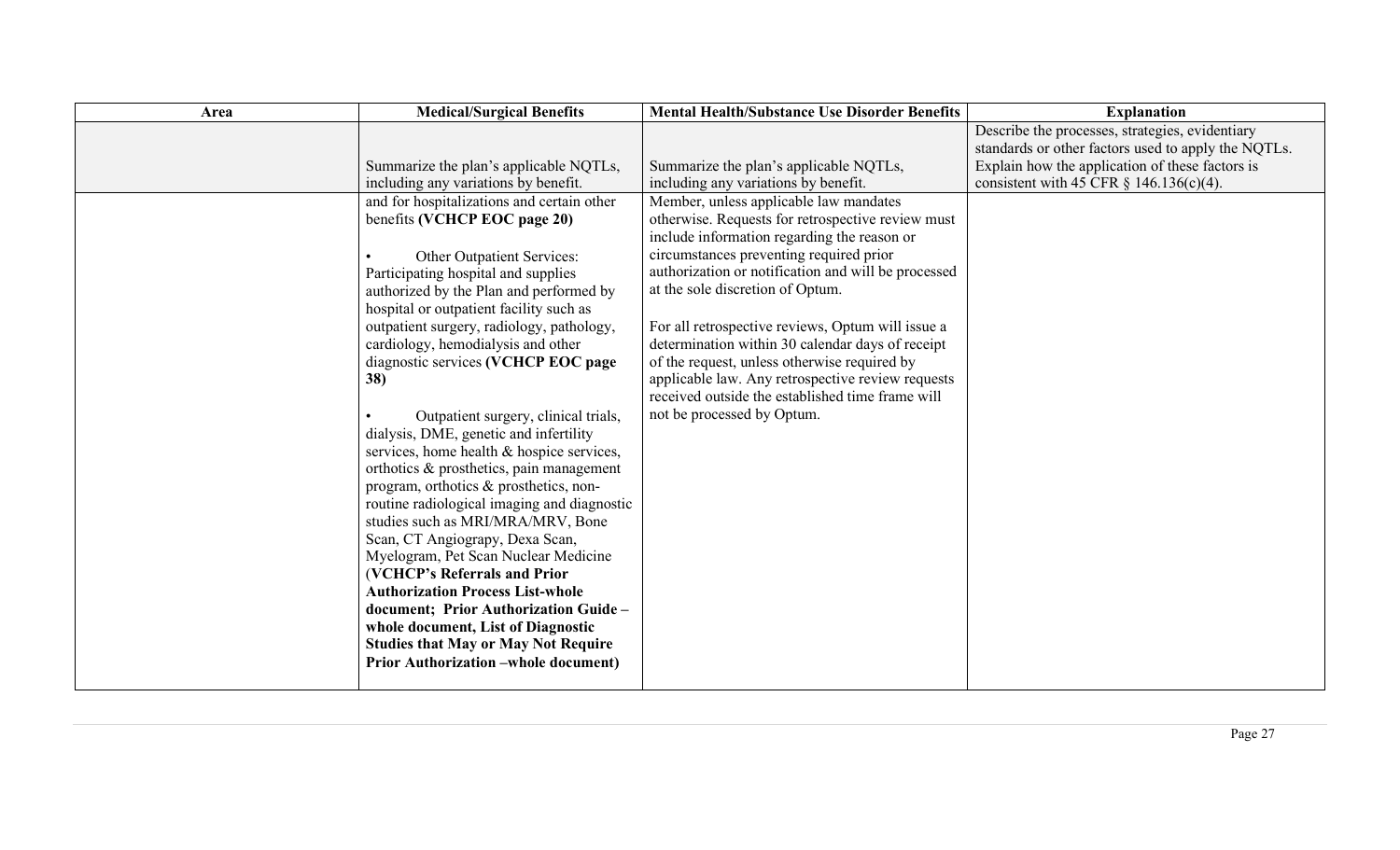| Area | <b>Medical/Surgical Benefits</b>                                                                                                                                                                                                                                                                                                                                                                                                                                                                                                                                                                                                                                                                                                                                                                                                                                                                                                                                                                                 | <b>Mental Health/Substance Use Disorder Benefits</b>                                                                                                                                                                                                                                                                                                                                                                                                                                                                                                                             | <b>Explanation</b>                                                                                                                                                                                      |
|------|------------------------------------------------------------------------------------------------------------------------------------------------------------------------------------------------------------------------------------------------------------------------------------------------------------------------------------------------------------------------------------------------------------------------------------------------------------------------------------------------------------------------------------------------------------------------------------------------------------------------------------------------------------------------------------------------------------------------------------------------------------------------------------------------------------------------------------------------------------------------------------------------------------------------------------------------------------------------------------------------------------------|----------------------------------------------------------------------------------------------------------------------------------------------------------------------------------------------------------------------------------------------------------------------------------------------------------------------------------------------------------------------------------------------------------------------------------------------------------------------------------------------------------------------------------------------------------------------------------|---------------------------------------------------------------------------------------------------------------------------------------------------------------------------------------------------------|
|      | Summarize the plan's applicable NQTLs,<br>including any variations by benefit.                                                                                                                                                                                                                                                                                                                                                                                                                                                                                                                                                                                                                                                                                                                                                                                                                                                                                                                                   | Summarize the plan's applicable NQTLs,<br>including any variations by benefit.                                                                                                                                                                                                                                                                                                                                                                                                                                                                                                   | Describe the processes, strategies, evidentiary<br>standards or other factors used to apply the NQTLs.<br>Explain how the application of these factors is<br>consistent with 45 CFR $\S$ 146.136(c)(4). |
|      | and for hospitalizations and certain other<br>benefits (VCHCP EOC page 20)<br>Other Outpatient Services:<br>Participating hospital and supplies<br>authorized by the Plan and performed by<br>hospital or outpatient facility such as<br>outpatient surgery, radiology, pathology,<br>cardiology, hemodialysis and other<br>diagnostic services (VCHCP EOC page<br>38)<br>Outpatient surgery, clinical trials,<br>dialysis, DME, genetic and infertility<br>services, home health & hospice services,<br>orthotics & prosthetics, pain management<br>program, orthotics & prosthetics, non-<br>routine radiological imaging and diagnostic<br>studies such as MRI/MRA/MRV, Bone<br>Scan, CT Angiograpy, Dexa Scan,<br>Myelogram, Pet Scan Nuclear Medicine<br>(VCHCP's Referrals and Prior<br><b>Authorization Process List-whole</b><br>document; Prior Authorization Guide-<br>whole document, List of Diagnostic<br><b>Studies that May or May Not Require</b><br><b>Prior Authorization –whole document)</b> | Member, unless applicable law mandates<br>otherwise. Requests for retrospective review must<br>include information regarding the reason or<br>circumstances preventing required prior<br>authorization or notification and will be processed<br>at the sole discretion of Optum.<br>For all retrospective reviews, Optum will issue a<br>determination within 30 calendar days of receipt<br>of the request, unless otherwise required by<br>applicable law. Any retrospective review requests<br>received outside the established time frame will<br>not be processed by Optum. |                                                                                                                                                                                                         |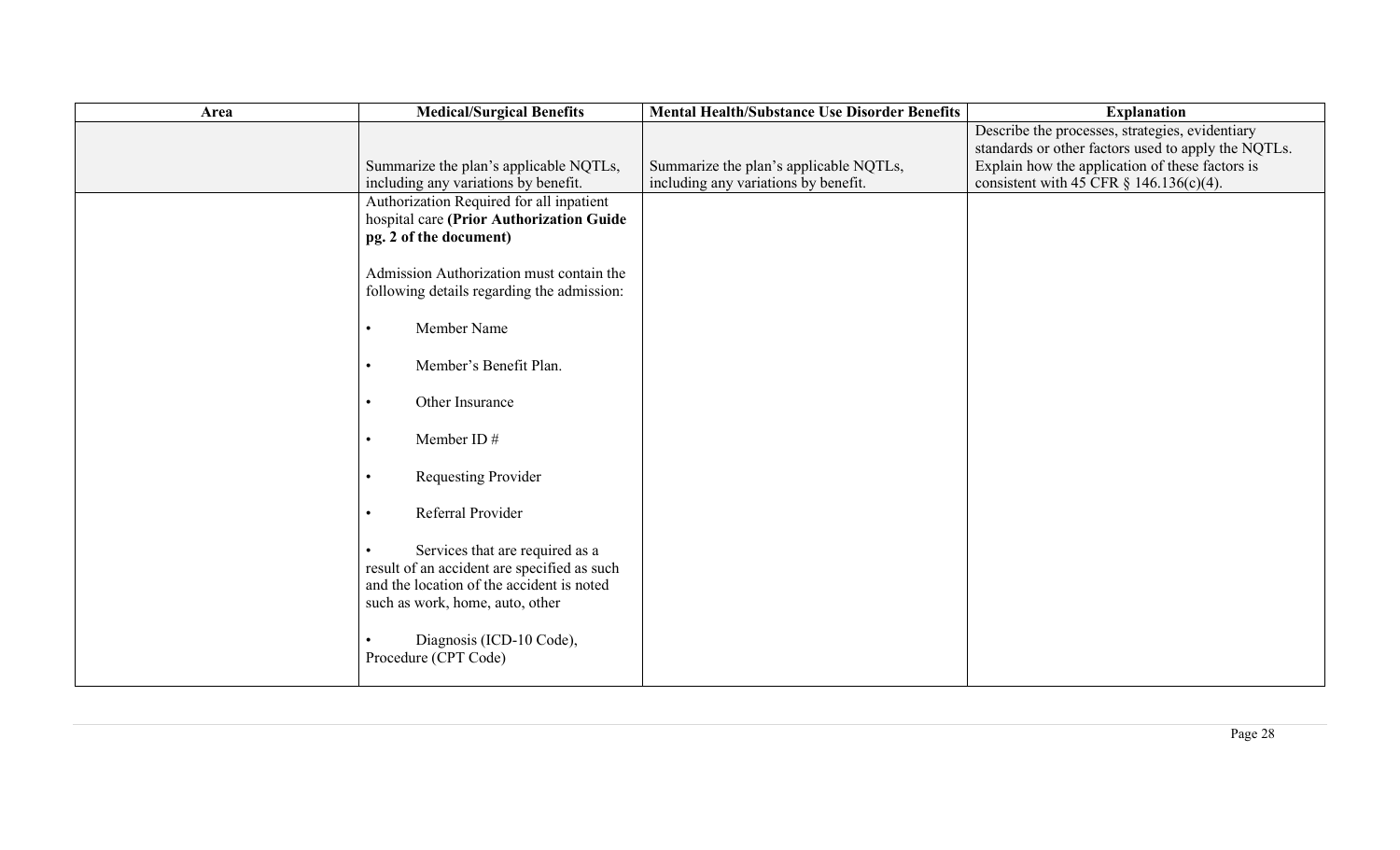| Area | <b>Medical/Surgical Benefits</b>                                                                                                                                                                              | <b>Mental Health/Substance Use Disorder Benefits</b>                           | <b>Explanation</b>                                                                                                                                                                                      |
|------|---------------------------------------------------------------------------------------------------------------------------------------------------------------------------------------------------------------|--------------------------------------------------------------------------------|---------------------------------------------------------------------------------------------------------------------------------------------------------------------------------------------------------|
|      | Summarize the plan's applicable NQTLs,<br>including any variations by benefit.                                                                                                                                | Summarize the plan's applicable NQTLs,<br>including any variations by benefit. | Describe the processes, strategies, evidentiary<br>standards or other factors used to apply the NQTLs.<br>Explain how the application of these factors is<br>consistent with 45 CFR $\S$ 146.136(c)(4). |
|      | Authorization Required for all inpatient<br>hospital care (Prior Authorization Guide<br>pg. 2 of the document)                                                                                                |                                                                                |                                                                                                                                                                                                         |
|      | Admission Authorization must contain the<br>following details regarding the admission:                                                                                                                        |                                                                                |                                                                                                                                                                                                         |
|      | Member Name<br>$\bullet$<br>Member's Benefit Plan.<br>$\bullet$                                                                                                                                               |                                                                                |                                                                                                                                                                                                         |
|      | Other Insurance<br>$\bullet$                                                                                                                                                                                  |                                                                                |                                                                                                                                                                                                         |
|      | Member ID#<br>$\bullet$                                                                                                                                                                                       |                                                                                |                                                                                                                                                                                                         |
|      | Requesting Provider<br>$\bullet$                                                                                                                                                                              |                                                                                |                                                                                                                                                                                                         |
|      | Referral Provider<br>$\bullet$<br>Services that are required as a<br>$\bullet$<br>result of an accident are specified as such<br>and the location of the accident is noted<br>such as work, home, auto, other |                                                                                |                                                                                                                                                                                                         |
|      | Diagnosis (ICD-10 Code),<br>Procedure (CPT Code)                                                                                                                                                              |                                                                                |                                                                                                                                                                                                         |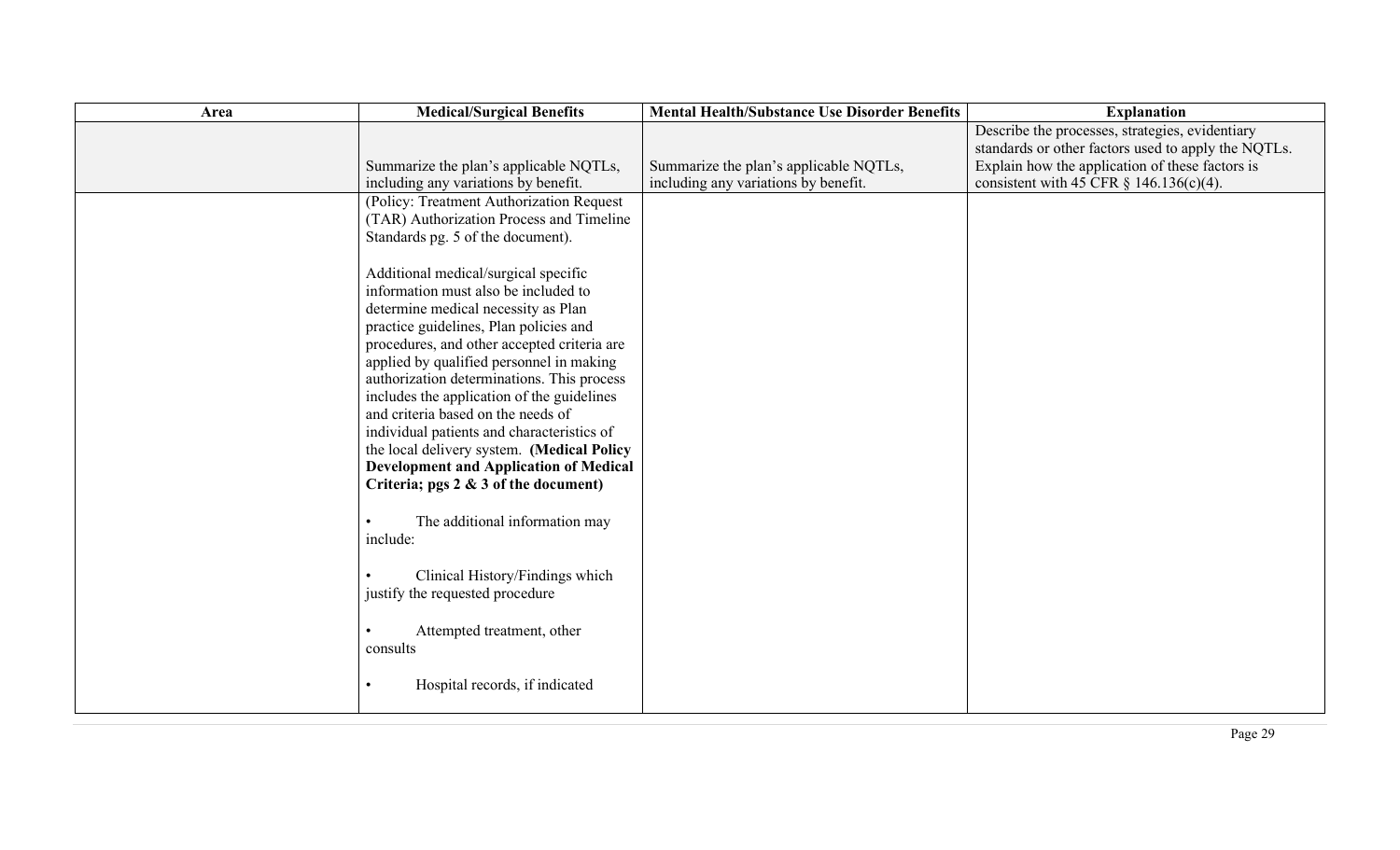| Area      | <b>Medical/Surgical Benefits</b>                                                                                                                                                                                                                                                                                                                                                                                                                                                                                                                                                                                                                                                                                                                                                                                                                                                                                                                             | <b>Mental Health/Substance Use Disorder Benefits</b>                           | <b>Explanation</b>                                                                                     |
|-----------|--------------------------------------------------------------------------------------------------------------------------------------------------------------------------------------------------------------------------------------------------------------------------------------------------------------------------------------------------------------------------------------------------------------------------------------------------------------------------------------------------------------------------------------------------------------------------------------------------------------------------------------------------------------------------------------------------------------------------------------------------------------------------------------------------------------------------------------------------------------------------------------------------------------------------------------------------------------|--------------------------------------------------------------------------------|--------------------------------------------------------------------------------------------------------|
|           |                                                                                                                                                                                                                                                                                                                                                                                                                                                                                                                                                                                                                                                                                                                                                                                                                                                                                                                                                              |                                                                                | Describe the processes, strategies, evidentiary<br>standards or other factors used to apply the NQTLs. |
|           |                                                                                                                                                                                                                                                                                                                                                                                                                                                                                                                                                                                                                                                                                                                                                                                                                                                                                                                                                              |                                                                                |                                                                                                        |
|           | Summarize the plan's applicable NQTLs,<br>including any variations by benefit.<br>(Policy: Treatment Authorization Request<br>(TAR) Authorization Process and Timeline<br>Standards pg. 5 of the document).<br>Additional medical/surgical specific<br>information must also be included to<br>determine medical necessity as Plan<br>practice guidelines, Plan policies and<br>procedures, and other accepted criteria are<br>applied by qualified personnel in making<br>authorization determinations. This process<br>includes the application of the guidelines<br>and criteria based on the needs of<br>individual patients and characteristics of<br>the local delivery system. (Medical Policy<br><b>Development and Application of Medical</b><br>Criteria; pgs 2 & 3 of the document)<br>The additional information may<br>include:<br>Clinical History/Findings which<br>justify the requested procedure<br>Attempted treatment, other<br>consults | Summarize the plan's applicable NQTLs,<br>including any variations by benefit. | Explain how the application of these factors is<br>consistent with 45 CFR $\S$ 146.136(c)(4).          |
| $\bullet$ | Hospital records, if indicated                                                                                                                                                                                                                                                                                                                                                                                                                                                                                                                                                                                                                                                                                                                                                                                                                                                                                                                               |                                                                                |                                                                                                        |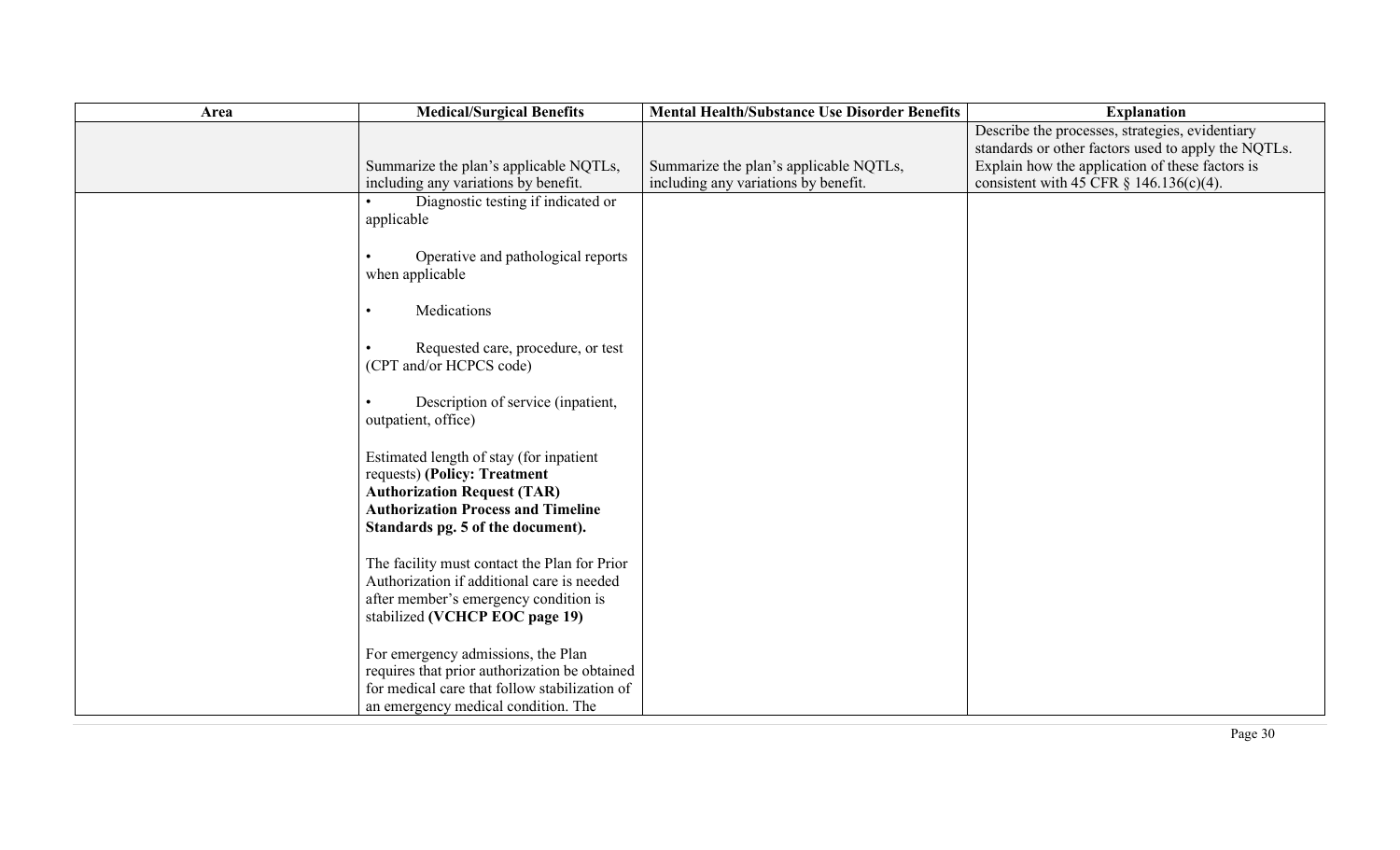| Area | <b>Medical/Surgical Benefits</b>                                                                                                                                                                | <b>Mental Health/Substance Use Disorder Benefits</b> | <b>Explanation</b>                                                                                     |
|------|-------------------------------------------------------------------------------------------------------------------------------------------------------------------------------------------------|------------------------------------------------------|--------------------------------------------------------------------------------------------------------|
|      |                                                                                                                                                                                                 |                                                      | Describe the processes, strategies, evidentiary<br>standards or other factors used to apply the NQTLs. |
|      | Summarize the plan's applicable NQTLs,                                                                                                                                                          | Summarize the plan's applicable NQTLs,               | Explain how the application of these factors is                                                        |
|      | including any variations by benefit.                                                                                                                                                            | including any variations by benefit.                 | consistent with 45 CFR $\S$ 146.136(c)(4).                                                             |
|      | Diagnostic testing if indicated or<br>applicable                                                                                                                                                |                                                      |                                                                                                        |
|      | Operative and pathological reports<br>when applicable                                                                                                                                           |                                                      |                                                                                                        |
|      | Medications<br>$\bullet$                                                                                                                                                                        |                                                      |                                                                                                        |
|      | Requested care, procedure, or test<br>(CPT and/or HCPCS code)                                                                                                                                   |                                                      |                                                                                                        |
|      | Description of service (inpatient,<br>outpatient, office)                                                                                                                                       |                                                      |                                                                                                        |
|      | Estimated length of stay (for inpatient<br>requests) (Policy: Treatment<br><b>Authorization Request (TAR)</b><br><b>Authorization Process and Timeline</b><br>Standards pg. 5 of the document). |                                                      |                                                                                                        |
|      | The facility must contact the Plan for Prior<br>Authorization if additional care is needed<br>after member's emergency condition is<br>stabilized (VCHCP EOC page 19)                           |                                                      |                                                                                                        |
|      | For emergency admissions, the Plan<br>requires that prior authorization be obtained<br>for medical care that follow stabilization of<br>an emergency medical condition. The                     |                                                      |                                                                                                        |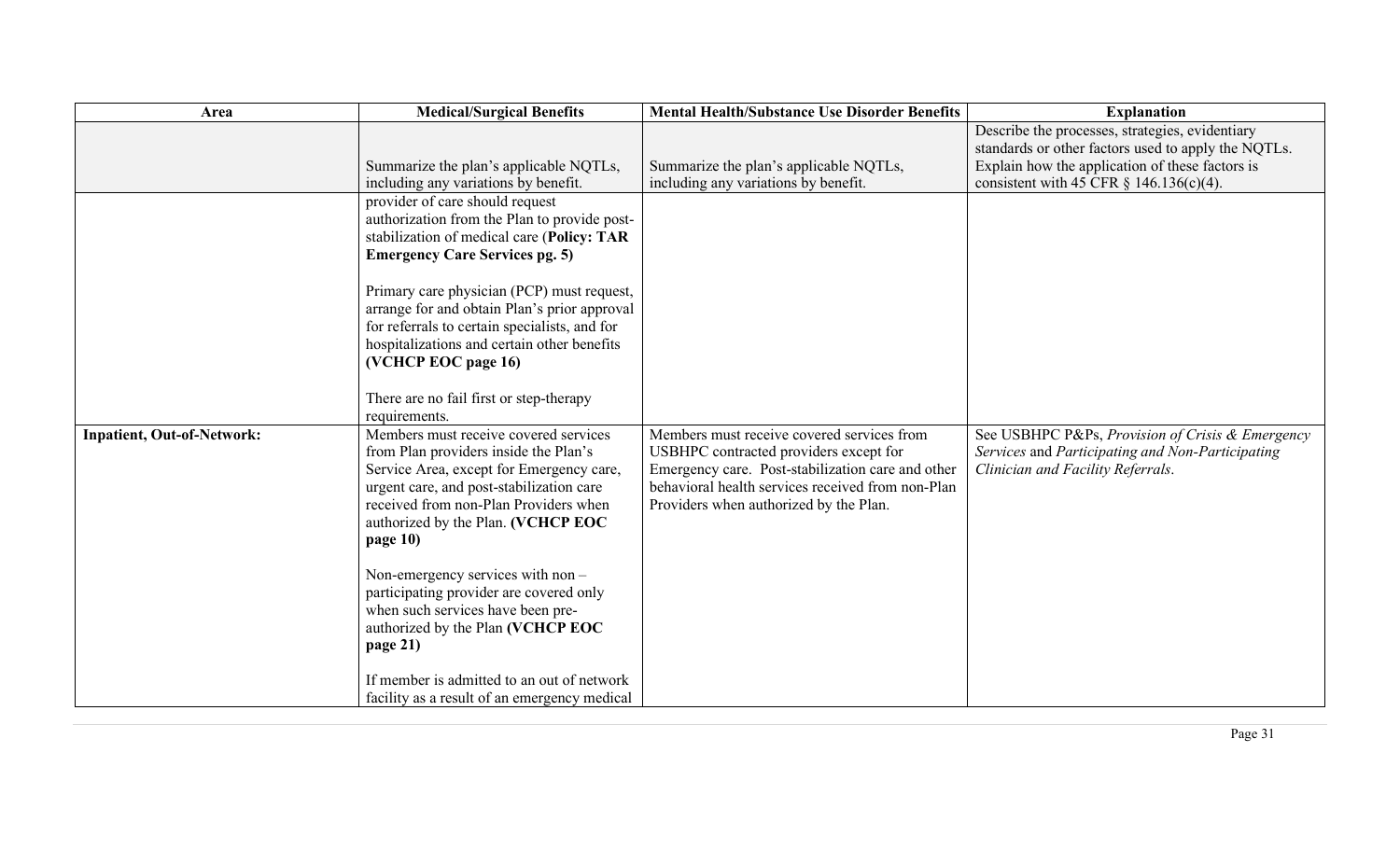| Area                              | <b>Medical/Surgical Benefits</b>                                                                                                                                                                                                                                                                                                                                                                                                                                                                                                      | <b>Mental Health/Substance Use Disorder Benefits</b>                                                                                                                                                                                     | <b>Explanation</b>                                                                                                                                                                                      |
|-----------------------------------|---------------------------------------------------------------------------------------------------------------------------------------------------------------------------------------------------------------------------------------------------------------------------------------------------------------------------------------------------------------------------------------------------------------------------------------------------------------------------------------------------------------------------------------|------------------------------------------------------------------------------------------------------------------------------------------------------------------------------------------------------------------------------------------|---------------------------------------------------------------------------------------------------------------------------------------------------------------------------------------------------------|
|                                   | Summarize the plan's applicable NQTLs,<br>including any variations by benefit.                                                                                                                                                                                                                                                                                                                                                                                                                                                        | Summarize the plan's applicable NQTLs,<br>including any variations by benefit.                                                                                                                                                           | Describe the processes, strategies, evidentiary<br>standards or other factors used to apply the NQTLs.<br>Explain how the application of these factors is<br>consistent with 45 CFR $\S$ 146.136(c)(4). |
|                                   | provider of care should request<br>authorization from the Plan to provide post-<br>stabilization of medical care (Policy: TAR<br><b>Emergency Care Services pg. 5)</b><br>Primary care physician (PCP) must request,<br>arrange for and obtain Plan's prior approval<br>for referrals to certain specialists, and for<br>hospitalizations and certain other benefits<br>(VCHCP EOC page 16)<br>There are no fail first or step-therapy<br>requirements.                                                                               |                                                                                                                                                                                                                                          |                                                                                                                                                                                                         |
| <b>Inpatient, Out-of-Network:</b> | Members must receive covered services<br>from Plan providers inside the Plan's<br>Service Area, except for Emergency care,<br>urgent care, and post-stabilization care<br>received from non-Plan Providers when<br>authorized by the Plan. (VCHCP EOC<br>page 10)<br>Non-emergency services with non -<br>participating provider are covered only<br>when such services have been pre-<br>authorized by the Plan (VCHCP EOC<br>page 21)<br>If member is admitted to an out of network<br>facility as a result of an emergency medical | Members must receive covered services from<br>USBHPC contracted providers except for<br>Emergency care. Post-stabilization care and other<br>behavioral health services received from non-Plan<br>Providers when authorized by the Plan. | See USBHPC P&Ps, Provision of Crisis & Emergency<br>Services and Participating and Non-Participating<br>Clinician and Facility Referrals.                                                               |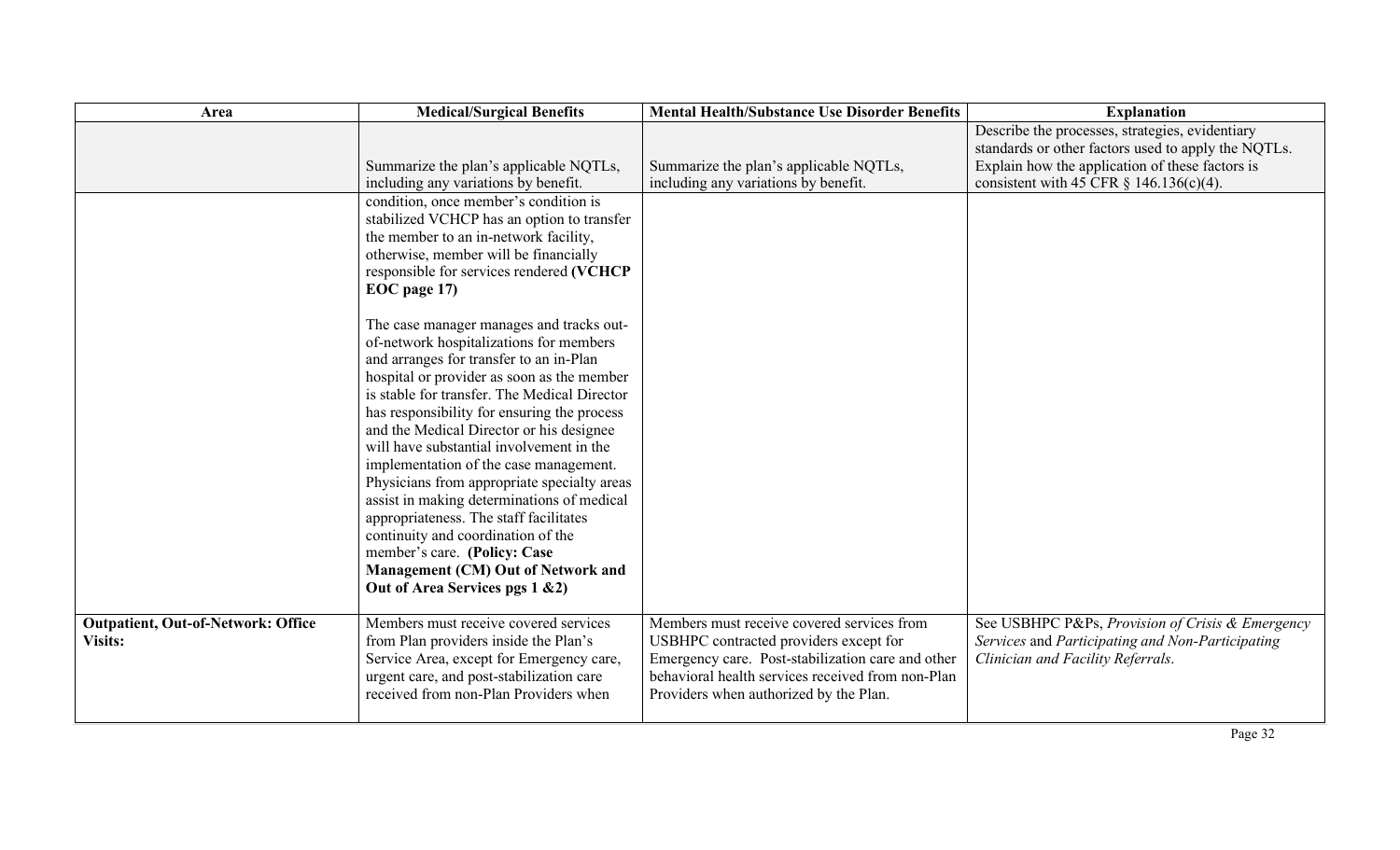| Area                                                        | <b>Medical/Surgical Benefits</b>                                                                                                                                                                                                                                                                                                                                                                                                                                                                                                                                                           | <b>Mental Health/Substance Use Disorder Benefits</b>                                                                                                                                                                                     | <b>Explanation</b>                                                                                                                                                                                      |
|-------------------------------------------------------------|--------------------------------------------------------------------------------------------------------------------------------------------------------------------------------------------------------------------------------------------------------------------------------------------------------------------------------------------------------------------------------------------------------------------------------------------------------------------------------------------------------------------------------------------------------------------------------------------|------------------------------------------------------------------------------------------------------------------------------------------------------------------------------------------------------------------------------------------|---------------------------------------------------------------------------------------------------------------------------------------------------------------------------------------------------------|
|                                                             | Summarize the plan's applicable NQTLs,<br>including any variations by benefit.                                                                                                                                                                                                                                                                                                                                                                                                                                                                                                             | Summarize the plan's applicable NQTLs,<br>including any variations by benefit.                                                                                                                                                           | Describe the processes, strategies, evidentiary<br>standards or other factors used to apply the NQTLs.<br>Explain how the application of these factors is<br>consistent with 45 CFR $\S$ 146.136(c)(4). |
|                                                             | condition, once member's condition is<br>stabilized VCHCP has an option to transfer<br>the member to an in-network facility,<br>otherwise, member will be financially<br>responsible for services rendered (VCHCP<br>EOC page 17)                                                                                                                                                                                                                                                                                                                                                          |                                                                                                                                                                                                                                          |                                                                                                                                                                                                         |
|                                                             | The case manager manages and tracks out-<br>of-network hospitalizations for members<br>and arranges for transfer to an in-Plan<br>hospital or provider as soon as the member<br>is stable for transfer. The Medical Director<br>has responsibility for ensuring the process<br>and the Medical Director or his designee<br>will have substantial involvement in the<br>implementation of the case management.<br>Physicians from appropriate specialty areas<br>assist in making determinations of medical<br>appropriateness. The staff facilitates<br>continuity and coordination of the |                                                                                                                                                                                                                                          |                                                                                                                                                                                                         |
|                                                             | member's care. (Policy: Case<br>Management (CM) Out of Network and<br>Out of Area Services pgs 1 & 2)                                                                                                                                                                                                                                                                                                                                                                                                                                                                                      |                                                                                                                                                                                                                                          |                                                                                                                                                                                                         |
| <b>Outpatient, Out-of-Network: Office</b><br><b>Visits:</b> | Members must receive covered services<br>from Plan providers inside the Plan's<br>Service Area, except for Emergency care,<br>urgent care, and post-stabilization care<br>received from non-Plan Providers when                                                                                                                                                                                                                                                                                                                                                                            | Members must receive covered services from<br>USBHPC contracted providers except for<br>Emergency care. Post-stabilization care and other<br>behavioral health services received from non-Plan<br>Providers when authorized by the Plan. | See USBHPC P&Ps, Provision of Crisis & Emergency<br>Services and Participating and Non-Participating<br>Clinician and Facility Referrals.                                                               |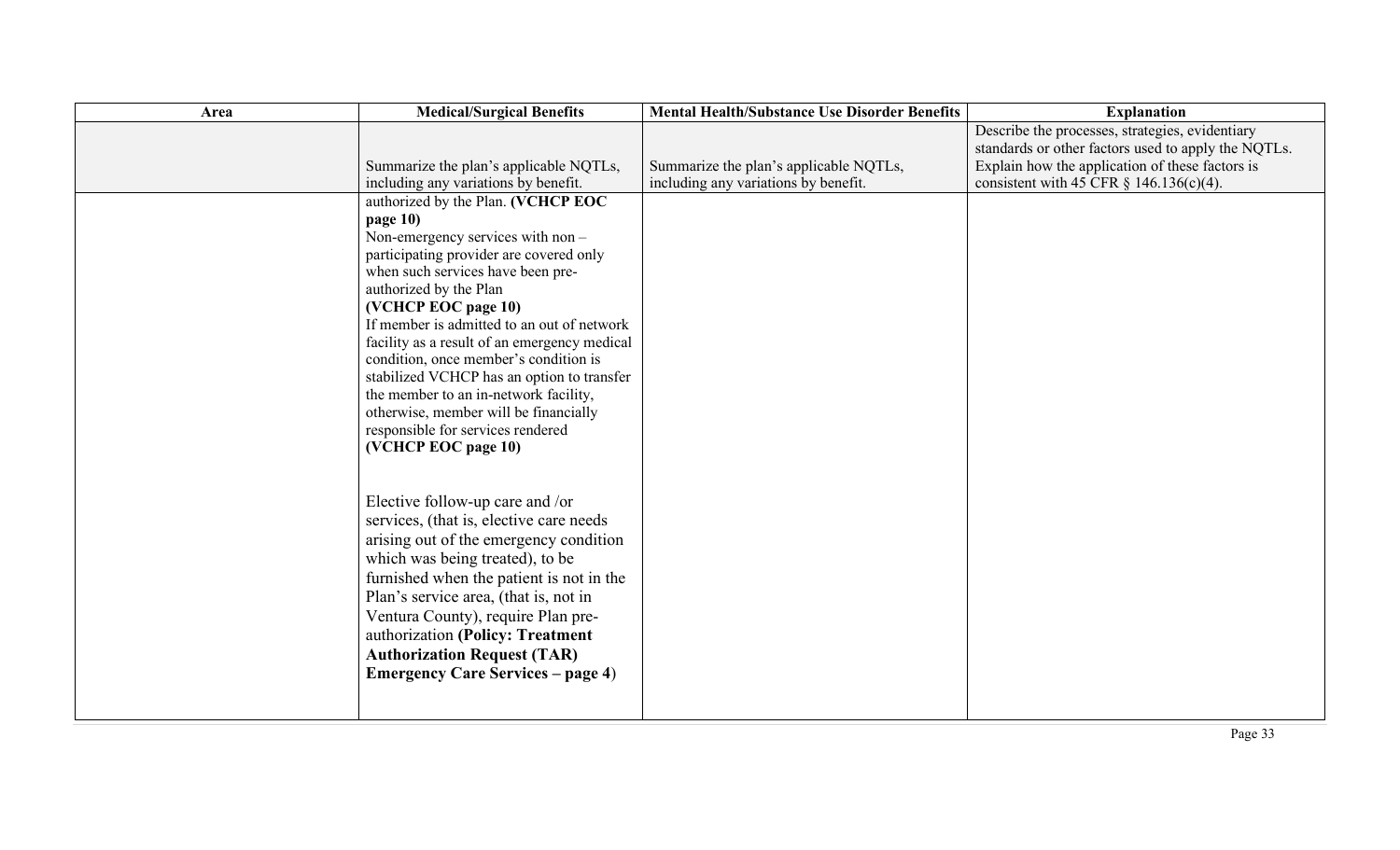| Area | <b>Medical/Surgical Benefits</b>                                                                                                                                                                                                                                                                                                                                                                                                                                                                                                                        | <b>Mental Health/Substance Use Disorder Benefits</b>                           | <b>Explanation</b>                                                                                                                                                                                      |
|------|---------------------------------------------------------------------------------------------------------------------------------------------------------------------------------------------------------------------------------------------------------------------------------------------------------------------------------------------------------------------------------------------------------------------------------------------------------------------------------------------------------------------------------------------------------|--------------------------------------------------------------------------------|---------------------------------------------------------------------------------------------------------------------------------------------------------------------------------------------------------|
|      | Summarize the plan's applicable NQTLs,<br>including any variations by benefit.                                                                                                                                                                                                                                                                                                                                                                                                                                                                          | Summarize the plan's applicable NQTLs,<br>including any variations by benefit. | Describe the processes, strategies, evidentiary<br>standards or other factors used to apply the NQTLs.<br>Explain how the application of these factors is<br>consistent with 45 CFR $\S$ 146.136(c)(4). |
|      | authorized by the Plan. (VCHCP EOC<br>page 10)<br>Non-emergency services with non -<br>participating provider are covered only<br>when such services have been pre-<br>authorized by the Plan<br>(VCHCP EOC page 10)<br>If member is admitted to an out of network<br>facility as a result of an emergency medical<br>condition, once member's condition is<br>stabilized VCHCP has an option to transfer<br>the member to an in-network facility,<br>otherwise, member will be financially<br>responsible for services rendered<br>(VCHCP EOC page 10) |                                                                                |                                                                                                                                                                                                         |
|      | Elective follow-up care and /or<br>services, (that is, elective care needs<br>arising out of the emergency condition<br>which was being treated), to be<br>furnished when the patient is not in the<br>Plan's service area, (that is, not in<br>Ventura County), require Plan pre-<br>authorization (Policy: Treatment<br><b>Authorization Request (TAR)</b><br><b>Emergency Care Services – page 4)</b>                                                                                                                                                |                                                                                |                                                                                                                                                                                                         |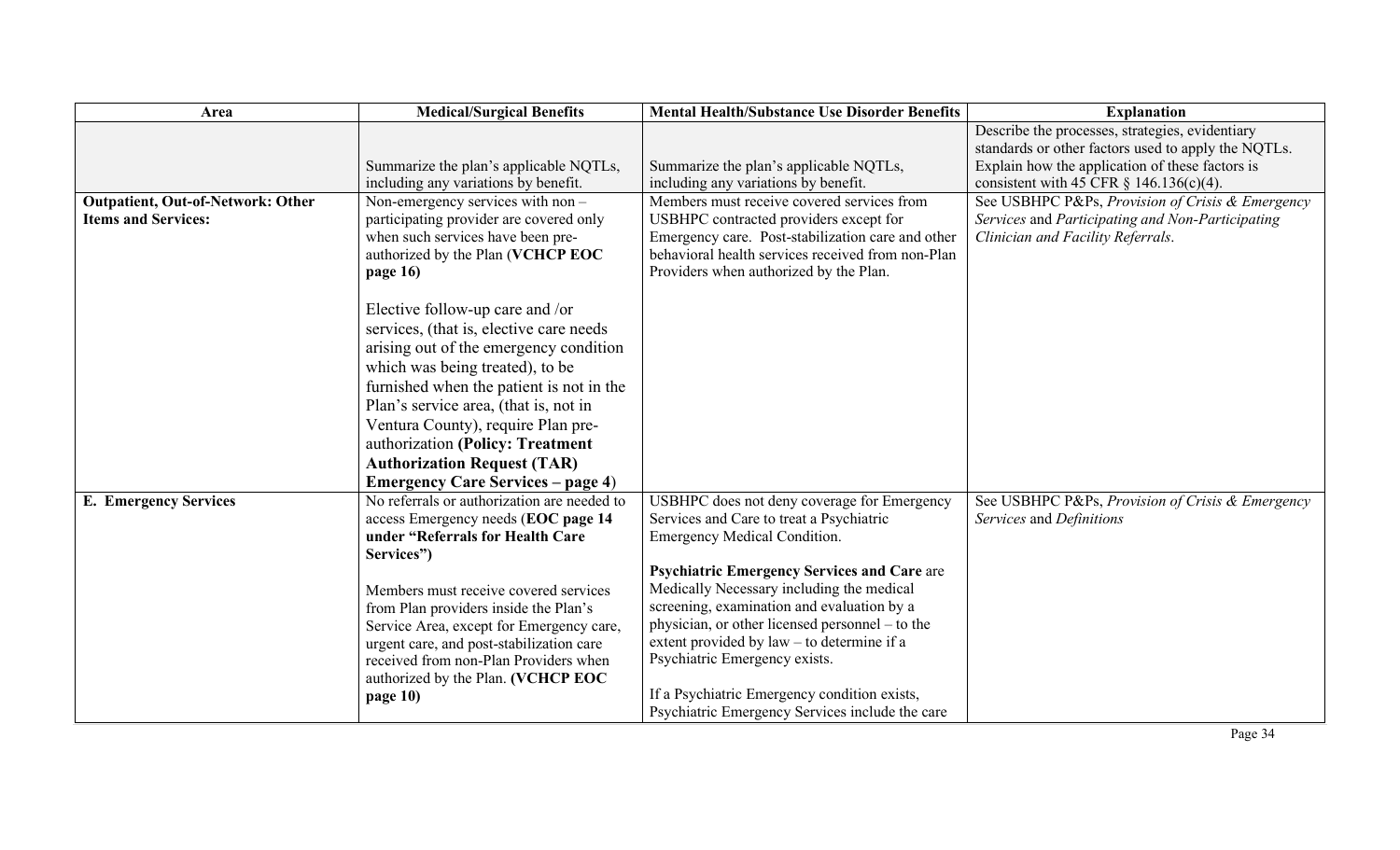| Area                                                                   | <b>Medical/Surgical Benefits</b>                                                                                                                                                                                                                                                                                                                                                                                                                                                                                                                                               | <b>Mental Health/Substance Use Disorder Benefits</b>                                                                                                                                                                                                                                                                                                                                                                                                                                                                 | <b>Explanation</b>                                                                                                                                                                                      |
|------------------------------------------------------------------------|--------------------------------------------------------------------------------------------------------------------------------------------------------------------------------------------------------------------------------------------------------------------------------------------------------------------------------------------------------------------------------------------------------------------------------------------------------------------------------------------------------------------------------------------------------------------------------|----------------------------------------------------------------------------------------------------------------------------------------------------------------------------------------------------------------------------------------------------------------------------------------------------------------------------------------------------------------------------------------------------------------------------------------------------------------------------------------------------------------------|---------------------------------------------------------------------------------------------------------------------------------------------------------------------------------------------------------|
|                                                                        | Summarize the plan's applicable NQTLs,<br>including any variations by benefit.                                                                                                                                                                                                                                                                                                                                                                                                                                                                                                 | Summarize the plan's applicable NQTLs,<br>including any variations by benefit.                                                                                                                                                                                                                                                                                                                                                                                                                                       | Describe the processes, strategies, evidentiary<br>standards or other factors used to apply the NQTLs.<br>Explain how the application of these factors is<br>consistent with 45 CFR $\S$ 146.136(c)(4). |
| <b>Outpatient, Out-of-Network: Other</b><br><b>Items and Services:</b> | Non-emergency services with non -<br>participating provider are covered only<br>when such services have been pre-<br>authorized by the Plan (VCHCP EOC<br>page 16)<br>Elective follow-up care and /or<br>services, (that is, elective care needs<br>arising out of the emergency condition<br>which was being treated), to be<br>furnished when the patient is not in the<br>Plan's service area, (that is, not in<br>Ventura County), require Plan pre-<br>authorization (Policy: Treatment<br><b>Authorization Request (TAR)</b><br><b>Emergency Care Services – page 4)</b> | Members must receive covered services from<br>USBHPC contracted providers except for<br>Emergency care. Post-stabilization care and other<br>behavioral health services received from non-Plan<br>Providers when authorized by the Plan.                                                                                                                                                                                                                                                                             | See USBHPC P&Ps, Provision of Crisis & Emergency<br>Services and Participating and Non-Participating<br>Clinician and Facility Referrals.                                                               |
| <b>E. Emergency Services</b>                                           | No referrals or authorization are needed to<br>access Emergency needs (EOC page 14<br>under "Referrals for Health Care<br>Services")<br>Members must receive covered services<br>from Plan providers inside the Plan's<br>Service Area, except for Emergency care,<br>urgent care, and post-stabilization care<br>received from non-Plan Providers when<br>authorized by the Plan. (VCHCP EOC<br>page 10)                                                                                                                                                                      | USBHPC does not deny coverage for Emergency<br>Services and Care to treat a Psychiatric<br><b>Emergency Medical Condition.</b><br><b>Psychiatric Emergency Services and Care are</b><br>Medically Necessary including the medical<br>screening, examination and evaluation by a<br>physician, or other licensed personnel – to the<br>extent provided by law – to determine if a<br>Psychiatric Emergency exists.<br>If a Psychiatric Emergency condition exists,<br>Psychiatric Emergency Services include the care | See USBHPC P&Ps, Provision of Crisis & Emergency<br>Services and Definitions                                                                                                                            |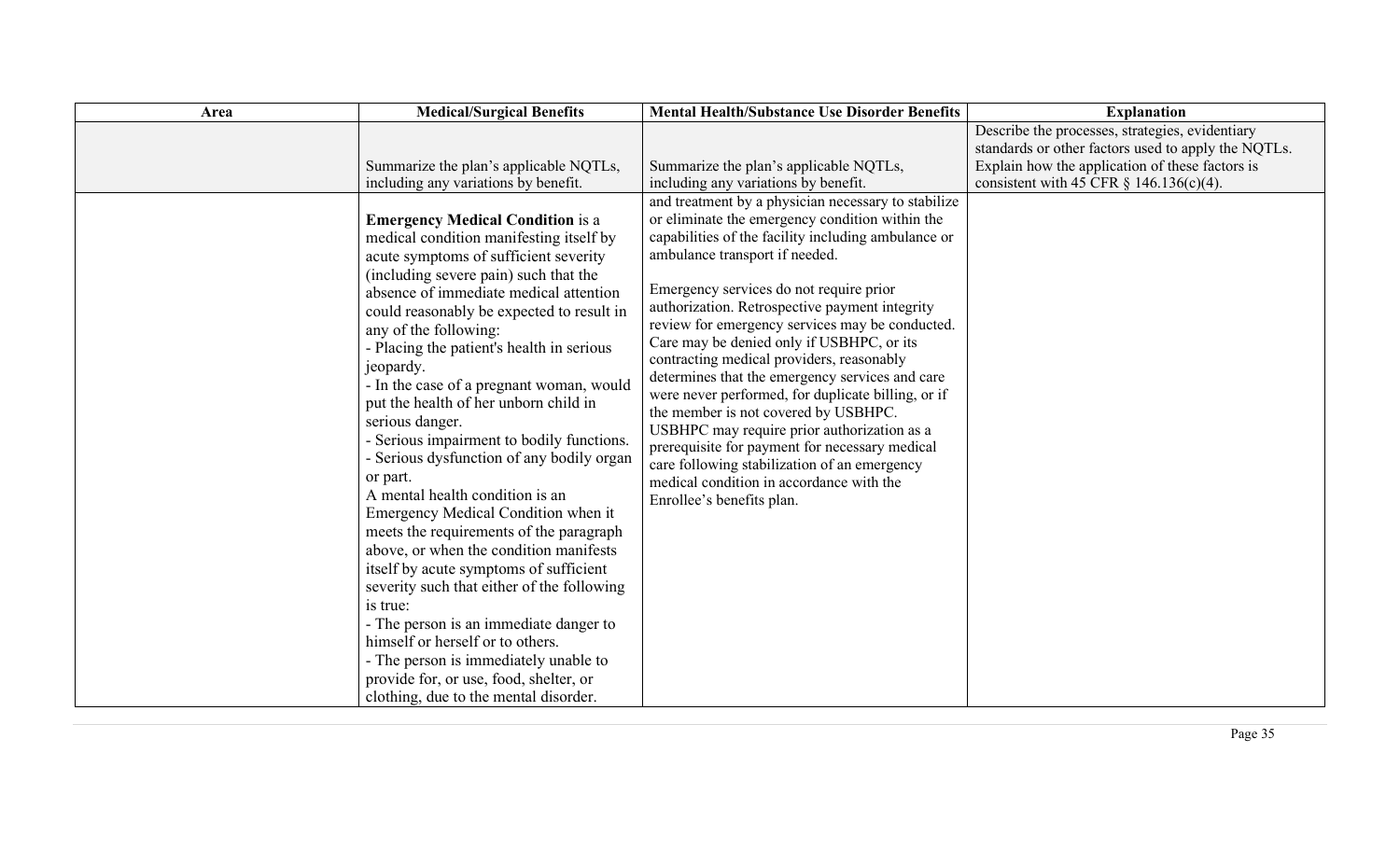| Area | <b>Medical/Surgical Benefits</b>                                                                                                                                                                                                                                                                                                                                                                                                                                             | <b>Mental Health/Substance Use Disorder Benefits</b>                                                                                                                                                                                                                                                                                                                                                                                                                                                                                                                           | <b>Explanation</b>                                                                                                                                                                                      |
|------|------------------------------------------------------------------------------------------------------------------------------------------------------------------------------------------------------------------------------------------------------------------------------------------------------------------------------------------------------------------------------------------------------------------------------------------------------------------------------|--------------------------------------------------------------------------------------------------------------------------------------------------------------------------------------------------------------------------------------------------------------------------------------------------------------------------------------------------------------------------------------------------------------------------------------------------------------------------------------------------------------------------------------------------------------------------------|---------------------------------------------------------------------------------------------------------------------------------------------------------------------------------------------------------|
|      | Summarize the plan's applicable NQTLs,<br>including any variations by benefit.<br><b>Emergency Medical Condition</b> is a<br>medical condition manifesting itself by<br>acute symptoms of sufficient severity<br>(including severe pain) such that the<br>absence of immediate medical attention<br>could reasonably be expected to result in<br>any of the following:<br>- Placing the patient's health in serious<br>jeopardy.<br>- In the case of a pregnant woman, would | Summarize the plan's applicable NQTLs,<br>including any variations by benefit.<br>and treatment by a physician necessary to stabilize<br>or eliminate the emergency condition within the<br>capabilities of the facility including ambulance or<br>ambulance transport if needed.<br>Emergency services do not require prior<br>authorization. Retrospective payment integrity<br>review for emergency services may be conducted.<br>Care may be denied only if USBHPC, or its<br>contracting medical providers, reasonably<br>determines that the emergency services and care | Describe the processes, strategies, evidentiary<br>standards or other factors used to apply the NQTLs.<br>Explain how the application of these factors is<br>consistent with 45 CFR $\S$ 146.136(c)(4). |
|      | put the health of her unborn child in<br>serious danger.<br>- Serious impairment to bodily functions.<br>- Serious dysfunction of any bodily organ<br>or part.<br>A mental health condition is an<br>Emergency Medical Condition when it<br>meets the requirements of the paragraph<br>above, or when the condition manifests<br>itself by acute symptoms of sufficient<br>severity such that either of the following                                                        | were never performed, for duplicate billing, or if<br>the member is not covered by USBHPC.<br>USBHPC may require prior authorization as a<br>prerequisite for payment for necessary medical<br>care following stabilization of an emergency<br>medical condition in accordance with the<br>Enrollee's benefits plan.                                                                                                                                                                                                                                                           |                                                                                                                                                                                                         |
|      | is true:<br>- The person is an immediate danger to<br>himself or herself or to others.<br>- The person is immediately unable to<br>provide for, or use, food, shelter, or<br>clothing, due to the mental disorder.                                                                                                                                                                                                                                                           |                                                                                                                                                                                                                                                                                                                                                                                                                                                                                                                                                                                |                                                                                                                                                                                                         |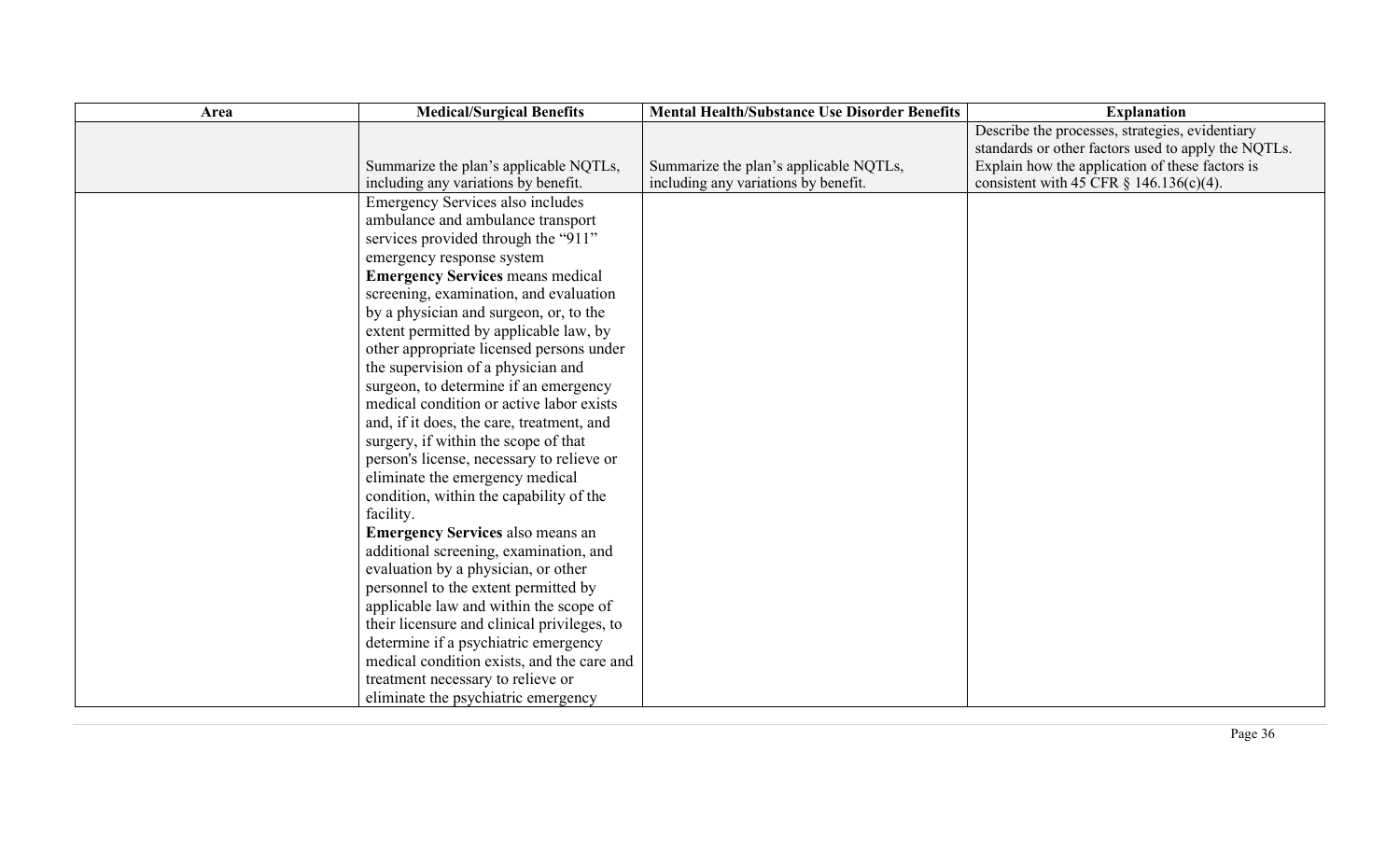| Area | <b>Medical/Surgical Benefits</b>            | <b>Mental Health/Substance Use Disorder Benefits</b> | <b>Explanation</b>                                  |
|------|---------------------------------------------|------------------------------------------------------|-----------------------------------------------------|
|      |                                             |                                                      | Describe the processes, strategies, evidentiary     |
|      |                                             |                                                      | standards or other factors used to apply the NQTLs. |
|      | Summarize the plan's applicable NQTLs,      | Summarize the plan's applicable NQTLs,               | Explain how the application of these factors is     |
|      | including any variations by benefit.        | including any variations by benefit.                 | consistent with 45 CFR $\S$ 146.136(c)(4).          |
|      | Emergency Services also includes            |                                                      |                                                     |
|      | ambulance and ambulance transport           |                                                      |                                                     |
|      | services provided through the "911"         |                                                      |                                                     |
|      | emergency response system                   |                                                      |                                                     |
|      | <b>Emergency Services means medical</b>     |                                                      |                                                     |
|      | screening, examination, and evaluation      |                                                      |                                                     |
|      | by a physician and surgeon, or, to the      |                                                      |                                                     |
|      | extent permitted by applicable law, by      |                                                      |                                                     |
|      | other appropriate licensed persons under    |                                                      |                                                     |
|      | the supervision of a physician and          |                                                      |                                                     |
|      | surgeon, to determine if an emergency       |                                                      |                                                     |
|      | medical condition or active labor exists    |                                                      |                                                     |
|      | and, if it does, the care, treatment, and   |                                                      |                                                     |
|      | surgery, if within the scope of that        |                                                      |                                                     |
|      | person's license, necessary to relieve or   |                                                      |                                                     |
|      | eliminate the emergency medical             |                                                      |                                                     |
|      | condition, within the capability of the     |                                                      |                                                     |
|      | facility.                                   |                                                      |                                                     |
|      | <b>Emergency Services</b> also means an     |                                                      |                                                     |
|      | additional screening, examination, and      |                                                      |                                                     |
|      | evaluation by a physician, or other         |                                                      |                                                     |
|      | personnel to the extent permitted by        |                                                      |                                                     |
|      | applicable law and within the scope of      |                                                      |                                                     |
|      | their licensure and clinical privileges, to |                                                      |                                                     |
|      | determine if a psychiatric emergency        |                                                      |                                                     |
|      | medical condition exists, and the care and  |                                                      |                                                     |
|      | treatment necessary to relieve or           |                                                      |                                                     |
|      | eliminate the psychiatric emergency         |                                                      |                                                     |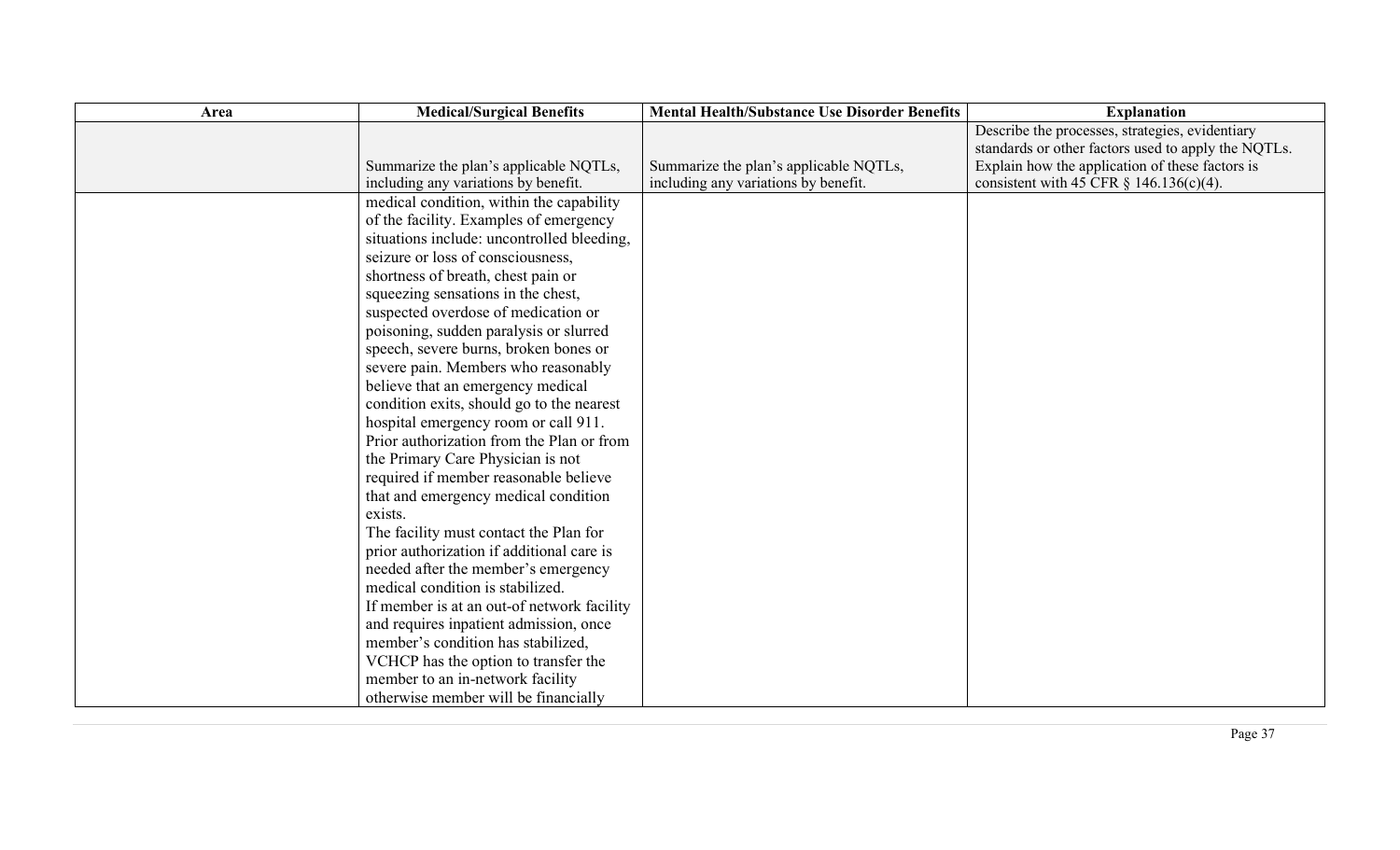| Area | <b>Medical/Surgical Benefits</b>           | <b>Mental Health/Substance Use Disorder Benefits</b> | <b>Explanation</b>                                  |
|------|--------------------------------------------|------------------------------------------------------|-----------------------------------------------------|
|      |                                            |                                                      | Describe the processes, strategies, evidentiary     |
|      |                                            |                                                      | standards or other factors used to apply the NQTLs. |
|      | Summarize the plan's applicable NQTLs,     | Summarize the plan's applicable NQTLs,               | Explain how the application of these factors is     |
|      | including any variations by benefit.       | including any variations by benefit.                 | consistent with 45 CFR $\S$ 146.136(c)(4).          |
|      | medical condition, within the capability   |                                                      |                                                     |
|      | of the facility. Examples of emergency     |                                                      |                                                     |
|      | situations include: uncontrolled bleeding, |                                                      |                                                     |
|      | seizure or loss of consciousness,          |                                                      |                                                     |
|      | shortness of breath, chest pain or         |                                                      |                                                     |
|      | squeezing sensations in the chest,         |                                                      |                                                     |
|      | suspected overdose of medication or        |                                                      |                                                     |
|      | poisoning, sudden paralysis or slurred     |                                                      |                                                     |
|      | speech, severe burns, broken bones or      |                                                      |                                                     |
|      | severe pain. Members who reasonably        |                                                      |                                                     |
|      | believe that an emergency medical          |                                                      |                                                     |
|      | condition exits, should go to the nearest  |                                                      |                                                     |
|      | hospital emergency room or call 911.       |                                                      |                                                     |
|      | Prior authorization from the Plan or from  |                                                      |                                                     |
|      | the Primary Care Physician is not          |                                                      |                                                     |
|      | required if member reasonable believe      |                                                      |                                                     |
|      | that and emergency medical condition       |                                                      |                                                     |
|      | exists.                                    |                                                      |                                                     |
|      | The facility must contact the Plan for     |                                                      |                                                     |
|      | prior authorization if additional care is  |                                                      |                                                     |
|      | needed after the member's emergency        |                                                      |                                                     |
|      | medical condition is stabilized.           |                                                      |                                                     |
|      | If member is at an out-of network facility |                                                      |                                                     |
|      | and requires inpatient admission, once     |                                                      |                                                     |
|      | member's condition has stabilized,         |                                                      |                                                     |
|      | VCHCP has the option to transfer the       |                                                      |                                                     |
|      | member to an in-network facility           |                                                      |                                                     |
|      | otherwise member will be financially       |                                                      |                                                     |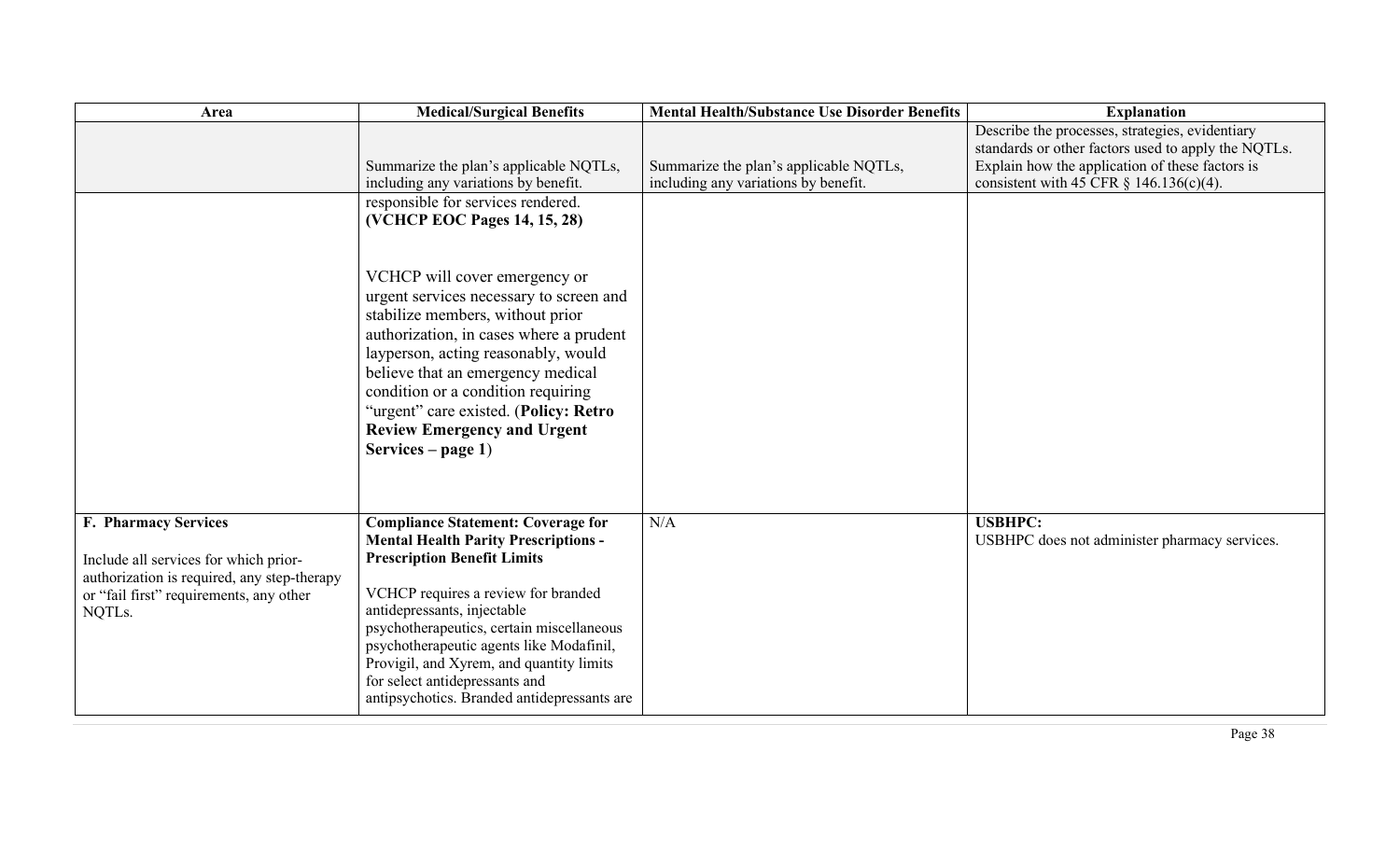| Area                                                                                                                                                              | <b>Medical/Surgical Benefits</b>                                                                                                                                                                                                                                                                                                                                                                                           | <b>Mental Health/Substance Use Disorder Benefits</b>                           | <b>Explanation</b>                                                                                                                                                                                      |
|-------------------------------------------------------------------------------------------------------------------------------------------------------------------|----------------------------------------------------------------------------------------------------------------------------------------------------------------------------------------------------------------------------------------------------------------------------------------------------------------------------------------------------------------------------------------------------------------------------|--------------------------------------------------------------------------------|---------------------------------------------------------------------------------------------------------------------------------------------------------------------------------------------------------|
|                                                                                                                                                                   | Summarize the plan's applicable NQTLs,<br>including any variations by benefit.                                                                                                                                                                                                                                                                                                                                             | Summarize the plan's applicable NQTLs,<br>including any variations by benefit. | Describe the processes, strategies, evidentiary<br>standards or other factors used to apply the NQTLs.<br>Explain how the application of these factors is<br>consistent with 45 CFR $\S$ 146.136(c)(4). |
|                                                                                                                                                                   | responsible for services rendered.<br>(VCHCP EOC Pages 14, 15, 28)                                                                                                                                                                                                                                                                                                                                                         |                                                                                |                                                                                                                                                                                                         |
|                                                                                                                                                                   | VCHCP will cover emergency or<br>urgent services necessary to screen and<br>stabilize members, without prior<br>authorization, in cases where a prudent<br>layperson, acting reasonably, would<br>believe that an emergency medical<br>condition or a condition requiring<br>"urgent" care existed. (Policy: Retro<br><b>Review Emergency and Urgent</b><br>Services $-$ page 1)                                           |                                                                                |                                                                                                                                                                                                         |
| F. Pharmacy Services<br>Include all services for which prior-<br>authorization is required, any step-therapy<br>or "fail first" requirements, any other<br>NQTLs. | <b>Compliance Statement: Coverage for</b><br><b>Mental Health Parity Prescriptions -</b><br><b>Prescription Benefit Limits</b><br>VCHCP requires a review for branded<br>antidepressants, injectable<br>psychotherapeutics, certain miscellaneous<br>psychotherapeutic agents like Modafinil,<br>Provigil, and Xyrem, and quantity limits<br>for select antidepressants and<br>antipsychotics. Branded antidepressants are | N/A                                                                            | <b>USBHPC:</b><br>USBHPC does not administer pharmacy services.                                                                                                                                         |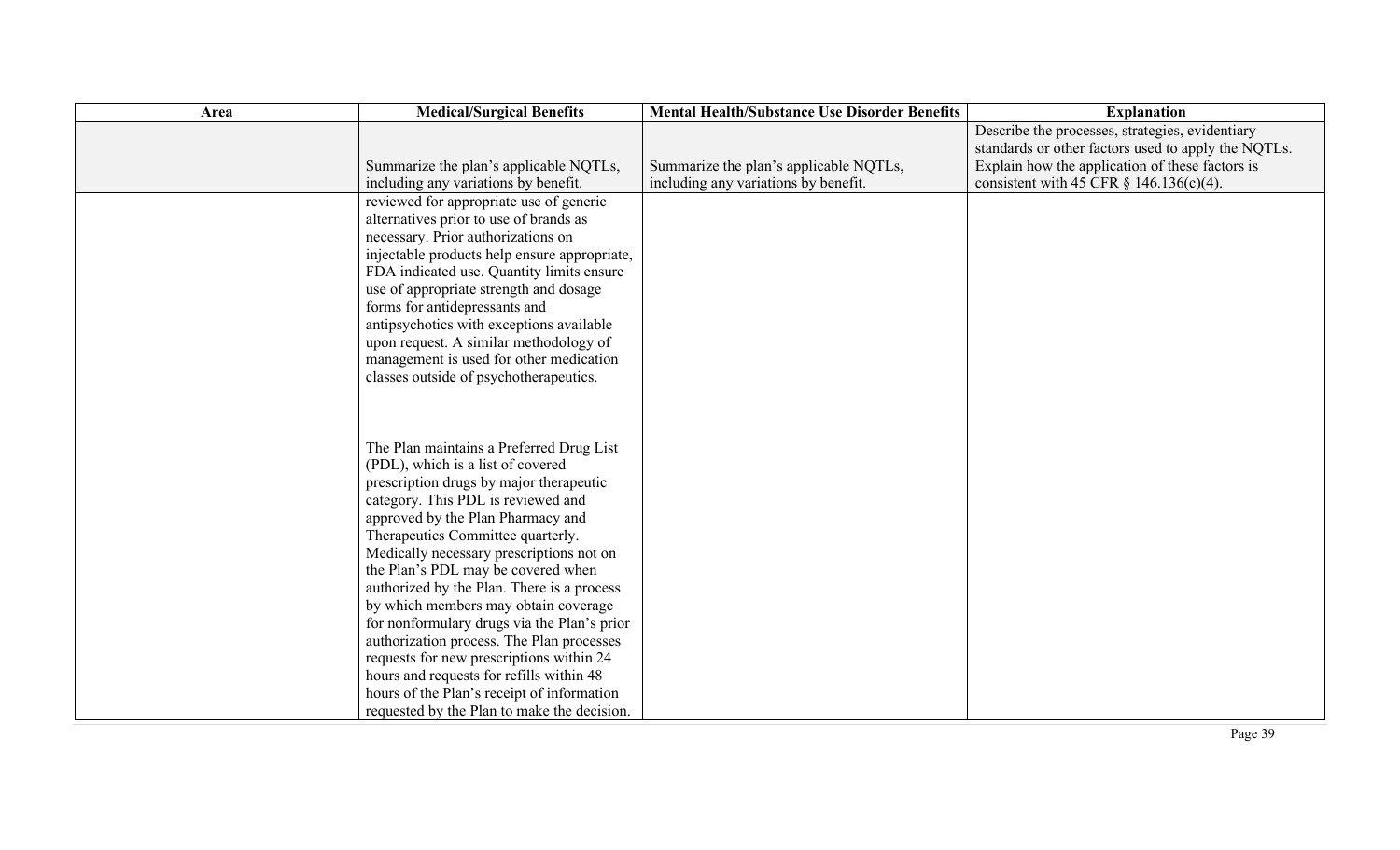| Area | <b>Medical/Surgical Benefits</b>             | <b>Mental Health/Substance Use Disorder Benefits</b> | <b>Explanation</b>                                  |
|------|----------------------------------------------|------------------------------------------------------|-----------------------------------------------------|
|      |                                              |                                                      | Describe the processes, strategies, evidentiary     |
|      |                                              |                                                      | standards or other factors used to apply the NQTLs. |
|      | Summarize the plan's applicable NQTLs,       | Summarize the plan's applicable NQTLs,               | Explain how the application of these factors is     |
|      | including any variations by benefit.         | including any variations by benefit.                 | consistent with 45 CFR $\S$ 146.136(c)(4).          |
|      | reviewed for appropriate use of generic      |                                                      |                                                     |
|      | alternatives prior to use of brands as       |                                                      |                                                     |
|      | necessary. Prior authorizations on           |                                                      |                                                     |
|      | injectable products help ensure appropriate, |                                                      |                                                     |
|      | FDA indicated use. Quantity limits ensure    |                                                      |                                                     |
|      | use of appropriate strength and dosage       |                                                      |                                                     |
|      | forms for antidepressants and                |                                                      |                                                     |
|      | antipsychotics with exceptions available     |                                                      |                                                     |
|      | upon request. A similar methodology of       |                                                      |                                                     |
|      | management is used for other medication      |                                                      |                                                     |
|      | classes outside of psychotherapeutics.       |                                                      |                                                     |
|      |                                              |                                                      |                                                     |
|      |                                              |                                                      |                                                     |
|      | The Plan maintains a Preferred Drug List     |                                                      |                                                     |
|      | (PDL), which is a list of covered            |                                                      |                                                     |
|      | prescription drugs by major therapeutic      |                                                      |                                                     |
|      | category. This PDL is reviewed and           |                                                      |                                                     |
|      | approved by the Plan Pharmacy and            |                                                      |                                                     |
|      | Therapeutics Committee quarterly.            |                                                      |                                                     |
|      | Medically necessary prescriptions not on     |                                                      |                                                     |
|      | the Plan's PDL may be covered when           |                                                      |                                                     |
|      | authorized by the Plan. There is a process   |                                                      |                                                     |
|      | by which members may obtain coverage         |                                                      |                                                     |
|      | for nonformulary drugs via the Plan's prior  |                                                      |                                                     |
|      | authorization process. The Plan processes    |                                                      |                                                     |
|      | requests for new prescriptions within 24     |                                                      |                                                     |
|      | hours and requests for refills within 48     |                                                      |                                                     |
|      | hours of the Plan's receipt of information   |                                                      |                                                     |
|      | requested by the Plan to make the decision.  |                                                      |                                                     |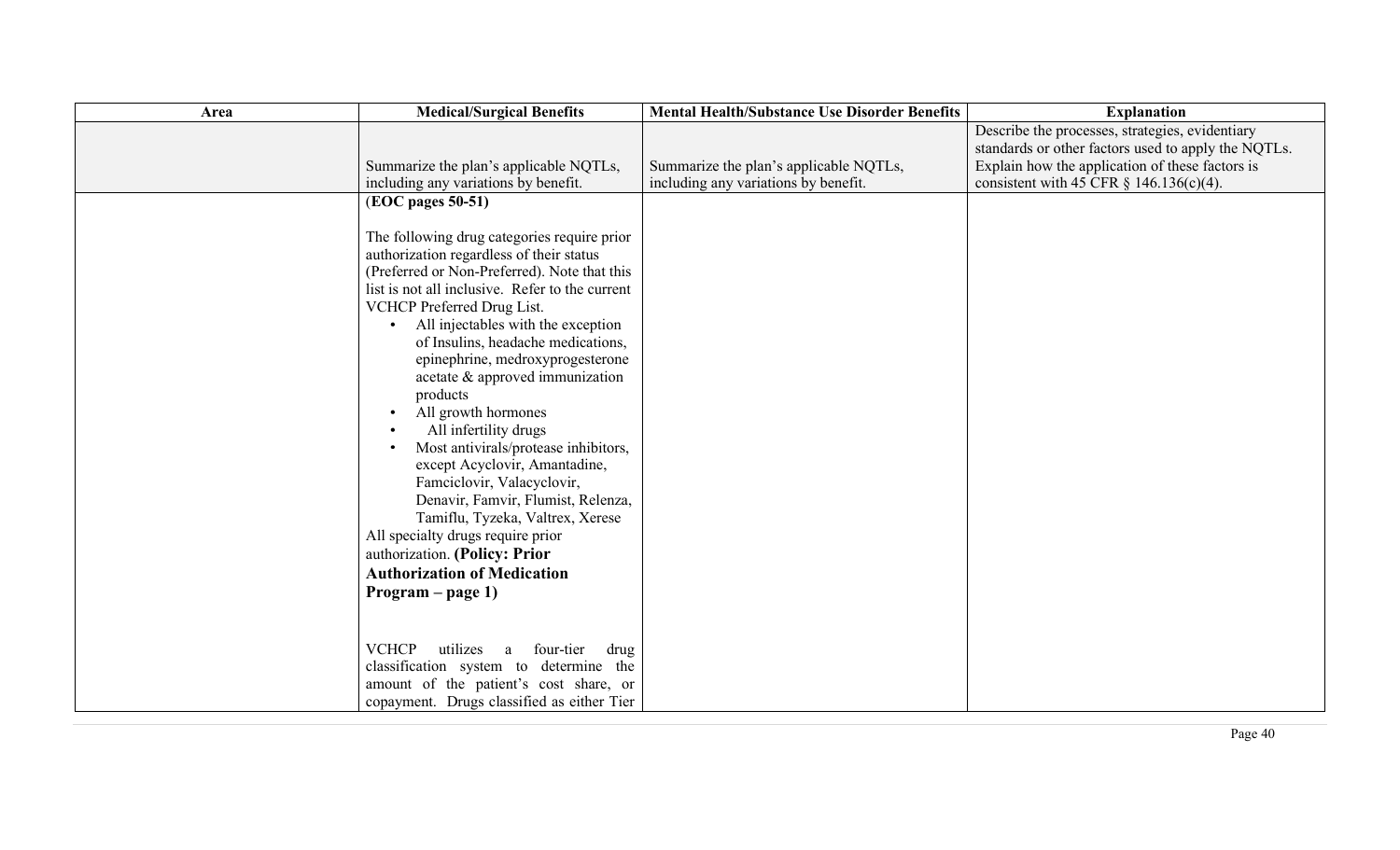| Area | <b>Medical/Surgical Benefits</b>                                                                | <b>Mental Health/Substance Use Disorder Benefits</b> | <b>Explanation</b>                                  |
|------|-------------------------------------------------------------------------------------------------|------------------------------------------------------|-----------------------------------------------------|
|      |                                                                                                 |                                                      | Describe the processes, strategies, evidentiary     |
|      |                                                                                                 |                                                      | standards or other factors used to apply the NQTLs. |
|      | Summarize the plan's applicable NQTLs,                                                          | Summarize the plan's applicable NQTLs,               | Explain how the application of these factors is     |
|      | including any variations by benefit.                                                            | including any variations by benefit.                 | consistent with 45 CFR $\S$ 146.136(c)(4).          |
|      | (EOC pages 50-51)                                                                               |                                                      |                                                     |
|      |                                                                                                 |                                                      |                                                     |
|      | The following drug categories require prior                                                     |                                                      |                                                     |
|      | authorization regardless of their status                                                        |                                                      |                                                     |
|      | (Preferred or Non-Preferred). Note that this<br>list is not all inclusive. Refer to the current |                                                      |                                                     |
|      | VCHCP Preferred Drug List.                                                                      |                                                      |                                                     |
|      | All injectables with the exception<br>$\bullet$                                                 |                                                      |                                                     |
|      | of Insulins, headache medications,                                                              |                                                      |                                                     |
|      | epinephrine, medroxyprogesterone                                                                |                                                      |                                                     |
|      | acetate & approved immunization                                                                 |                                                      |                                                     |
|      | products                                                                                        |                                                      |                                                     |
|      | All growth hormones                                                                             |                                                      |                                                     |
|      | All infertility drugs                                                                           |                                                      |                                                     |
|      | Most antivirals/protease inhibitors,                                                            |                                                      |                                                     |
|      | except Acyclovir, Amantadine,                                                                   |                                                      |                                                     |
|      | Famciclovir, Valacyclovir,                                                                      |                                                      |                                                     |
|      | Denavir, Famvir, Flumist, Relenza,                                                              |                                                      |                                                     |
|      | Tamiflu, Tyzeka, Valtrex, Xerese                                                                |                                                      |                                                     |
|      | All specialty drugs require prior                                                               |                                                      |                                                     |
|      | authorization. (Policy: Prior                                                                   |                                                      |                                                     |
|      | <b>Authorization of Medication</b>                                                              |                                                      |                                                     |
|      | $Program - page 1)$                                                                             |                                                      |                                                     |
|      |                                                                                                 |                                                      |                                                     |
|      |                                                                                                 |                                                      |                                                     |
|      | <b>VCHCP</b><br>utilizes<br>four-tier<br>drug<br>a a                                            |                                                      |                                                     |
|      | classification system to determine the                                                          |                                                      |                                                     |
|      | amount of the patient's cost share, or                                                          |                                                      |                                                     |
|      | copayment. Drugs classified as either Tier                                                      |                                                      |                                                     |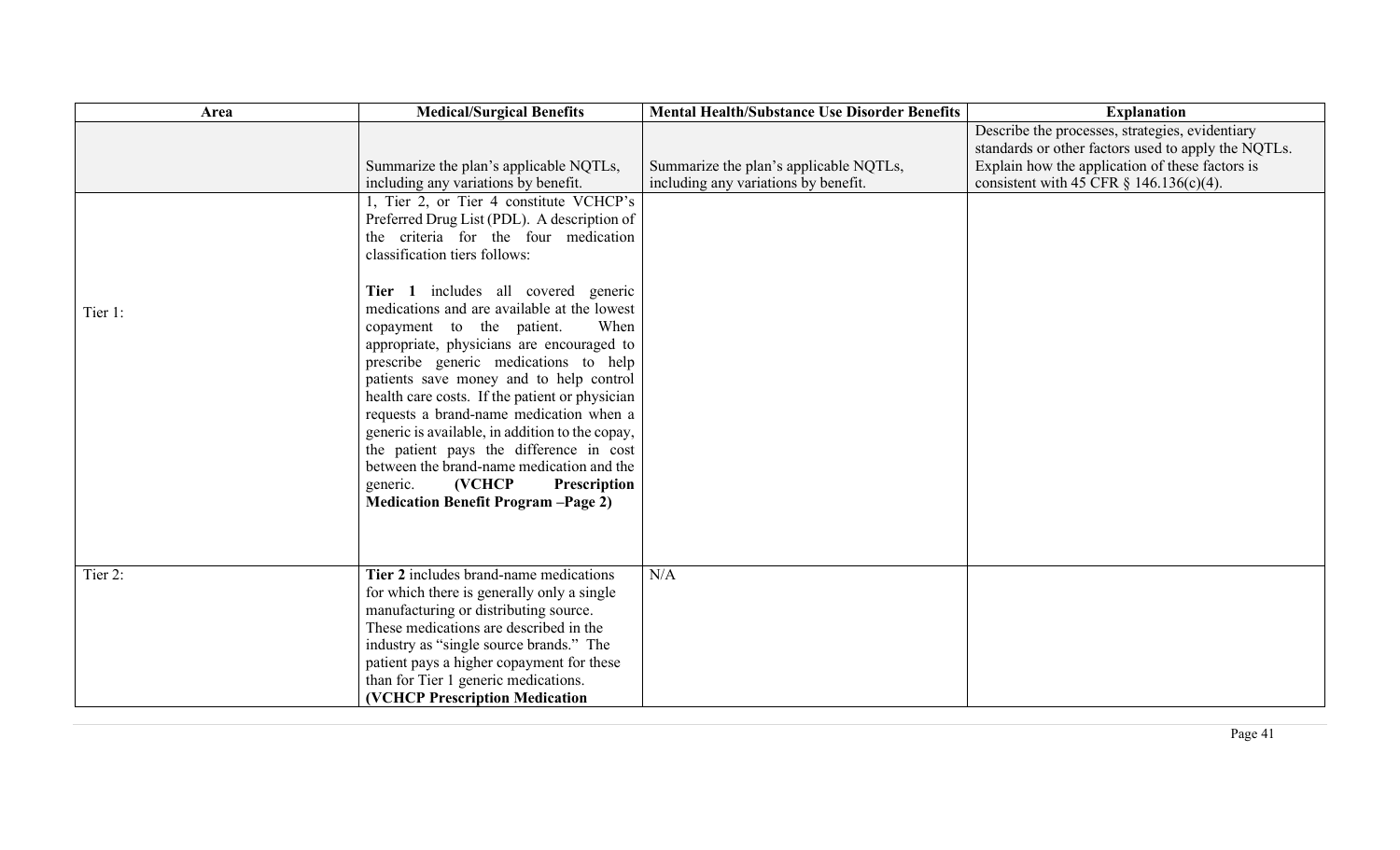| Area    | <b>Medical/Surgical Benefits</b>                                                                                                                                                                                                                                                                                                                                                                                                                                                                                                                                                                           | <b>Mental Health/Substance Use Disorder Benefits</b>                           | <b>Explanation</b>                                                                                                                                                                                      |
|---------|------------------------------------------------------------------------------------------------------------------------------------------------------------------------------------------------------------------------------------------------------------------------------------------------------------------------------------------------------------------------------------------------------------------------------------------------------------------------------------------------------------------------------------------------------------------------------------------------------------|--------------------------------------------------------------------------------|---------------------------------------------------------------------------------------------------------------------------------------------------------------------------------------------------------|
| Tier 1: | Summarize the plan's applicable NQTLs,<br>including any variations by benefit.<br>1, Tier 2, or Tier 4 constitute VCHCP's<br>Preferred Drug List (PDL). A description of<br>the criteria for the four medication<br>classification tiers follows:<br>Tier 1 includes all covered generic<br>medications and are available at the lowest<br>copayment to the patient.<br>When<br>appropriate, physicians are encouraged to<br>prescribe generic medications to help<br>patients save money and to help control<br>health care costs. If the patient or physician<br>requests a brand-name medication when a | Summarize the plan's applicable NQTLs,<br>including any variations by benefit. | Describe the processes, strategies, evidentiary<br>standards or other factors used to apply the NQTLs.<br>Explain how the application of these factors is<br>consistent with 45 CFR $\S$ 146.136(c)(4). |
|         | generic is available, in addition to the copay,<br>the patient pays the difference in cost<br>between the brand-name medication and the<br>(VCHCP<br>Prescription<br>generic.<br><b>Medication Benefit Program-Page 2)</b>                                                                                                                                                                                                                                                                                                                                                                                 |                                                                                |                                                                                                                                                                                                         |
| Tier 2: | Tier 2 includes brand-name medications<br>for which there is generally only a single<br>manufacturing or distributing source.<br>These medications are described in the<br>industry as "single source brands." The<br>patient pays a higher copayment for these<br>than for Tier 1 generic medications.<br><b>(VCHCP Prescription Medication</b>                                                                                                                                                                                                                                                           | N/A                                                                            |                                                                                                                                                                                                         |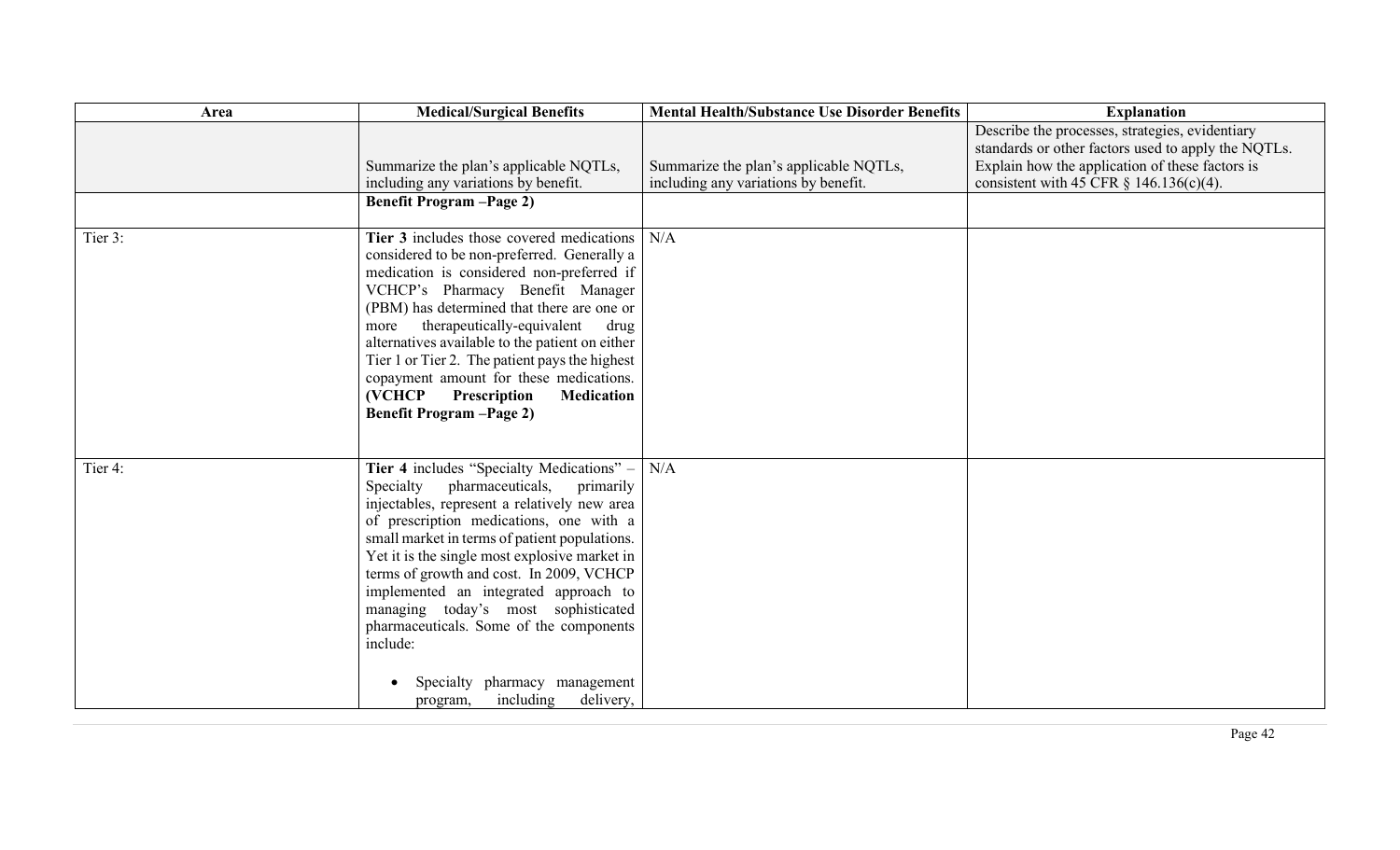| Area    | <b>Medical/Surgical Benefits</b>                                                                                                                                                                                                                                                                                                                                                                                                                                                                                                              | <b>Mental Health/Substance Use Disorder Benefits</b>                           | <b>Explanation</b>                                                                                                                                                                                      |
|---------|-----------------------------------------------------------------------------------------------------------------------------------------------------------------------------------------------------------------------------------------------------------------------------------------------------------------------------------------------------------------------------------------------------------------------------------------------------------------------------------------------------------------------------------------------|--------------------------------------------------------------------------------|---------------------------------------------------------------------------------------------------------------------------------------------------------------------------------------------------------|
|         | Summarize the plan's applicable NQTLs,<br>including any variations by benefit.<br><b>Benefit Program-Page 2)</b>                                                                                                                                                                                                                                                                                                                                                                                                                              | Summarize the plan's applicable NQTLs,<br>including any variations by benefit. | Describe the processes, strategies, evidentiary<br>standards or other factors used to apply the NQTLs.<br>Explain how the application of these factors is<br>consistent with 45 CFR $\S$ 146.136(c)(4). |
| Tier 3: | <b>Tier 3</b> includes those covered medications<br>considered to be non-preferred. Generally a<br>medication is considered non-preferred if<br>VCHCP's Pharmacy Benefit Manager<br>(PBM) has determined that there are one or<br>therapeutically-equivalent<br>drug<br>more<br>alternatives available to the patient on either<br>Tier 1 or Tier 2. The patient pays the highest<br>copayment amount for these medications.<br>Prescription<br>(VCHCP<br><b>Medication</b><br><b>Benefit Program-Page 2)</b>                                 | N/A                                                                            |                                                                                                                                                                                                         |
| Tier 4: | Tier 4 includes "Specialty Medications" $-$<br>Specialty pharmaceuticals,<br>primarily<br>injectables, represent a relatively new area<br>of prescription medications, one with a<br>small market in terms of patient populations.<br>Yet it is the single most explosive market in<br>terms of growth and cost. In 2009, VCHCP<br>implemented an integrated approach to<br>managing today's most sophisticated<br>pharmaceuticals. Some of the components<br>include:<br>Specialty pharmacy management<br>including<br>delivery,<br>program, | N/A                                                                            |                                                                                                                                                                                                         |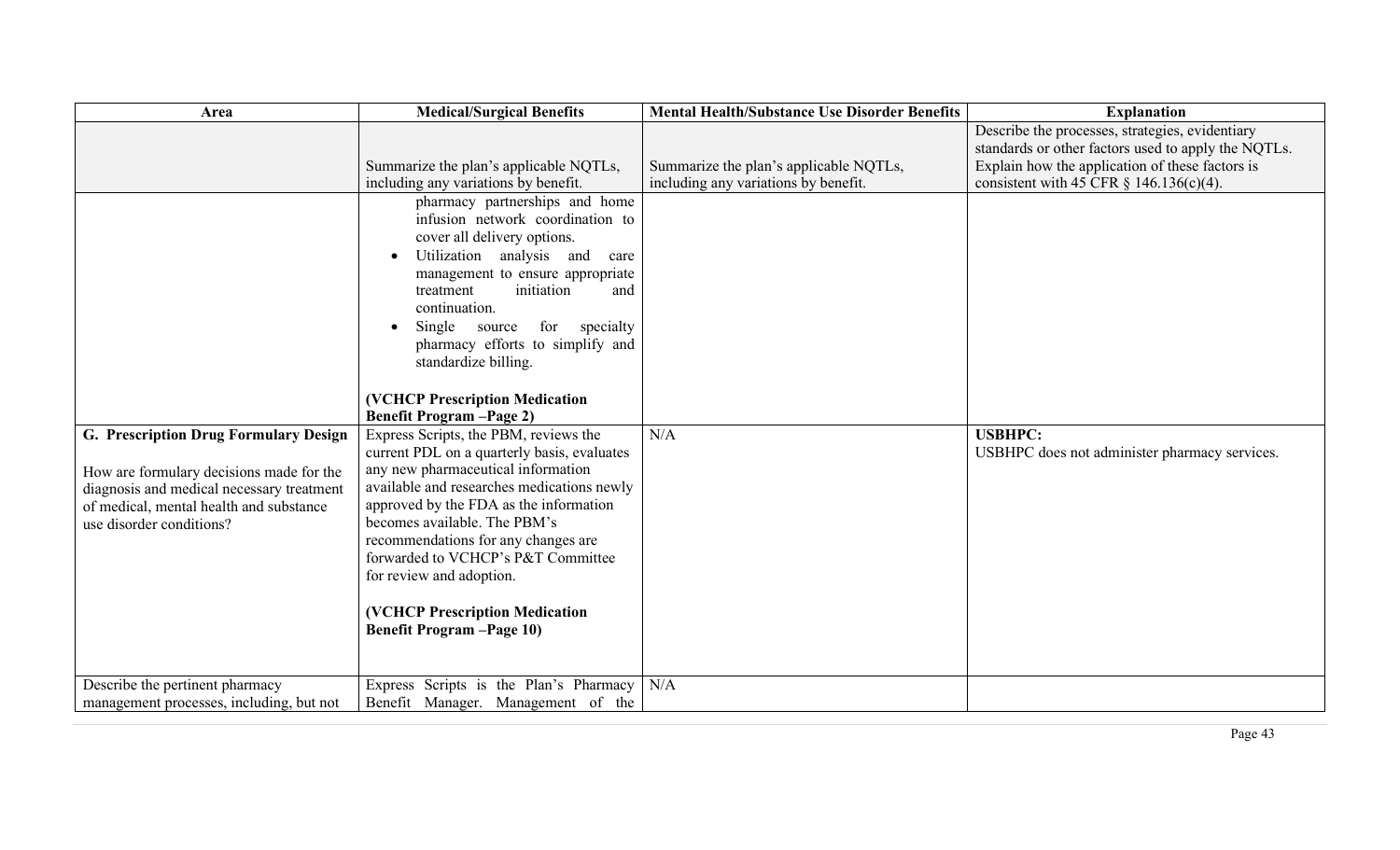| Area                                                                                                                                                                                                                                     | <b>Medical/Surgical Benefits</b>                                                                                                                                                                                                                                                                                                                                                                                                                                                                                                                                                                                                                                                                                                                                                                                                                                                                   | <b>Mental Health/Substance Use Disorder Benefits</b>                           | <b>Explanation</b>                                                                                                                                                                                      |
|------------------------------------------------------------------------------------------------------------------------------------------------------------------------------------------------------------------------------------------|----------------------------------------------------------------------------------------------------------------------------------------------------------------------------------------------------------------------------------------------------------------------------------------------------------------------------------------------------------------------------------------------------------------------------------------------------------------------------------------------------------------------------------------------------------------------------------------------------------------------------------------------------------------------------------------------------------------------------------------------------------------------------------------------------------------------------------------------------------------------------------------------------|--------------------------------------------------------------------------------|---------------------------------------------------------------------------------------------------------------------------------------------------------------------------------------------------------|
|                                                                                                                                                                                                                                          | Summarize the plan's applicable NQTLs,<br>including any variations by benefit.                                                                                                                                                                                                                                                                                                                                                                                                                                                                                                                                                                                                                                                                                                                                                                                                                     | Summarize the plan's applicable NQTLs,<br>including any variations by benefit. | Describe the processes, strategies, evidentiary<br>standards or other factors used to apply the NQTLs.<br>Explain how the application of these factors is<br>consistent with 45 CFR $\S$ 146.136(c)(4). |
| G. Prescription Drug Formulary Design<br>How are formulary decisions made for the<br>diagnosis and medical necessary treatment<br>of medical, mental health and substance<br>use disorder conditions?<br>Describe the pertinent pharmacy | pharmacy partnerships and home<br>infusion network coordination to<br>cover all delivery options.<br>Utilization analysis and<br>care<br>management to ensure appropriate<br>initiation<br>treatment<br>and<br>continuation.<br>Single source<br>for specialty<br>$\bullet$<br>pharmacy efforts to simplify and<br>standardize billing.<br>(VCHCP Prescription Medication<br><b>Benefit Program -Page 2)</b><br>Express Scripts, the PBM, reviews the<br>current PDL on a quarterly basis, evaluates<br>any new pharmaceutical information<br>available and researches medications newly<br>approved by the FDA as the information<br>becomes available. The PBM's<br>recommendations for any changes are<br>forwarded to VCHCP's P&T Committee<br>for review and adoption.<br><b>(VCHCP Prescription Medication</b><br><b>Benefit Program -Page 10)</b><br>Express Scripts is the Plan's Pharmacy | N/A<br>N/A                                                                     | <b>USBHPC:</b><br>USBHPC does not administer pharmacy services.                                                                                                                                         |
| management processes, including, but not                                                                                                                                                                                                 | Benefit Manager. Management of the                                                                                                                                                                                                                                                                                                                                                                                                                                                                                                                                                                                                                                                                                                                                                                                                                                                                 |                                                                                |                                                                                                                                                                                                         |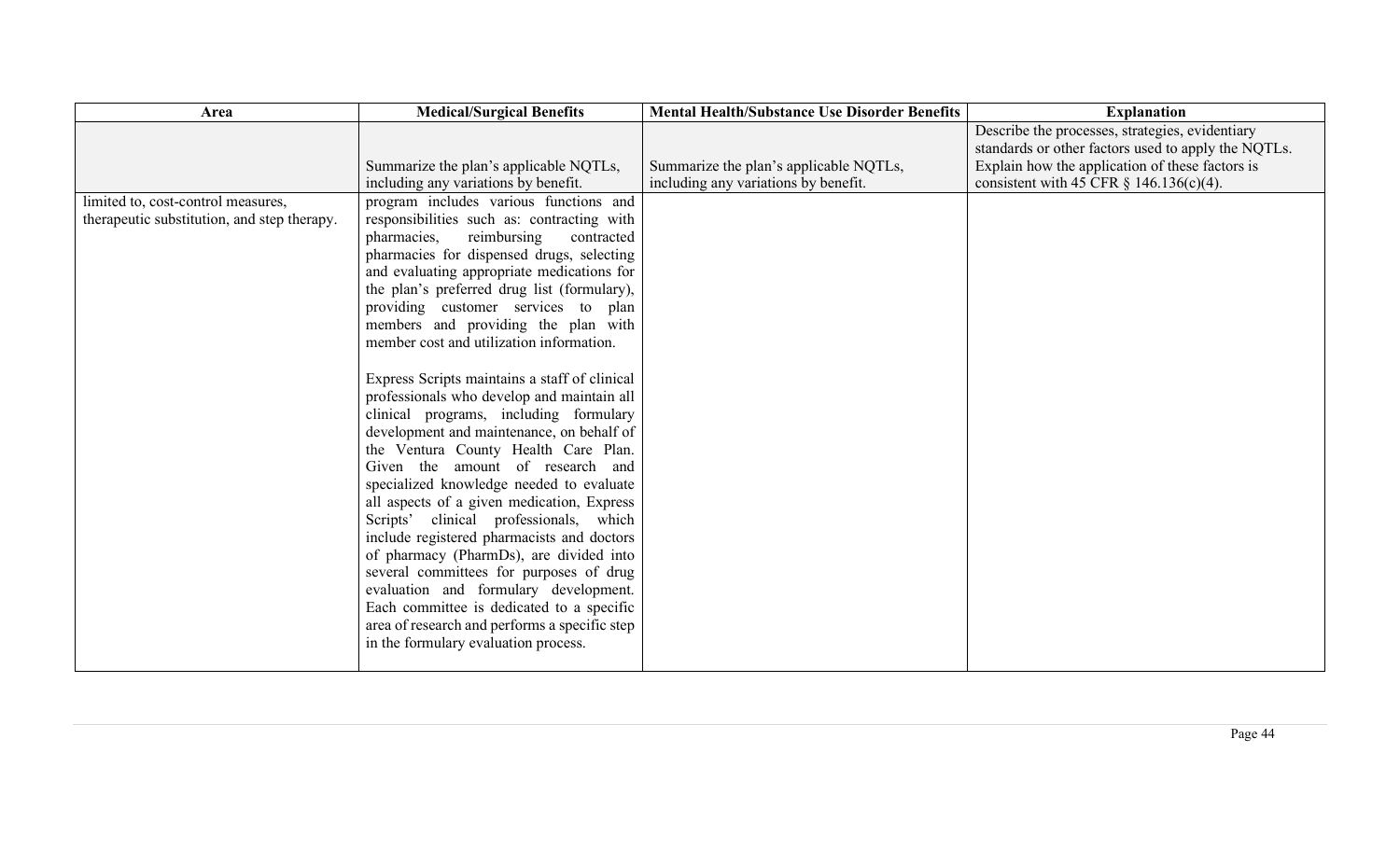| Area                                        | <b>Medical/Surgical Benefits</b>              | <b>Mental Health/Substance Use Disorder Benefits</b> | <b>Explanation</b>                                  |
|---------------------------------------------|-----------------------------------------------|------------------------------------------------------|-----------------------------------------------------|
|                                             |                                               |                                                      | Describe the processes, strategies, evidentiary     |
|                                             |                                               |                                                      | standards or other factors used to apply the NQTLs. |
|                                             | Summarize the plan's applicable NQTLs,        | Summarize the plan's applicable NQTLs,               | Explain how the application of these factors is     |
|                                             | including any variations by benefit.          | including any variations by benefit.                 | consistent with 45 CFR $\S$ 146.136(c)(4).          |
| limited to, cost-control measures,          | program includes various functions and        |                                                      |                                                     |
| therapeutic substitution, and step therapy. | responsibilities such as: contracting with    |                                                      |                                                     |
|                                             | pharmacies,<br>reimbursing<br>contracted      |                                                      |                                                     |
|                                             | pharmacies for dispensed drugs, selecting     |                                                      |                                                     |
|                                             | and evaluating appropriate medications for    |                                                      |                                                     |
|                                             | the plan's preferred drug list (formulary),   |                                                      |                                                     |
|                                             | providing customer services to plan           |                                                      |                                                     |
|                                             | members and providing the plan with           |                                                      |                                                     |
|                                             | member cost and utilization information.      |                                                      |                                                     |
|                                             |                                               |                                                      |                                                     |
|                                             | Express Scripts maintains a staff of clinical |                                                      |                                                     |
|                                             | professionals who develop and maintain all    |                                                      |                                                     |
|                                             | clinical programs, including formulary        |                                                      |                                                     |
|                                             | development and maintenance, on behalf of     |                                                      |                                                     |
|                                             | the Ventura County Health Care Plan.          |                                                      |                                                     |
|                                             | Given the amount of research and              |                                                      |                                                     |
|                                             | specialized knowledge needed to evaluate      |                                                      |                                                     |
|                                             | all aspects of a given medication, Express    |                                                      |                                                     |
|                                             | Scripts' clinical professionals, which        |                                                      |                                                     |
|                                             | include registered pharmacists and doctors    |                                                      |                                                     |
|                                             | of pharmacy (PharmDs), are divided into       |                                                      |                                                     |
|                                             | several committees for purposes of drug       |                                                      |                                                     |
|                                             | evaluation and formulary development.         |                                                      |                                                     |
|                                             | Each committee is dedicated to a specific     |                                                      |                                                     |
|                                             | area of research and performs a specific step |                                                      |                                                     |
|                                             | in the formulary evaluation process.          |                                                      |                                                     |
|                                             |                                               |                                                      |                                                     |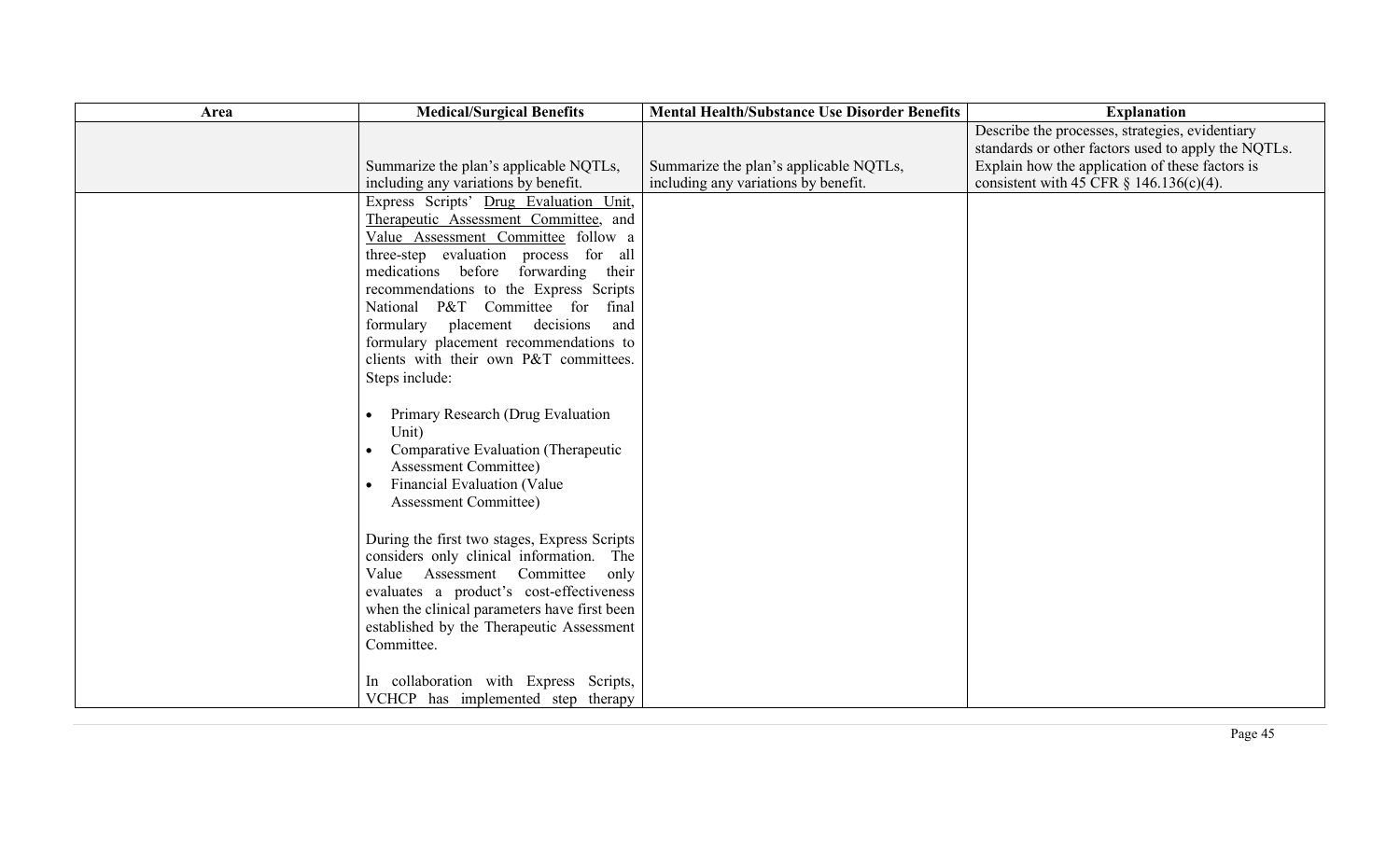| Area | <b>Medical/Surgical Benefits</b>                                                                                                                                                                                                                                                                                                                                                                                                                                                                                                                                                                                                                                                                                                                                                                                                                                                                                                                                             | <b>Mental Health/Substance Use Disorder Benefits</b>                           | <b>Explanation</b>                                                                                                                                                                                      |
|------|------------------------------------------------------------------------------------------------------------------------------------------------------------------------------------------------------------------------------------------------------------------------------------------------------------------------------------------------------------------------------------------------------------------------------------------------------------------------------------------------------------------------------------------------------------------------------------------------------------------------------------------------------------------------------------------------------------------------------------------------------------------------------------------------------------------------------------------------------------------------------------------------------------------------------------------------------------------------------|--------------------------------------------------------------------------------|---------------------------------------------------------------------------------------------------------------------------------------------------------------------------------------------------------|
|      | Summarize the plan's applicable NQTLs,<br>including any variations by benefit.                                                                                                                                                                                                                                                                                                                                                                                                                                                                                                                                                                                                                                                                                                                                                                                                                                                                                               | Summarize the plan's applicable NQTLs,<br>including any variations by benefit. | Describe the processes, strategies, evidentiary<br>standards or other factors used to apply the NQTLs.<br>Explain how the application of these factors is<br>consistent with 45 CFR $\S$ 146.136(c)(4). |
|      | Express Scripts' Drug Evaluation Unit,<br>Therapeutic Assessment Committee, and<br>Value Assessment Committee follow a<br>three-step evaluation process for all<br>medications before forwarding<br>their<br>recommendations to the Express Scripts<br>National P&T Committee for<br>final<br>formulary placement decisions<br>and<br>formulary placement recommendations to<br>clients with their own P&T committees.<br>Steps include:<br>Primary Research (Drug Evaluation<br>$\bullet$<br>Unit)<br>Comparative Evaluation (Therapeutic<br><b>Assessment Committee)</b><br>Financial Evaluation (Value<br><b>Assessment Committee)</b><br>During the first two stages, Express Scripts<br>considers only clinical information. The<br>Value Assessment Committee<br>only<br>evaluates a product's cost-effectiveness<br>when the clinical parameters have first been<br>established by the Therapeutic Assessment<br>Committee.<br>In collaboration with Express Scripts, |                                                                                |                                                                                                                                                                                                         |
|      | VCHCP has implemented step therapy                                                                                                                                                                                                                                                                                                                                                                                                                                                                                                                                                                                                                                                                                                                                                                                                                                                                                                                                           |                                                                                |                                                                                                                                                                                                         |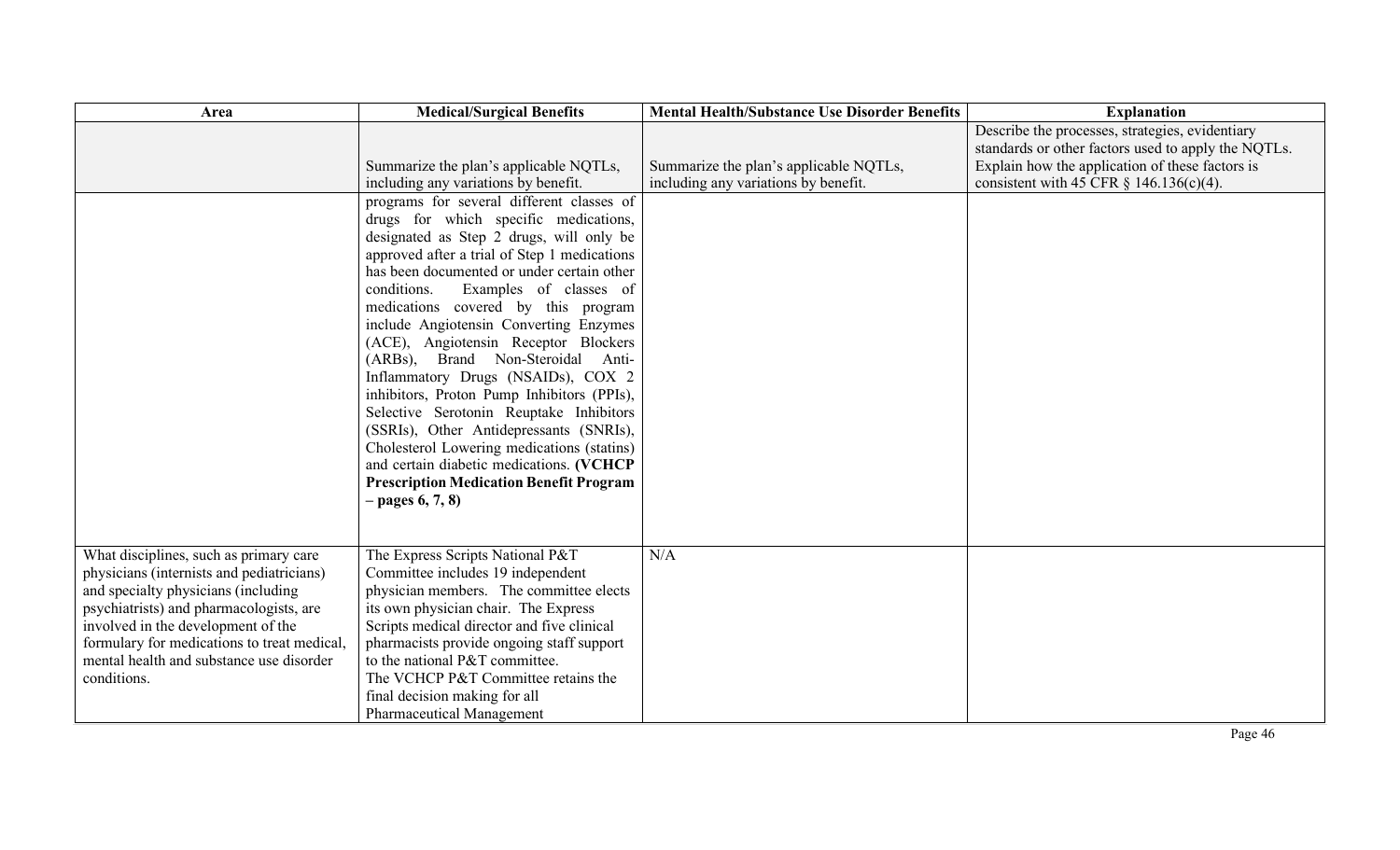| Area                                                                                                                                                                                                                                                                                                                  | <b>Medical/Surgical Benefits</b>                                                                                                                                                                                                                                                                                                                                                                                                                                                                                                                                                                                                                                                                                                  | <b>Mental Health/Substance Use Disorder Benefits</b>                           | <b>Explanation</b>                                                                                                                                                                                      |
|-----------------------------------------------------------------------------------------------------------------------------------------------------------------------------------------------------------------------------------------------------------------------------------------------------------------------|-----------------------------------------------------------------------------------------------------------------------------------------------------------------------------------------------------------------------------------------------------------------------------------------------------------------------------------------------------------------------------------------------------------------------------------------------------------------------------------------------------------------------------------------------------------------------------------------------------------------------------------------------------------------------------------------------------------------------------------|--------------------------------------------------------------------------------|---------------------------------------------------------------------------------------------------------------------------------------------------------------------------------------------------------|
|                                                                                                                                                                                                                                                                                                                       | Summarize the plan's applicable NQTLs,<br>including any variations by benefit.<br>programs for several different classes of                                                                                                                                                                                                                                                                                                                                                                                                                                                                                                                                                                                                       | Summarize the plan's applicable NQTLs,<br>including any variations by benefit. | Describe the processes, strategies, evidentiary<br>standards or other factors used to apply the NQTLs.<br>Explain how the application of these factors is<br>consistent with 45 CFR $\S$ 146.136(c)(4). |
|                                                                                                                                                                                                                                                                                                                       | drugs for which specific medications,<br>designated as Step 2 drugs, will only be<br>approved after a trial of Step 1 medications<br>has been documented or under certain other<br>conditions.<br>Examples of classes of<br>medications covered by this program<br>include Angiotensin Converting Enzymes<br>(ACE), Angiotensin Receptor Blockers<br>(ARBs), Brand Non-Steroidal Anti-<br>Inflammatory Drugs (NSAIDs), COX 2<br>inhibitors, Proton Pump Inhibitors (PPIs),<br>Selective Serotonin Reuptake Inhibitors<br>(SSRIs), Other Antidepressants (SNRIs),<br>Cholesterol Lowering medications (statins)<br>and certain diabetic medications. (VCHCP<br><b>Prescription Medication Benefit Program</b><br>$-pages 6, 7, 8)$ |                                                                                |                                                                                                                                                                                                         |
| What disciplines, such as primary care<br>physicians (internists and pediatricians)<br>and specialty physicians (including<br>psychiatrists) and pharmacologists, are<br>involved in the development of the<br>formulary for medications to treat medical,<br>mental health and substance use disorder<br>conditions. | The Express Scripts National P&T<br>Committee includes 19 independent<br>physician members. The committee elects<br>its own physician chair. The Express<br>Scripts medical director and five clinical<br>pharmacists provide ongoing staff support<br>to the national P&T committee.<br>The VCHCP P&T Committee retains the<br>final decision making for all<br>Pharmaceutical Management                                                                                                                                                                                                                                                                                                                                        | N/A                                                                            |                                                                                                                                                                                                         |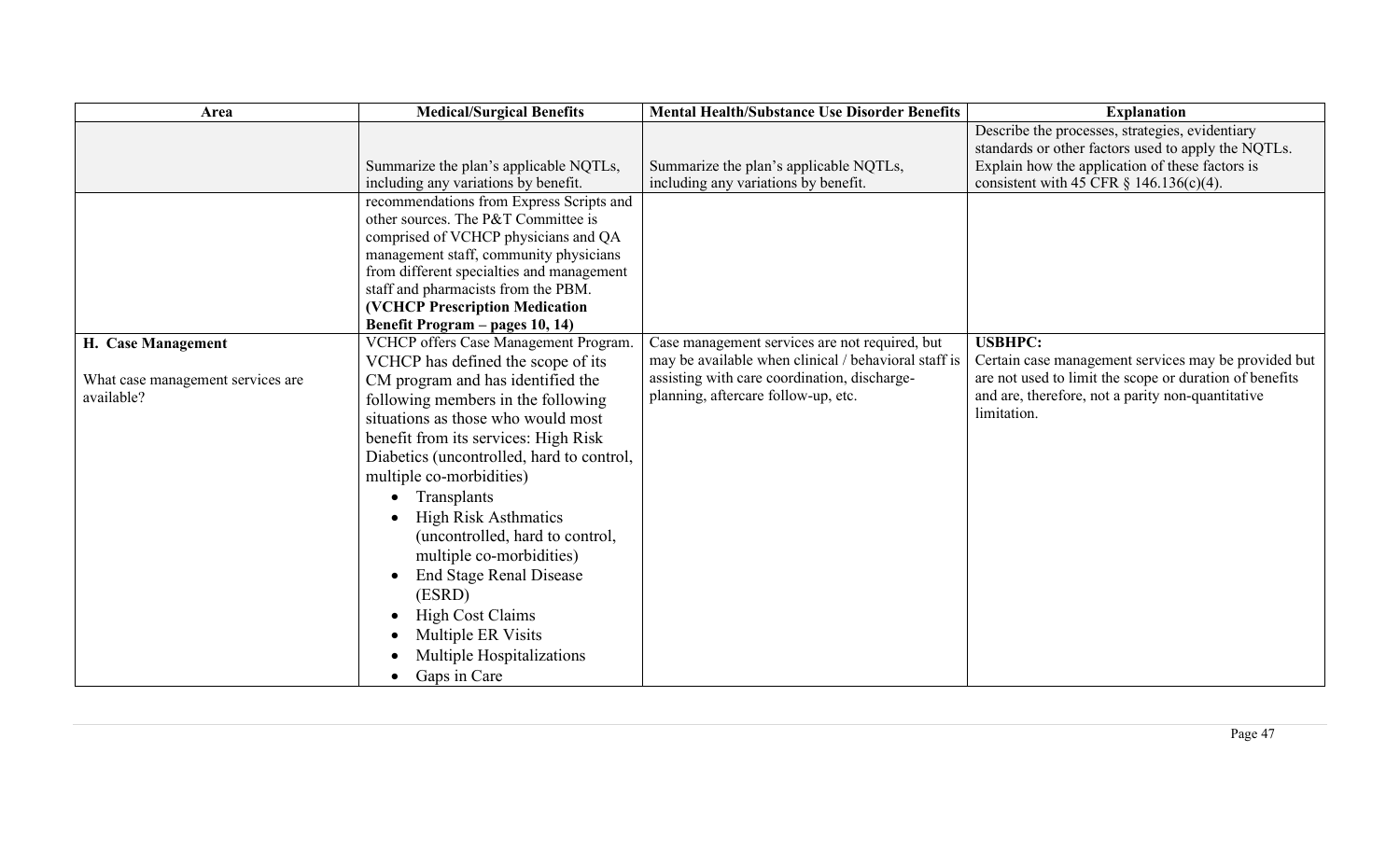| Area                                                                  | <b>Medical/Surgical Benefits</b>                                                                                                                                                                                                                                                                                                                                                                                                                                                                                                                                                  | <b>Mental Health/Substance Use Disorder Benefits</b>                                                                                                                                          | <b>Explanation</b>                                                                                                                                                                                      |
|-----------------------------------------------------------------------|-----------------------------------------------------------------------------------------------------------------------------------------------------------------------------------------------------------------------------------------------------------------------------------------------------------------------------------------------------------------------------------------------------------------------------------------------------------------------------------------------------------------------------------------------------------------------------------|-----------------------------------------------------------------------------------------------------------------------------------------------------------------------------------------------|---------------------------------------------------------------------------------------------------------------------------------------------------------------------------------------------------------|
|                                                                       | Summarize the plan's applicable NQTLs,<br>including any variations by benefit.                                                                                                                                                                                                                                                                                                                                                                                                                                                                                                    | Summarize the plan's applicable NQTLs,<br>including any variations by benefit.                                                                                                                | Describe the processes, strategies, evidentiary<br>standards or other factors used to apply the NQTLs.<br>Explain how the application of these factors is<br>consistent with 45 CFR $\S$ 146.136(c)(4). |
|                                                                       | recommendations from Express Scripts and<br>other sources. The P&T Committee is<br>comprised of VCHCP physicians and QA<br>management staff, community physicians<br>from different specialties and management<br>staff and pharmacists from the PBM.<br>(VCHCP Prescription Medication<br><b>Benefit Program – pages 10, 14)</b>                                                                                                                                                                                                                                                 |                                                                                                                                                                                               |                                                                                                                                                                                                         |
| H. Case Management<br>What case management services are<br>available? | VCHCP offers Case Management Program.<br>VCHCP has defined the scope of its<br>CM program and has identified the<br>following members in the following<br>situations as those who would most<br>benefit from its services: High Risk<br>Diabetics (uncontrolled, hard to control,<br>multiple co-morbidities)<br>Transplants<br>$\bullet$<br><b>High Risk Asthmatics</b><br>(uncontrolled, hard to control,<br>multiple co-morbidities)<br><b>End Stage Renal Disease</b><br>(ESRD)<br><b>High Cost Claims</b><br>Multiple ER Visits<br>Multiple Hospitalizations<br>Gaps in Care | Case management services are not required, but<br>may be available when clinical / behavioral staff is<br>assisting with care coordination, discharge-<br>planning, aftercare follow-up, etc. | <b>USBHPC:</b><br>Certain case management services may be provided but<br>are not used to limit the scope or duration of benefits<br>and are, therefore, not a parity non-quantitative<br>limitation.   |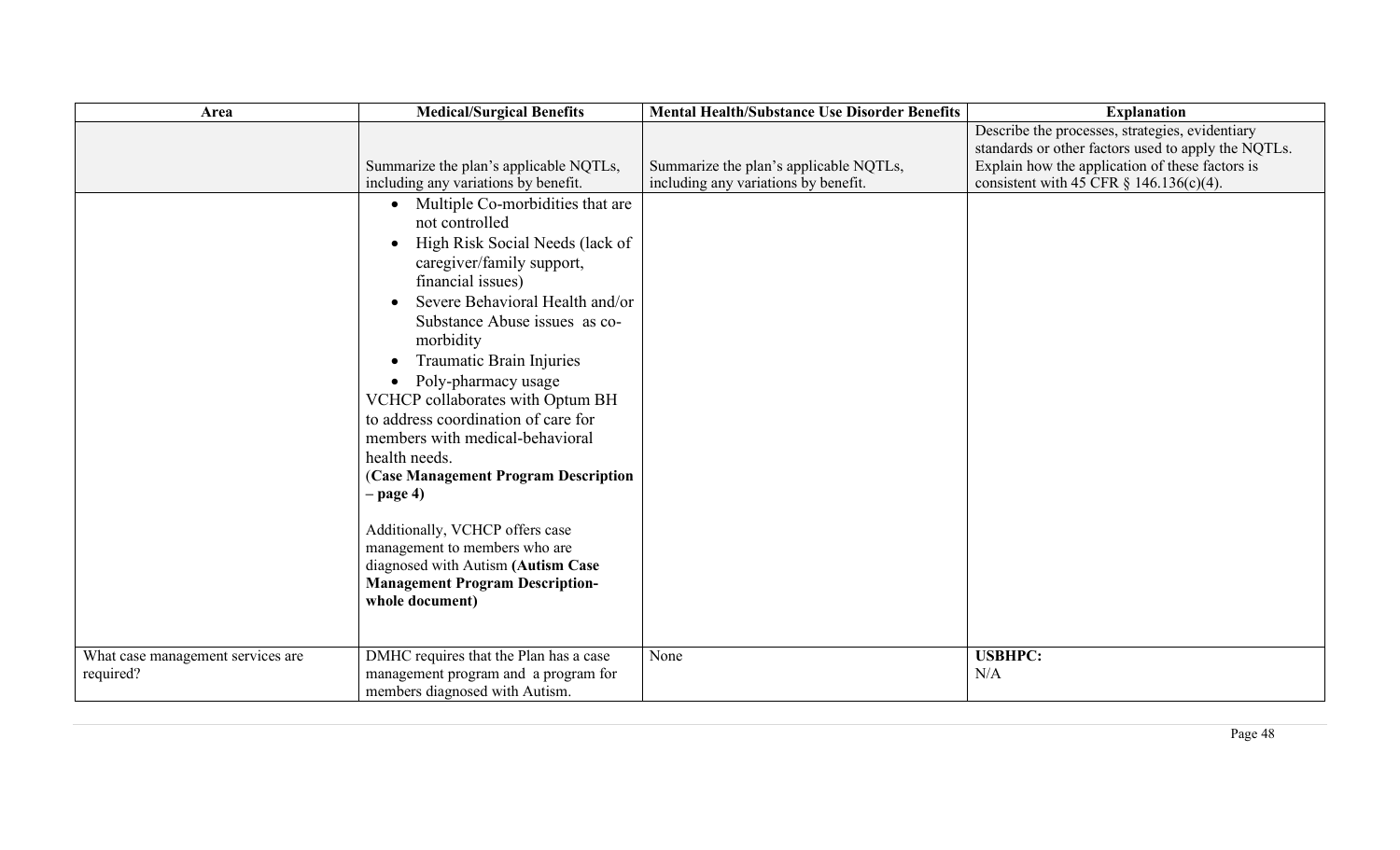| Area                                           | <b>Medical/Surgical Benefits</b>                                                                                                                                                                                                                                                                                                                                                                                                                                                                                                                                                                                                                       | <b>Mental Health/Substance Use Disorder Benefits</b>                           | <b>Explanation</b>                                                                                                                                                                                      |
|------------------------------------------------|--------------------------------------------------------------------------------------------------------------------------------------------------------------------------------------------------------------------------------------------------------------------------------------------------------------------------------------------------------------------------------------------------------------------------------------------------------------------------------------------------------------------------------------------------------------------------------------------------------------------------------------------------------|--------------------------------------------------------------------------------|---------------------------------------------------------------------------------------------------------------------------------------------------------------------------------------------------------|
|                                                | Summarize the plan's applicable NQTLs,<br>including any variations by benefit.                                                                                                                                                                                                                                                                                                                                                                                                                                                                                                                                                                         | Summarize the plan's applicable NQTLs,<br>including any variations by benefit. | Describe the processes, strategies, evidentiary<br>standards or other factors used to apply the NQTLs.<br>Explain how the application of these factors is<br>consistent with 45 CFR $\S$ 146.136(c)(4). |
|                                                | • Multiple Co-morbidities that are<br>not controlled<br>High Risk Social Needs (lack of<br>$\bullet$<br>caregiver/family support,<br>financial issues)<br>Severe Behavioral Health and/or<br>Substance Abuse issues as co-<br>morbidity<br>Traumatic Brain Injuries<br>Poly-pharmacy usage<br>VCHCP collaborates with Optum BH<br>to address coordination of care for<br>members with medical-behavioral<br>health needs.<br>(Case Management Program Description<br>$-page 4)$<br>Additionally, VCHCP offers case<br>management to members who are<br>diagnosed with Autism (Autism Case<br><b>Management Program Description-</b><br>whole document) |                                                                                |                                                                                                                                                                                                         |
| What case management services are<br>required? | DMHC requires that the Plan has a case<br>management program and a program for<br>members diagnosed with Autism.                                                                                                                                                                                                                                                                                                                                                                                                                                                                                                                                       | None                                                                           | <b>USBHPC:</b><br>N/A                                                                                                                                                                                   |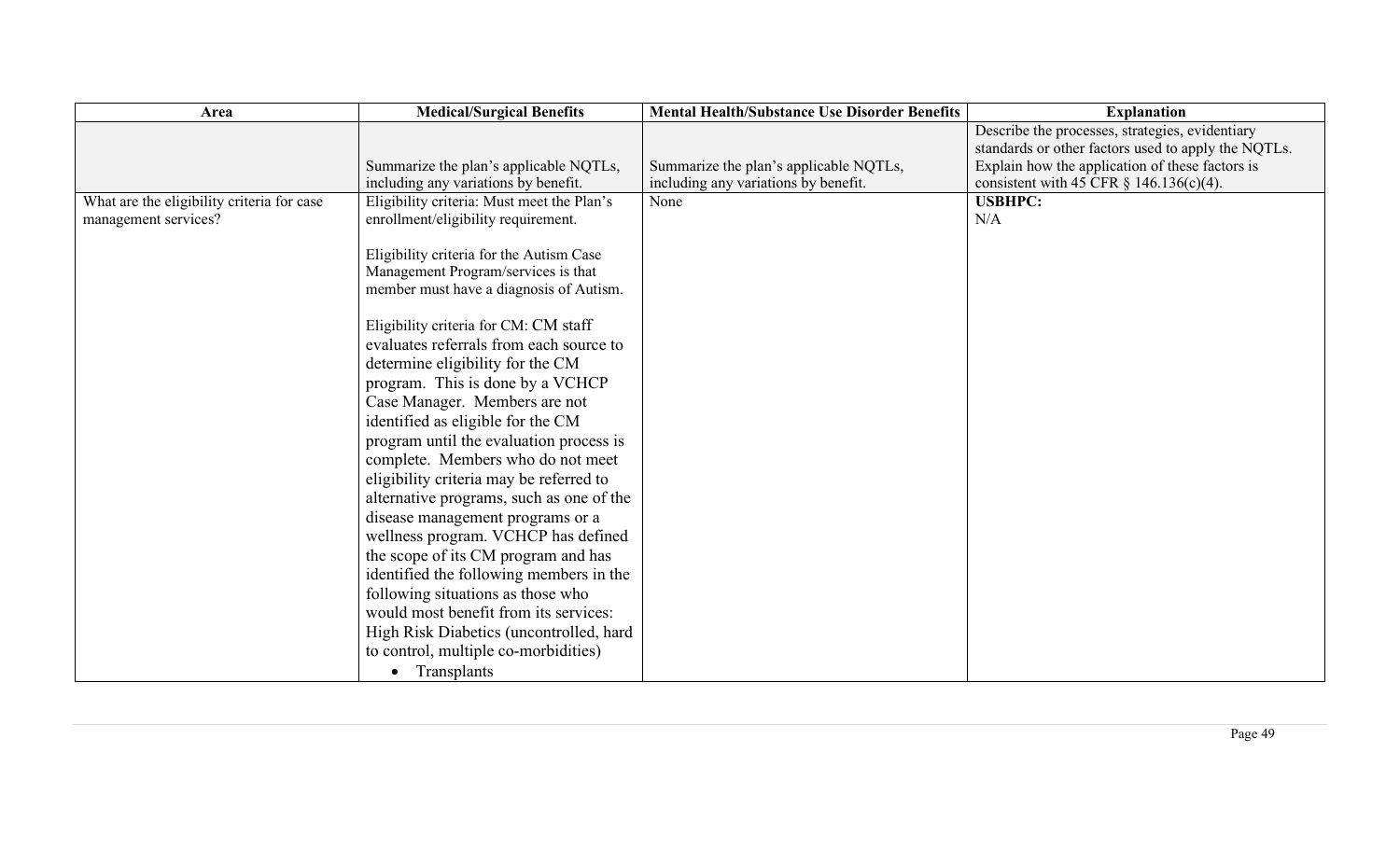| Area                                       | <b>Medical/Surgical Benefits</b>           | <b>Mental Health/Substance Use Disorder Benefits</b> | <b>Explanation</b>                                  |
|--------------------------------------------|--------------------------------------------|------------------------------------------------------|-----------------------------------------------------|
|                                            |                                            |                                                      | Describe the processes, strategies, evidentiary     |
|                                            |                                            |                                                      | standards or other factors used to apply the NQTLs. |
|                                            | Summarize the plan's applicable NQTLs,     | Summarize the plan's applicable NQTLs,               | Explain how the application of these factors is     |
|                                            | including any variations by benefit.       | including any variations by benefit.                 | consistent with 45 CFR $\S$ 146.136(c)(4).          |
| What are the eligibility criteria for case | Eligibility criteria: Must meet the Plan's | None                                                 | <b>USBHPC:</b>                                      |
| management services?                       | enrollment/eligibility requirement.        |                                                      | N/A                                                 |
|                                            |                                            |                                                      |                                                     |
|                                            | Eligibility criteria for the Autism Case   |                                                      |                                                     |
|                                            | Management Program/services is that        |                                                      |                                                     |
|                                            | member must have a diagnosis of Autism.    |                                                      |                                                     |
|                                            | Eligibility criteria for CM: CM staff      |                                                      |                                                     |
|                                            | evaluates referrals from each source to    |                                                      |                                                     |
|                                            | determine eligibility for the CM           |                                                      |                                                     |
|                                            | program. This is done by a VCHCP           |                                                      |                                                     |
|                                            |                                            |                                                      |                                                     |
|                                            | Case Manager. Members are not              |                                                      |                                                     |
|                                            | identified as eligible for the CM          |                                                      |                                                     |
|                                            | program until the evaluation process is    |                                                      |                                                     |
|                                            | complete. Members who do not meet          |                                                      |                                                     |
|                                            | eligibility criteria may be referred to    |                                                      |                                                     |
|                                            | alternative programs, such as one of the   |                                                      |                                                     |
|                                            | disease management programs or a           |                                                      |                                                     |
|                                            | wellness program. VCHCP has defined        |                                                      |                                                     |
|                                            | the scope of its CM program and has        |                                                      |                                                     |
|                                            | identified the following members in the    |                                                      |                                                     |
|                                            | following situations as those who          |                                                      |                                                     |
|                                            | would most benefit from its services:      |                                                      |                                                     |
|                                            | High Risk Diabetics (uncontrolled, hard    |                                                      |                                                     |
|                                            | to control, multiple co-morbidities)       |                                                      |                                                     |
|                                            | • Transplants                              |                                                      |                                                     |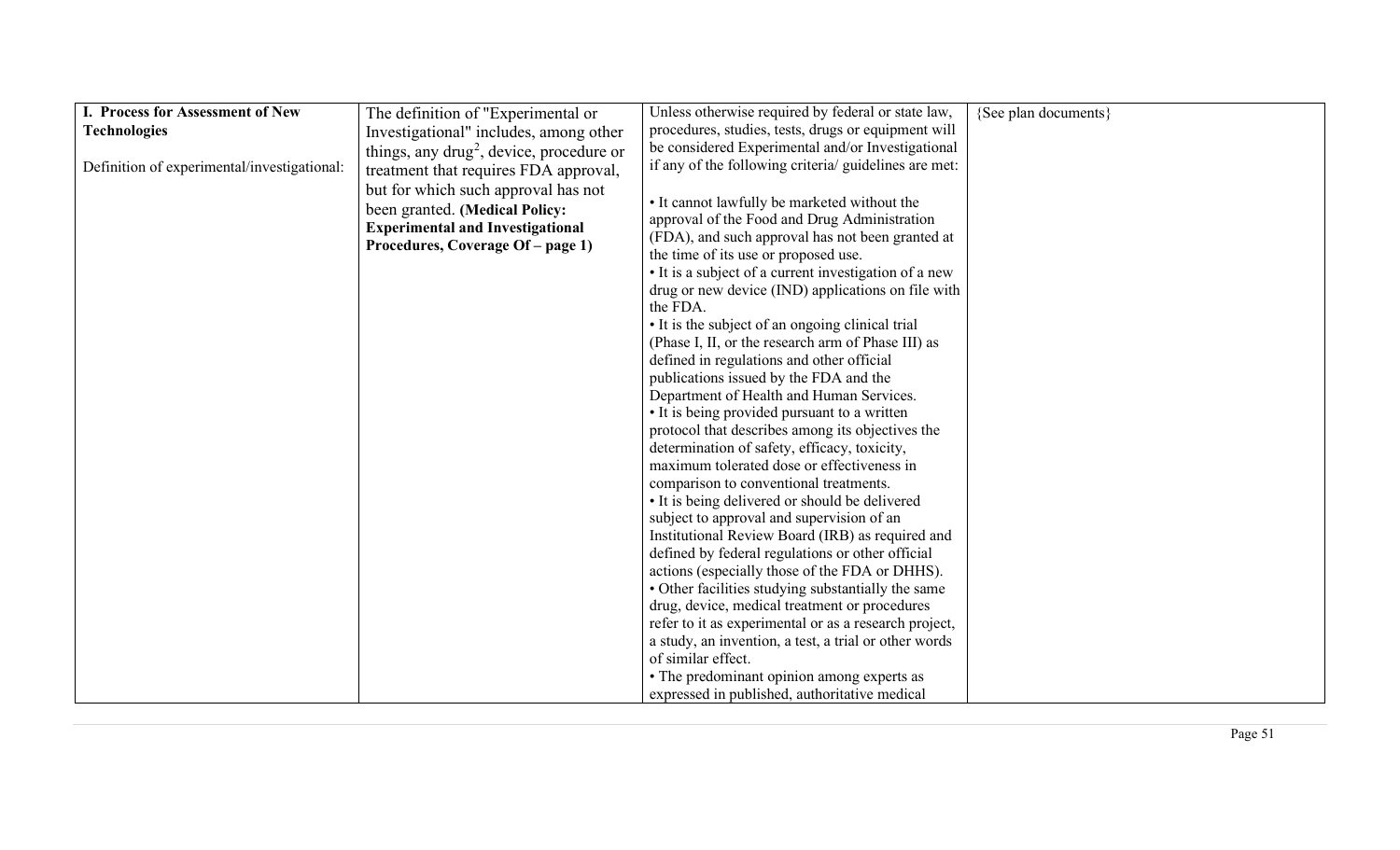<span id="page-50-0"></span>

| I. Process for Assessment of New            | The definition of "Experimental or                                           | Unless otherwise required by federal or state law,    | {See plan documents} |
|---------------------------------------------|------------------------------------------------------------------------------|-------------------------------------------------------|----------------------|
| <b>Technologies</b>                         | Investigational" includes, among other                                       | procedures, studies, tests, drugs or equipment will   |                      |
|                                             | things, any drug <sup>2</sup> , device, procedure or                         | be considered Experimental and/or Investigational     |                      |
| Definition of experimental/investigational: | treatment that requires FDA approval,                                        | if any of the following criteria/ guidelines are met: |                      |
|                                             | but for which such approval has not                                          |                                                       |                      |
|                                             | been granted. (Medical Policy:                                               | • It cannot lawfully be marketed without the          |                      |
|                                             |                                                                              | approval of the Food and Drug Administration          |                      |
|                                             | <b>Experimental and Investigational</b><br>Procedures, Coverage Of – page 1) | (FDA), and such approval has not been granted at      |                      |
|                                             |                                                                              | the time of its use or proposed use.                  |                      |
|                                             |                                                                              | • It is a subject of a current investigation of a new |                      |
|                                             |                                                                              | drug or new device (IND) applications on file with    |                      |
|                                             |                                                                              | the FDA.                                              |                      |
|                                             |                                                                              | • It is the subject of an ongoing clinical trial      |                      |
|                                             |                                                                              | (Phase I, II, or the research arm of Phase III) as    |                      |
|                                             |                                                                              | defined in regulations and other official             |                      |
|                                             |                                                                              | publications issued by the FDA and the                |                      |
|                                             |                                                                              | Department of Health and Human Services.              |                      |
|                                             |                                                                              | • It is being provided pursuant to a written          |                      |
|                                             |                                                                              | protocol that describes among its objectives the      |                      |
|                                             |                                                                              | determination of safety, efficacy, toxicity,          |                      |
|                                             |                                                                              | maximum tolerated dose or effectiveness in            |                      |
|                                             |                                                                              | comparison to conventional treatments.                |                      |
|                                             |                                                                              | • It is being delivered or should be delivered        |                      |
|                                             |                                                                              | subject to approval and supervision of an             |                      |
|                                             |                                                                              | Institutional Review Board (IRB) as required and      |                      |
|                                             |                                                                              | defined by federal regulations or other official      |                      |
|                                             |                                                                              | actions (especially those of the FDA or DHHS).        |                      |
|                                             |                                                                              | • Other facilities studying substantially the same    |                      |
|                                             |                                                                              | drug, device, medical treatment or procedures         |                      |
|                                             |                                                                              | refer to it as experimental or as a research project, |                      |
|                                             |                                                                              | a study, an invention, a test, a trial or other words |                      |
|                                             |                                                                              | of similar effect.                                    |                      |
|                                             |                                                                              | • The predominant opinion among experts as            |                      |
|                                             |                                                                              | expressed in published, authoritative medical         |                      |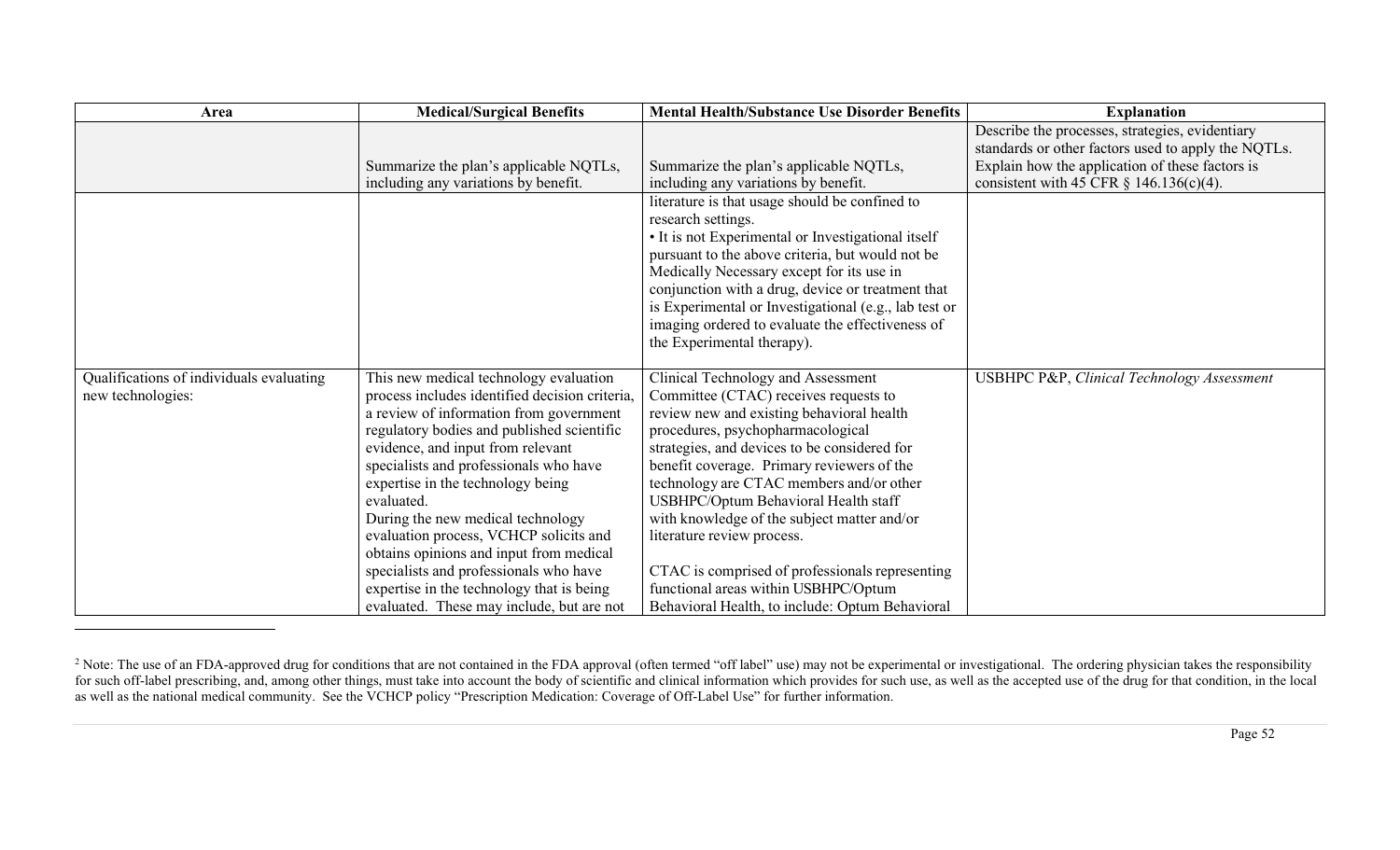| Area                                     | <b>Medical/Surgical Benefits</b>               | <b>Mental Health/Substance Use Disorder Benefits</b>  | <b>Explanation</b>                                  |
|------------------------------------------|------------------------------------------------|-------------------------------------------------------|-----------------------------------------------------|
|                                          |                                                |                                                       | Describe the processes, strategies, evidentiary     |
|                                          |                                                |                                                       | standards or other factors used to apply the NQTLs. |
|                                          | Summarize the plan's applicable NQTLs,         | Summarize the plan's applicable NQTLs,                | Explain how the application of these factors is     |
|                                          | including any variations by benefit.           | including any variations by benefit.                  | consistent with 45 CFR $\S$ 146.136(c)(4).          |
|                                          |                                                | literature is that usage should be confined to        |                                                     |
|                                          |                                                | research settings.                                    |                                                     |
|                                          |                                                | • It is not Experimental or Investigational itself    |                                                     |
|                                          |                                                | pursuant to the above criteria, but would not be      |                                                     |
|                                          |                                                | Medically Necessary except for its use in             |                                                     |
|                                          |                                                | conjunction with a drug, device or treatment that     |                                                     |
|                                          |                                                | is Experimental or Investigational (e.g., lab test or |                                                     |
|                                          |                                                | imaging ordered to evaluate the effectiveness of      |                                                     |
|                                          |                                                | the Experimental therapy).                            |                                                     |
|                                          |                                                |                                                       |                                                     |
| Qualifications of individuals evaluating | This new medical technology evaluation         | Clinical Technology and Assessment                    | USBHPC P&P, Clinical Technology Assessment          |
| new technologies:                        | process includes identified decision criteria, | Committee (CTAC) receives requests to                 |                                                     |
|                                          | a review of information from government        | review new and existing behavioral health             |                                                     |
|                                          | regulatory bodies and published scientific     | procedures, psychopharmacological                     |                                                     |
|                                          | evidence, and input from relevant              | strategies, and devices to be considered for          |                                                     |
|                                          | specialists and professionals who have         | benefit coverage. Primary reviewers of the            |                                                     |
|                                          | expertise in the technology being              | technology are CTAC members and/or other              |                                                     |
|                                          | evaluated.                                     | USBHPC/Optum Behavioral Health staff                  |                                                     |
|                                          | During the new medical technology              | with knowledge of the subject matter and/or           |                                                     |
|                                          | evaluation process, VCHCP solicits and         | literature review process.                            |                                                     |
|                                          | obtains opinions and input from medical        |                                                       |                                                     |
|                                          | specialists and professionals who have         | CTAC is comprised of professionals representing       |                                                     |
|                                          | expertise in the technology that is being      | functional areas within USBHPC/Optum                  |                                                     |
|                                          | evaluated. These may include, but are not      | Behavioral Health, to include: Optum Behavioral       |                                                     |

<sup>&</sup>lt;sup>2</sup> Note: The use of an FDA-approved drug for conditions that are not contained in the FDA approval (often termed "off label" use) may not be experimental or investigational. The ordering physician takes the responsibilit for such off-label prescribing, and, among other things, must take into account the body of scientific and clinical information which provides for such use, as well as the accepted use of the drug for that condition, in th as well as the national medical community. See the VCHCP policy "Prescription Medication: Coverage of Off-Label Use" for further information.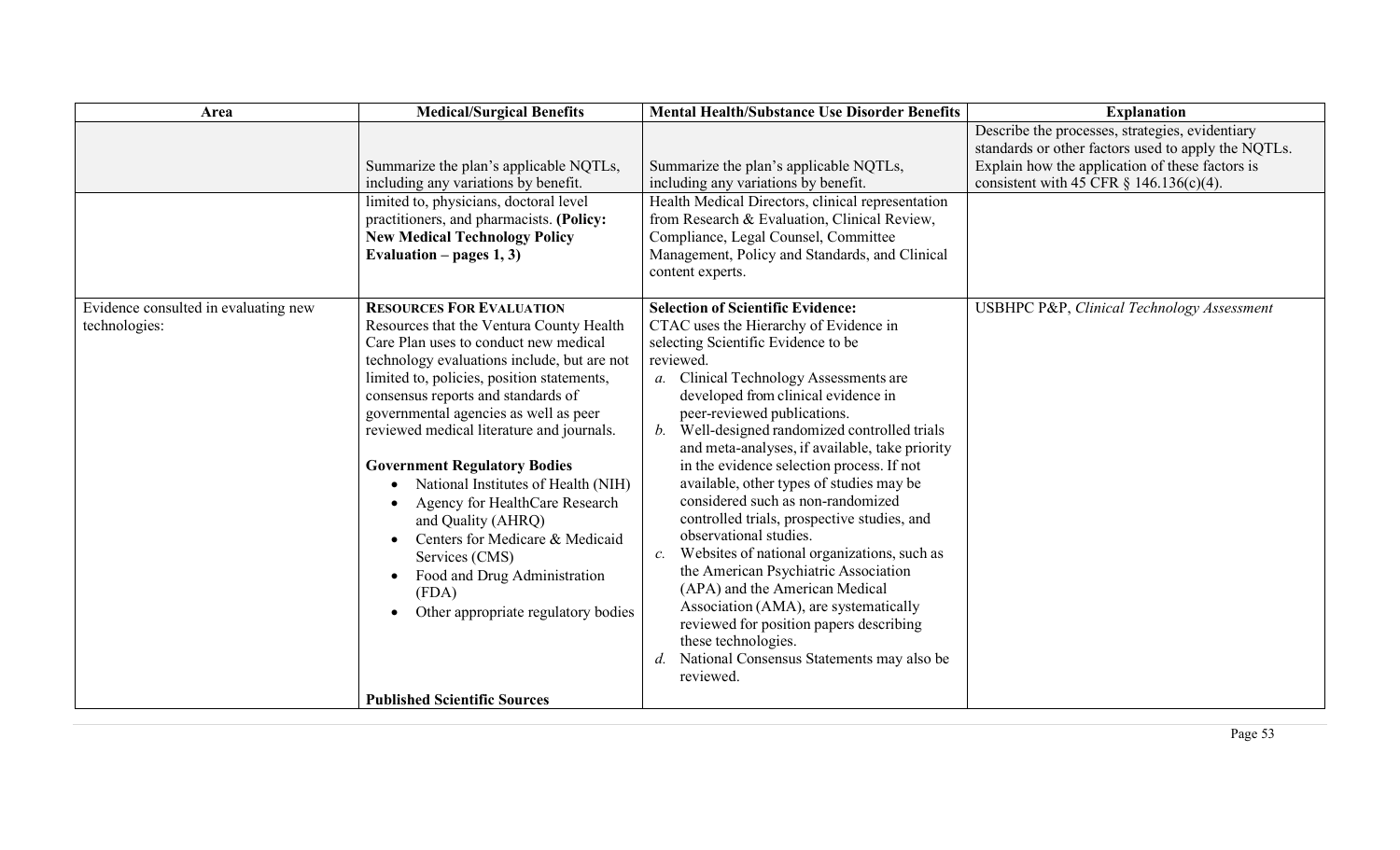| Area                                                  | <b>Medical/Surgical Benefits</b>                                                                                                                                                                                                                                                                                                                                                                                                                                                                                                                                                                                         | <b>Mental Health/Substance Use Disorder Benefits</b>                                                                                                                                                                                                                                                                                                                                                                                                                                                                                                                                                                                                                                                                                                                                                                                                                          | <b>Explanation</b>                                                                                                                                                                                      |
|-------------------------------------------------------|--------------------------------------------------------------------------------------------------------------------------------------------------------------------------------------------------------------------------------------------------------------------------------------------------------------------------------------------------------------------------------------------------------------------------------------------------------------------------------------------------------------------------------------------------------------------------------------------------------------------------|-------------------------------------------------------------------------------------------------------------------------------------------------------------------------------------------------------------------------------------------------------------------------------------------------------------------------------------------------------------------------------------------------------------------------------------------------------------------------------------------------------------------------------------------------------------------------------------------------------------------------------------------------------------------------------------------------------------------------------------------------------------------------------------------------------------------------------------------------------------------------------|---------------------------------------------------------------------------------------------------------------------------------------------------------------------------------------------------------|
|                                                       | Summarize the plan's applicable NQTLs,<br>including any variations by benefit.<br>limited to, physicians, doctoral level<br>practitioners, and pharmacists. (Policy:<br><b>New Medical Technology Policy</b><br>Evaluation – pages $1, 3$ )                                                                                                                                                                                                                                                                                                                                                                              | Summarize the plan's applicable NQTLs,<br>including any variations by benefit.<br>Health Medical Directors, clinical representation<br>from Research & Evaluation, Clinical Review,<br>Compliance, Legal Counsel, Committee<br>Management, Policy and Standards, and Clinical<br>content experts.                                                                                                                                                                                                                                                                                                                                                                                                                                                                                                                                                                             | Describe the processes, strategies, evidentiary<br>standards or other factors used to apply the NQTLs.<br>Explain how the application of these factors is<br>consistent with 45 CFR $\S$ 146.136(c)(4). |
| Evidence consulted in evaluating new<br>technologies: | <b>RESOURCES FOR EVALUATION</b><br>Resources that the Ventura County Health<br>Care Plan uses to conduct new medical<br>technology evaluations include, but are not<br>limited to, policies, position statements,<br>consensus reports and standards of<br>governmental agencies as well as peer<br>reviewed medical literature and journals.<br><b>Government Regulatory Bodies</b><br>National Institutes of Health (NIH)<br>Agency for HealthCare Research<br>and Quality (AHRQ)<br>Centers for Medicare & Medicaid<br>Services (CMS)<br>Food and Drug Administration<br>(FDA)<br>Other appropriate regulatory bodies | <b>Selection of Scientific Evidence:</b><br>CTAC uses the Hierarchy of Evidence in<br>selecting Scientific Evidence to be<br>reviewed.<br>a. Clinical Technology Assessments are<br>developed from clinical evidence in<br>peer-reviewed publications.<br>b. Well-designed randomized controlled trials<br>and meta-analyses, if available, take priority<br>in the evidence selection process. If not<br>available, other types of studies may be<br>considered such as non-randomized<br>controlled trials, prospective studies, and<br>observational studies.<br>Websites of national organizations, such as<br>$c$ .<br>the American Psychiatric Association<br>(APA) and the American Medical<br>Association (AMA), are systematically<br>reviewed for position papers describing<br>these technologies.<br>National Consensus Statements may also be<br>d.<br>reviewed. | USBHPC P&P, Clinical Technology Assessment                                                                                                                                                              |
|                                                       | <b>Published Scientific Sources</b>                                                                                                                                                                                                                                                                                                                                                                                                                                                                                                                                                                                      |                                                                                                                                                                                                                                                                                                                                                                                                                                                                                                                                                                                                                                                                                                                                                                                                                                                                               |                                                                                                                                                                                                         |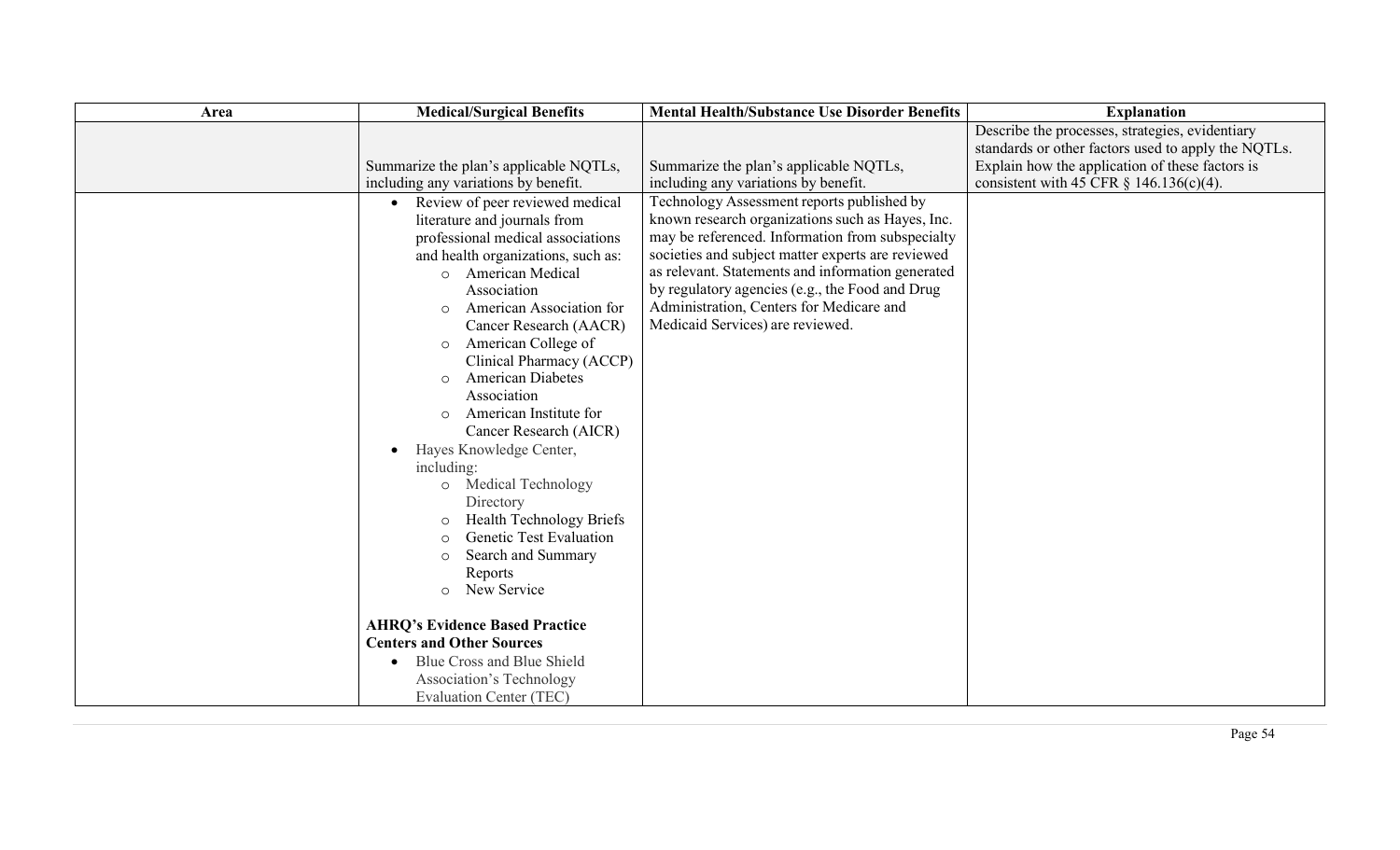| Area | <b>Medical/Surgical Benefits</b>                                                                                                                                                                                                                                                                                                                                                                                                                                                                                                                                                                                                                                                                             | <b>Mental Health/Substance Use Disorder Benefits</b>                                                                                                                                                                                                                                                                                                                                            | <b>Explanation</b>                                                                                                                                                                                      |
|------|--------------------------------------------------------------------------------------------------------------------------------------------------------------------------------------------------------------------------------------------------------------------------------------------------------------------------------------------------------------------------------------------------------------------------------------------------------------------------------------------------------------------------------------------------------------------------------------------------------------------------------------------------------------------------------------------------------------|-------------------------------------------------------------------------------------------------------------------------------------------------------------------------------------------------------------------------------------------------------------------------------------------------------------------------------------------------------------------------------------------------|---------------------------------------------------------------------------------------------------------------------------------------------------------------------------------------------------------|
|      | Summarize the plan's applicable NQTLs,<br>including any variations by benefit.                                                                                                                                                                                                                                                                                                                                                                                                                                                                                                                                                                                                                               | Summarize the plan's applicable NQTLs,<br>including any variations by benefit.                                                                                                                                                                                                                                                                                                                  | Describe the processes, strategies, evidentiary<br>standards or other factors used to apply the NQTLs.<br>Explain how the application of these factors is<br>consistent with 45 CFR $\S$ 146.136(c)(4). |
|      | Review of peer reviewed medical<br>literature and journals from<br>professional medical associations<br>and health organizations, such as:<br>o American Medical<br>Association<br>American Association for<br>$\circ$<br>Cancer Research (AACR)<br>American College of<br>$\circ$<br>Clinical Pharmacy (ACCP)<br><b>American Diabetes</b><br>$\circ$<br>Association<br>American Institute for<br>$\circ$<br>Cancer Research (AICR)<br>Hayes Knowledge Center,<br>including:<br>Medical Technology<br>$\circ$<br>Directory<br><b>Health Technology Briefs</b><br>Genetic Test Evaluation<br>∩<br>Search and Summary<br>$\circ$<br>Reports<br>New Service<br>$\circ$<br><b>AHRQ's Evidence Based Practice</b> | Technology Assessment reports published by<br>known research organizations such as Hayes, Inc.<br>may be referenced. Information from subspecialty<br>societies and subject matter experts are reviewed<br>as relevant. Statements and information generated<br>by regulatory agencies (e.g., the Food and Drug<br>Administration, Centers for Medicare and<br>Medicaid Services) are reviewed. |                                                                                                                                                                                                         |
|      | <b>Centers and Other Sources</b><br>Blue Cross and Blue Shield<br>$\bullet$                                                                                                                                                                                                                                                                                                                                                                                                                                                                                                                                                                                                                                  |                                                                                                                                                                                                                                                                                                                                                                                                 |                                                                                                                                                                                                         |
|      | Association's Technology<br><b>Evaluation Center (TEC)</b>                                                                                                                                                                                                                                                                                                                                                                                                                                                                                                                                                                                                                                                   |                                                                                                                                                                                                                                                                                                                                                                                                 |                                                                                                                                                                                                         |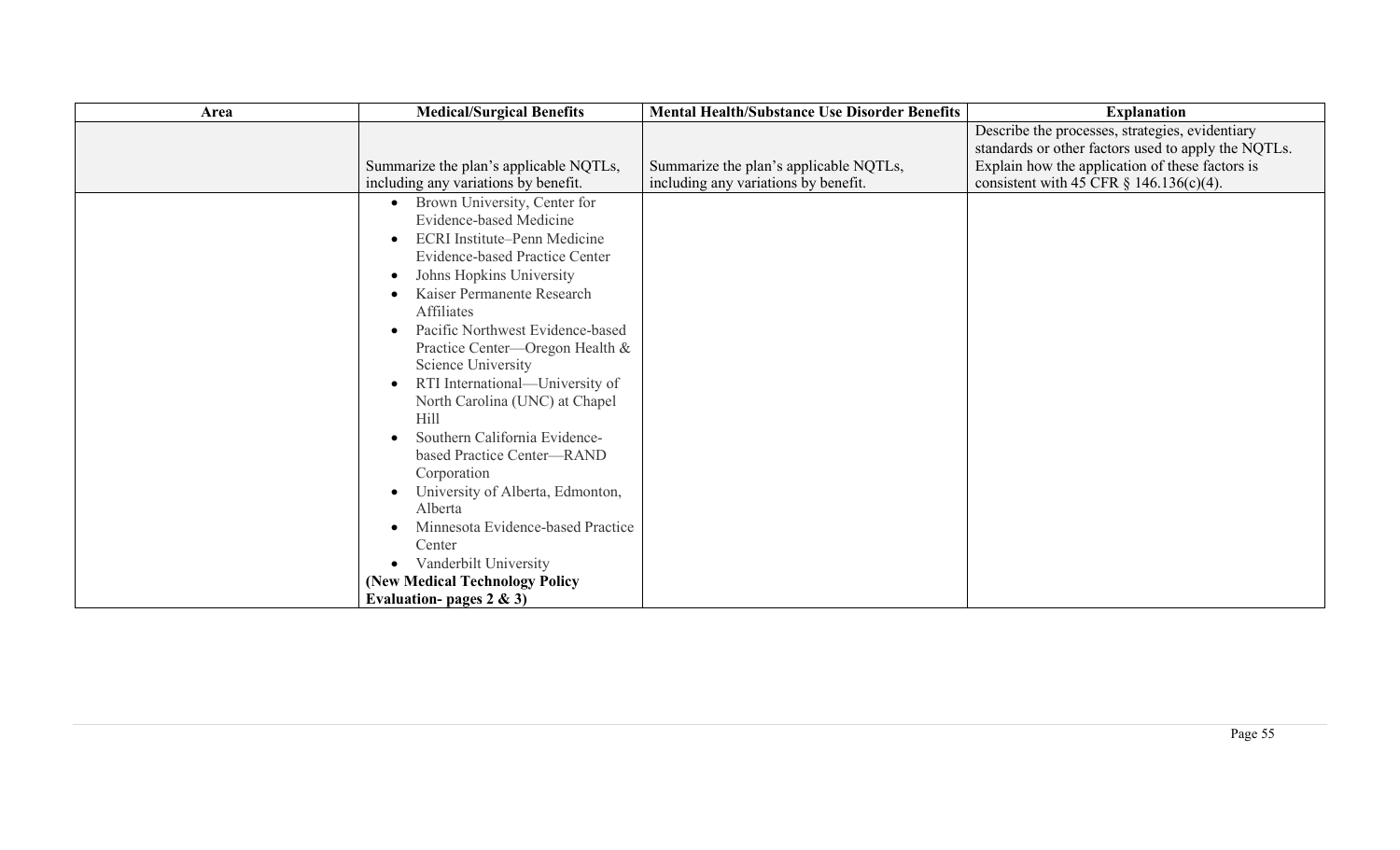| Area | <b>Medical/Surgical Benefits</b>       | <b>Mental Health/Substance Use Disorder Benefits</b> | <b>Explanation</b>                                  |
|------|----------------------------------------|------------------------------------------------------|-----------------------------------------------------|
|      |                                        |                                                      | Describe the processes, strategies, evidentiary     |
|      |                                        |                                                      | standards or other factors used to apply the NQTLs. |
|      | Summarize the plan's applicable NQTLs, | Summarize the plan's applicable NQTLs,               | Explain how the application of these factors is     |
|      | including any variations by benefit.   | including any variations by benefit.                 | consistent with 45 CFR $\S$ 146.136(c)(4).          |
|      | Brown University, Center for           |                                                      |                                                     |
|      | <b>Evidence-based Medicine</b>         |                                                      |                                                     |
|      | <b>ECRI</b> Institute–Penn Medicine    |                                                      |                                                     |
|      | <b>Evidence-based Practice Center</b>  |                                                      |                                                     |
|      | Johns Hopkins University               |                                                      |                                                     |
|      | Kaiser Permanente Research             |                                                      |                                                     |
|      | <b>Affiliates</b>                      |                                                      |                                                     |
|      | Pacific Northwest Evidence-based       |                                                      |                                                     |
|      | Practice Center-Oregon Health &        |                                                      |                                                     |
|      | Science University                     |                                                      |                                                     |
|      | RTI International—University of        |                                                      |                                                     |
|      | North Carolina (UNC) at Chapel         |                                                      |                                                     |
|      | Hill                                   |                                                      |                                                     |
|      | Southern California Evidence-          |                                                      |                                                     |
|      | based Practice Center-RAND             |                                                      |                                                     |
|      | Corporation                            |                                                      |                                                     |
|      | University of Alberta, Edmonton,       |                                                      |                                                     |
|      | Alberta                                |                                                      |                                                     |
|      | Minnesota Evidence-based Practice      |                                                      |                                                     |
|      | Center                                 |                                                      |                                                     |
|      | Vanderbilt University                  |                                                      |                                                     |
|      | (New Medical Technology Policy         |                                                      |                                                     |
|      | Evaluation-pages $2 \& 3$ )            |                                                      |                                                     |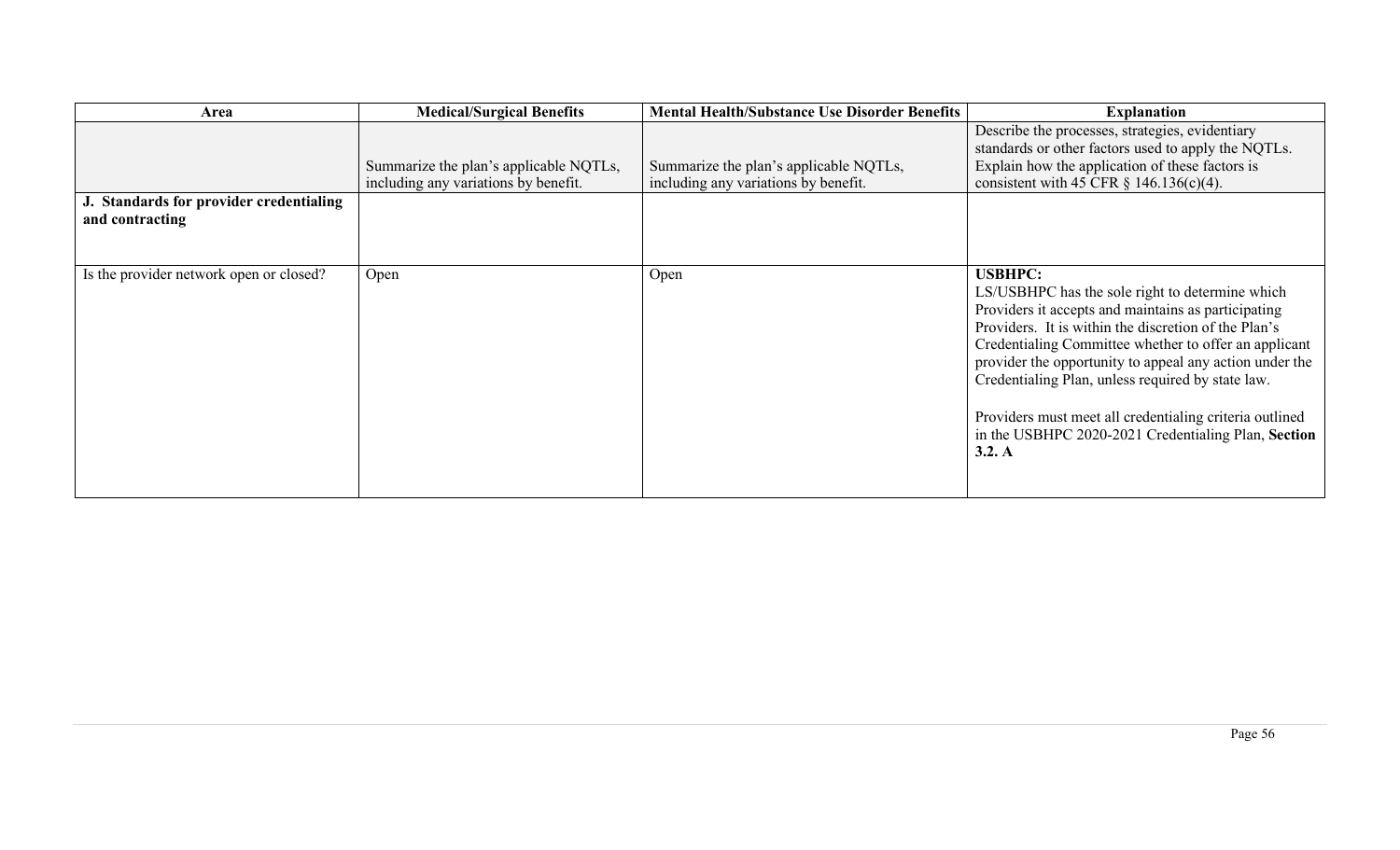| Area                                                       | <b>Medical/Surgical Benefits</b>                                               | <b>Mental Health/Substance Use Disorder Benefits</b>                           | <b>Explanation</b>                                                                                                                                                                                                                                                                                                                                                                                                                                                                    |
|------------------------------------------------------------|--------------------------------------------------------------------------------|--------------------------------------------------------------------------------|---------------------------------------------------------------------------------------------------------------------------------------------------------------------------------------------------------------------------------------------------------------------------------------------------------------------------------------------------------------------------------------------------------------------------------------------------------------------------------------|
|                                                            | Summarize the plan's applicable NQTLs,<br>including any variations by benefit. | Summarize the plan's applicable NQTLs,<br>including any variations by benefit. | Describe the processes, strategies, evidentiary<br>standards or other factors used to apply the NQTLs.<br>Explain how the application of these factors is<br>consistent with 45 CFR $\S$ 146.136(c)(4).                                                                                                                                                                                                                                                                               |
| J. Standards for provider credentialing<br>and contracting |                                                                                |                                                                                |                                                                                                                                                                                                                                                                                                                                                                                                                                                                                       |
| Is the provider network open or closed?                    | Open                                                                           | Open                                                                           | <b>USBHPC:</b><br>LS/USBHPC has the sole right to determine which<br>Providers it accepts and maintains as participating<br>Providers. It is within the discretion of the Plan's<br>Credentialing Committee whether to offer an applicant<br>provider the opportunity to appeal any action under the<br>Credentialing Plan, unless required by state law.<br>Providers must meet all credentialing criteria outlined<br>in the USBHPC 2020-2021 Credentialing Plan, Section<br>3.2. A |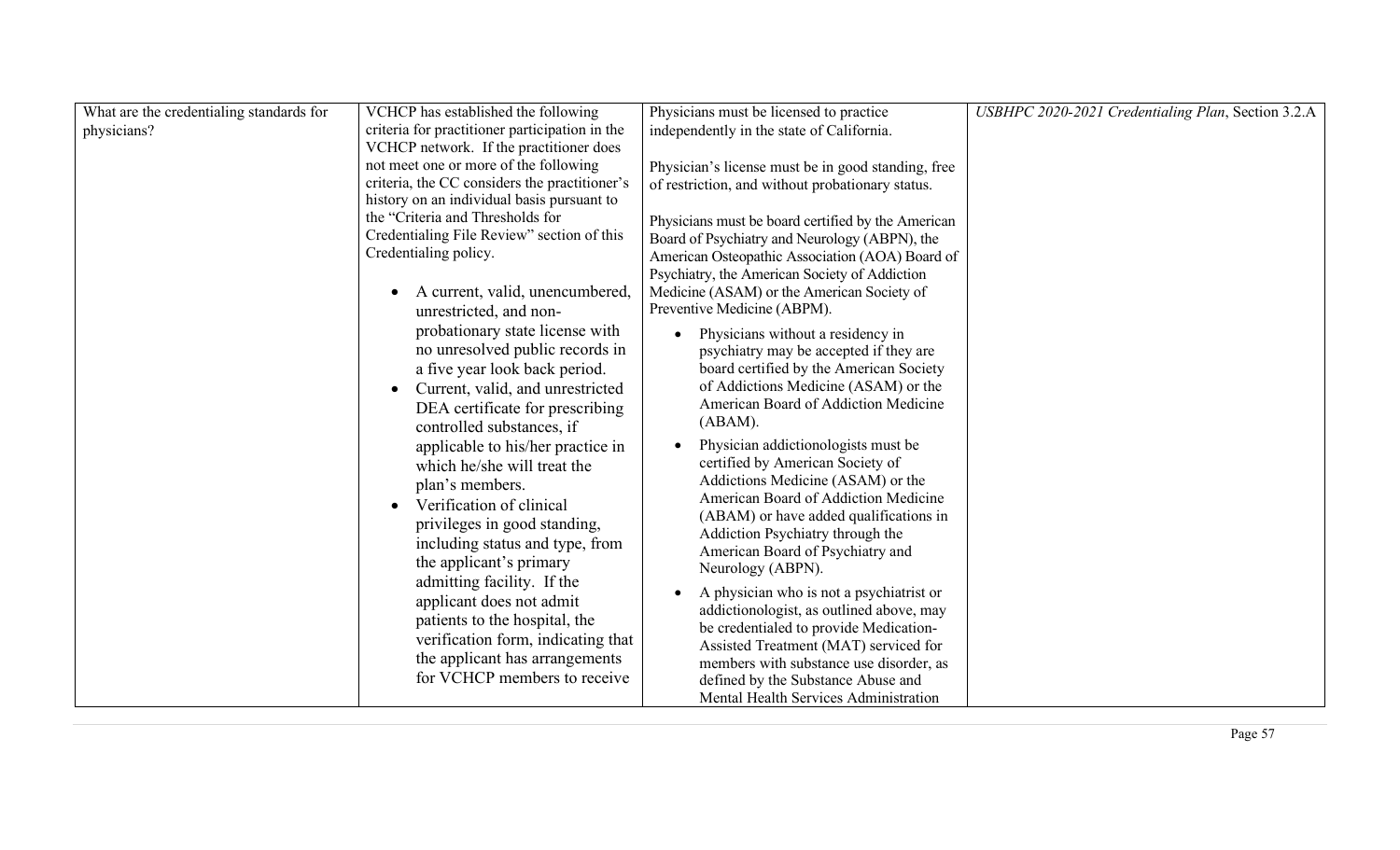| What are the credentialing standards for | VCHCP has established the following                                                                                                                                                                                                                                                                                                                                                                                                                                                                                                                                                                                                                   | Physicians must be licensed to practice                                                                                                                                                                                                                                                                                                                                                                                                                                                                                                                                                                                                                                                                                                                                                                               | USBHPC 2020-2021 Credentialing Plan, Section 3.2.A |
|------------------------------------------|-------------------------------------------------------------------------------------------------------------------------------------------------------------------------------------------------------------------------------------------------------------------------------------------------------------------------------------------------------------------------------------------------------------------------------------------------------------------------------------------------------------------------------------------------------------------------------------------------------------------------------------------------------|-----------------------------------------------------------------------------------------------------------------------------------------------------------------------------------------------------------------------------------------------------------------------------------------------------------------------------------------------------------------------------------------------------------------------------------------------------------------------------------------------------------------------------------------------------------------------------------------------------------------------------------------------------------------------------------------------------------------------------------------------------------------------------------------------------------------------|----------------------------------------------------|
| physicians?                              | criteria for practitioner participation in the<br>VCHCP network. If the practitioner does                                                                                                                                                                                                                                                                                                                                                                                                                                                                                                                                                             | independently in the state of California.                                                                                                                                                                                                                                                                                                                                                                                                                                                                                                                                                                                                                                                                                                                                                                             |                                                    |
|                                          | not meet one or more of the following                                                                                                                                                                                                                                                                                                                                                                                                                                                                                                                                                                                                                 | Physician's license must be in good standing, free                                                                                                                                                                                                                                                                                                                                                                                                                                                                                                                                                                                                                                                                                                                                                                    |                                                    |
|                                          | criteria, the CC considers the practitioner's<br>history on an individual basis pursuant to                                                                                                                                                                                                                                                                                                                                                                                                                                                                                                                                                           | of restriction, and without probationary status.                                                                                                                                                                                                                                                                                                                                                                                                                                                                                                                                                                                                                                                                                                                                                                      |                                                    |
|                                          | the "Criteria and Thresholds for                                                                                                                                                                                                                                                                                                                                                                                                                                                                                                                                                                                                                      | Physicians must be board certified by the American                                                                                                                                                                                                                                                                                                                                                                                                                                                                                                                                                                                                                                                                                                                                                                    |                                                    |
|                                          | Credentialing File Review" section of this                                                                                                                                                                                                                                                                                                                                                                                                                                                                                                                                                                                                            | Board of Psychiatry and Neurology (ABPN), the                                                                                                                                                                                                                                                                                                                                                                                                                                                                                                                                                                                                                                                                                                                                                                         |                                                    |
|                                          | Credentialing policy.                                                                                                                                                                                                                                                                                                                                                                                                                                                                                                                                                                                                                                 | American Osteopathic Association (AOA) Board of                                                                                                                                                                                                                                                                                                                                                                                                                                                                                                                                                                                                                                                                                                                                                                       |                                                    |
|                                          |                                                                                                                                                                                                                                                                                                                                                                                                                                                                                                                                                                                                                                                       | Psychiatry, the American Society of Addiction                                                                                                                                                                                                                                                                                                                                                                                                                                                                                                                                                                                                                                                                                                                                                                         |                                                    |
|                                          | A current, valid, unencumbered,                                                                                                                                                                                                                                                                                                                                                                                                                                                                                                                                                                                                                       | Medicine (ASAM) or the American Society of<br>Preventive Medicine (ABPM).                                                                                                                                                                                                                                                                                                                                                                                                                                                                                                                                                                                                                                                                                                                                             |                                                    |
|                                          | unrestricted, and non-<br>probationary state license with<br>no unresolved public records in<br>a five year look back period.<br>Current, valid, and unrestricted<br>DEA certificate for prescribing<br>controlled substances, if<br>applicable to his/her practice in<br>which he/she will treat the<br>plan's members.<br>Verification of clinical<br>privileges in good standing,<br>including status and type, from<br>the applicant's primary<br>admitting facility. If the<br>applicant does not admit<br>patients to the hospital, the<br>verification form, indicating that<br>the applicant has arrangements<br>for VCHCP members to receive | Physicians without a residency in<br>psychiatry may be accepted if they are<br>board certified by the American Society<br>of Addictions Medicine (ASAM) or the<br>American Board of Addiction Medicine<br>(ABAM).<br>Physician addictionologists must be<br>certified by American Society of<br>Addictions Medicine (ASAM) or the<br>American Board of Addiction Medicine<br>(ABAM) or have added qualifications in<br>Addiction Psychiatry through the<br>American Board of Psychiatry and<br>Neurology (ABPN).<br>A physician who is not a psychiatrist or<br>addictionologist, as outlined above, may<br>be credentialed to provide Medication-<br>Assisted Treatment (MAT) serviced for<br>members with substance use disorder, as<br>defined by the Substance Abuse and<br>Mental Health Services Administration |                                                    |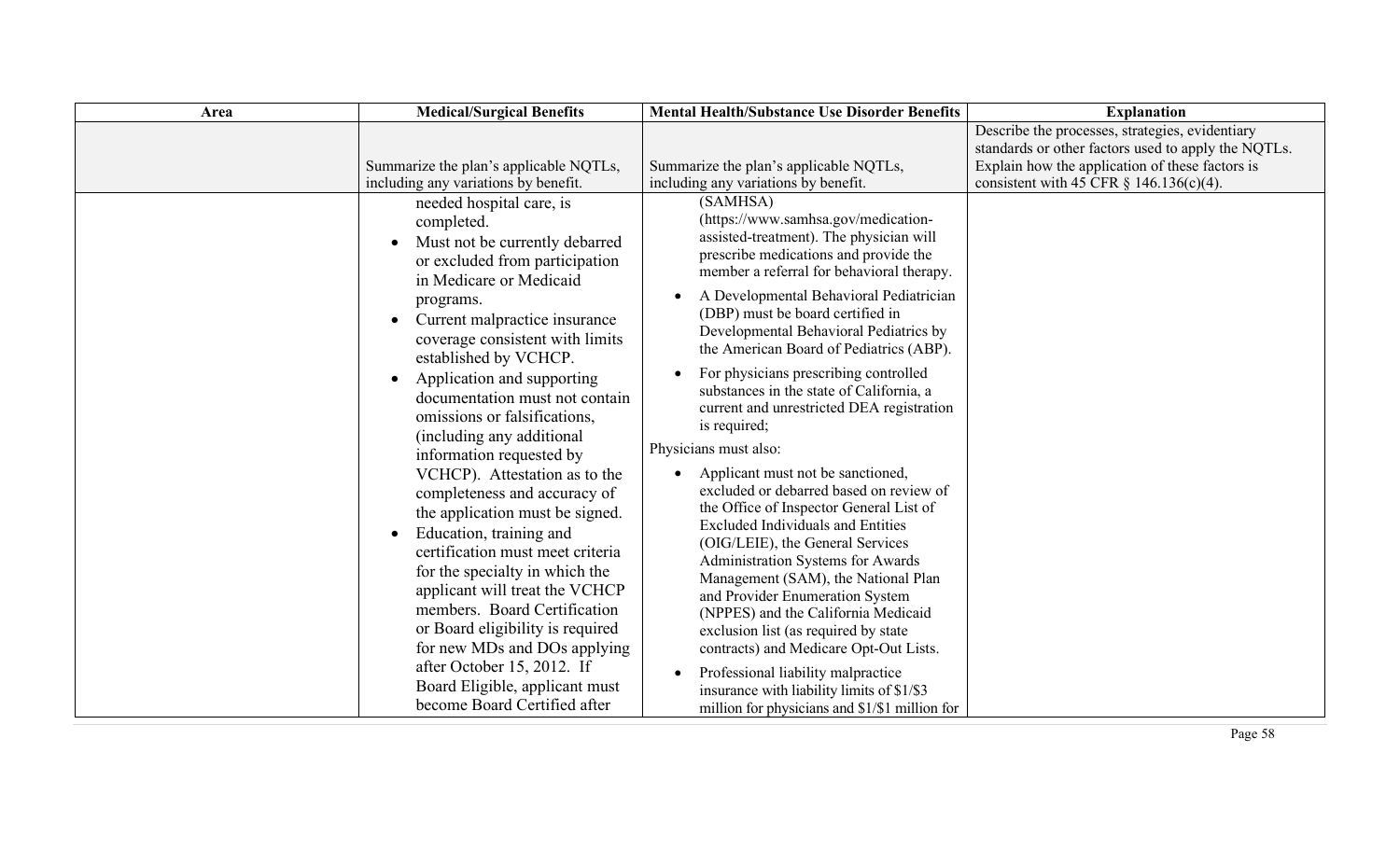| <b>Medical/Surgical Benefits</b>                                                                                                                                                                                                                                                                                                                                                                                                                                                                                                                                                                                                                                                                                                                                                                                                 | <b>Mental Health/Substance Use Disorder Benefits</b>                                                                                                                                                                                                                                                                                                                                                                                                                                                                                                                                                                                                                                                                                                                                                                                                                                                                                                                                                                                                                   | <b>Explanation</b>                                                                                     |
|----------------------------------------------------------------------------------------------------------------------------------------------------------------------------------------------------------------------------------------------------------------------------------------------------------------------------------------------------------------------------------------------------------------------------------------------------------------------------------------------------------------------------------------------------------------------------------------------------------------------------------------------------------------------------------------------------------------------------------------------------------------------------------------------------------------------------------|------------------------------------------------------------------------------------------------------------------------------------------------------------------------------------------------------------------------------------------------------------------------------------------------------------------------------------------------------------------------------------------------------------------------------------------------------------------------------------------------------------------------------------------------------------------------------------------------------------------------------------------------------------------------------------------------------------------------------------------------------------------------------------------------------------------------------------------------------------------------------------------------------------------------------------------------------------------------------------------------------------------------------------------------------------------------|--------------------------------------------------------------------------------------------------------|
|                                                                                                                                                                                                                                                                                                                                                                                                                                                                                                                                                                                                                                                                                                                                                                                                                                  |                                                                                                                                                                                                                                                                                                                                                                                                                                                                                                                                                                                                                                                                                                                                                                                                                                                                                                                                                                                                                                                                        | Describe the processes, strategies, evidentiary<br>standards or other factors used to apply the NQTLs. |
| Summarize the plan's applicable NQTLs,                                                                                                                                                                                                                                                                                                                                                                                                                                                                                                                                                                                                                                                                                                                                                                                           | Summarize the plan's applicable NQTLs,                                                                                                                                                                                                                                                                                                                                                                                                                                                                                                                                                                                                                                                                                                                                                                                                                                                                                                                                                                                                                                 | Explain how the application of these factors is                                                        |
| including any variations by benefit.                                                                                                                                                                                                                                                                                                                                                                                                                                                                                                                                                                                                                                                                                                                                                                                             | including any variations by benefit.                                                                                                                                                                                                                                                                                                                                                                                                                                                                                                                                                                                                                                                                                                                                                                                                                                                                                                                                                                                                                                   | consistent with 45 CFR $\S$ 146.136(c)(4).                                                             |
| needed hospital care, is<br>completed.<br>Must not be currently debarred<br>or excluded from participation<br>in Medicare or Medicaid<br>programs.<br>Current malpractice insurance<br>coverage consistent with limits<br>established by VCHCP.<br>Application and supporting<br>$\bullet$<br>documentation must not contain<br>omissions or falsifications,<br>(including any additional<br>information requested by<br>VCHCP). Attestation as to the<br>completeness and accuracy of<br>the application must be signed.<br>Education, training and<br>certification must meet criteria<br>for the specialty in which the<br>applicant will treat the VCHCP<br>members. Board Certification<br>or Board eligibility is required<br>for new MDs and DOs applying<br>after October 15, 2012. If<br>Board Eligible, applicant must | (SAMHSA)<br>(https://www.samhsa.gov/medication-<br>assisted-treatment). The physician will<br>prescribe medications and provide the<br>member a referral for behavioral therapy.<br>A Developmental Behavioral Pediatrician<br>(DBP) must be board certified in<br>Developmental Behavioral Pediatrics by<br>the American Board of Pediatrics (ABP).<br>For physicians prescribing controlled<br>substances in the state of California, a<br>current and unrestricted DEA registration<br>is required;<br>Physicians must also:<br>Applicant must not be sanctioned,<br>excluded or debarred based on review of<br>the Office of Inspector General List of<br><b>Excluded Individuals and Entities</b><br>(OIG/LEIE), the General Services<br>Administration Systems for Awards<br>Management (SAM), the National Plan<br>and Provider Enumeration System<br>(NPPES) and the California Medicaid<br>exclusion list (as required by state<br>contracts) and Medicare Opt-Out Lists.<br>Professional liability malpractice<br>insurance with liability limits of \$1/\$3 |                                                                                                        |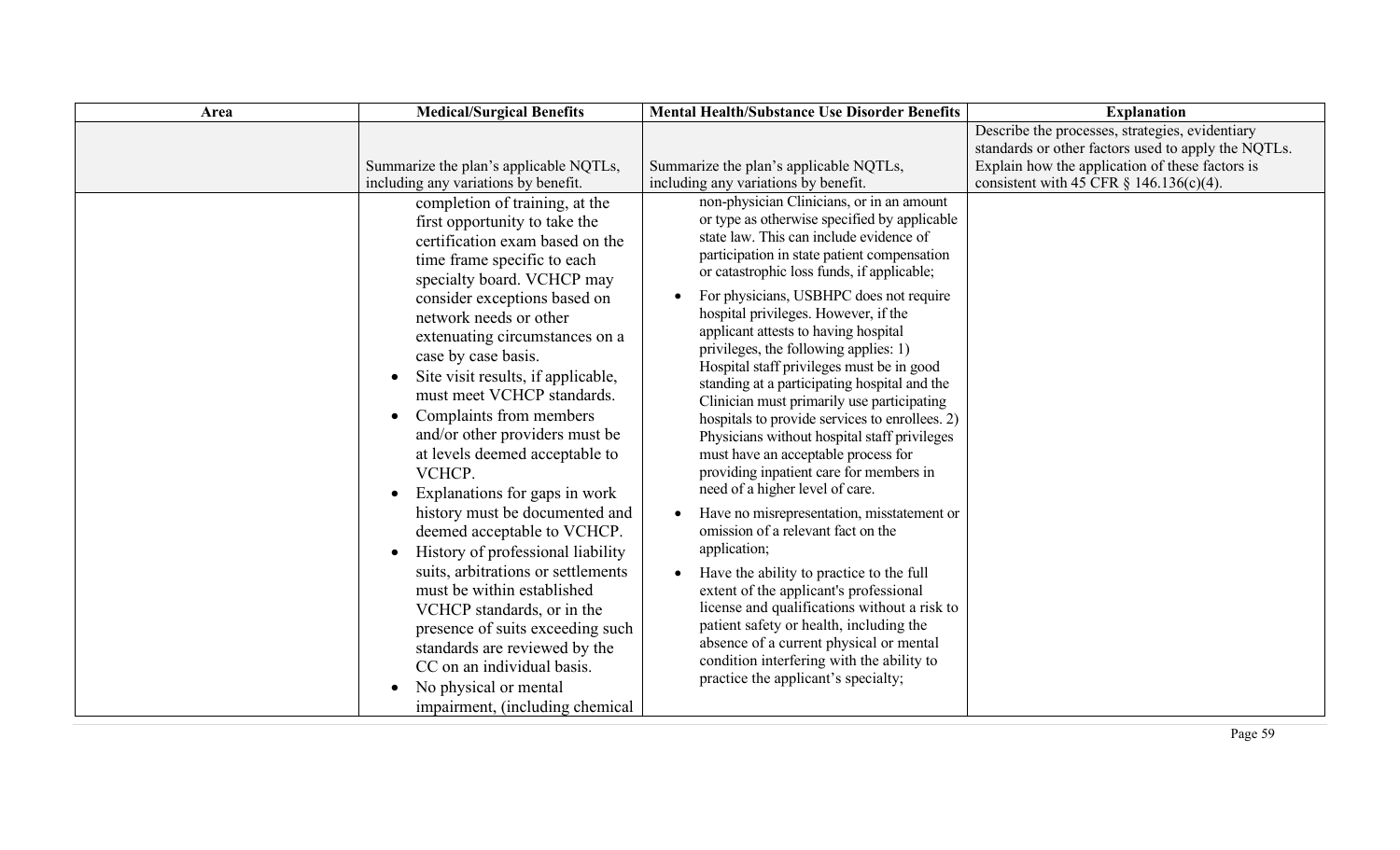| Area | <b>Medical/Surgical Benefits</b>                                                                                                                                                                                                                                                                                                                                                                                                                                                                                                                                                                                                                                                                                                                                                                                                                                                                               | <b>Mental Health/Substance Use Disorder Benefits</b>                                                                                                                                                                                                                                                                                                                                                                                                                                                                                                                                                                                                                                                                                                                                                                                                                                                                                                                                                                                                                                                                                                                                        | <b>Explanation</b>                                                                                     |
|------|----------------------------------------------------------------------------------------------------------------------------------------------------------------------------------------------------------------------------------------------------------------------------------------------------------------------------------------------------------------------------------------------------------------------------------------------------------------------------------------------------------------------------------------------------------------------------------------------------------------------------------------------------------------------------------------------------------------------------------------------------------------------------------------------------------------------------------------------------------------------------------------------------------------|---------------------------------------------------------------------------------------------------------------------------------------------------------------------------------------------------------------------------------------------------------------------------------------------------------------------------------------------------------------------------------------------------------------------------------------------------------------------------------------------------------------------------------------------------------------------------------------------------------------------------------------------------------------------------------------------------------------------------------------------------------------------------------------------------------------------------------------------------------------------------------------------------------------------------------------------------------------------------------------------------------------------------------------------------------------------------------------------------------------------------------------------------------------------------------------------|--------------------------------------------------------------------------------------------------------|
|      |                                                                                                                                                                                                                                                                                                                                                                                                                                                                                                                                                                                                                                                                                                                                                                                                                                                                                                                |                                                                                                                                                                                                                                                                                                                                                                                                                                                                                                                                                                                                                                                                                                                                                                                                                                                                                                                                                                                                                                                                                                                                                                                             | Describe the processes, strategies, evidentiary<br>standards or other factors used to apply the NQTLs. |
|      | Summarize the plan's applicable NQTLs,                                                                                                                                                                                                                                                                                                                                                                                                                                                                                                                                                                                                                                                                                                                                                                                                                                                                         | Summarize the plan's applicable NQTLs,                                                                                                                                                                                                                                                                                                                                                                                                                                                                                                                                                                                                                                                                                                                                                                                                                                                                                                                                                                                                                                                                                                                                                      | Explain how the application of these factors is                                                        |
|      | including any variations by benefit.                                                                                                                                                                                                                                                                                                                                                                                                                                                                                                                                                                                                                                                                                                                                                                                                                                                                           | including any variations by benefit.                                                                                                                                                                                                                                                                                                                                                                                                                                                                                                                                                                                                                                                                                                                                                                                                                                                                                                                                                                                                                                                                                                                                                        | consistent with 45 CFR $\S$ 146.136(c)(4).                                                             |
|      | completion of training, at the<br>first opportunity to take the<br>certification exam based on the<br>time frame specific to each<br>specialty board. VCHCP may<br>consider exceptions based on<br>network needs or other<br>extenuating circumstances on a<br>case by case basis.<br>Site visit results, if applicable,<br>$\bullet$<br>must meet VCHCP standards.<br>Complaints from members<br>$\bullet$<br>and/or other providers must be<br>at levels deemed acceptable to<br>VCHCP.<br>Explanations for gaps in work<br>$\bullet$<br>history must be documented and<br>deemed acceptable to VCHCP.<br>History of professional liability<br>suits, arbitrations or settlements<br>must be within established<br>VCHCP standards, or in the<br>presence of suits exceeding such<br>standards are reviewed by the<br>CC on an individual basis.<br>No physical or mental<br>impairment, (including chemical | non-physician Clinicians, or in an amount<br>or type as otherwise specified by applicable<br>state law. This can include evidence of<br>participation in state patient compensation<br>or catastrophic loss funds, if applicable;<br>For physicians, USBHPC does not require<br>hospital privileges. However, if the<br>applicant attests to having hospital<br>privileges, the following applies: 1)<br>Hospital staff privileges must be in good<br>standing at a participating hospital and the<br>Clinician must primarily use participating<br>hospitals to provide services to enrollees. 2)<br>Physicians without hospital staff privileges<br>must have an acceptable process for<br>providing inpatient care for members in<br>need of a higher level of care.<br>Have no misrepresentation, misstatement or<br>omission of a relevant fact on the<br>application;<br>Have the ability to practice to the full<br>extent of the applicant's professional<br>license and qualifications without a risk to<br>patient safety or health, including the<br>absence of a current physical or mental<br>condition interfering with the ability to<br>practice the applicant's specialty; |                                                                                                        |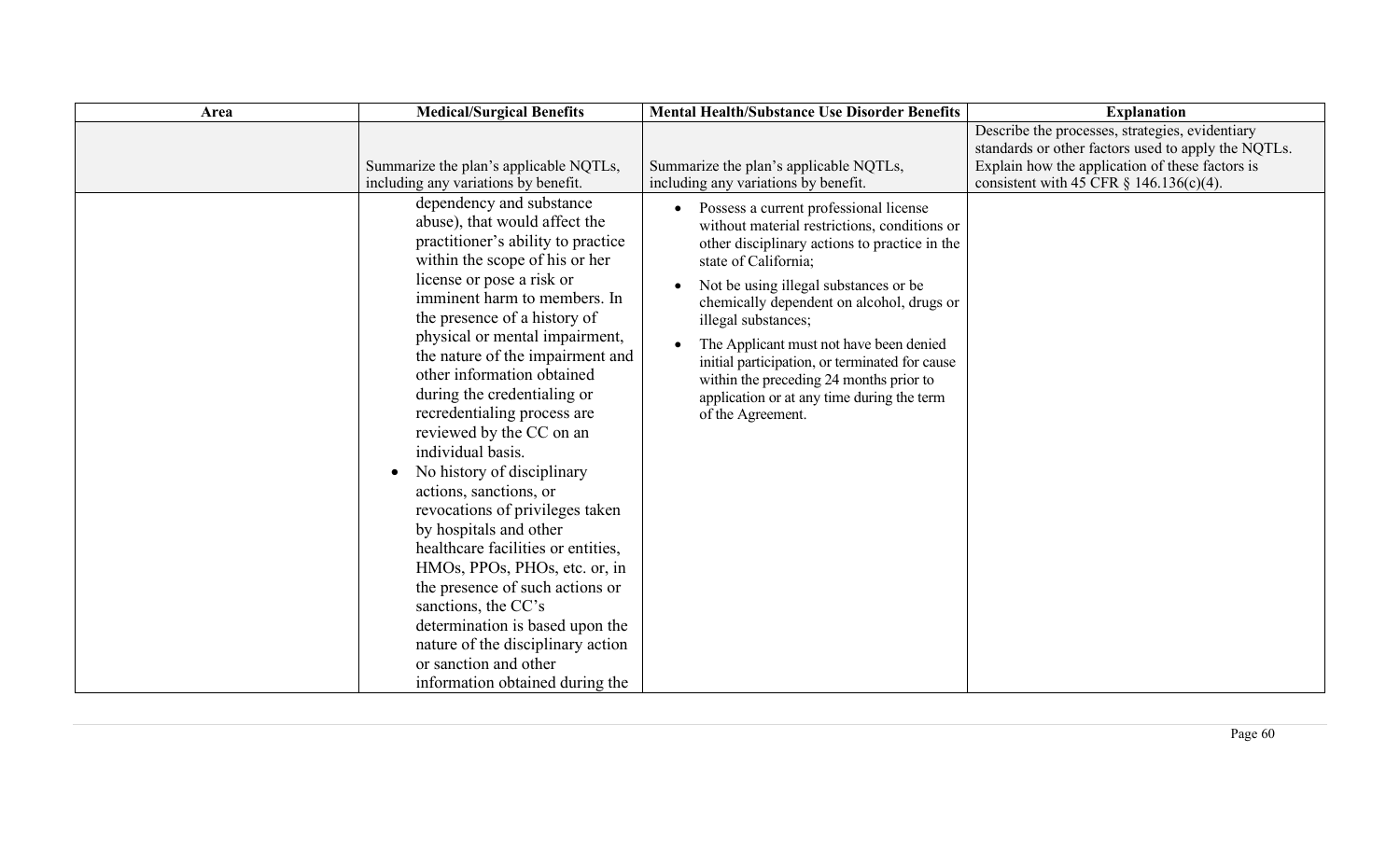| Area | <b>Medical/Surgical Benefits</b>                                                                                                                                                                                                                                                                                                                                                                                                                                                                                                                                                                       | <b>Mental Health/Substance Use Disorder Benefits</b>                                                                                                                                                                                                                                                                                    | <b>Explanation</b>                                                                                                                                                                                      |
|------|--------------------------------------------------------------------------------------------------------------------------------------------------------------------------------------------------------------------------------------------------------------------------------------------------------------------------------------------------------------------------------------------------------------------------------------------------------------------------------------------------------------------------------------------------------------------------------------------------------|-----------------------------------------------------------------------------------------------------------------------------------------------------------------------------------------------------------------------------------------------------------------------------------------------------------------------------------------|---------------------------------------------------------------------------------------------------------------------------------------------------------------------------------------------------------|
|      | Summarize the plan's applicable NQTLs,<br>including any variations by benefit.<br>dependency and substance<br>abuse), that would affect the<br>practitioner's ability to practice<br>within the scope of his or her<br>license or pose a risk or<br>imminent harm to members. In                                                                                                                                                                                                                                                                                                                       | Summarize the plan's applicable NQTLs,<br>including any variations by benefit.<br>Possess a current professional license<br>without material restrictions, conditions or<br>other disciplinary actions to practice in the<br>state of California;<br>Not be using illegal substances or be<br>chemically dependent on alcohol, drugs or | Describe the processes, strategies, evidentiary<br>standards or other factors used to apply the NQTLs.<br>Explain how the application of these factors is<br>consistent with 45 CFR $\S$ 146.136(c)(4). |
|      | the presence of a history of<br>physical or mental impairment,<br>the nature of the impairment and<br>other information obtained<br>during the credentialing or<br>recredentialing process are<br>reviewed by the CC on an<br>individual basis.<br>No history of disciplinary<br>actions, sanctions, or<br>revocations of privileges taken<br>by hospitals and other<br>healthcare facilities or entities,<br>HMOs, PPOs, PHOs, etc. or, in<br>the presence of such actions or<br>sanctions, the CC's<br>determination is based upon the<br>nature of the disciplinary action<br>or sanction and other | illegal substances;<br>The Applicant must not have been denied<br>initial participation, or terminated for cause<br>within the preceding 24 months prior to<br>application or at any time during the term<br>of the Agreement.                                                                                                          |                                                                                                                                                                                                         |
|      | information obtained during the                                                                                                                                                                                                                                                                                                                                                                                                                                                                                                                                                                        |                                                                                                                                                                                                                                                                                                                                         |                                                                                                                                                                                                         |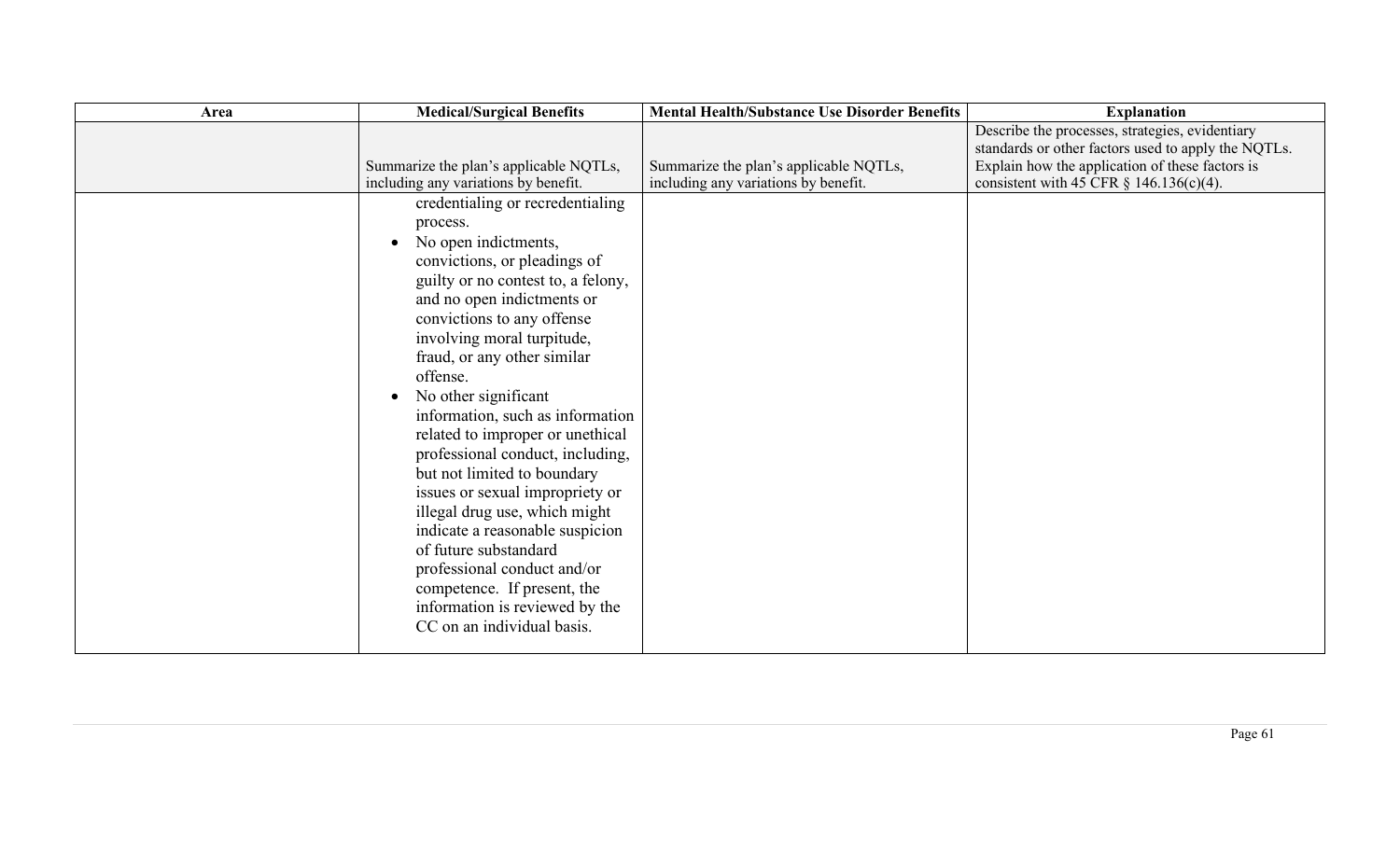| Area | <b>Medical/Surgical Benefits</b>                                                                                                                                                                                                                                                                                                                                                                                                                                                                                                                                                                                                                                                                                 | <b>Mental Health/Substance Use Disorder Benefits</b>                           | <b>Explanation</b>                                                                                                                                                                                      |
|------|------------------------------------------------------------------------------------------------------------------------------------------------------------------------------------------------------------------------------------------------------------------------------------------------------------------------------------------------------------------------------------------------------------------------------------------------------------------------------------------------------------------------------------------------------------------------------------------------------------------------------------------------------------------------------------------------------------------|--------------------------------------------------------------------------------|---------------------------------------------------------------------------------------------------------------------------------------------------------------------------------------------------------|
|      | Summarize the plan's applicable NQTLs,<br>including any variations by benefit.                                                                                                                                                                                                                                                                                                                                                                                                                                                                                                                                                                                                                                   | Summarize the plan's applicable NQTLs,<br>including any variations by benefit. | Describe the processes, strategies, evidentiary<br>standards or other factors used to apply the NQTLs.<br>Explain how the application of these factors is<br>consistent with 45 CFR $\S$ 146.136(c)(4). |
|      | credentialing or recredentialing<br>process.<br>No open indictments,<br>convictions, or pleadings of<br>guilty or no contest to, a felony,<br>and no open indictments or<br>convictions to any offense<br>involving moral turpitude,<br>fraud, or any other similar<br>offense.<br>No other significant<br>information, such as information<br>related to improper or unethical<br>professional conduct, including,<br>but not limited to boundary<br>issues or sexual impropriety or<br>illegal drug use, which might<br>indicate a reasonable suspicion<br>of future substandard<br>professional conduct and/or<br>competence. If present, the<br>information is reviewed by the<br>CC on an individual basis. |                                                                                |                                                                                                                                                                                                         |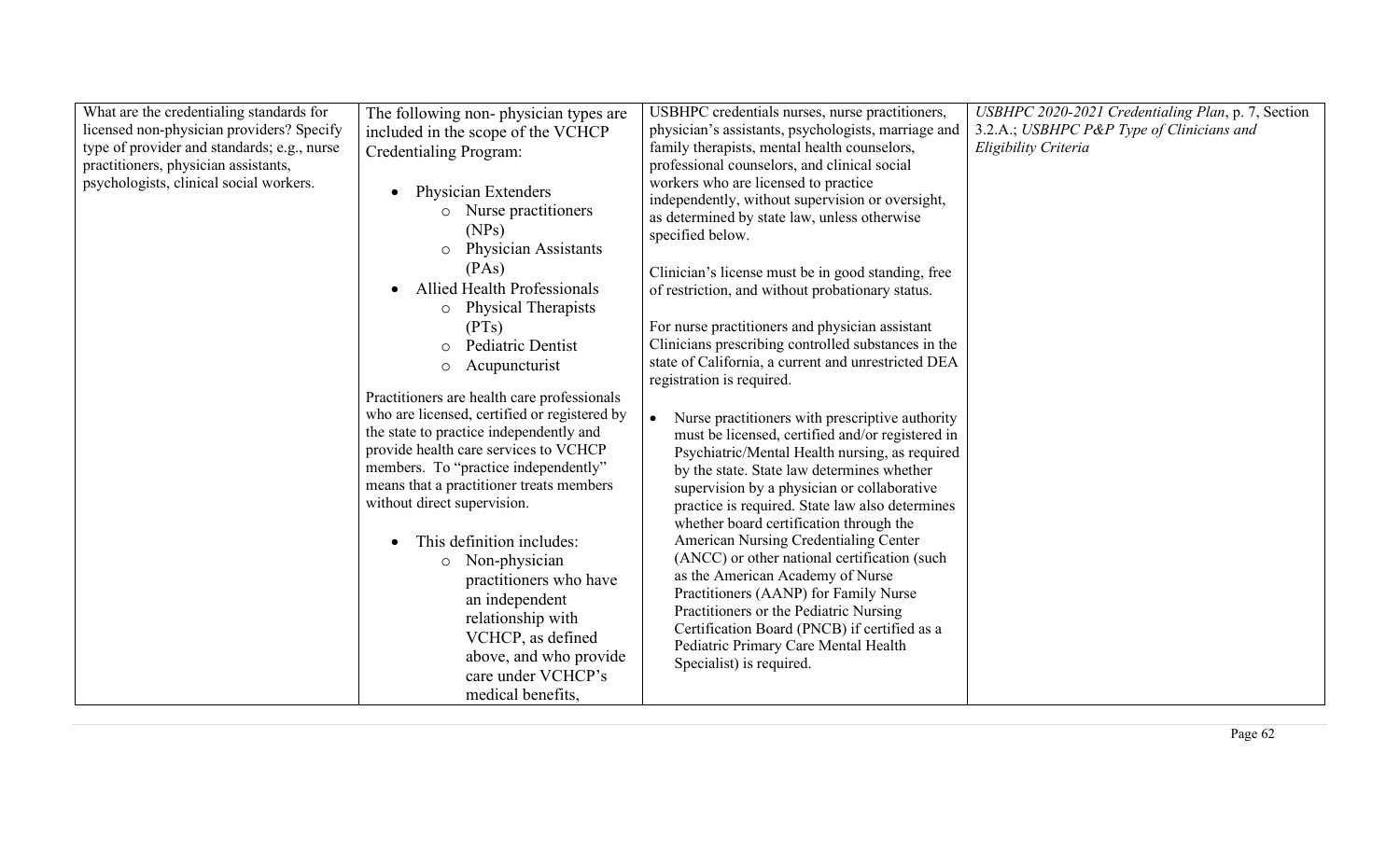| What are the credentialing standards for<br>licensed non-physician providers? Specify<br>type of provider and standards; e.g., nurse<br>practitioners, physician assistants,<br>psychologists, clinical social workers. | The following non-physician types are<br>included in the scope of the VCHCP<br><b>Credentialing Program:</b><br>Physician Extenders<br>o Nurse practitioners<br>(NPs)<br><b>Physician Assistants</b><br>$\circ$<br>(PAs)<br><b>Allied Health Professionals</b><br>o Physical Therapists                                                                                                                                                                                                                                                                                                     | USBHPC credentials nurses, nurse practitioners,<br>physician's assistants, psychologists, marriage and<br>family therapists, mental health counselors,<br>professional counselors, and clinical social<br>workers who are licensed to practice<br>independently, without supervision or oversight,<br>as determined by state law, unless otherwise<br>specified below.<br>Clinician's license must be in good standing, free<br>of restriction, and without probationary status.                                                                                                                                                                                                                                                                                                                                                                                                                | USBHPC 2020-2021 Credentialing Plan, p. 7, Section<br>3.2.A.; USBHPC P&P Type of Clinicians and<br>Eligibility Criteria |
|-------------------------------------------------------------------------------------------------------------------------------------------------------------------------------------------------------------------------|---------------------------------------------------------------------------------------------------------------------------------------------------------------------------------------------------------------------------------------------------------------------------------------------------------------------------------------------------------------------------------------------------------------------------------------------------------------------------------------------------------------------------------------------------------------------------------------------|-------------------------------------------------------------------------------------------------------------------------------------------------------------------------------------------------------------------------------------------------------------------------------------------------------------------------------------------------------------------------------------------------------------------------------------------------------------------------------------------------------------------------------------------------------------------------------------------------------------------------------------------------------------------------------------------------------------------------------------------------------------------------------------------------------------------------------------------------------------------------------------------------|-------------------------------------------------------------------------------------------------------------------------|
|                                                                                                                                                                                                                         | (PTs)<br>Pediatric Dentist<br>$\circ$<br>Acupuncturist<br>$\circ$<br>Practitioners are health care professionals<br>who are licensed, certified or registered by<br>the state to practice independently and<br>provide health care services to VCHCP<br>members. To "practice independently"<br>means that a practitioner treats members<br>without direct supervision.<br>This definition includes:<br>Non-physician<br>$\circ$<br>practitioners who have<br>an independent<br>relationship with<br>VCHCP, as defined<br>above, and who provide<br>care under VCHCP's<br>medical benefits. | For nurse practitioners and physician assistant<br>Clinicians prescribing controlled substances in the<br>state of California, a current and unrestricted DEA<br>registration is required.<br>Nurse practitioners with prescriptive authority<br>$\bullet$<br>must be licensed, certified and/or registered in<br>Psychiatric/Mental Health nursing, as required<br>by the state. State law determines whether<br>supervision by a physician or collaborative<br>practice is required. State law also determines<br>whether board certification through the<br>American Nursing Credentialing Center<br>(ANCC) or other national certification (such<br>as the American Academy of Nurse<br>Practitioners (AANP) for Family Nurse<br>Practitioners or the Pediatric Nursing<br>Certification Board (PNCB) if certified as a<br>Pediatric Primary Care Mental Health<br>Specialist) is required. |                                                                                                                         |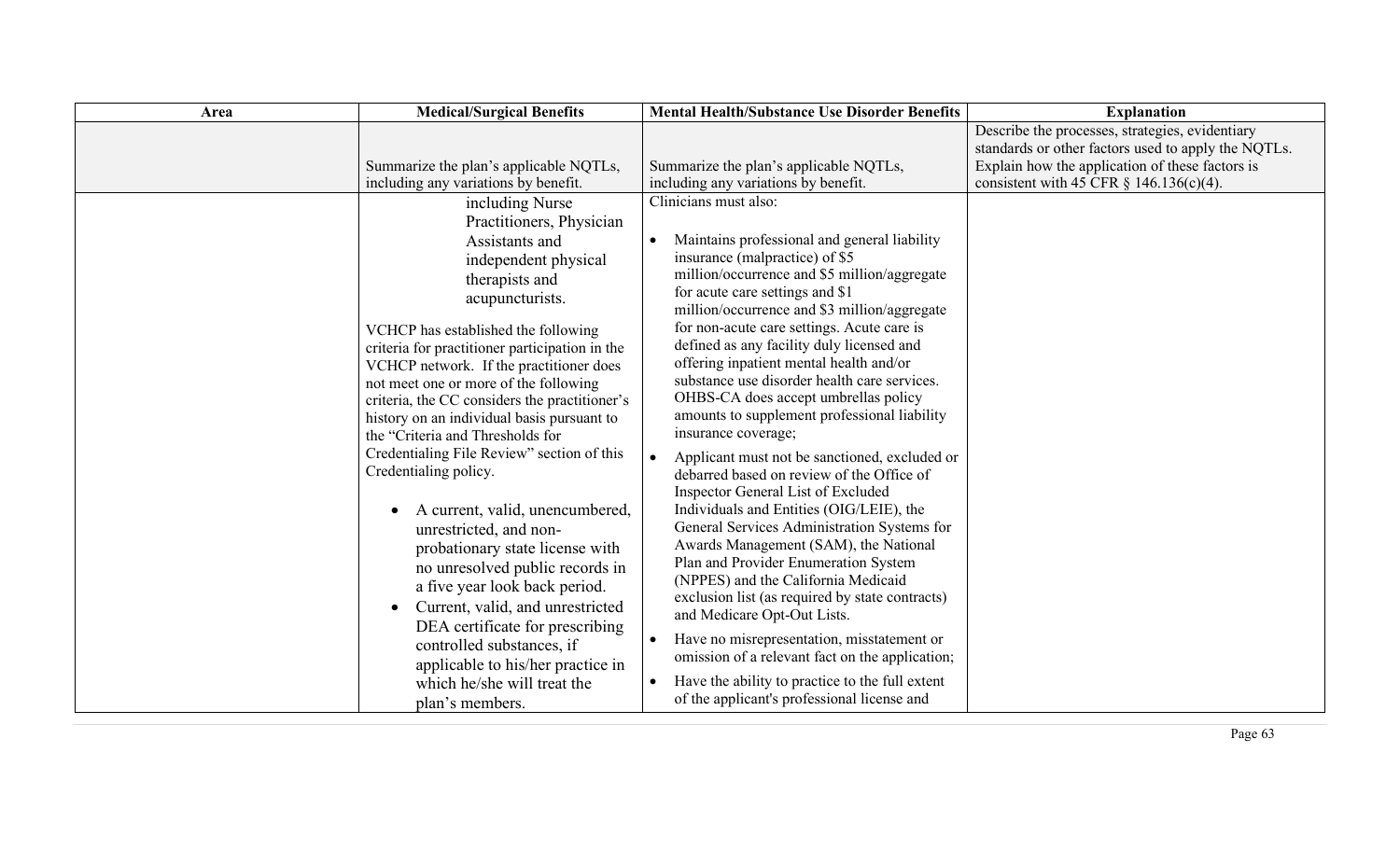| Area | <b>Medical/Surgical Benefits</b>                                                                                                                                                                                                                                                                                                                                                                                                                                                                                                                                                                                                                                                                                                                                                                                                                                                              | <b>Mental Health/Substance Use Disorder Benefits</b>                                                                                                                                                                                                                                                                                                                                                                                                                                                                                                                                                                                                                                                                                                                                                                                                                                                                                                                                                                                                                                                                                                                                                                  | <b>Explanation</b>                                                                                                                                                                                      |
|------|-----------------------------------------------------------------------------------------------------------------------------------------------------------------------------------------------------------------------------------------------------------------------------------------------------------------------------------------------------------------------------------------------------------------------------------------------------------------------------------------------------------------------------------------------------------------------------------------------------------------------------------------------------------------------------------------------------------------------------------------------------------------------------------------------------------------------------------------------------------------------------------------------|-----------------------------------------------------------------------------------------------------------------------------------------------------------------------------------------------------------------------------------------------------------------------------------------------------------------------------------------------------------------------------------------------------------------------------------------------------------------------------------------------------------------------------------------------------------------------------------------------------------------------------------------------------------------------------------------------------------------------------------------------------------------------------------------------------------------------------------------------------------------------------------------------------------------------------------------------------------------------------------------------------------------------------------------------------------------------------------------------------------------------------------------------------------------------------------------------------------------------|---------------------------------------------------------------------------------------------------------------------------------------------------------------------------------------------------------|
|      | Summarize the plan's applicable NQTLs,<br>including any variations by benefit.                                                                                                                                                                                                                                                                                                                                                                                                                                                                                                                                                                                                                                                                                                                                                                                                                | Summarize the plan's applicable NQTLs,<br>including any variations by benefit.                                                                                                                                                                                                                                                                                                                                                                                                                                                                                                                                                                                                                                                                                                                                                                                                                                                                                                                                                                                                                                                                                                                                        | Describe the processes, strategies, evidentiary<br>standards or other factors used to apply the NQTLs.<br>Explain how the application of these factors is<br>consistent with 45 CFR $\S$ 146.136(c)(4). |
|      | including Nurse<br>Practitioners, Physician<br>Assistants and<br>independent physical<br>therapists and<br>acupuncturists.<br>VCHCP has established the following<br>criteria for practitioner participation in the<br>VCHCP network. If the practitioner does<br>not meet one or more of the following<br>criteria, the CC considers the practitioner's<br>history on an individual basis pursuant to<br>the "Criteria and Thresholds for<br>Credentialing File Review" section of this<br>Credentialing policy.<br>A current, valid, unencumbered,<br>unrestricted, and non-<br>probationary state license with<br>no unresolved public records in<br>a five year look back period.<br>Current, valid, and unrestricted<br>$\bullet$<br>DEA certificate for prescribing<br>controlled substances, if<br>applicable to his/her practice in<br>which he/she will treat the<br>plan's members. | Clinicians must also:<br>Maintains professional and general liability<br>insurance (malpractice) of \$5<br>million/occurrence and \$5 million/aggregate<br>for acute care settings and \$1<br>million/occurrence and \$3 million/aggregate<br>for non-acute care settings. Acute care is<br>defined as any facility duly licensed and<br>offering inpatient mental health and/or<br>substance use disorder health care services.<br>OHBS-CA does accept umbrellas policy<br>amounts to supplement professional liability<br>insurance coverage;<br>Applicant must not be sanctioned, excluded or<br>$\bullet$<br>debarred based on review of the Office of<br>Inspector General List of Excluded<br>Individuals and Entities (OIG/LEIE), the<br>General Services Administration Systems for<br>Awards Management (SAM), the National<br>Plan and Provider Enumeration System<br>(NPPES) and the California Medicaid<br>exclusion list (as required by state contracts)<br>and Medicare Opt-Out Lists.<br>Have no misrepresentation, misstatement or<br>omission of a relevant fact on the application;<br>Have the ability to practice to the full extent<br>$\bullet$<br>of the applicant's professional license and |                                                                                                                                                                                                         |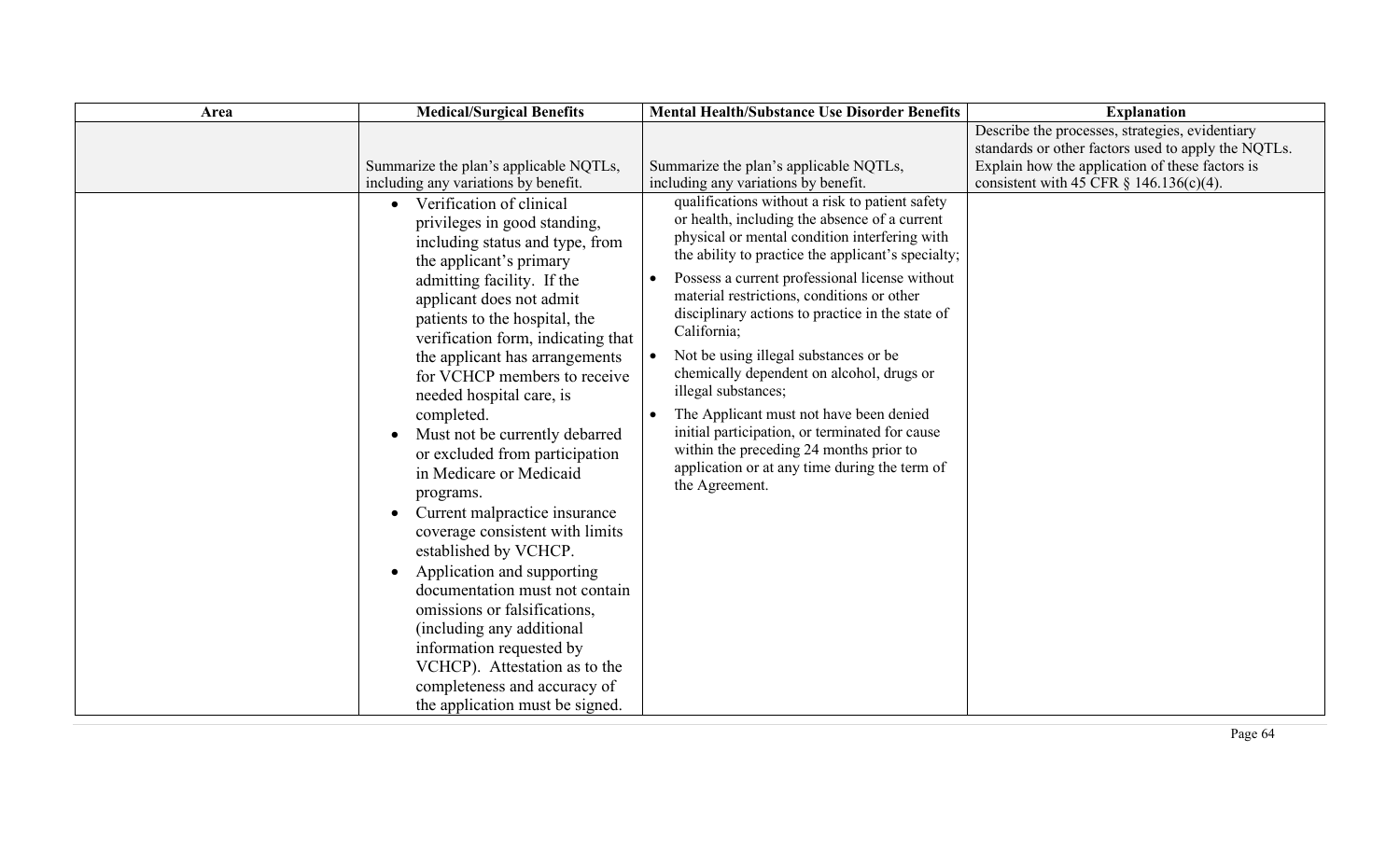| Area | <b>Medical/Surgical Benefits</b>                                                                                                                                                                                                                                                                                                                                                                                                                                                                                                                          | <b>Mental Health/Substance Use Disorder Benefits</b>                                                                                                                                                                                                                                                                                                                                                                                                                                                  | <b>Explanation</b>                                                                                                                                                                                      |
|------|-----------------------------------------------------------------------------------------------------------------------------------------------------------------------------------------------------------------------------------------------------------------------------------------------------------------------------------------------------------------------------------------------------------------------------------------------------------------------------------------------------------------------------------------------------------|-------------------------------------------------------------------------------------------------------------------------------------------------------------------------------------------------------------------------------------------------------------------------------------------------------------------------------------------------------------------------------------------------------------------------------------------------------------------------------------------------------|---------------------------------------------------------------------------------------------------------------------------------------------------------------------------------------------------------|
|      | Summarize the plan's applicable NQTLs,<br>including any variations by benefit.<br>Verification of clinical<br>$\bullet$<br>privileges in good standing,<br>including status and type, from<br>the applicant's primary<br>admitting facility. If the<br>applicant does not admit<br>patients to the hospital, the<br>verification form, indicating that<br>the applicant has arrangements                                                                                                                                                                  | Summarize the plan's applicable NQTLs,<br>including any variations by benefit.<br>qualifications without a risk to patient safety<br>or health, including the absence of a current<br>physical or mental condition interfering with<br>the ability to practice the applicant's specialty;<br>Possess a current professional license without<br>material restrictions, conditions or other<br>disciplinary actions to practice in the state of<br>California;<br>Not be using illegal substances or be | Describe the processes, strategies, evidentiary<br>standards or other factors used to apply the NQTLs.<br>Explain how the application of these factors is<br>consistent with 45 CFR $\S$ 146.136(c)(4). |
|      | for VCHCP members to receive<br>needed hospital care, is<br>completed.<br>Must not be currently debarred<br>$\bullet$<br>or excluded from participation<br>in Medicare or Medicaid<br>programs.<br>Current malpractice insurance<br>coverage consistent with limits<br>established by VCHCP.<br>Application and supporting<br>documentation must not contain<br>omissions or falsifications,<br>(including any additional<br>information requested by<br>VCHCP). Attestation as to the<br>completeness and accuracy of<br>the application must be signed. | chemically dependent on alcohol, drugs or<br>illegal substances;<br>The Applicant must not have been denied<br>initial participation, or terminated for cause<br>within the preceding 24 months prior to<br>application or at any time during the term of<br>the Agreement.                                                                                                                                                                                                                           |                                                                                                                                                                                                         |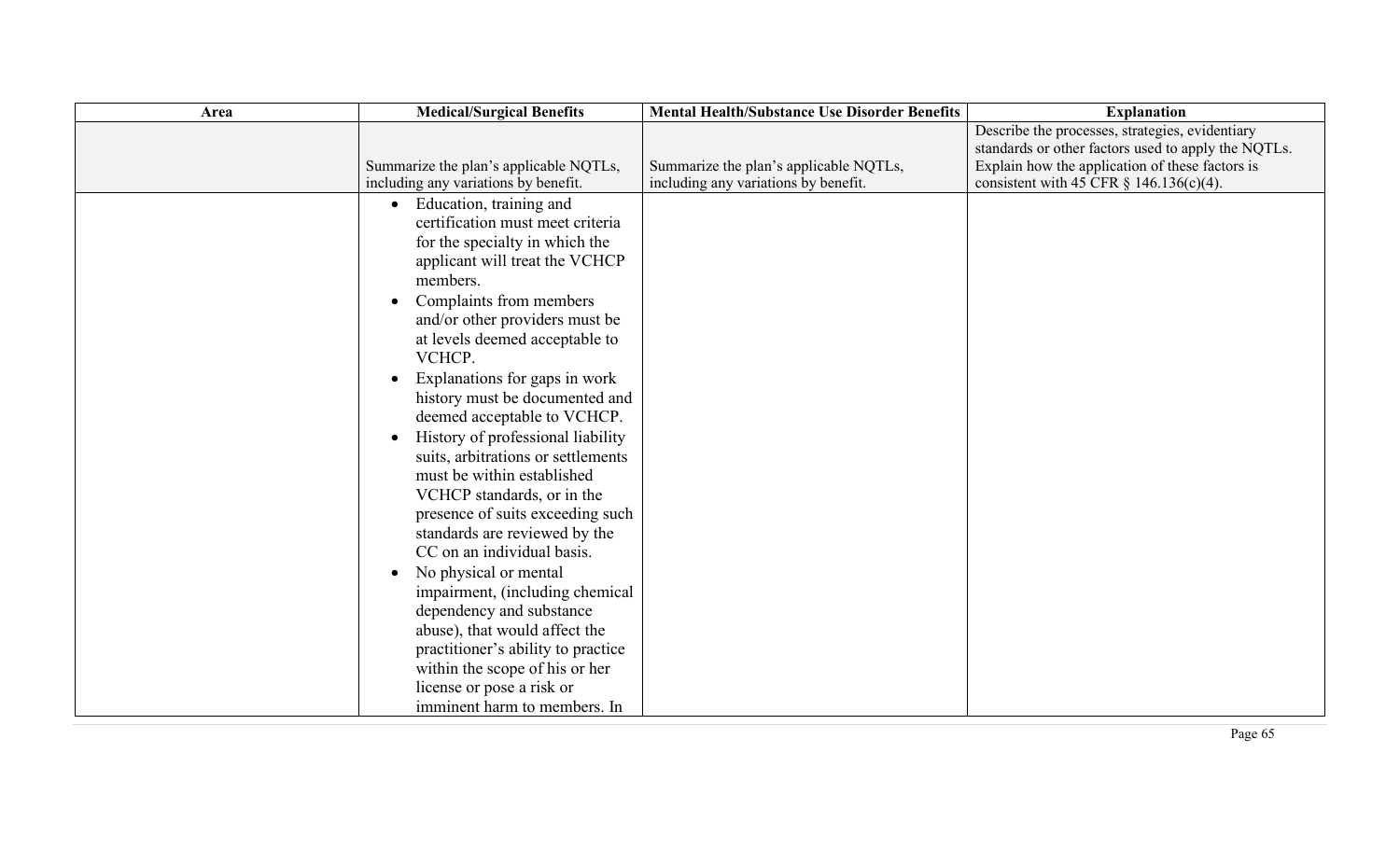| Area | <b>Medical/Surgical Benefits</b>       | <b>Mental Health/Substance Use Disorder Benefits</b> | <b>Explanation</b>                                  |
|------|----------------------------------------|------------------------------------------------------|-----------------------------------------------------|
|      |                                        |                                                      | Describe the processes, strategies, evidentiary     |
|      |                                        |                                                      | standards or other factors used to apply the NQTLs. |
|      | Summarize the plan's applicable NQTLs, | Summarize the plan's applicable NQTLs,               | Explain how the application of these factors is     |
|      | including any variations by benefit.   | including any variations by benefit.                 | consistent with 45 CFR $\S$ 146.136(c)(4).          |
|      | Education, training and                |                                                      |                                                     |
|      | certification must meet criteria       |                                                      |                                                     |
|      | for the specialty in which the         |                                                      |                                                     |
|      | applicant will treat the VCHCP         |                                                      |                                                     |
|      | members.                               |                                                      |                                                     |
|      | Complaints from members                |                                                      |                                                     |
|      | and/or other providers must be         |                                                      |                                                     |
|      | at levels deemed acceptable to         |                                                      |                                                     |
|      | VCHCP.                                 |                                                      |                                                     |
|      | Explanations for gaps in work          |                                                      |                                                     |
|      | history must be documented and         |                                                      |                                                     |
|      | deemed acceptable to VCHCP.            |                                                      |                                                     |
|      | History of professional liability      |                                                      |                                                     |
|      | suits, arbitrations or settlements     |                                                      |                                                     |
|      | must be within established             |                                                      |                                                     |
|      | VCHCP standards, or in the             |                                                      |                                                     |
|      | presence of suits exceeding such       |                                                      |                                                     |
|      | standards are reviewed by the          |                                                      |                                                     |
|      | CC on an individual basis.             |                                                      |                                                     |
|      | No physical or mental<br>$\bullet$     |                                                      |                                                     |
|      | impairment, (including chemical        |                                                      |                                                     |
|      | dependency and substance               |                                                      |                                                     |
|      | abuse), that would affect the          |                                                      |                                                     |
|      | practitioner's ability to practice     |                                                      |                                                     |
|      | within the scope of his or her         |                                                      |                                                     |
|      |                                        |                                                      |                                                     |
|      | license or pose a risk or              |                                                      |                                                     |
|      | imminent harm to members. In           |                                                      |                                                     |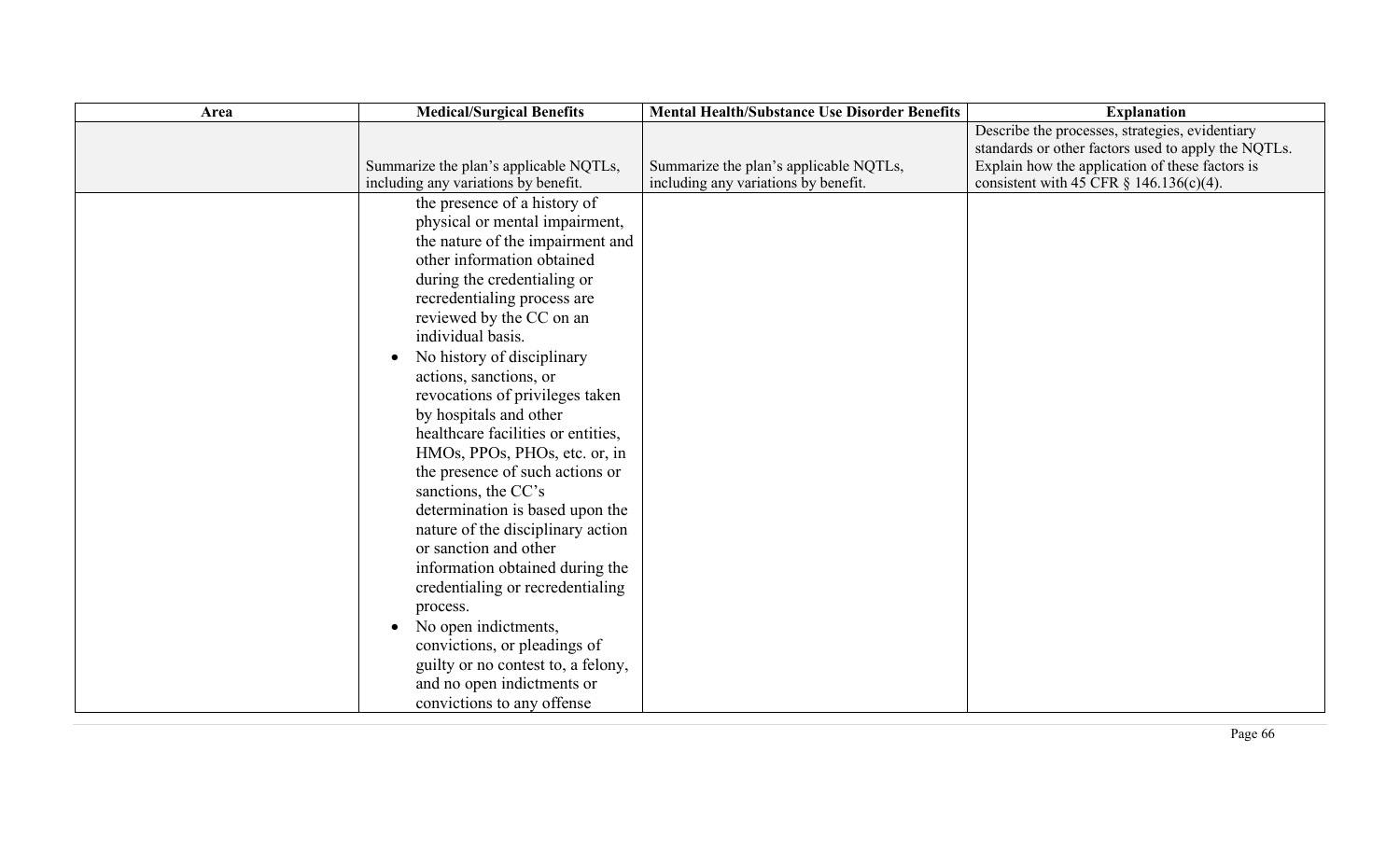| Area | <b>Medical/Surgical Benefits</b>       | <b>Mental Health/Substance Use Disorder Benefits</b> | <b>Explanation</b>                                  |
|------|----------------------------------------|------------------------------------------------------|-----------------------------------------------------|
|      |                                        |                                                      | Describe the processes, strategies, evidentiary     |
|      |                                        |                                                      | standards or other factors used to apply the NQTLs. |
|      | Summarize the plan's applicable NQTLs, | Summarize the plan's applicable NQTLs,               | Explain how the application of these factors is     |
|      | including any variations by benefit.   | including any variations by benefit.                 | consistent with 45 CFR $\S$ 146.136(c)(4).          |
|      | the presence of a history of           |                                                      |                                                     |
|      | physical or mental impairment,         |                                                      |                                                     |
|      | the nature of the impairment and       |                                                      |                                                     |
|      | other information obtained             |                                                      |                                                     |
|      | during the credentialing or            |                                                      |                                                     |
|      | recredentialing process are            |                                                      |                                                     |
|      | reviewed by the CC on an               |                                                      |                                                     |
|      | individual basis.                      |                                                      |                                                     |
|      | No history of disciplinary             |                                                      |                                                     |
|      | actions, sanctions, or                 |                                                      |                                                     |
|      | revocations of privileges taken        |                                                      |                                                     |
|      | by hospitals and other                 |                                                      |                                                     |
|      | healthcare facilities or entities,     |                                                      |                                                     |
|      | HMOs, PPOs, PHOs, etc. or, in          |                                                      |                                                     |
|      | the presence of such actions or        |                                                      |                                                     |
|      | sanctions, the CC's                    |                                                      |                                                     |
|      | determination is based upon the        |                                                      |                                                     |
|      | nature of the disciplinary action      |                                                      |                                                     |
|      | or sanction and other                  |                                                      |                                                     |
|      |                                        |                                                      |                                                     |
|      | information obtained during the        |                                                      |                                                     |
|      | credentialing or recredentialing       |                                                      |                                                     |
|      | process.                               |                                                      |                                                     |
|      | No open indictments,<br>$\bullet$      |                                                      |                                                     |
|      | convictions, or pleadings of           |                                                      |                                                     |
|      | guilty or no contest to, a felony,     |                                                      |                                                     |
|      | and no open indictments or             |                                                      |                                                     |
|      | convictions to any offense             |                                                      |                                                     |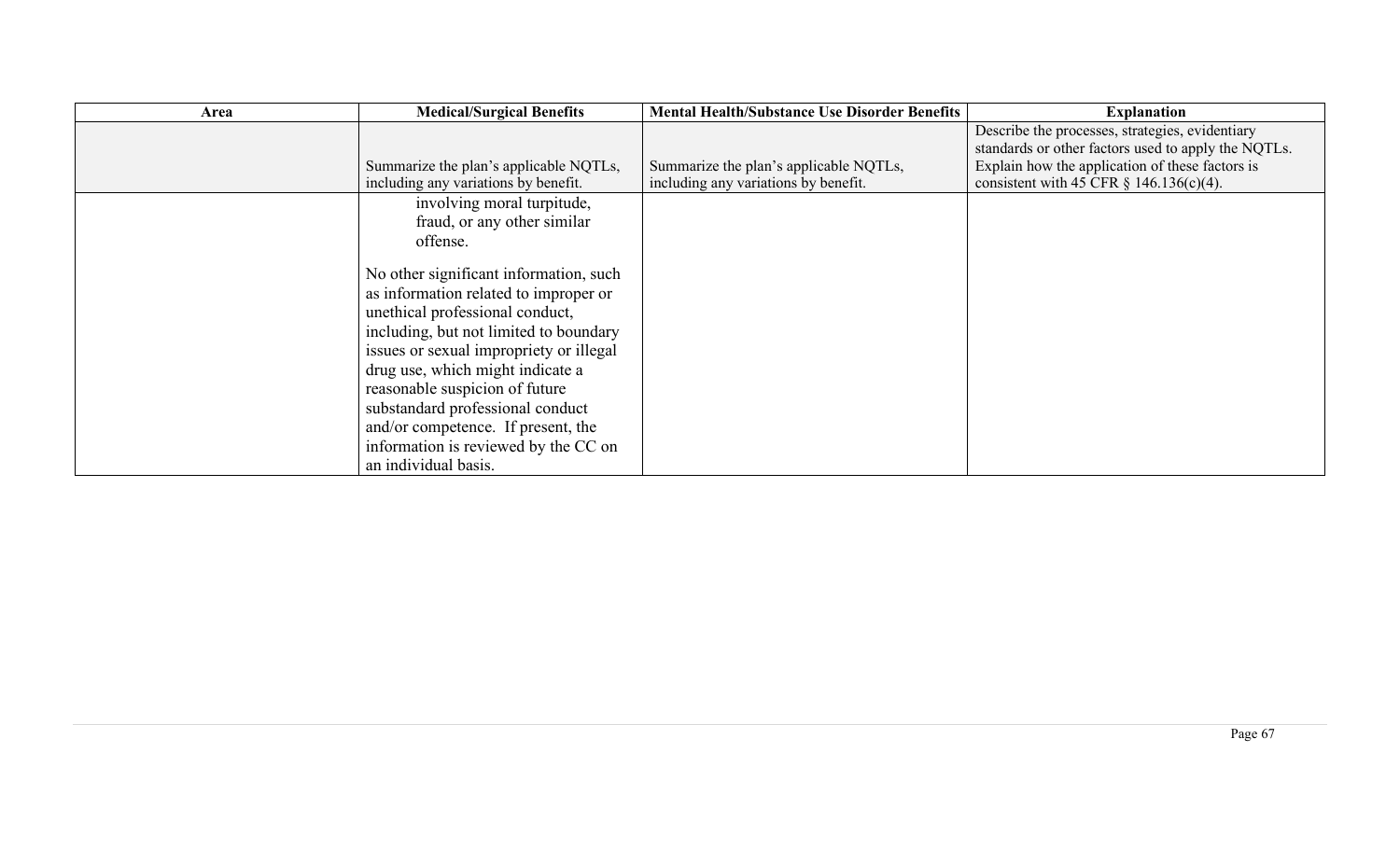| Area | <b>Medical/Surgical Benefits</b>        | <b>Mental Health/Substance Use Disorder Benefits</b> | <b>Explanation</b>                                  |
|------|-----------------------------------------|------------------------------------------------------|-----------------------------------------------------|
|      |                                         |                                                      | Describe the processes, strategies, evidentiary     |
|      |                                         |                                                      | standards or other factors used to apply the NQTLs. |
|      | Summarize the plan's applicable NQTLs,  | Summarize the plan's applicable NQTLs,               | Explain how the application of these factors is     |
|      | including any variations by benefit.    | including any variations by benefit.                 | consistent with 45 CFR $\S$ 146.136(c)(4).          |
|      | involving moral turpitude,              |                                                      |                                                     |
|      | fraud, or any other similar             |                                                      |                                                     |
|      | offense.                                |                                                      |                                                     |
|      |                                         |                                                      |                                                     |
|      | No other significant information, such  |                                                      |                                                     |
|      | as information related to improper or   |                                                      |                                                     |
|      | unethical professional conduct,         |                                                      |                                                     |
|      | including, but not limited to boundary  |                                                      |                                                     |
|      | issues or sexual impropriety or illegal |                                                      |                                                     |
|      | drug use, which might indicate a        |                                                      |                                                     |
|      | reasonable suspicion of future          |                                                      |                                                     |
|      | substandard professional conduct        |                                                      |                                                     |
|      | and/or competence. If present, the      |                                                      |                                                     |
|      | information is reviewed by the CC on    |                                                      |                                                     |
|      |                                         |                                                      |                                                     |
|      | an individual basis.                    |                                                      |                                                     |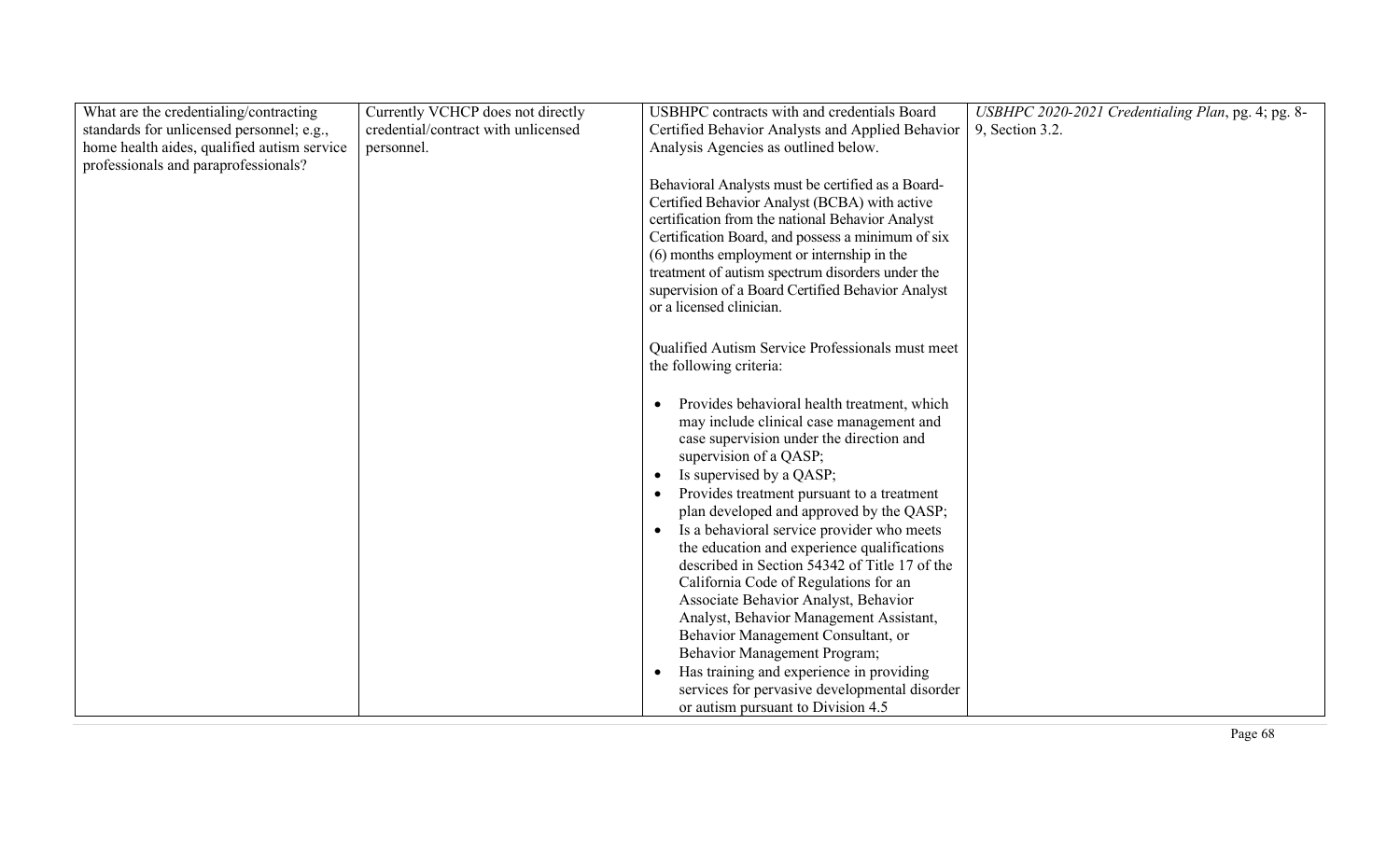| What are the credentialing/contracting      | Currently VCHCP does not directly   | USBHPC contracts with and credentials Board       | USBHPC 2020-2021 Credentialing Plan, pg. 4; pg. 8- |
|---------------------------------------------|-------------------------------------|---------------------------------------------------|----------------------------------------------------|
| standards for unlicensed personnel; e.g.,   | credential/contract with unlicensed | Certified Behavior Analysts and Applied Behavior  | 9, Section 3.2.                                    |
| home health aides, qualified autism service | personnel.                          | Analysis Agencies as outlined below.              |                                                    |
| professionals and paraprofessionals?        |                                     |                                                   |                                                    |
|                                             |                                     | Behavioral Analysts must be certified as a Board- |                                                    |
|                                             |                                     | Certified Behavior Analyst (BCBA) with active     |                                                    |
|                                             |                                     | certification from the national Behavior Analyst  |                                                    |
|                                             |                                     | Certification Board, and possess a minimum of six |                                                    |
|                                             |                                     | (6) months employment or internship in the        |                                                    |
|                                             |                                     | treatment of autism spectrum disorders under the  |                                                    |
|                                             |                                     | supervision of a Board Certified Behavior Analyst |                                                    |
|                                             |                                     | or a licensed clinician.                          |                                                    |
|                                             |                                     |                                                   |                                                    |
|                                             |                                     | Qualified Autism Service Professionals must meet  |                                                    |
|                                             |                                     | the following criteria:                           |                                                    |
|                                             |                                     |                                                   |                                                    |
|                                             |                                     | Provides behavioral health treatment, which       |                                                    |
|                                             |                                     | may include clinical case management and          |                                                    |
|                                             |                                     | case supervision under the direction and          |                                                    |
|                                             |                                     | supervision of a QASP;                            |                                                    |
|                                             |                                     | Is supervised by a QASP;<br>$\bullet$             |                                                    |
|                                             |                                     | Provides treatment pursuant to a treatment        |                                                    |
|                                             |                                     | plan developed and approved by the QASP;          |                                                    |
|                                             |                                     | Is a behavioral service provider who meets        |                                                    |
|                                             |                                     | the education and experience qualifications       |                                                    |
|                                             |                                     | described in Section 54342 of Title 17 of the     |                                                    |
|                                             |                                     | California Code of Regulations for an             |                                                    |
|                                             |                                     | Associate Behavior Analyst, Behavior              |                                                    |
|                                             |                                     | Analyst, Behavior Management Assistant,           |                                                    |
|                                             |                                     | Behavior Management Consultant, or                |                                                    |
|                                             |                                     | Behavior Management Program;                      |                                                    |
|                                             |                                     | Has training and experience in providing          |                                                    |
|                                             |                                     | services for pervasive developmental disorder     |                                                    |
|                                             |                                     | or autism pursuant to Division 4.5                |                                                    |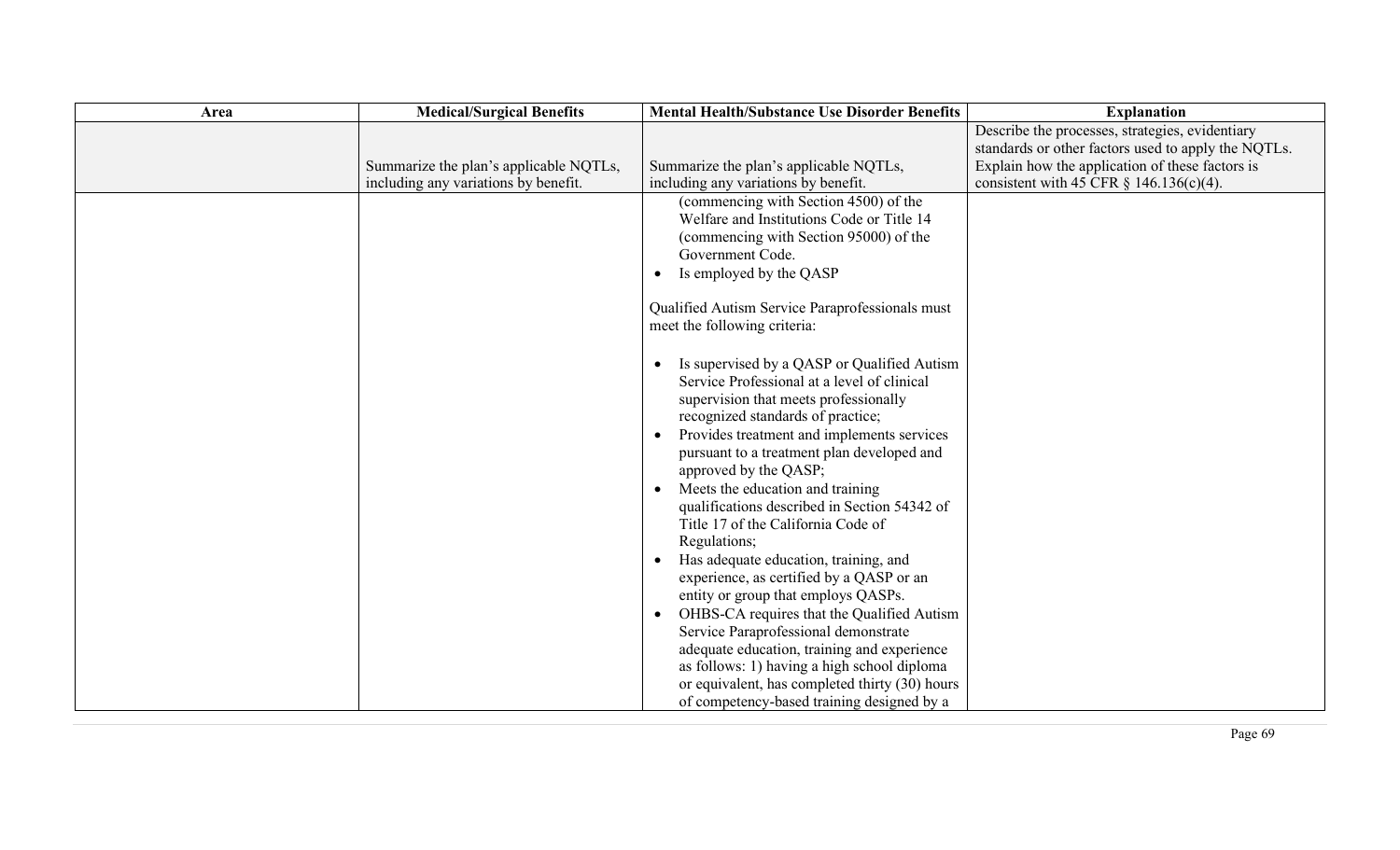| Area | <b>Medical/Surgical Benefits</b>                                               | <b>Mental Health/Substance Use Disorder Benefits</b>                                                                                                                                                                                                                                                                                                                                                                                                                                                                                                                                                                                                                                                                                                                                                                                                                                                                                                                                                                                                                                                                                                             | <b>Explanation</b>                                                                                                                                                                                      |
|------|--------------------------------------------------------------------------------|------------------------------------------------------------------------------------------------------------------------------------------------------------------------------------------------------------------------------------------------------------------------------------------------------------------------------------------------------------------------------------------------------------------------------------------------------------------------------------------------------------------------------------------------------------------------------------------------------------------------------------------------------------------------------------------------------------------------------------------------------------------------------------------------------------------------------------------------------------------------------------------------------------------------------------------------------------------------------------------------------------------------------------------------------------------------------------------------------------------------------------------------------------------|---------------------------------------------------------------------------------------------------------------------------------------------------------------------------------------------------------|
|      | Summarize the plan's applicable NQTLs,<br>including any variations by benefit. | Summarize the plan's applicable NQTLs,<br>including any variations by benefit.                                                                                                                                                                                                                                                                                                                                                                                                                                                                                                                                                                                                                                                                                                                                                                                                                                                                                                                                                                                                                                                                                   | Describe the processes, strategies, evidentiary<br>standards or other factors used to apply the NQTLs.<br>Explain how the application of these factors is<br>consistent with 45 CFR $\S$ 146.136(c)(4). |
|      |                                                                                | (commencing with Section 4500) of the<br>Welfare and Institutions Code or Title 14<br>(commencing with Section 95000) of the<br>Government Code.<br>Is employed by the QASP<br>$\bullet$<br>Qualified Autism Service Paraprofessionals must<br>meet the following criteria:<br>Is supervised by a QASP or Qualified Autism<br>Service Professional at a level of clinical<br>supervision that meets professionally<br>recognized standards of practice;<br>Provides treatment and implements services<br>$\bullet$<br>pursuant to a treatment plan developed and<br>approved by the QASP;<br>Meets the education and training<br>$\bullet$<br>qualifications described in Section 54342 of<br>Title 17 of the California Code of<br>Regulations;<br>Has adequate education, training, and<br>experience, as certified by a QASP or an<br>entity or group that employs QASPs.<br>OHBS-CA requires that the Qualified Autism<br>Service Paraprofessional demonstrate<br>adequate education, training and experience<br>as follows: 1) having a high school diploma<br>or equivalent, has completed thirty (30) hours<br>of competency-based training designed by a |                                                                                                                                                                                                         |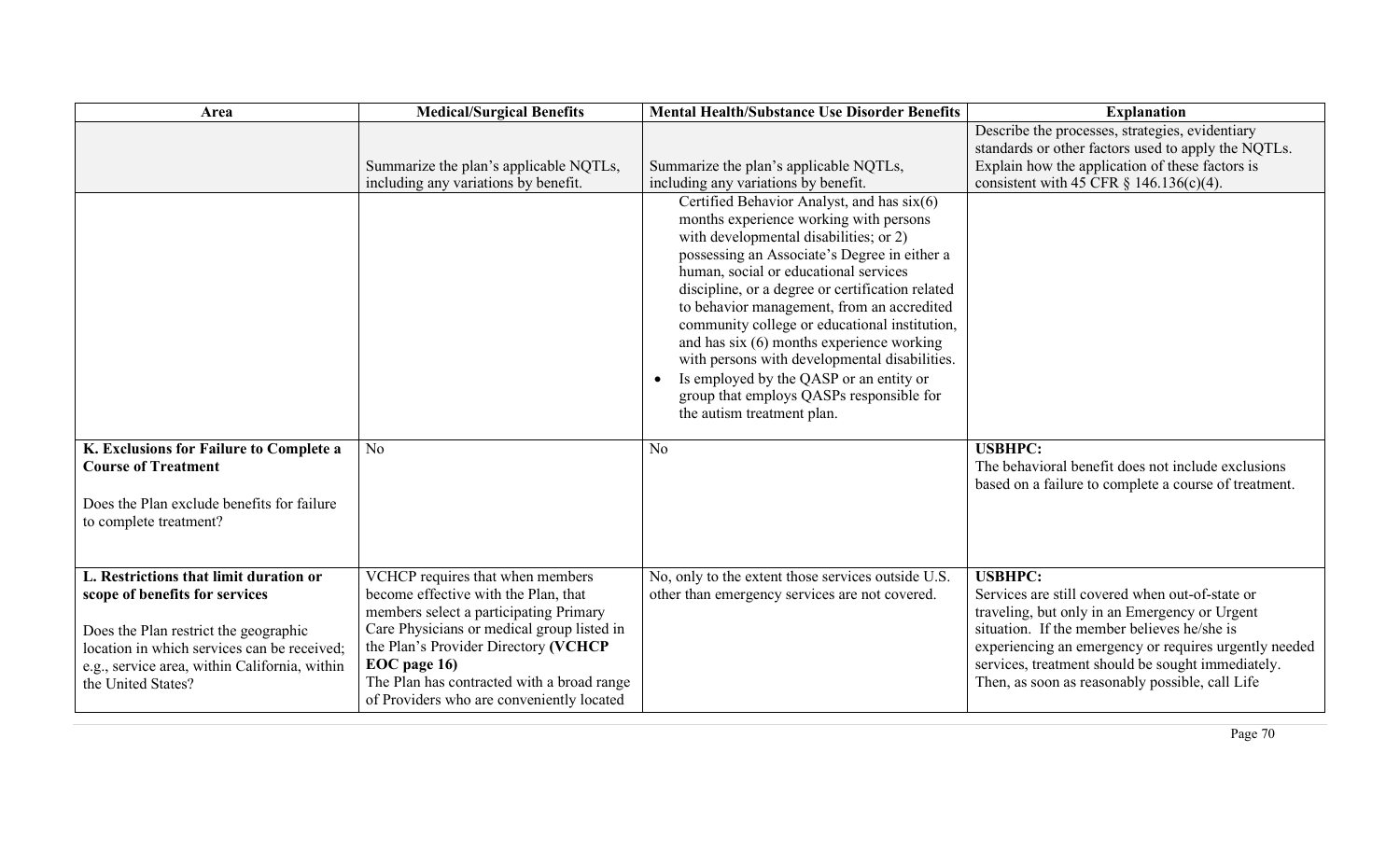| Area                                                                                                                                                                                                                                    | <b>Medical/Surgical Benefits</b>                                                                                                                                                                                                                                                                                    | <b>Mental Health/Substance Use Disorder Benefits</b>                                                                                                                                                                                                                                                                                                                                                                                                                                                                                                                                           | <b>Explanation</b>                                                                                                                                                                                                                                                                                                                 |
|-----------------------------------------------------------------------------------------------------------------------------------------------------------------------------------------------------------------------------------------|---------------------------------------------------------------------------------------------------------------------------------------------------------------------------------------------------------------------------------------------------------------------------------------------------------------------|------------------------------------------------------------------------------------------------------------------------------------------------------------------------------------------------------------------------------------------------------------------------------------------------------------------------------------------------------------------------------------------------------------------------------------------------------------------------------------------------------------------------------------------------------------------------------------------------|------------------------------------------------------------------------------------------------------------------------------------------------------------------------------------------------------------------------------------------------------------------------------------------------------------------------------------|
|                                                                                                                                                                                                                                         | Summarize the plan's applicable NQTLs,<br>including any variations by benefit.                                                                                                                                                                                                                                      | Summarize the plan's applicable NQTLs,<br>including any variations by benefit.                                                                                                                                                                                                                                                                                                                                                                                                                                                                                                                 | Describe the processes, strategies, evidentiary<br>standards or other factors used to apply the NQTLs.<br>Explain how the application of these factors is<br>consistent with 45 CFR $\S$ 146.136(c)(4).                                                                                                                            |
|                                                                                                                                                                                                                                         |                                                                                                                                                                                                                                                                                                                     | Certified Behavior Analyst, and has six(6)<br>months experience working with persons<br>with developmental disabilities; or 2)<br>possessing an Associate's Degree in either a<br>human, social or educational services<br>discipline, or a degree or certification related<br>to behavior management, from an accredited<br>community college or educational institution,<br>and has $six(6)$ months experience working<br>with persons with developmental disabilities.<br>Is employed by the QASP or an entity or<br>group that employs QASPs responsible for<br>the autism treatment plan. |                                                                                                                                                                                                                                                                                                                                    |
| K. Exclusions for Failure to Complete a<br><b>Course of Treatment</b><br>Does the Plan exclude benefits for failure<br>to complete treatment?                                                                                           | N <sub>o</sub>                                                                                                                                                                                                                                                                                                      | N <sub>o</sub>                                                                                                                                                                                                                                                                                                                                                                                                                                                                                                                                                                                 | <b>USBHPC:</b><br>The behavioral benefit does not include exclusions<br>based on a failure to complete a course of treatment.                                                                                                                                                                                                      |
| L. Restrictions that limit duration or<br>scope of benefits for services<br>Does the Plan restrict the geographic<br>location in which services can be received;<br>e.g., service area, within California, within<br>the United States? | VCHCP requires that when members<br>become effective with the Plan, that<br>members select a participating Primary<br>Care Physicians or medical group listed in<br>the Plan's Provider Directory (VCHCP<br>EOC page 16)<br>The Plan has contracted with a broad range<br>of Providers who are conveniently located | No, only to the extent those services outside U.S.<br>other than emergency services are not covered.                                                                                                                                                                                                                                                                                                                                                                                                                                                                                           | <b>USBHPC:</b><br>Services are still covered when out-of-state or<br>traveling, but only in an Emergency or Urgent<br>situation. If the member believes he/she is<br>experiencing an emergency or requires urgently needed<br>services, treatment should be sought immediately.<br>Then, as soon as reasonably possible, call Life |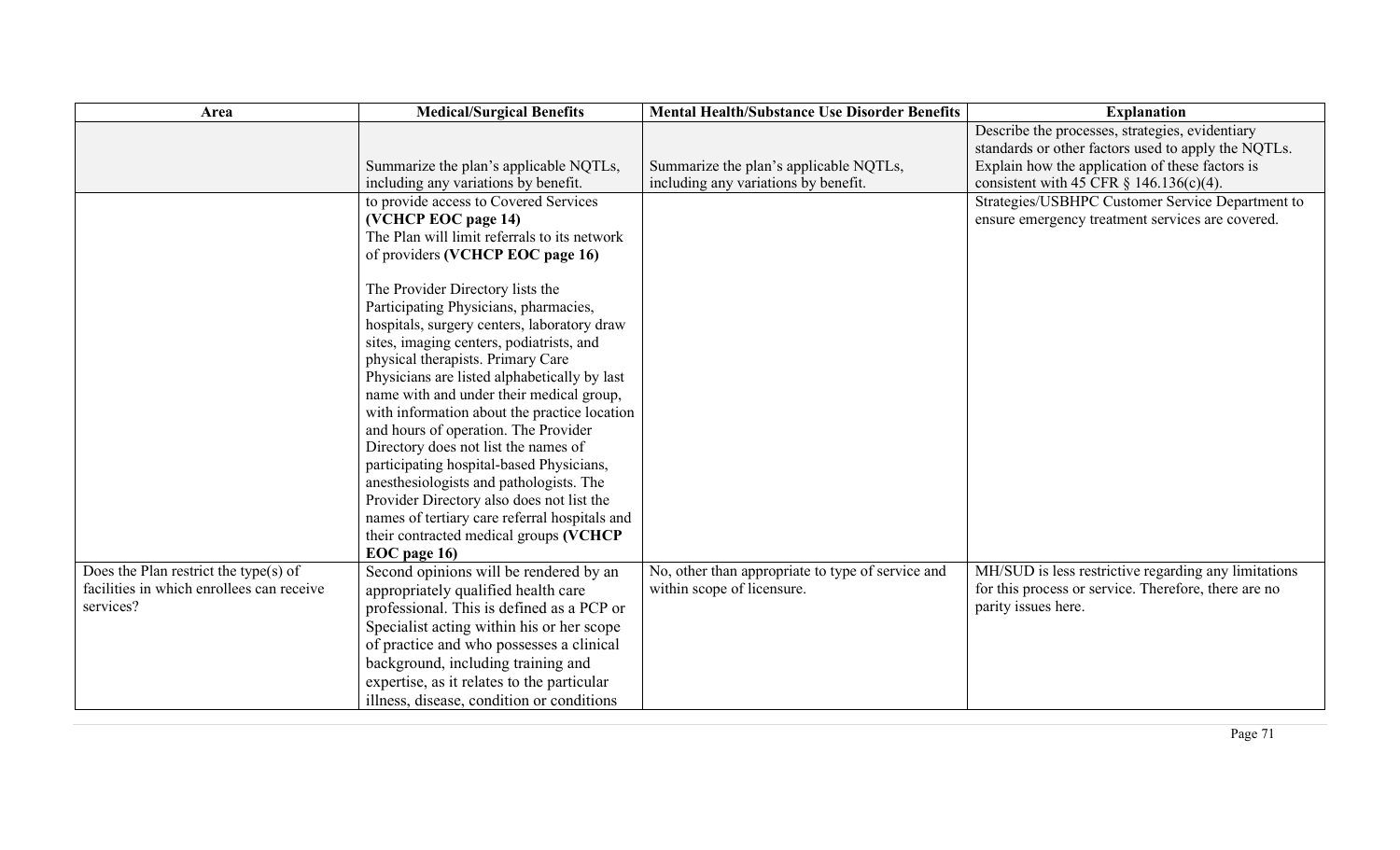| Area                                      | <b>Medical/Surgical Benefits</b>              | <b>Mental Health/Substance Use Disorder Benefits</b> | <b>Explanation</b>                                   |
|-------------------------------------------|-----------------------------------------------|------------------------------------------------------|------------------------------------------------------|
|                                           |                                               |                                                      | Describe the processes, strategies, evidentiary      |
|                                           |                                               |                                                      | standards or other factors used to apply the NQTLs.  |
|                                           | Summarize the plan's applicable NQTLs,        | Summarize the plan's applicable NQTLs,               | Explain how the application of these factors is      |
|                                           | including any variations by benefit.          | including any variations by benefit.                 | consistent with 45 CFR $\S$ 146.136(c)(4).           |
|                                           | to provide access to Covered Services         |                                                      | Strategies/USBHPC Customer Service Department to     |
|                                           | (VCHCP EOC page 14)                           |                                                      | ensure emergency treatment services are covered.     |
|                                           | The Plan will limit referrals to its network  |                                                      |                                                      |
|                                           | of providers (VCHCP EOC page 16)              |                                                      |                                                      |
|                                           | The Provider Directory lists the              |                                                      |                                                      |
|                                           | Participating Physicians, pharmacies,         |                                                      |                                                      |
|                                           | hospitals, surgery centers, laboratory draw   |                                                      |                                                      |
|                                           | sites, imaging centers, podiatrists, and      |                                                      |                                                      |
|                                           | physical therapists. Primary Care             |                                                      |                                                      |
|                                           | Physicians are listed alphabetically by last  |                                                      |                                                      |
|                                           | name with and under their medical group,      |                                                      |                                                      |
|                                           | with information about the practice location  |                                                      |                                                      |
|                                           | and hours of operation. The Provider          |                                                      |                                                      |
|                                           | Directory does not list the names of          |                                                      |                                                      |
|                                           | participating hospital-based Physicians,      |                                                      |                                                      |
|                                           | anesthesiologists and pathologists. The       |                                                      |                                                      |
|                                           | Provider Directory also does not list the     |                                                      |                                                      |
|                                           | names of tertiary care referral hospitals and |                                                      |                                                      |
|                                           | their contracted medical groups (VCHCP        |                                                      |                                                      |
|                                           | EOC page 16)                                  |                                                      |                                                      |
| Does the Plan restrict the type(s) of     | Second opinions will be rendered by an        | No, other than appropriate to type of service and    | MH/SUD is less restrictive regarding any limitations |
| facilities in which enrollees can receive | appropriately qualified health care           | within scope of licensure.                           | for this process or service. Therefore, there are no |
| services?                                 | professional. This is defined as a PCP or     |                                                      | parity issues here.                                  |
|                                           | Specialist acting within his or her scope     |                                                      |                                                      |
|                                           | of practice and who possesses a clinical      |                                                      |                                                      |
|                                           | background, including training and            |                                                      |                                                      |
|                                           | expertise, as it relates to the particular    |                                                      |                                                      |
|                                           | illness, disease, condition or conditions     |                                                      |                                                      |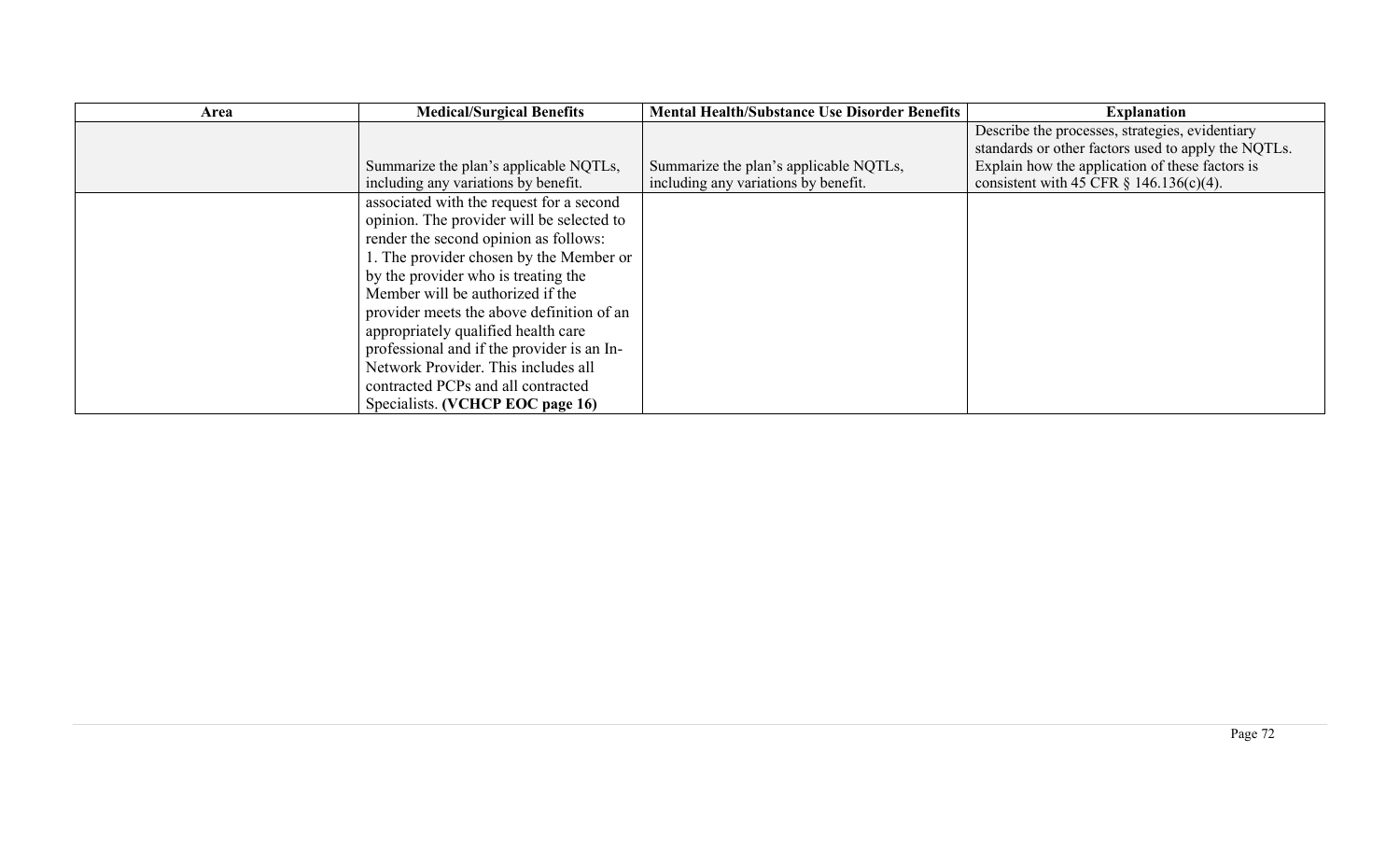| Area | <b>Medical/Surgical Benefits</b>           | <b>Mental Health/Substance Use Disorder Benefits</b> | <b>Explanation</b>                                  |
|------|--------------------------------------------|------------------------------------------------------|-----------------------------------------------------|
|      |                                            |                                                      | Describe the processes, strategies, evidentiary     |
|      |                                            |                                                      | standards or other factors used to apply the NQTLs. |
|      | Summarize the plan's applicable NQTLs,     | Summarize the plan's applicable NQTLs,               | Explain how the application of these factors is     |
|      | including any variations by benefit.       | including any variations by benefit.                 | consistent with 45 CFR $\S$ 146.136(c)(4).          |
|      | associated with the request for a second   |                                                      |                                                     |
|      | opinion. The provider will be selected to  |                                                      |                                                     |
|      | render the second opinion as follows:      |                                                      |                                                     |
|      | 1. The provider chosen by the Member or    |                                                      |                                                     |
|      | by the provider who is treating the        |                                                      |                                                     |
|      | Member will be authorized if the           |                                                      |                                                     |
|      | provider meets the above definition of an  |                                                      |                                                     |
|      | appropriately qualified health care        |                                                      |                                                     |
|      | professional and if the provider is an In- |                                                      |                                                     |
|      | Network Provider. This includes all        |                                                      |                                                     |
|      | contracted PCPs and all contracted         |                                                      |                                                     |
|      | Specialists. (VCHCP EOC page 16)           |                                                      |                                                     |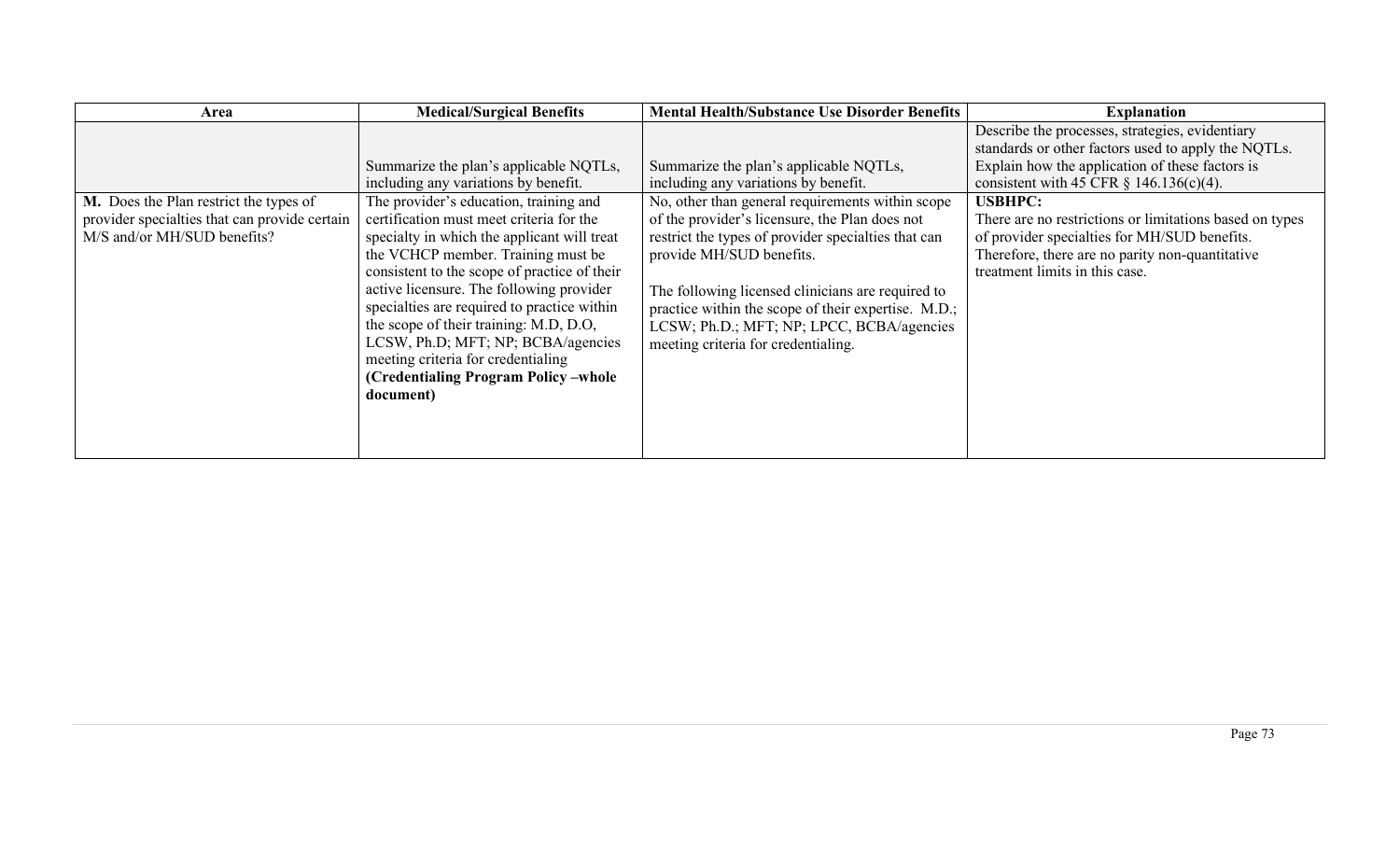| Area                                                                                                                   | <b>Medical/Surgical Benefits</b>                                                                                                                                                                                                                                                                                                                                                                                                                                                                                           | <b>Mental Health/Substance Use Disorder Benefits</b>                                                                                                                                                                                                                                                                                                                                                                                                                    | <b>Explanation</b>                                                                                                                                                                                                                                                                                                                                                                                                        |
|------------------------------------------------------------------------------------------------------------------------|----------------------------------------------------------------------------------------------------------------------------------------------------------------------------------------------------------------------------------------------------------------------------------------------------------------------------------------------------------------------------------------------------------------------------------------------------------------------------------------------------------------------------|-------------------------------------------------------------------------------------------------------------------------------------------------------------------------------------------------------------------------------------------------------------------------------------------------------------------------------------------------------------------------------------------------------------------------------------------------------------------------|---------------------------------------------------------------------------------------------------------------------------------------------------------------------------------------------------------------------------------------------------------------------------------------------------------------------------------------------------------------------------------------------------------------------------|
| M. Does the Plan restrict the types of<br>provider specialties that can provide certain<br>M/S and/or MH/SUD benefits? | Summarize the plan's applicable NQTLs,<br>including any variations by benefit.<br>The provider's education, training and<br>certification must meet criteria for the<br>specialty in which the applicant will treat<br>the VCHCP member. Training must be<br>consistent to the scope of practice of their<br>active licensure. The following provider<br>specialties are required to practice within<br>the scope of their training: M.D, D.O,<br>LCSW, Ph.D; MFT; NP; BCBA/agencies<br>meeting criteria for credentialing | Summarize the plan's applicable NQTLs,<br>including any variations by benefit.<br>No, other than general requirements within scope<br>of the provider's licensure, the Plan does not<br>restrict the types of provider specialties that can<br>provide MH/SUD benefits.<br>The following licensed clinicians are required to<br>practice within the scope of their expertise. M.D.;<br>LCSW; Ph.D.; MFT; NP; LPCC, BCBA/agencies<br>meeting criteria for credentialing. | Describe the processes, strategies, evidentiary<br>standards or other factors used to apply the NQTLs.<br>Explain how the application of these factors is<br>consistent with 45 CFR $\S$ 146.136(c)(4).<br><b>USBHPC:</b><br>There are no restrictions or limitations based on types<br>of provider specialties for MH/SUD benefits.<br>Therefore, there are no parity non-quantitative<br>treatment limits in this case. |
|                                                                                                                        | (Credentialing Program Policy -whole<br>document)                                                                                                                                                                                                                                                                                                                                                                                                                                                                          |                                                                                                                                                                                                                                                                                                                                                                                                                                                                         |                                                                                                                                                                                                                                                                                                                                                                                                                           |